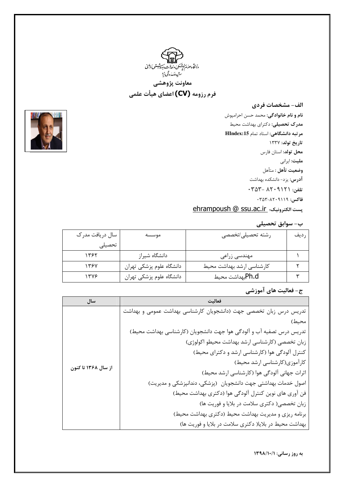

الف- مشخصات فردي **نام و نام خانوادگی**: محمد حسن احرامپوش مدرک تحصیلی: دکترای بهداشت محیط مرتبه دانشگاهی: استاد تمام HIndex:15 تاريخ تولد: ۱۳۳۷ **محل تولد**: استان فارس ملیت: ایرانی وضعيت تأهل : متأهل **آدرس**: یزد- دانشکده بهداشت  $\cdot$  تلفن: ۰۳۵۲۰ - ۴۵۳ - ۰۳۵۳ فاكس: ٠٣٥٣-٨٢٠٩١١٩ ehrampoush @ SSU.ac.ir ونيك؛ \_ehrampoush @



| سال دریافت مدر ک<br>موسسه |                          | رشته تحصيلى/تخصصى         | ر دیف |
|---------------------------|--------------------------|---------------------------|-------|
| تحصيلى                    |                          |                           |       |
| ۱۳۶۲                      | دانشگاه شیراز            | مهندسی زراعی              |       |
| 1397                      | دانشگاه علوم پزشکی تهران | كارشناسى ارشد بهداشت محيط |       |
| ۱۳۷۶                      | دانشگاه علوم پزشکی تهران | Ph.dبهداشت محيط           |       |

ج- فعالیت های آموزشی

| سال                 | فعالىت                                                               |
|---------------------|----------------------------------------------------------------------|
|                     | تدریس درس زبان تخصصی جهت (دانشجویان کارشناسی بهداشت عمومی و بهداشت   |
|                     | محيط)                                                                |
|                     | تدریس درس تصفیه آب و آلودگی هوا جهت دانشجویان (کارشناسی بهداشت محیط) |
|                     | زبان تخصصی (کارشناسی ارشد بهداشت محیطو اکولوژی)                      |
|                     | کنترل آلودگی هوا (کارشناسی ارشد و دکترای محیط)                       |
|                     | كارآموزي(كارشناسي ارشد محيط)                                         |
| از سال ۱۳۶۸ تا کنون | اثرات جهانی آلودگی هوا (کارشناسی ارشد محیط)                          |
|                     | اصول خدمات بهداشتی جهت دانشجویان (پزشکی، دندانپزشکی و مدیریت)        |
|                     | فن آوری های نوین کنترل آلودگی هوا (دکتری بهداشت محیط)                |
|                     | زبان تخصصی( دکتری سلامت در بلایا و فوریت ها)                         |
|                     | برنامه ریزی و مدیریت بهداشت محیط (دکتری بهداشت محیط)                 |
|                     | بهداشت محیط در بلایا( دکتری سلامت در بلایا و فوریت ها)               |



به روز رسانی: ١٣٩٨/١٠/١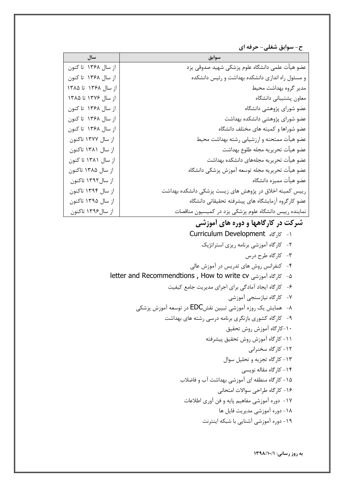ح- سوابق شغلی- حرفه ای

| سال                 | سوابق                                                   |
|---------------------|---------------------------------------------------------|
| از سال ۱۳۶۸ تا کنون | عضو هیأت علمی دانشگاه علوم پزشکی شهید صدوقی یزد         |
| از سال ۱۳۶۸ تا کنون | و مسئول راه اندازی دانشکده بهداشت و رئیس دانشکده        |
| از سال ۱۳۶۸ تا ۱۳۸۵ | مدير گروه بهداشت محيط                                   |
| از سال ۱۳۷۶ تا ۱۳۸۵ | معاون پشتيباني دانشگاه                                  |
| از سال ۱۳۶۸ تا کنون | عضو شوراى پژوهشى دانشگاه                                |
| از سال ۱۳۶۸ تا کنون | عضو شوراى پژوهشى دانشكده بهداشت                         |
| از سال ۱۳۶۸ تا کنون | عضو شوراها و كميته هاى مختلف دانشگاه                    |
| از سال ۱۳۷۷ تاکنون  | عضو هيأت ممتحنه و ارزشيابي رشته بهداشت محيط             |
| از سال ۱۳۸۱ تاکنون  | عضو هيأت تحريريه مجله طلوع بهداشت                       |
| از سال ۱۳۸۱ تا کنون | عضو هيأت تحريريه مجلههاى دانشكده بهداشت                 |
| از سال ۱۳۸۵ تاکنون  | عضو هيأت تحريريه مجله توسعه آموزش پزشكى دانشگاه         |
| از سال ۱۳۹۲ تاکنون  | عضو هيأت مميزه دانشگاه                                  |
| از سال ۱۳۹۴ تاکنون  | رییس کمیته اخلاق در پژوهش های زیست پزشکی دانشکده بهداشت |
| از سال ۱۳۹۵ تاکنون  | عضو كارگروه آزمايشگاه هاى پيشرفته تحقيقاتي دانشگاه      |
| از سال۱۳۹۶ تاکنون   | نماینده رییس دانشگاه علوم پزشکی یزد در کمیسیون مناقصات  |

## شرکت در کارگاهها و دوره های آموزشی

- ۱- کارگاه Curriculum Development
	- ٢- كارگاه آموزشي برنامه ريزي استراتژيک
		- ۳- کارگاه طرح درس
- ۴- کنفرانس روش های تدریس در آموزش عالی
- ۵- كارگاه آموزشى letter and Recommendtions , How to write cv
	- ۶- کارگاه ایجاد آمادگی برای اجرای مدیریت جامع کیفیت
		- ۷- کارگاه نیازسنجی آموزشی
	- ۸- همایش یک روزه اَموزشی تبیین نقشEDC در توسعه اَموزش پزشکی
		- ۹- کارگاه کشوری بازنگری برنامه درسی رشته های بهداشت
			- ۱۰–کارگاه آموزش روش تحقیق
			- 1۱- کارگاه آموزش روش تحقیق پیشرفته
				- ۱۲- کارگاه سخنرانی
				- ١٣- كاركاه تجزيه و تحليل سوال
					- ۱۴- کار گاه مقاله نویسی
			- ۱۵– کارگاه منطقه ای آموزشی بهداشت آب و فاضلاب ۱۶- کار گاه طراحی سوالات امتحانی
			- ۱۷ دوره آموزشی مفاهیم پایه و فن آوری اطلاعات
				- ١٨- دوره آموزشي مديريت فايل ها
					- ۱۹- دوره آموزشی آشنایی با شبکه اینترنت

به روز رسانی: ١٣٩٨/١٠/١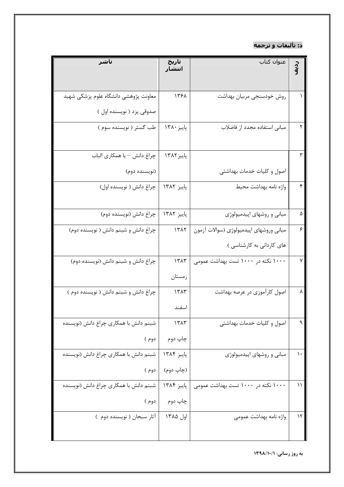## د: تأليفات و ترجمه

| انتشار     |                                         | م.<br>آ4      |
|------------|-----------------------------------------|---------------|
|            |                                         |               |
| 1391       | روش خودسنجي مربيان بهداشت               |               |
|            |                                         |               |
| پاییز ۱۳۸۰ | مبانی استفاده مجدد از فاضلاب            |               |
|            |                                         |               |
| پاییز ۱۳۸۲ |                                         | ٣             |
|            | اصول و کلیات خدمات بهداشتی              |               |
| پاييز ۱۳۸۲ | واژه نامه بهداشت محيط                   | ۴             |
|            |                                         |               |
| پاييز ۱۳۸۲ | مبانی و روشهای اپیدمیولوژی              | ۵             |
| 1517       | مبانی وروشهای اپیدمیولوژی (سوالات آزمون | ۶             |
|            | های کاردانی به کارشناسی )               |               |
| 1515       | ۱۰۰۰ نکته در ۱۰۰۰ تست بهداشت عمومی      | ٧             |
| زمستان     |                                         |               |
| 1٣٨٣       | اصول کارآموزی در عرصه بهداشت            | ٨             |
| اسفند      |                                         |               |
| 1٣٨٣       | اصول و كليات خدمات بهداشتى              | ٩             |
| چاپ دوم    |                                         |               |
| پاییز ۱۳۸۴ | مبانی و روشهای اپیدمیولوژی              | ١.            |
| (چاپ دوم)  |                                         |               |
| پاييز ۱۳۸۴ | ۱۰۰۰ نکته در ۱۰۰۰ تست بهداشت عمومی      | ۱۱            |
| چاپ دوم    |                                         |               |
| اول ۱۳۸۵   | واژه نامه بهداشت عمومی                  | $\mathcal{N}$ |
|            |                                         |               |
|            | تارىخ                                   | عنوان كتاب    |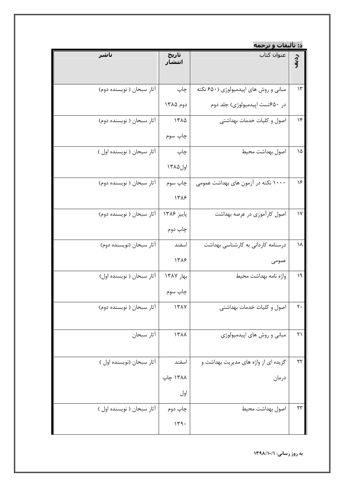|                            |                 | د: تأليفات و ترجمه                    |                |
|----------------------------|-----------------|---------------------------------------|----------------|
| ناشر                       | تارىخ<br>انتشار | عنوان كتاب                            | ر<br>آھ        |
| آثار سبحان ( نویسنده دوم)  | چاپ             | مبانی و روش های اپیدمیولوژی (۶۵۰ نکته | ۱۳             |
|                            | دوم ۱۳۸۵        | در ۶۵۰تست اپیدمیولوژی) جلد دوم        |                |
| آثار سبحان ( نویسنده دوم)  | 1٣٨۵            | اصول و کلیات خدمات بهداشتی            | ۱۴             |
|                            | چاپ سوم         |                                       |                |
| آثار سبحان ( نويسنده اول ) | چاپ             | اصول بهداشت محيط                      | ۱۵             |
|                            | اول ۱۳۸۵        |                                       |                |
| آثار سبحان ( نویسنده دوم)  | چاپ سوم         | ۱۰۰۰ نکته در آزمون های بهداشت عمومی   | ۱۶             |
|                            | 1318            |                                       |                |
| آثار سبحان ( نویسنده دوم)  | پاييز ۱۳۸۶      | اصول کارآموزی در عرصه بهداشت          | ۱۷             |
|                            | چاپ دوم         |                                       |                |
| آثار سبحان (نويسنده دوم)   | اسفند           | درسنامه کاردانی به کارشناسی بهداشت    | ١٨             |
|                            | 1318            | عمومى                                 |                |
| آثار سبحان ( نويسنده اول)  | بهار ١٣٨٧       | واژه نامه بهداشت محيط                 | ۱۹             |
|                            | چاپ سوم         |                                       |                |
| آثار سبحان ( نویسنده دوم)  | 1٣٨٧            | اصول و کلیات خدمات بهداشتی            | $\mathsf{r}$ . |
| أثار سبحان                 | 1711            | مبانی و روش های اپیدمیولوژی           | ۲۱             |
| آثار سبحان (نويسنده اول )  | اسفند           | گزیده ای از واژه های مدیریت بهداشت و  | ۲۲             |
|                            | ۱۳۸۸ چاپ        | درمان                                 |                |
|                            | اول             |                                       |                |
| آثار سبحان ( نويسنده اول ) | چاپ دوم         | اصول بهداشت محيط                      | ٢٣             |
|                            | 149.            |                                       |                |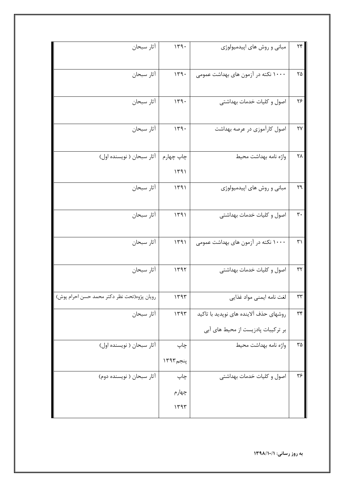| أثار سبحان                                  | 119.                | مبانی و روش های اپیدمیولوژی                                                  | $\gamma\gamma$     |
|---------------------------------------------|---------------------|------------------------------------------------------------------------------|--------------------|
| أثار سبحان                                  | 149.                | ۱۰۰۰ نکته در آزمون های بهداشت عمومی                                          | ۲۵                 |
| أثار سبحان                                  | 149.                | اصول و کلیات خدمات بهداشتی                                                   | ۲۶                 |
| أثار سبحان                                  | 149.                | اصول کارآموزی در عرصه بهداشت                                                 | ٢٧                 |
| آثار سبحان ( نويسنده اول)                   | چاپ چهارم<br>1491   | واژه نامه بهداشت محيط                                                        | ۲۸                 |
| أثار سبحان                                  | 1491                | مبانی و روش های اپیدمیولوژی                                                  | ٢٩                 |
| أثار سبحان                                  | 1491                | اصول و كليات خدمات بهداشتي                                                   | $\mathbf{r}$ .     |
| أثار سبحان                                  | 1491                | ۱۰۰۰ نکته در آزمون های بهداشت عمومی                                          | $\uparrow\uparrow$ |
| أثار سبحان                                  | 1197                | اصول و کلیات خدمات بهداشتی                                                   | $\mathbf{r}$       |
| رويان پژوه(تحت نظر دكتر محمد حسن احرام پوش) | 1197                | لغت نامه ايمنى مواد غذايي                                                    | ٣٣                 |
| أثار سبحان                                  | 1197                | روشهای حذف آلاینده های نویدید با تاکید<br>بر ترکیبات پادزیست از محیط های آبی | ٣۴                 |
| آثار سبحان ( نویسنده اول)                   | چاپ                 | واژه نامه بهداشت محيط                                                        | ٣۵                 |
|                                             | $1497^{\circ}$ پنجم |                                                                              |                    |
| آثار سبحان ( نویسنده دوم)                   | چاپ                 | اصول و كليات خدمات بهداشتي                                                   | ۳۶                 |
|                                             | چهارم               |                                                                              |                    |
|                                             | 1197                |                                                                              |                    |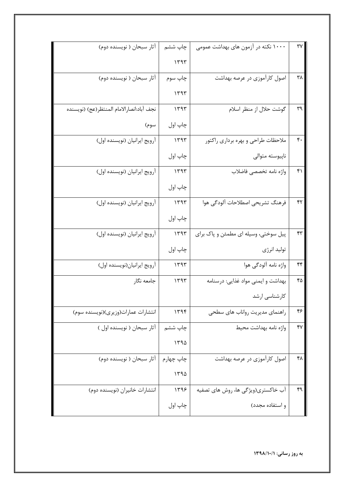| آثار سبحان ( نویسنده دوم)                 | چاپ ششم   | ۱۰۰۰ نکته در آزمون های بهداشت عمومی  | ٣٧ |
|-------------------------------------------|-----------|--------------------------------------|----|
|                                           | 1197      |                                      |    |
| آثار سبحان ( نویسنده دوم)                 | چاپ سوم   | اصول کارآموزی در عرصه بهداشت         | ۳۸ |
|                                           | 1197      |                                      |    |
| نجف آباد:انصارالامام المنتظر(عج) (نويسنده | 1497      | گوشت حلال از منظر اسلام              | ٣٩ |
| سوم)                                      | چاپ اول   |                                      |    |
| أرويج ايرانيان (نويسنده اول)              | 1141      | ملاحظات طراحي و بهره برداري راكتور   | ۴. |
|                                           | چاپ اول   | ناپيوسته متوالي                      |    |
| آرويج ايرانيان (نويسنده اول)              | 1497      | واژه نامه تخصصي فاضلاب               | ۴۱ |
|                                           | چاپ اول   |                                      |    |
| أرويج ايرانيان (نويسنده اول)              | 1797      | فرهنگ تشريحي اصطلاحات آلودگي هوا     | ۴٢ |
|                                           | چاپ اول   |                                      |    |
| آرويج ايرانيان (نويسنده اول)              | 1497      | پیل سوختی، وسیله ای مطمئن و پاک برای | ۴٣ |
|                                           | چاپ اول   | توليد انرژى                          |    |
| أرويج ايرانيان(نويسنده اول)               | ۱۳۹۳      | واژه نامه آلودگی هوا                 | ۴۴ |
| جامعه نگار                                | 1497      | بهداشت و ایمنی مواد غذایی: درسنامه   | ۴۵ |
|                                           |           | كارشناسى ارشد                        |    |
| انتشارات عمارات(وزیری)(نویسنده سوم)       | ۱۳۹۴      | راهنمای مدیریت رواناب های سطحی       | ۴۶ |
| آثار سبحان ( نویسنده اول )                | چاپ ششم   | واژه نامه بهداشت محيط                | ۴٧ |
|                                           | 1490      |                                      |    |
| آثار سبحان ( نویسنده دوم)                 | چاپ چهارم | اصول کارآموزی در عرصه بهداشت         | ۴۸ |
|                                           | 1490      |                                      |    |
| انتشارات خانیران (نویسنده دوم)            | ۱۳۹۶      | آب خاکستری(ویژگی ها، روش های تصفیه   | ۴۹ |
|                                           | چاپ اول   | و استفاده مجدد)                      |    |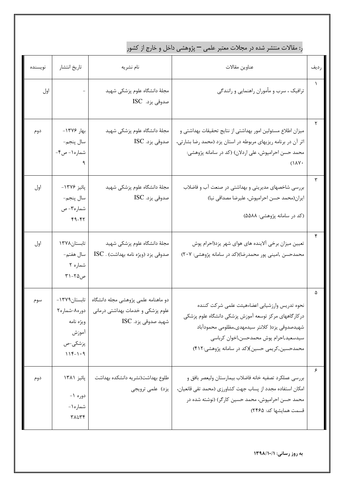ر: مقالات منتشر شده در مجلات معتبر علمی — پژوهشی داخل و خارج از کشور

| نويسنده | تاريخ انتشار                                                                  | نام نشريه                                                                                       | عناوين مقالات                                                                                                                                                                                                                                        | رديف |
|---------|-------------------------------------------------------------------------------|-------------------------------------------------------------------------------------------------|------------------------------------------------------------------------------------------------------------------------------------------------------------------------------------------------------------------------------------------------------|------|
| اول     |                                                                               | مجلهٔ دانشگاه علوم پزشکی شهید<br>صدوقی یزد. ISC                                                 | ترافیک ، سرب و مأموران راهنمایی و رانندگی                                                                                                                                                                                                            |      |
| دوم     | بهار ۱۳۷۶-<br>سال پنجم-<br>شماره ۱ - ص۴-                                      | مجلهٔ دانشگاه علوم پزشکی شهید<br>صدوقی یزد. ISC                                                 | میزان اطلاع مسئولین امور بهداشتی از نتایج تحقیقات بهداشتی و<br>اثر آن در برنامه ریزیهای مربوطه در استان یزد (محمد رضا بشارتی،<br>محمد حسن احرامپوش، علی اردلان) (کد در سامانه پژوهشی:<br>$(1\lambda Y)$                                              |      |
| اول     | پائيز ۱۳۷۶-<br>سال پنجم-<br>شماره۳- ص<br>$49 - 47$                            | مجلهٔ دانشگاه علوم پزشکی شهید<br>صدوقی یزد. ISC                                                 | بررسی شاخصهای مدیریتی و بهداشتی در صنعت آب و فاضلاب<br>ایران(محمد حسن احرامپوش، علیرضا مصداقی نیا)<br>(کد در سامانه پژوهشی: ۵۵۸۸)                                                                                                                    |      |
| اول     | تابستان۱۳۷۸<br>سال هفتم-<br>شماره ۲<br>ص۲۵-۲۱                                 | مجلهٔ دانشگاه علوم پزشکی شهید<br>صدوقی یزد (ویژه نامه بهداشت) . ISC                             | تعیین میزان برخی آلاینده های هوای شهر یزد(احرام پوش<br>محمدحسن ,امینی پور محمدرضا)(کد در سامانه پژوهشی: ۲۰۷)                                                                                                                                         |      |
| سوم     | تابستان ۱۳۷۹–<br>دوره٨-شماره٢<br>ويژه نامه<br>أموزش<br>پزشکی-ص<br>$119 - 1.9$ | دو ماهنامه علمی پژوهشی مجله دانشگاه<br>علوم پزشکی و خدمات بهداشتی درمانی<br>شهيد صدوقي يزد. ISC | نحوه تدريس وارزشيابي اعضاءهيئت علمى شركت كننده<br>درکارگاههای مرکز توسعه آموزش پزشکی دانشگاه علوم پزشکی<br>شهيدصدوقي يزد( كلانتر سيدمهدي,مظلومي محمودآباد<br>سيدسعيد,احرام پوش محمدحسن,اخوان كرباسي<br>محمدحسین,کریمی حسین)(کد در سامانه پژوهشی:۴۱۲) |      |
| دوم     | پائيز ۱۳۸۱<br>دوره ۱-<br>شماره ۱ -<br>٣٨١:٣۴                                  | طلوع بهداشت(نشريه دانشكده بهداشت<br>یزد) علمی ترویجی                                            | بررسي عملكرد تصفيه خانه فاضلاب بيمارستان وليعصر بافق و<br>امکان استفاده مجدد از پساب جهت کشاورزی (محمد تقی قانعیان،<br>محمد حسن احرامپوش، محمد حسین کارگر) (نوشته شده در<br>قسمت همایشها کد: ۲۴۶۵)                                                   |      |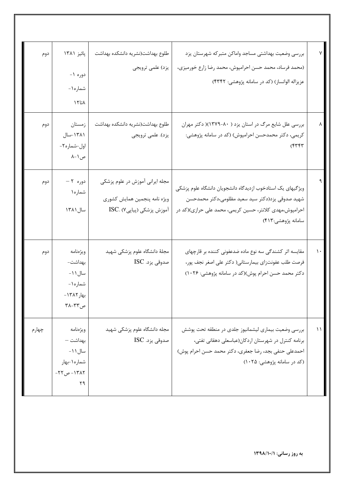|               | بررسي وضعيت بهداشتي مساجد واماكن متبركه شهرستان يزد<br>(محمد فرساد، محمد حسن احرامپوش، محمد رضا زارع خورمیزی، | طلوع بهداشت(نشريه دانشكده بهداشت<br>يزد) علمي ترويجي | پائيز ۱۳۸۱      | دوم   |
|---------------|---------------------------------------------------------------------------------------------------------------|------------------------------------------------------|-----------------|-------|
|               |                                                                                                               |                                                      | دوره ۱-         |       |
|               | عزیزاله الوانساز) (کد در سامانه پژوهشی: ۴۳۴۲)                                                                 |                                                      | شماره ۱-        |       |
|               |                                                                                                               |                                                      | $\lambda$ تا ۱۲ |       |
|               | بررسی علل شایع مرگ در استان یزد ( ۸۰-۱۳۷۹)( دکتر مهران                                                        | طلوع بهداشت(نشريه دانشكده بهداشت                     | زمستان          | دوم   |
|               | کریمی، دکتر محمدحسن احرامپوش) (کد در سامانه پژوهشی:                                                           | يزد). علمي ترويجي                                    | ۱۳۸۱-سال        |       |
|               | ۴۳۴۳)                                                                                                         |                                                      | اول-شماره۲-     |       |
|               |                                                                                                               |                                                      | ص ۱ –۸          |       |
|               |                                                                                                               |                                                      |                 |       |
|               | ویژگیهای یک استادخوب ازدیدگاه دانشجویان دانشگاه علوم پزشکی                                                    | مجله ایرانی آموزش در علوم پزشکی                      | دوره ۲ –        | دوم   |
|               | شهید صدوقی یزد(دکتر سید سعید مظلومی،دکتر محمدحسن                                                              | ويژه نامه پنجمين همايش كشوري                         | شماره۱          |       |
|               | احرامپوش،مهدی کلانتر، حسین کریمی، محمد علی حرازی)(کد در                                                       | آموزش پزشکی (پیاپی۷) .ISC                            | سال ۱۳۸۱        |       |
|               | سامانه پژوهشي:۴۱۳)                                                                                            |                                                      |                 |       |
|               |                                                                                                               |                                                      |                 |       |
| $\mathcal{L}$ | مقایسه اثر کشندگی سه نوع ماده ضدعفونی کننده بر قارچهای                                                        | مجلهٔ دانشگاه علوم پزشکی شهید                        | ويژەنامە        | دوم   |
|               | فرصت طلب عفونتزاي بيمارستاني( دكتر على اصغر نجف پور،                                                          | صدوقی یزد. ISC                                       | بهداشت–         |       |
|               | دکتر محمد حسن احرام پوش)(کد در سامانه پژوهشی: ۱۰۲۶)                                                           |                                                      | –۱۱ سال ۱       |       |
|               |                                                                                                               |                                                      | شماره ۱-        |       |
|               |                                                                                                               |                                                      | بهار ١٣٨٢-      |       |
|               |                                                                                                               |                                                      | ص ٣٢-٣٨         |       |
| $\setminus$   | بررسی وضعیت بیماری لیشمانیوز جلدی در منطقه تحت پوشش                                                           | مجله دانشگاه علوم پزشکی شهید                         | ويژەنامە        | چهارم |
|               | برنامه كنترل در شهرستان اردكان(عباسعلى دهقاني تفتي،                                                           | صدوقی یزد. ISC                                       | بهداشت —        |       |
|               | احمدعلی حنفی بجد، رضا جعفری، دکتر محمد حسن احرام پوش)                                                         |                                                      | سال ۱۱ -        |       |
|               | (کد در سامانه پژوهشی: ۱۰۲۵)                                                                                   |                                                      | شماره ۱ -بهار   |       |
|               |                                                                                                               |                                                      | ۱۳۸۲ - ص۲۲-     |       |
|               |                                                                                                               |                                                      | ۲۹              |       |
|               |                                                                                                               |                                                      |                 |       |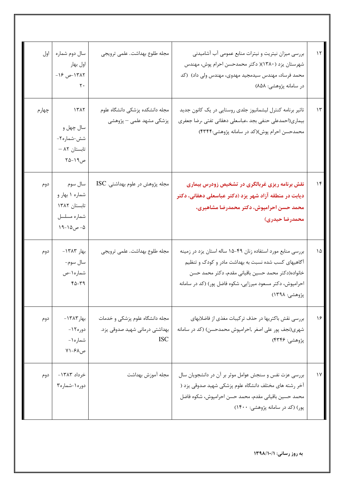| $\gamma$      | بررسی میزان نیتریت و نیترات منابع عمومی آب آشامیدنی<br>شهرستان یزد (۱۳۸۰)( دکتر محمدحسن احرام پوش، مهندس<br>محمد فرساد، مهندس سیدمجید مهدوی، مهندس ولی داد) (کد<br>در سامانه پژوهشی: ۸۵۸)                                                               | مجله طلوع بهداشت. علمي ترويجي                                                   | سال دوم شماره<br>اول بهار<br>١٣٨٢-ص ١۶-<br>٢٠                         | اول   |
|---------------|---------------------------------------------------------------------------------------------------------------------------------------------------------------------------------------------------------------------------------------------------------|---------------------------------------------------------------------------------|-----------------------------------------------------------------------|-------|
| $\gamma$      | تاثیر برنامه کنترل لیشمانیوز جلدی روستایی در یک کانون جدید<br>بیماری(احمدعلی حنفی بجد ،عباسعلی دهقانی تفتی ،رضا جعفری<br>محمدحسن احرام پوش)(کد در سامانه پژوهشی:۴۳۴۴)                                                                                   | مجله دانشكده پزشكى دانشگاه علوم<br>پزشکی مشهد علمی — پژوهشی                     | 1517<br>سال چهل و<br>شش-شماره۲-<br>تابستان ۸۲ –<br>ص۱۹–۲۵             | چهارم |
| $\mathcal{N}$ | نقش برنامه ریزی غربالگری در تشخیص زودرس بیماری<br>دیابت در منطقه آزاد شهر یزد (دکتر عباسعلی دهقانی، دکتر<br>محمد حسن احرامپوش، دکتر محمدرضا مشاهیری،<br>محمدرضا حيدري)                                                                                  | مجله پژوهش در علوم بهداشتی. ISC                                                 | سال سوم<br>شماره ۱ بهار و<br>تابستان ۱۳۸۲<br>شماره مسلسل<br>۵- ص۵۱-۱۹ | دوم   |
| ١۵            | بررسی منابع مورد استفاده زنان ۴۹-۱۵ ساله استان یزد در زمینه<br>آگاهیهای کسب شده نسبت به بهداشت مادر و کودک و تنظیم<br>خانواده(دكتر محمد حسين باقياني مقدم، دكتر محمد حسن<br>احرامپوش، دکتر مسعود میرزایی، شکوه فاضل پور) (کد در سامانه<br>پژوهشی: ۱۲۹۸) | مجله طلوع بهداشت. علمي ترويجي                                                   | بهار ١٣٨٣-<br>سال سوم-<br>شماره ۱-ص<br>$40 - 79$                      | دوم   |
| ۱۶            | بررسی نقش باکتریها در حذف ترکیبات مغذی از فاضلابهای<br>شهری(نجف پور علی اصغر ,احرامپوش محمدحسن) (کد در سامانه<br>پژوهشي: ۴۳۴۶)                                                                                                                          | مجله دانشگاه علوم پزشکی و خدمات<br>بهداشتی درمانی شهید صدوقی یزد.<br><b>ISC</b> | بهار ۱۳۸۳ -<br>دوره ۱۲-<br>شماره ۱ -<br>ص۶۸–۷۱                        | دوم   |
| ١٧            | بررسی عزت نفس و سنجش عوامل موثر بر آن در دانشجویان سال<br>آخر رشته های مختلف دانشگاه علوم پزشکی شهید صدوقی یزد (<br>محمد حسين باقياني مقدم، محمد حسن احرامپوش، شكوه فاضل<br>پور) (کد در سامانه پژوهشی: ۱۴۰۰)                                            | مجله آموزش بهداشت                                                               | خرداد ۱۳۸۳-<br>دوره ۱-شماره۳                                          | دوم   |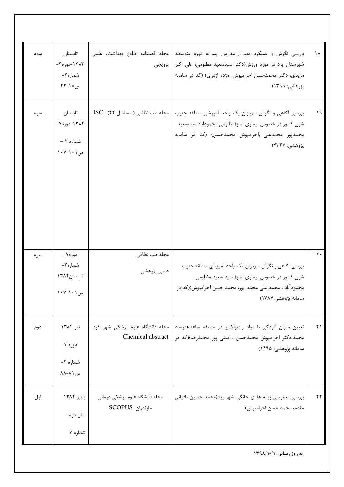| سوم | تابستان<br>١٣٨٣-دوره٣-<br>شماره۲-<br>ص۱۸-۲۲      | ترويجي                                             | بررسی نگرش و عملکرد دبیران مدارس پسرانه دوره متوسطه   مجله فصلنامه طلوع بهداشت. علمی<br>شهرستان یزد در مورد ورزش(دکتر سیدسعید مظلومی، علی اکبر<br>مزیدی، دکتر محمدحسن احرامپوش، مژده اژدری) (کد در سامانه<br>پژوهشي: ۱۳۹۹) | 1 V               |
|-----|--------------------------------------------------|----------------------------------------------------|----------------------------------------------------------------------------------------------------------------------------------------------------------------------------------------------------------------------------|-------------------|
| سوم | تابستان<br>۱۳۸۴-دوره۷-<br>شماره ۲ –<br>ص ۱۰۱–۱۰۷ | $\text{ISC}$ . (٢۴ مسلسل ۱۲۴) .                    | بررسی آگاهی و نگرش سربازان یک واحد آموزشی منطقه جنوب<br>شرق کشور در خصوص بیماری ایدز(مظلومی محمودآباد سیدسعید،<br>محمدپور محمدعلی ,احرامپوش محمدحسن) (کد در سامانه<br>پژوهشي: ۴۳۴۷)                                        | $\lambda$         |
| سوم | دوره۷-<br>شماره۲-<br>تابستان ۱۳۸۴<br>ص ۱۰۱–۱۰۷   | مجله طب نظامی<br>علمی پژوهشی                       | بررسی آگاهی و نگرش سربازان یک واحد آموزشی منطقه جنوب<br>شرق کشور در خصوص بیماری ایدز( سید سعید مظلومی<br>محمودآباد ، محمد علی محمد پور، محمد حسن احرامپوش)(کد در<br>سامانه پژوهشي:۱۷۸۷)                                    | $\mathsf{r}\cdot$ |
| دوم | تیر ۱۳۸۴<br>دوره ۷<br>شماره ٢-<br>ص ۸۱–۸۸        | Chemical abstract                                  | تعیین میزان آلودگی با مواد رادیواکتیو در منطقه ساغند(فرساد   مجله دانشگاه علوم پزشکی شهر کرد.<br>محمد،دکتر احرامپوش محمدحسن ، امینی پور محمدرضا)(کد در<br>سامانه پژوهشی: ۱۴۹۵)                                             | $\uparrow$ )      |
| اول | پاييز ۱۳۸۴<br>سال دوم<br>شماره ۷                 | مجله دانشگاه علوم پزشکی درمانی<br>مازندران. SCOPUS | بررسی مدیریتی زباله ها ی خانگی شهر یزد(محمد حسین باقیانی<br>مقدم، محمد حسن احرامپوش)                                                                                                                                       | ۲۲                |
|     |                                                  |                                                    |                                                                                                                                                                                                                            |                   |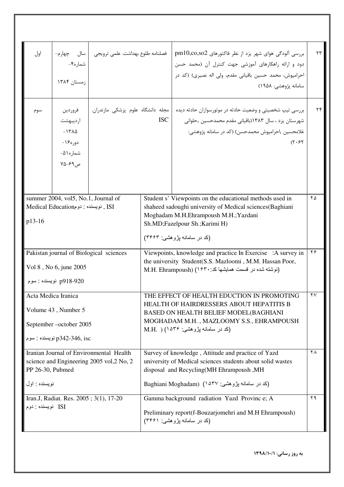| اول                                                                                                      | شماره۴-<br>زمستان ۱۳۸۴                                                                | فصلنامه طلوع بهداشت. علمي ترويجي   سال حِهارم-                                                                                                               |                                                                                                                                                                                                                     | بررسی آلودگی هوای شهر یزد از نظر فاکتورهای pm10,co,so2<br>دود و ارائه راهکارهای آموزشی جهت کنترل آن (محمد حسن<br>احرامپوش، محمد حسین باقیانی مقدم، ولی اله نصیری) (کد در<br>سامانه پژوهشي: ۱۹۵۸) | ۲۳       |
|----------------------------------------------------------------------------------------------------------|---------------------------------------------------------------------------------------|--------------------------------------------------------------------------------------------------------------------------------------------------------------|---------------------------------------------------------------------------------------------------------------------------------------------------------------------------------------------------------------------|--------------------------------------------------------------------------------------------------------------------------------------------------------------------------------------------------|----------|
| سوم                                                                                                      | فروردين<br>ارديبهشت<br>$-14\lambda\Delta$<br>دوره ۱۶<br>شماره ۵۱–<br>$Y\Delta - 99$ ص | مجله دانشگاه علوم پزشکی مازندران.                                                                                                                            | <b>ISC</b>                                                                                                                                                                                                          | بررسی تیپ شخصیتی و وضعیت حادثه در موتورسواران حادثه دیده<br>شهرستان یزد ، سال ۱۳۸۳(باقیانی مقدم محمدحسین ,حلوانی<br>غلامحسین ,احرامپوش محمدحسن) (کد در سامانه پژوهشی:<br>(7.97)                  | ۲۴       |
|                                                                                                          | summer 2004, vol5, No.1, Journal of                                                   |                                                                                                                                                              |                                                                                                                                                                                                                     | Student s' Viewpoints on the educational methods used in                                                                                                                                         | ۲۵       |
| p13-16                                                                                                   | ISI , نويسنده : دومMedical Education                                                  |                                                                                                                                                              |                                                                                                                                                                                                                     | shaheed sadoughi university of Medical sciences(Baghiani<br>Moghadam M.H.Ehrampoush M.H.; Yazdani<br>Sh.MD; Fazelpour Sh.; Karimi H)<br>(کد در سامانه بژوهشی: ۳۴۶۳)                              |          |
|                                                                                                          |                                                                                       | Pakistan journal of Biological sciences                                                                                                                      |                                                                                                                                                                                                                     | Viewpoints, knowledge and practice In Exercise : A survey in                                                                                                                                     | $\gamma$ |
| Vol 8, No 6, june 2005                                                                                   |                                                                                       |                                                                                                                                                              | the university Student(S.S. Mazloomi, M.M. Hassan Poor,<br>(نوشته شده در قسمت همایشها کد: M.H. Ehrampoush) (۱۶۳۰                                                                                                    |                                                                                                                                                                                                  |          |
| p918-920 نويسنده : سوم                                                                                   |                                                                                       |                                                                                                                                                              |                                                                                                                                                                                                                     |                                                                                                                                                                                                  |          |
| Acta Medica Iranica<br>Volume 43, Number 5<br>September-october 2005<br>p342-346, isc نويسنده : سوم      |                                                                                       |                                                                                                                                                              | THE EFFECT OF HEALTH EDUCTION IN PROMOTING<br>HEALTH OF HAIRDRESSERS ABOUT HEPATITIS B<br>BASED ON HEALTH BELIEF MODEL(BAGHIANI<br>MOGHADAM M.H., MAZLOOMY S.S., EHRAMPOUSH<br>(کد در سامانـه پژوهشـی: ۱۵۳۶) ( M.H. | ۲۷                                                                                                                                                                                               |          |
| Iranian Journal of Environmental Health<br>science and Engineering 2005 vol, 2 No, 2<br>PP 26-30, Pubmed |                                                                                       | Survey of knowledge, Attitude and practice of Yazd<br>university of Medical sciences students about solid wastes<br>disposal and Recycling(MH Ehrampoush, MH |                                                                                                                                                                                                                     | ٢٨                                                                                                                                                                                               |          |
|                                                                                                          | نویسنده : اول                                                                         |                                                                                                                                                              | Baghiani Moghadam) (۱۵۳۷ پژوهشی: ۱۵۳۷)                                                                                                                                                                              |                                                                                                                                                                                                  |          |
| ISI نویسنده : دوم                                                                                        | Iran.J, Radiat. Res. 2005; 3(1), 17-20                                                |                                                                                                                                                              |                                                                                                                                                                                                                     | Gamma background radiation Yazd Provinc e; A<br>Preliminary report(f-Bouzarjomehri and M.H Ehrampoush)<br>(کد در سامانه پژوهشی: ۳۴۶۱)                                                            | ۲۹       |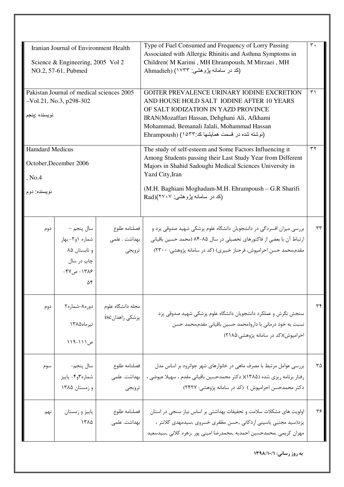| Iranian Journal of Environment Health<br>Science & Engineering, 2005 Vol 2<br>NO.2, 57-61, Pubmed |                                                                                   |                                          | Type of Fuel Consumed and Frequency of Lorry Passing<br>Associated with Allergic Rhinitis and Asthma Symptoms in<br>Children( M Karimi, MH Ehrampoush, M Mirzaei, MH<br>(کد در سامانه پژوهشی: ۱۷۳۳) (Ahmadieh                                                                                      | $\mathsf{r}$ . |
|---------------------------------------------------------------------------------------------------|-----------------------------------------------------------------------------------|------------------------------------------|----------------------------------------------------------------------------------------------------------------------------------------------------------------------------------------------------------------------------------------------------------------------------------------------------|----------------|
| Pakistan Journal of medical sciences 2005<br>$-Vol.21$ , No.3, p298-302<br>نويسنده ينجم           |                                                                                   |                                          | GOITER PREVALENCE URINARY IODINE EXCRETION<br>AND HOUSE HOLD SALT IODINE AFTER 10 YEARS<br>OF SALT IODIZATION IN YAZD PROVINCE<br>IRAN(Mozaffari Hassan, Dehghani Ali, Afkhami<br>Mohammad, Bemanali Jalali, Mohammad Hassan<br>[نوشته شده در قسمت همایشها کد:۴۳۳) (Ehrampoush                     |                |
| <b>Hamdard Medicus</b><br>October, December 2006<br>, No.4<br>نویسنده: دوم                        |                                                                                   |                                          | The study of self-esteem and Some Factors Influencing it<br>Among Students passing their Last Study Year from Different<br>Majors in Shahid Sadoughi Medical Sciences University in<br>Yazd City, Iran<br>(M.H. Baghiani Moghadam-M.H. Ehrampoush - G.R Sharifi<br>(کد در سامانه پژوهشی: ۲۷۰۷)(Rad | $\tau\tau$     |
| دوم                                                                                               | سال پنجم —<br>  شماره ۱و۲- بهار<br>و تابستان ۸۵<br>چاپ در سال<br>۱۳۸۶- ص۴۷-<br>۵۴ | فصلنامه طلوع<br> بهداشت . علمى<br>ترويجي | بررسی میزان افسردگی در دانشجویان دانشگاه علوم پزشکی شهید صدوقی یزد و<br>ارتباط آن با بعضی از فاکتورهای تحصیلی در سال ۸۵-۸۴ (محمد حسین باقیانی<br>مقدم،محمد حسن احرامپوش، فرحناز خبیری) (کد در سامانه پژوهشی: ۲۳۰۰)                                                                                 | ۳۳             |
| دوم                                                                                               | دوره۸-شماره۲<br>تيرماه١٣٨٥<br>ص ۱۱۱-۱۱۹                                           | مجله دانشگاه علوم<br>پزشکی زاهدانisc     | سنجش نگرش و عملکرد دانشجویان دانشگاه علوم پزشکی شهید صدوقی یزد<br>نسبت به خود درمانی با دارو(محمد حسین باقیانی مقدم،محمد حسن<br>احرامپوش)(کد در سامانه پژوهشی:۲۱۸۵)                                                                                                                                | ٣۴             |
| سوم                                                                                               | سال پنجم-<br>شماره٣و۴- پاييز<br>و زمستان ۱۳۸۵                                     | فصلنامه طلوع<br>بهداشت. علمی<br>ترويجي   | بررسی عوامل مرتبط با مصرف ماهی در خانوارهای شهر جوانرود بر اساس مدل<br>رفتار برنامه ریزی شده (۱۳۸۵)( دکتر محمدحسین باقیانی مقدم ، سهیلا عیوضی ،<br>دکتر محمدحسن احرامپوش ) (کد در سامانه پژوهشی: ۲۴۲۷)                                                                                             | ٣۵             |
| نهم                                                                                               | پاییز و زمستان<br>١٣٨۵                                                            | فصلنامه طلوع<br>بهداشت. علمی             | اولویت های مشکلات سلامت و تحقیقات بهداشتی بر اساس نیاز سنجی در استان<br>یزد(سید مجتبی یاسینی اردکانی ,حسن مظفری خسروی ,سیدمهدی کلانتر ,<br>مهران كريمي ,محمدحسين احمديه ,محمدرضا اميني پور ,زهره كلاني ,سيدسعيد                                                                                    | ۳۶             |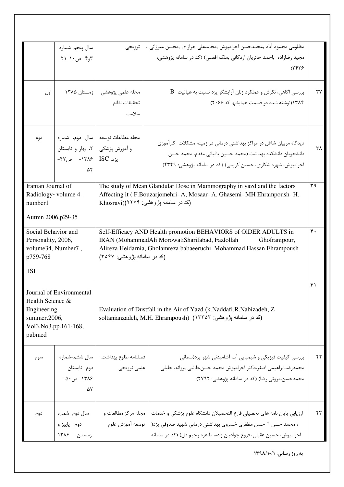|                                                                                                                | سال پنجم-شماره<br>$Y \setminus - \cdot \circ - \cdot$ او $\mathcal{F}$ |                                                         | مظلومی محمود آباد ,محمدحسن احرامپوش ,محمدعلی حراز ی ,محسن میرزائی ,   ترویجی<br>مجيد رضازاده   ,احمد حائريان اردكاني  ,ملک افضلي) (كد در سامانه پژوهشي:<br>۲۴۲۶)                                                |                |
|----------------------------------------------------------------------------------------------------------------|------------------------------------------------------------------------|---------------------------------------------------------|-----------------------------------------------------------------------------------------------------------------------------------------------------------------------------------------------------------------|----------------|
| اول                                                                                                            |                                                                        | مجله علمی پژوهشی   زمستان ۱۳۸۵<br>تحقيقات نظام<br>سلامت | $\rm\,B$ بررسی اگاهی، نگرش و عملکرد زنان آرایشگر یزد نسبت به هپاتیت<br>۱۳۸۴(نوشته شده در قسمت همایشها کد:۲۰۶۶)                                                                                                  | ٣٧             |
| دوم                                                                                                            | و آموزش پزشکی   ۲، بهار و تابستان<br>يزد. ISC   ۱۳۸۶- ص۴۷-<br>۵٢       | مجله مطالعات توسعه   سال دوم، شماره                     | دیدگاه مربیان شاغل در مراکز بهداشتی درمانی در زمینه مشکلات کارآموزی<br>دانشجویان دانشکده بهداشت (محمد حسین باقیانی مقدم، محمد حسن<br>احرامپوش، شهره شکاری، حسین کریمی) (کد در سامانه پژوهشی: ۴۳۴۹)              | ۳۸             |
| Iranian Journal of<br>Radiology-volume $4-$<br>number1<br>Autmn 2006, p29-35                                   |                                                                        | (کد در سامانه پژوهشي: ۲۲۷۹)(Khosravi                    | The study of Mean Glandular Dose in Mammography in yazd and the factors<br>Affecting it (F.Bouzarjomehri-A, Mosaar-A. Ghasemi-MH Ehrampoush-H.                                                                  | ۳۹             |
| Social Behavior and<br>Personality, 2006,<br>volume34, Number7,<br>p759-768<br><b>ISI</b>                      |                                                                        | (کد در سامانه بزوهشی: ۳۵۶۷)                             | Self-Efficacy AND Health promotion BEHAVIORS of OIDER ADULTS in<br>IRAN (MohammadAli MorowatiSharifabad, Fazlollah<br>Ghofranipour,<br>Alireza Heidarnia, Gholamreza babaeeruchi, Mohammad Hassan Ehrampoush    | $\mathbf{r}$ . |
| Journal of Environmental<br>Health Science &<br>Engineering.<br>summer.2006,<br>Vol3.No3.pp.161-168,<br>pubmed |                                                                        |                                                         | Evaluation of Dustfall in the Air of Yazd (k.Naddafi, R.Nabizadeh, Z.<br>soltanianzadeh, M.H. Ehrampoush) (١٣٣٥٣ بِژوهشي: ١٣٣٥٣)                                                                                | ۴۱             |
| سوم                                                                                                            | سال ششم-شماره<br>دوم- تابستان<br>۱۳۸۶ - ص ۵۰–<br>۵۷                    | فصلنامه طلوع بهداشت.<br>علمي ترويجي                     | بررسی کیفیت فیزیکی و شیمیایی آب آشامیدنی شهر یزد(سمائی<br>محمدرضا،ابراهيمي اصغر،دكتر احرامپوش محمد حسن،طالبي پروانه، خليلي<br>محمدحسن،مروتی رضا) (کد در سامانه پژوهشی: ۲۷۹۲)                                    | ۴۲             |
| دوم                                                                                                            | سال دوم شماره<br>دوم پاییز و<br>زمستان ۱۳۸۶                            | مجله مرکز مطالعات و<br>توسعه آموزش علوم                 | ارزيابي پايان نامه هاي تحصيلي فارغ التحصيلان دانشگاه علوم پزشكي و خدمات<br>، محمد حسن * حسن مظفري خسروي بهداشتي درماني شهيد صدوقي يزد(<br>احرامپوش، حسین عقیلی، فروغ جوادیان زاده، طاهره رحیم دل) (کد در سامانه | ۴۳             |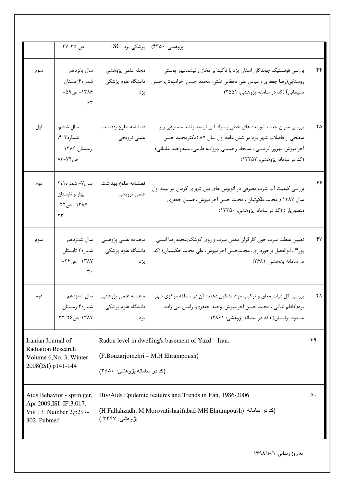|                                                                                                  | ص ۳۵-۲۷                                                        | پزشکی یزد. ISC                                   | پژوهشي: ۴۳۵۰)                                                                                                                                                                                                                          |    |
|--------------------------------------------------------------------------------------------------|----------------------------------------------------------------|--------------------------------------------------|----------------------------------------------------------------------------------------------------------------------------------------------------------------------------------------------------------------------------------------|----|
| سوم                                                                                              | سال پانزدهم<br>شماره۴زمستان<br>۱۳۸۶ - ص۵۹–<br>۶۳               | مجله علمى پژوهشى<br>دانشگاه علوم پزشکی<br>يزد    | بررسی فونستیک جوندگان استان یزد با تأکید بر مخازن لیشمانیوز پوستی<br>روستایی(رضا جعفری ، عباس علی دهقانی تفتی، محمد حسن احرامپوش، حسن<br>سلیمانی) (کد در سامانه پژوهشی: ۲۵۵۱)                                                          | ۴۴ |
| اول                                                                                              | سال ششم،<br>شماره۳-۴.<br>زمستان ۱۳۸۶ -<br>ص۷۴-۸۳               | فصلنامه طلوع بهداشت.<br>علمي ترويجي              | بررسی میزان حذف شوینده های خطی و مواد آلی توسط وتلند مصنوعی زیر<br>سطحی از فاضلاب شهر یزد در شش ماهه اول سال ۸۷ (دکترمحمد حسن<br>احرامپوش، بهروز کریمـی ، سـجاد رحیمـی ،پروانـه طالبی، سیدوحید غلمانی)<br>(کد در سامانه پژوهشی: ۱۳۳۵۲) | ۴۵ |
| دوم                                                                                              | سال٧- شماره ١و٢<br>بهار و تابستان<br>١٣٨٧ - ص٢٢-<br>$\tau\tau$ | فصلنامه طلوع بهداشت.<br>علمى ترويجي              | بررسی کیفیت آب شرب مصرفی در اتوبوس های بین شهری کرمان در نیمه اول<br>سال ۱۳۸۷ ( محمد ملکوتیان ، محمد حسن احرامپوش ،حسین جعفری<br>منصوریان) (کد در سامانه پژوهشی: ۱۳۳۵۰)                                                                | ۴۶ |
| سوم                                                                                              | سال شانزدهم<br>شماره۲ تابستان<br>١٣٨٧ حص٢۴-<br>$\mathbf{r}$ .  | ماهنامه علمى پژوهشى<br>دانشگاه علوم پزشکی<br>يزد | تعيين غلظت سرب خون كارگران معدن سرب و روي كوشك(محمدرضا اميني<br>پور* ، ابوالفضل برخورداری، محمدحسن احرامپوش، علی محمد حکیمیان) (کد<br>در سامانه پژوهشی: ۲۶۸۱)                                                                          | ۴۷ |
| دوم                                                                                              | $\mathsf{Y7-79.9}$ -۱۳۸۷                                       | دانشگاه علوم پزشکی   شماره۴ زمستان<br>يز د       | بررسی کل ذرات معلق و ترکیب مواد تشکیل دهنده آن در منطقه مرکزی شهر ۔   ماهنامه علمی پژوهشی۔   سال شانزدهم<br>يزد(كاظم ندافي ، محمد حسن احرامپوش، وحيد جعفري، رامين نبي زاده،<br>مسعود یونسیان) (کد در سامانه پژوهشی: ۲۸۶۱)              | ۴۸ |
| Iranian Journal of<br><b>Radiation Research</b><br>Volume 6, No. 3, Winter<br>2008(ISI) p141-144 |                                                                | (کد در سامانه بژوهشی: ۳۵۵۰)                      | Radon level in dwelling's basement of Yazd - Iran.<br>(F.Bouzarjomehri – M.H Ehrampoush)                                                                                                                                               | ۴۹ |
| Aids Behavior - sprin ger,<br>Apr 2009, ISI IF: 3.017,<br>Vol 13 Number 2, p297-<br>302, Pubmed  |                                                                | پژوهشي: ۳۴۶۷ )                                   | Hiv/Aids Epidemic features and Trends in Iran, 1986-2006<br>(H Fallahzadh, M Morovatisharifabad-MH Ehrampoush) (كد در سامانه)                                                                                                          | ۵. |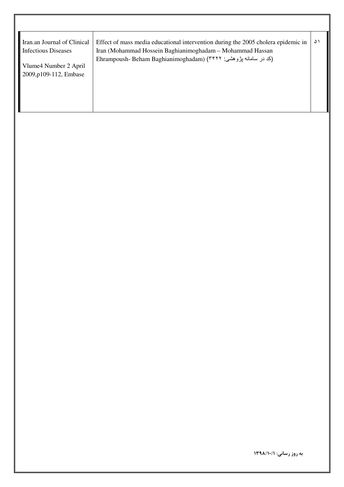| Iran.an Journal of Clinical<br><b>Infectious Diseases</b> | Effect of mass media educational intervention during the 2005 cholera epidemic in<br>Iran (Mohammad Hossein Baghianimoghadam – Mohammad Hassan | ۵۱ |
|-----------------------------------------------------------|------------------------------------------------------------------------------------------------------------------------------------------------|----|
| Vlume4 Number 2 April<br>2009, p109-112, Embase           | Ehrampoush- Beham Baghianimoghadam) (٣۴٢٢ بژوهشي: ۴۴۲۲                                                                                         |    |
|                                                           |                                                                                                                                                |    |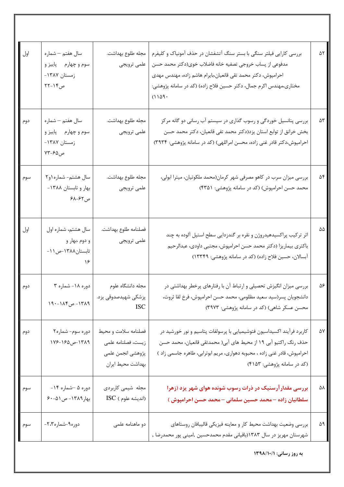| اول | سال هفتم – شماره<br>سوم و چهارم پاییز و<br>زمستان ۱۳۸۷-<br>ص۱۴-۲۲ | مجله طلوع بهداشت.<br>علمي ترويجي                                                     | بررسی کارایی فیلتر سنگی با بستر سنگ آتشفشان در حذف آمونیاک و کلیفرم<br>مدفوعي از پساب خروجي تصفيه خانه فاضلاب خوي(دكتر محمد حسن<br>احرامپوش، دکتر محمد تقی قانعیان،بایرام هاشم زاده، مهندس مهدی<br>مختاری،مهندس اکرم جمال، دکتر حسین فلاح زاده) (کد در سامانه پژوهشی:<br>(1109) | ۵۲ |
|-----|-------------------------------------------------------------------|--------------------------------------------------------------------------------------|---------------------------------------------------------------------------------------------------------------------------------------------------------------------------------------------------------------------------------------------------------------------------------|----|
| دوم | سال هفتم - شماره<br>سوم و چهارم پاییز و<br>زمستان ۱۳۸۷-<br>ص۶۵-۷۳ | مجله طلوع بهداشت.<br>علمى ترويجي                                                     | بررسی پتانسیل خوردگی و رسوب گذاری در سیستم آب رسانی دو گانه مرکز<br>بخش خرانق از توابع استان یزد(دکتر محمد تقی قانعیان، دکتر محمد حسن<br>احرامپوش،دکتر قادر غنی زاده، محسن امراللهی) (کد در سامانه پژوهشی: ۳۹۳۴)                                                                | ۵٣ |
| سوم | سال هشتم- شماره ۱و۲<br>بهار وتابستان ١٣٨٨-<br>ص ۶۲–۶۸             | مجله طلوع بهداشت.<br>علمي ترويجي                                                     | بررسی میزان سرب در کاهو مصرفی شهر کرمان(محمد ملکوتیان، میترا ابولی،<br>محمد حسن احرامپوش) (کد در سامانه پژوهشی: ۴۳۵۱)                                                                                                                                                           | ۵۴ |
| اول | سال هشتم، شماره اول<br>و دوم ،بهار و<br>تابستان١٣٨٨-ص ١١-<br>۱۶   | فصلنامه طلوع بهداشت.<br>علمي ترويجي                                                  | اثر ترکیب پراکسیدهیدروژن و نقره بر گندزدایی سطح استیل آلوده به چند<br>باكترى بيماريزا (دكتر محمد حسن احرامپوش، مجتبى داودى، عبدالرحيم<br>آبسالان، حسین فلاح زاده) (کد در سامانه پژوهشی: ۱۳۳۴۹)                                                                                  | ۵۵ |
| دوم | دوره ۱۸- شماره ۳<br>١٣٨٩- ص١٨۴-١٩٠                                | مجله دانشگاه علوم<br>پزشکی شهیدصدوقی یزد.<br><b>ISC</b>                              | بررسی میزان انگیزش تحصیلی و ارتباط آن با رفتارهای پرخطر بهداشتی در<br>دانشجويان پسر(سيد سعيد مظلومي، محمد حسن احرامپوش، فرخ لقا ثروت،<br>محسن عسکر شاهی) (کد در سامانه پژوهشی: ۳۹۷۳)                                                                                            | ۵۶ |
| دوم | دوره سوم- شماره۲<br>١٣٨٩-ص١٦٤۵-١٧۶                                | فصلنامه سلامت و محيط<br>زيست، فصلنامه علمي<br>پژوهشي انجمن علمي<br>بهداشت محيط ايران | کاربرد فرآیند اکسیداسیون فتوشیمیایی با پرسولفات پتاسیم و نور خورشید در<br>حذف رنگ راکتیو آبی ۱۹ از محیط های آبی( محمدتقی قانعیان، محمد حسن<br>احرامپوش، قادر غنی زاده ، محبوبه دهواری، مریم ابوترابی، طاهره جاسمی زاد )<br>(کد در سامانه پژوهشی: ۴۱۵۳)                          | ۵۷ |
| سوم | دوره ۵ –شماره ۱۴-<br>بهار ۱۳۸۹- ص ۵۱-۶۰                           | مجله شیمی کاربردی<br>$ISC$ (انديشه علوم)                                             | بررسی مقدار آرسنیک در ذرات رسوب شونده هوای شهر یزد (زهرا<br>سلطانیان زاده – محمد حسین سلمانی – محمد حسن احرامپوش )                                                                                                                                                              | ۵۸ |
| سوم | دوره۹-شماره۲،۲-                                                   | دو ماهنامه علمی                                                                      | بررسي وضعيت بهداشت محيط كار و معاينه فيزيكي قاليبافان روستاهاي<br>شهرستان مهریز در سال ۱۳۸۳(باقیانی مقدم محمدحسین ,امینی پور محمدرضا ,                                                                                                                                          | ۵۹ |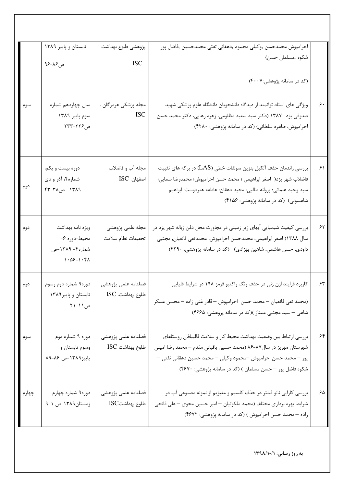|       | تابستان و پاییز ۱۳۸۹                                                                                         | پژوهشي طلوع بهداشت                      | احرامپوش محمدحسن ,وكيلي محمود ,دهقاني تفتي محمدحسين ,فاضل پور                                                                                                                                                                                                         |                            |
|-------|--------------------------------------------------------------------------------------------------------------|-----------------------------------------|-----------------------------------------------------------------------------------------------------------------------------------------------------------------------------------------------------------------------------------------------------------------------|----------------------------|
|       | ص۸۶-۹۶                                                                                                       | <b>ISC</b>                              | شكوه ,مسلمان حسن)                                                                                                                                                                                                                                                     |                            |
|       |                                                                                                              |                                         | (کد در سامانه پژوهشی:۴۰۰۷)                                                                                                                                                                                                                                            |                            |
| سوم   | سال چهاردهم شماره<br>سوم پاييز ١٣٨٩-<br>ص۲۲۶–۲۳۳                                                             | مجله پزشکی هرمزگان .<br><b>ISC</b>      | ویژگی های استاد توانمند از دیدگاه دانشجویان دانشگاه علوم پزشکی شهید<br>صدوقی یزد- ۱۳۸۷ (دکتر سید سعید مظلومی، زهره رهایی، دکتر محمد حسن<br>احرامپوش، طاهره سلطانی) (کد در سامانه پژوهشی: ۴۲۸۰)                                                                        | $\varphi$ .                |
| دوم   | دوره بیست و یکم،<br>شماره۴، آذر و دي<br>١٣٨٩ ص٣٨-۴٣                                                          | مجله آب و فاضلاب<br>اصفهان. ISC         | بررسی راندمان حذف آلکیل بنزین سولفات خطی (LAS) در برکه های تثبیت<br>فاضلاب شهر يزد( اصغر ابراهيمي ؛ محمد حسن احرامپوش؛ محمدرضا سمايي؛<br>سيد وحيد غلماني؛ پروانه طالبي؛ مجيد دهقان؛ عاطفه هنردوست؛ ابراهيم<br>شاهسونی) (کد در سامانه پژوهشی: ۴۱۵۶)                    | ۶۱                         |
| دوم   | ويژه نامه بهداشت<br>محيط-دوره ۶-<br>شماره۴- ۱۳۸۹-ص<br>$\lambda \cdot \Delta \xi - \lambda \cdot \xi \lambda$ | مجله علمی پژوهشی<br>تحقيقات نظام سلامت  | بررسی کیفیت شیمیایی آبهای زیر زمینی در مجاورت محل دفن زباله شهر یزد در<br>سال ۱۳۸۸ اصغر ابراهیمی, محمدحسن احرامپوش, محمدتقی قانعیان, مجتبی<br>داودی, حسن هاشمی, شاهین بهزادی) (کد در سامانه پژوهشی: ۴۲۹۰)                                                             | $\gamma$                   |
| دوم   | دوره۹ شماره دوم وسوم<br>تابستان و پاییز۱۳۸۹-<br>ص ۱ ۱ – ۲ ۲                                                  | فصلنامه علمى پژوهشى<br>طلوع بهداشت. ISC | کاربرد فرایند ازن زنی در حذف رنگ راکتیو قرمز ۱۹۸ در شرایط قلیایی<br>(محمد تقى قانعيان – محمد حسن  احرامپوش – قادر غنى زاده – محسن عسكر<br>شاهی – سید مجتبی ممتاز )(کد در سامانه پژوهشی: ۴۶۶۵)                                                                         | $\mathop{\rm \mathsf{FT}}$ |
| سوم   | دوره ۹ شماره دوم<br>وسوم تابستان و<br>پاییز ۱۳۸۹-ص ۸۶-۸۹                                                     | فصلنامه علمى پژوهشى<br>طلوع بهداشت ISC  | بررسي ارتباط بين وضعيت بهداشت محيط كار و سلامت قاليبافان روستاهاي<br>شهرستان مهریز در سال۸۷-۸۶ (محمد حسین باقیانی مقدم – محمد رضا امینی<br>پور – محمد حسن احرامپوش –محمود وكيلي – محمد حسين دهقاني تفتي –<br>شکوه فاضل پور – حسن مسلمان ) (کد در سامانه پژوهشی: ۴۶۷۰) | ۶۴                         |
| چهارم | دوره۹ شماره چهارم-<br>زمستان١٣٨٩-ص ١-٩                                                                       | فصلنامه علمى پژوهشى<br>طلوع بهداشتISC   | بررسی کارایی نانو فیلتر در حذف کلسیم و منیزیم از نمونه مصنوعی آب در<br>شرایط بهره برداری مختلف (محمد ملکوتیان –امیر حسین محوی – علی فاتحی<br>زاده – محمد حسن احرامپوش ) (کد در سامانه پژوهشی: ۴۶۷۲)                                                                   | $\mathcal{S}\Delta$        |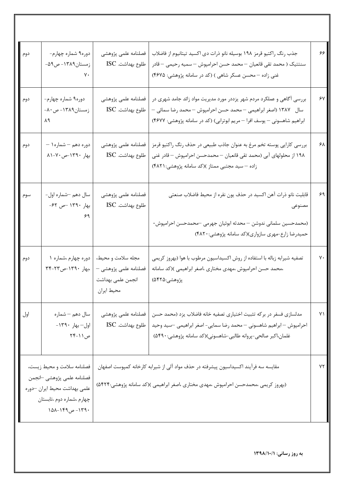| دوم | دوره۹ شماره چهارم-<br>زمستان۱۳۸۹- ص۵۹-<br>٧٠                                                                                           | فصلنامه علمى پژوهشى<br>طلوع بهداشت. ISC                                        | جذب رنگ راکتیو قرمز ۱۹۸ بوسیله نانو ذرات دی اکسید تیتانیوم از فاضلاب<br>سنتتيک ( محمد تقى قانعيان – محمد حسن احرامپوش – سميه رحيمي – قادر<br>غنی زاده – محسن عسکر شاهی ) (کد در سامانه پژوهشی: ۴۶۷۵)                   | ۶۶ |
|-----|----------------------------------------------------------------------------------------------------------------------------------------|--------------------------------------------------------------------------------|------------------------------------------------------------------------------------------------------------------------------------------------------------------------------------------------------------------------|----|
| دوم | دوره۹ شماره چهارم-<br>زمستان۱۳۸۹- ص ۸۰-<br>۸۹                                                                                          | فصلنامه علمى پژوهشى<br>طلوع بهداشت. ISC                                        | بررسی آگاهی و عملکرد مردم شهر یزددر مورد مدیریت مواد زائد جامد شهری در<br>سال ۔ ۱۳۸۷ (اصغر ابراهیمی – محمد حسن احرامپوش – محمد رضا سمائی –<br>ابراهیم شاهسونی – یوسف افرا – مریم ابوترابی) (کد در سامانه پژوهشی: ۴۶۷۷) | ۶۷ |
| دوم | دوره دهم – شماره ۱ –<br>بهار ١٣٩٠-ص٧٠-٨١                                                                                               | فصلنامه علمى پژوهشى<br>طلوع بهداشت. ISC                                        | بررسی کارایی پوسته تخم مرغ به عنوان جاذب طبیعی در حذف رنگ راکتیو قرمز<br>۱۹۸ از محلولهای آبی (محمد تقی قانعیان – محمدحسن احرامپوش – قادر غنی<br>زاده –سید مجتبی ممتاز )(کد سامانه پژوهشی:۴۸۲۱)                         | ۶۸ |
| سوم | سال دهم –شماره اول-<br>بهار ١٣٩٠ حس ۶۲-<br>۶۹                                                                                          | فصلنامه علمى پژوهشى<br>طلوع بهداشت. ISC                                        | قابليت نانو ذرات آهن اكسيد در حذف يون نقره از محيط فاضلاب صنعتي<br>مصنوعى<br>(محمدحسین سلمانی ندوشن – محدثه ابوئیان جهرمی —محمدحسن احرامپوش-<br>حمیدرضا زارع-مهری سازواری)(کد سامانه پژوهشی:۴۸۲۰)                      | ۶۹ |
| دوم | دوره چهارم ،شماره ۱<br>،بهار ١٣٩٠-ص٣٣-٣۴                                                                                               | مجله سلامت و محيط،<br>فصلنامه علمی پژوهشی –<br>انجمن علمى بهداشت<br>محيط ايران | تصفیه شیرابه زباله با استفاده از روش اکسیداسیون مرطوب با هوا (بهروز کریمی<br>،محمد حسن احرامپوش ،مهدی مختاری ،اصغر ابراهیمی )(کد سامانه<br>پژوهشي:۵۴۲۵)                                                                | ٧٠ |
| اول | سال دهم – شماره<br>اول- بهار ١٣٩٠-<br>ص ۱ ۱ -۲۴                                                                                        | فصلنامه علمى پژوهشى<br>طلوع بهداشت. ISC                                        | مدلسازي فسفر در بركه تثبيت اختياري تصفيه خانه فاضلاب يزد (محمد حسن<br>احرامپوش — ابراهیم شاهسونی — محمد رضا سمایی- اصغر ابراهیمی —سید وحید<br>غلمان،اكبر صالحي-پروانه طالبي-شاهسوني)(كد سامانه پژوهشي:۴۹۰\$)           | ٧١ |
|     | فصلنامه سلامت و محيط زيست،<br>فصلنامه علمى پژوهشى –انجمن<br>علمي بهداشت محيط ايران حوره<br>چهارم ،شماره دوم ،تابستان<br>۱۳۹۰– ص۱۴۹–۱۵۸ |                                                                                | مقایسه سه فرآیند اکسیداسیون پیشرفته در حذف مواد آلی از شیرابه کارخانه کمپوست اصفهان<br>(بهروز کریمی ،محمدحسن احرامپوش ،مهدی مختاری ،اصغر ابراهیمی )(کد سامانه پژوهشی:۵۴۲۴)                                             | ۷۲ |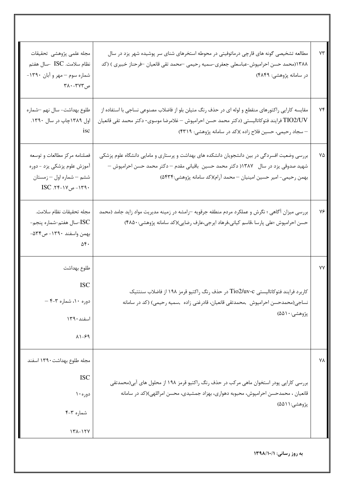| ۷۳ | مطالعه تشخیصی گونه های قارچی درماتوفیتی در محوطه استخرهای شنای سر پوشیده شهر یزد در سال<br>۱۳۸۸(محمد حسن احرامپوش-عباسعلی جعفری-سمیه رحیمی —محمد تقی قانعیان –فرحناز خبیری ) (کد<br>در سامانه پژوهشی: ۴۸۴۹)                                                  | مجله علمى پژوهشى تحقيقات<br>نظام سلامت. ISC -سال هفتم<br>شماره سوم - مهر و آبان ١٣٩٠-<br>ص۳۷۳–۲۸۰                             |
|----|--------------------------------------------------------------------------------------------------------------------------------------------------------------------------------------------------------------------------------------------------------------|-------------------------------------------------------------------------------------------------------------------------------|
| ۷۴ | مقایسه کارایی راکتورهای منقطع و لوله ای در حذف رنگ متیلن بلو از فاضلاب مصنوعی نساجی با استفاده از<br>TIO2/UV فرايند فتوكاتاليستى (دكتر محمد حسن احرامپوش — غلامرضا موسوى- دكتر محمد تقى قانعيان<br>– سجاد رحیمی، حسین فلاح زاده )(کد در سامانه پژوهشی: ۴۳۱۹) | طلوع بهداشت- سال نهم حشماره<br>اول ۱۳۸۹چاپ در سال ۱۳۹۰.<br>isc                                                                |
| ۷۵ | بررسی وضعیت افسردگی در بین دانشجویان دانشکده های بهداشت و پرستاری و مامایی دانشگاه علوم پزشکی<br>شهید صدوقی یزد در سال   ۱۳۸۷( دکتر محمد حسین  باقیانی مقدم — دکتر محمد حسن احرامپوش —<br>بهمن رحيمي- امير حسين امينيان – محمد أرام)(كد سامانه پژوهشي:٥۴۳۴)  | فصلنامه مركز مطالعات و توسعه<br>آموزش علوم پزشکی یزد - دوره<br>ششم – شماره اول – زمستان<br>$ISC .7f-1Y \nightharpoonup -179.$ |
| ٧۶ | بررسی میزان آگاهی ؛ نگرش و عملکرد مردم منطقه جرقویه –رامشه در زمینه مدیریت مواد زاید جامد (محمد<br>حسن احرامپوش ؛علی پارسا ،قاسم کیانی،فرهاد ایرجی،عارف رضایی)(کد سامانه پژوهشی: ۴۸۵۰)                                                                       | مجله تحقيقات نظام سلامت.<br>ISC-سال هفتم-شماره پنجم-<br>بهمن واسفند ١٣٩٠- ص٥٣۴-<br>$\Delta \mathbf{f}$ .                      |
| ۷۷ | کاربرد فرایند فتوکاتالیستی Tio2/uv-c در حذف رنگ راکتیو قرمز ۱۹۸ از فاضلاب سنتتیک<br>نساجی(محمدحسن احرامپوش ,محمدتقی قانعیان، قادرغنی زاده ,سمیه رحیمی) (کد در سامانه<br>پژوهشي:۱۰۵۵۱۰                                                                        | طلوع بهداشت<br><b>ISC</b><br>$-$ ۶-۳ شماره ۳-۴ $-$ ۴<br>اسفند ۱۳۹۰<br>$\lambda$ ) $-\xi$ 9                                    |
| ۷٨ | بررسی کارایی پودر استخوان ماهی مرکب در حذف رنگ راکتیو قرمز ۱۹۸ از محلول های آبی(محمدتقی<br>قانعیان ، محمدحسن احرامپوش، محبوبه دهواری، بهزاد جمشیدی، محسن امراللهی)(کد در سامانه<br>پژوهشي:۵۵۱۱)                                                              | مجله طلوع بهداشت١٣٩٠ اسفند<br><b>ISC</b><br>دوره ۱۰<br>شماره ۴-۴<br>$141 - 174$                                               |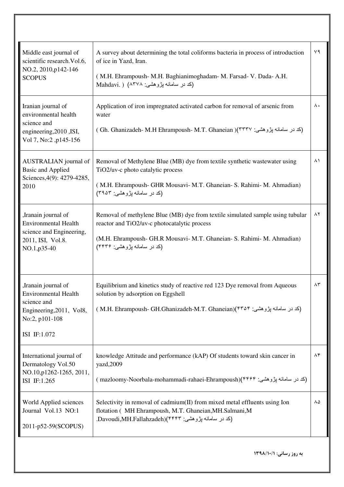| Middle east journal of<br>scientific research. Vol.6,<br>NO.2, 2010, p142-146<br><b>SCOPUS</b>                                   | A survey about determining the total coliforms bacteria in process of introduction<br>of ice in Yazd, Iran.<br>(M.H. Ehrampoush- M.H. Baghianimoghadam- M. Farsad- V. Dada- A.H.<br>(کد در سامانه پژوهشی: ۱۲۷۸) Mahdavi. )              | ٧٩            |
|----------------------------------------------------------------------------------------------------------------------------------|-----------------------------------------------------------------------------------------------------------------------------------------------------------------------------------------------------------------------------------------|---------------|
| Iranian journal of<br>environmental health<br>science and<br>engineering, 2010, ISI,<br>Vol 7, No:2, p145-156                    | Application of iron impregnated activated carbon for removal of arsenic from<br>water<br>(كد در سامانه پژوهشي: Gh. Ghanizadeh- M.H Ehrampoush- M.T. Ghaneian )(۳۳۳۷ )                                                                   | ۸.            |
| AUSTRALIAN journal of<br><b>Basic and Applied</b><br>Sciences, 4(9): 4279-4285,<br>2010                                          | Removal of Methylene Blue (MB) dye from textile synthetic wastewater using<br>TiO2/uv-c photo catalytic process<br>(M.H. Ehrampoush- GHR Mousavi- M.T. Ghaneian- S. Rahimi- M. Ahmadian)<br>(کد در سامانه بژوهشی: ۳۹۵۳)                 | $\lambda$     |
| ,Iranain journal of<br><b>Environmental Health</b><br>science and Engineering,<br>2011, ISI, Vol.8.<br>NO.1, p35-40              | Removal of methylene Blue (MB) dye from textile simulated sample using tubular<br>reactor and TiO2/uv-c photocatalytic process<br>(M.H. Ehrampoush- GH.R Mousavi- M.T. Ghaneian- S. Rahimi- M. Ahmadian)<br>(کد در سامانه بژوهشي: ۴۴۳۶) | $\lambda$ ٢   |
| , Iranain journal of<br><b>Environmental Health</b><br>science and<br>Engineering, 2011, Vol8,<br>No:2, p101-108<br>ISI IF:1.072 | Equilibrium and kinetics study of reactive red 123 Dye removal from Aqueous<br>solution by adsorption on Eggshell<br>(کد در سامانه پژوهشی: M.H. Ehrampoush- GH.Ghanizadeh-M.T. Ghaneian)(۴۳۵۴ )                                         | $\wedge \tau$ |
| International journal of<br>Dermatology Vol.50<br>NO.10, p1262-1265, 2011,<br>ISI IF:1.265                                       | knowledge Attitude and performance (kAP) Of students toward skin cancer in<br>yazd, 2009<br>(کد در سامانه پژوهشي: ۱۳۴۴)(mazloomy-Noorbala-mohammadi-rahaei-Ehrampoush)                                                                  | ۸۴            |
| World Applied sciences<br>Journal Vol.13 NO:1<br>2011-p52-59(SCOPUS)                                                             | Selectivity in removal of cadmium(II) from mixed metal effluents using Ion<br>flotation ( MH Ehrampoush, M.T. Ghaneian, MH. Salmani, M<br>(کد در سامانه پژوهشي: Davoudi,MH.Fallahzadeh)(۴۴۴۳.                                           | ۸۵            |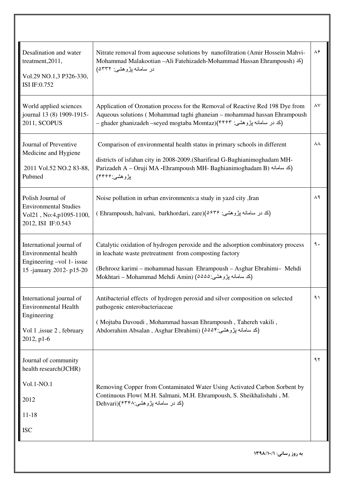| Desalination and water<br>treatment, 2011,<br>Vol.29 NO.1,3 P326-330,<br>ISI IF:0.752                            | Nitrate removal from aqueouse solutions by nanofiltration (Amir Hossein Mahvi-<br>Mohammad Malakootian -Ali Fatehizadeh-Mohammad Hassan Ehrampoush) (كد)<br>در سامانه بژوهشي: ۵۳۳۲)                                                                                           | $\Lambda \hat{r}$ |
|------------------------------------------------------------------------------------------------------------------|-------------------------------------------------------------------------------------------------------------------------------------------------------------------------------------------------------------------------------------------------------------------------------|-------------------|
| World applied sciences<br>journal 13 (8) 1909-1915-<br>2011, SCOPUS                                              | Application of Ozonation process for the Removal of Reactive Red 198 Dye from<br>Aqueous solutions (Mohammad taghi ghaneian - mohammad hassan Ehrampoush<br>– ghader ghanizadeh –seyed mogtaba Momtaz)(۴۴۶۳ جنر سلمانه پژوهشي: –                                              | ۸۷                |
| Journal of Preventive<br>Medicine and Hygiene<br>2011 Vol.52 NO.2 83-88,<br>Pubmed                               | Comparison of environmental health status in primary schools in different<br>districts of isfahan city in 2008-2009. (Sharifirad G-Baghianimoghadam MH-<br>Parizadeh A - Oruji MA - Ehrampoush MH- Baghianimoghadam B) (كد سامانه)<br>بڑوهشي:۴۴۶۶)                            | ۸۸                |
| Polish Journal of<br><b>Environmental Studies</b><br>Vol21, No:4, p1095-1100,<br>2012, ISI IF:0.543              | Noise pollution in urban environments: a study in yazd city, Iran<br>(کد در سامانه پژوهشی: Ehrampoush, halvani,  barkhordari, zare)(۵۶۳۶ )                                                                                                                                    | ۸۹                |
| International journal of<br>Environmental health<br>Engineering -vol 1- issue<br>15 -january 2012- p15-20        | Catalytic oxidation of hydrogen peroxide and the adsorption combinatory process<br>in leachate waste pretreatment from composting factory<br>(Behrooz karimi - mohammad hassan Ehrampoush - Asghar Ebrahimi- Mehdi<br>(كد سامانه پژوهشي:2002) Mokhtari – Mohammad Mehdi Amin) | ٩.                |
| International journal of<br><b>Environmental Health</b><br>Engineering<br>Vol 1, issue 2, february<br>2012, p1-6 | Antibacterial effects of hydrogen peroxid and silver composition on selected<br>pathogenic enterobacteriaceae<br>(Mojtaba Davoudi, Mohammad hassan Ehrampoush, Tahereh vakili,<br>Abdorrahim Absalan , Asghar Ebrahimi) (دکد سامانه پژوهشی:۸۵۵۴                               | ۹۱                |
| Journal of community<br>health research(JCHR)<br>Vol.1-NO.1<br>2012<br>$11 - 18$<br><b>ISC</b>                   | Removing Copper from Contaminated Water Using Activated Carbon Sorbent by<br>Continuous Flow( M.H. Salmani, M.H. Ehrampoush, S. Sheikhalishahi, M.<br>(کد در سامانه پژوهشی:Dehvari)(۶۳۴۸                                                                                      | ۹۲                |
|                                                                                                                  | به روز رسانی: ١٣٩٨/١٠/١                                                                                                                                                                                                                                                       |                   |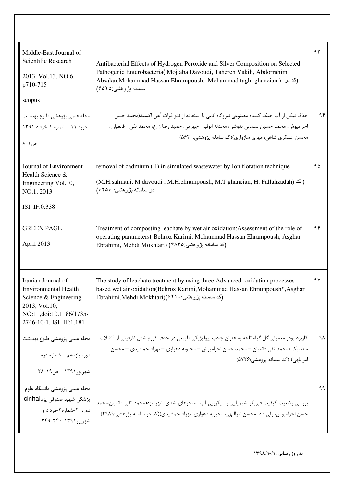| Middle-East Journal of<br>Scientific Research<br>2013, Vol.13, NO.6,<br>p710-715<br>scopus                                                        | Antibacterial Effects of Hydrogen Peroxide and Silver Composition on Selected<br>Pathogenic Enterobacteria( Mojtaba Davoudi, Tahereh Vakili, Abdorrahim<br>Absalan, Mohammad Hassan Ehrampoush, Mohammad taghi ghaneian ) (كد در)<br>سامانه بِزْوهشي:۶۵۲۵) | ۹۳ |
|---------------------------------------------------------------------------------------------------------------------------------------------------|------------------------------------------------------------------------------------------------------------------------------------------------------------------------------------------------------------------------------------------------------------|----|
|                                                                                                                                                   | حذف نيكل از آب خنک کننده مصنوعي نيروگاه اتمي با استفاده از نانو ذرات آهن اکسيد(محمد حسن                                                                                                                                                                    | ۹۴ |
| مجله علمی پژوهشی طلوع بهداشت <mark>.</mark><br>دوره ۱۱- شماره ۱ خرداد ۱۳۹۱                                                                        | احرامپوش، محمد حسین سلمانی ندوشن، محدثه ابوئیان جهرمی، حمید رضا زارع، محمد تقی   قانعیان ،                                                                                                                                                                 |    |
| ص ۱ –۸                                                                                                                                            | محسن عسکری شاهی، مهری سازواری)(کد سامانه پژوهشی:۵۶۲۰)                                                                                                                                                                                                      |    |
| Journal of Environment<br>Health Science &<br>Engineering Vol.10,<br>NO.1, 2013                                                                   | removal of cadmium (II) in simulated wastewater by Ion flotation technique<br>(M.H.salmani, M.davoudi, M.H.ehrampoush, M.T ghaneian, H. Fallahzadah) $\leq$ )<br>در سامانه پژوهشی: ۶۲۵۶)                                                                   | ۹۵ |
| ISI IF:0.338                                                                                                                                      |                                                                                                                                                                                                                                                            |    |
| <b>GREEN PAGE</b><br>April 2013                                                                                                                   | Treatment of composting leachate by wet air oxidation: Assessment of the role of<br>operating parameters(Behroz Karimi, Mohammad Hassan Ehrampoush, Asghar<br>Ebrahimi, Mehdi Mokhtari) (۶۸۴۵: جُرُوهشي)                                                   | ۹۶ |
| Iranian Journal of<br><b>Environmental Health</b><br>Science & Engineering<br>2013, Vol.10,<br>NO:1 ,doi:10.1186/1735-<br>2746-10-1, ISI IF:1.181 | The study of leachate treatment by using three Advanced oxidation processes<br>based wet air oxidation(Behroz Karimi, Mohammad Hassan Ehrampoush*, Asghar<br>(كد سامانه پژوهشي: Ebrahimi,Mehdi Mokhtari)(۶۲۱۰                                              | ٩V |
| مجله علمي پژوهشي طلوع بهداشت                                                                                                                      | کاربرد پودر معمولی گل گیاه تلخه به عنوان جاذب بیولوژیکی طبیعی در حذف کروم شش ظرفیتی از فاضلاب                                                                                                                                                              | ٩٨ |
| دوره یازدهم – شماره دوم                                                                                                                           | سنتتيک (محمد تقى قانعيان — محمد حسن احرامپوش — محبوبه دهوارى — بهزاد جمشيدى — محسن<br>امراللهي) (كد سامانه پژوهشي:۵۷۲۶)                                                                                                                                    |    |
| شهريور ١٣٩١ ص١٩-٢٨                                                                                                                                |                                                                                                                                                                                                                                                            |    |
| مجله علمى پژوهشى دانشگاه علوم<br>پزشکی شهید صدوقی یزدcinhal<br>دوره ۲۰-شماره۳-مرداد و<br>شهريور ١٣٩١-٣٤٩-٣٤٩                                      | بررسی وضعیت کیفیت فیزیکو شیمیایی و میکروبی آب استخرهای شنای شهر یزد(محمد تقی قانعیان،محمد<br>حسن احرامپوش، ولی داد، محسن امراللهی، محبوبه دهواری، بهزاد جمشیدی)(کد در سامانه پژوهشی:۴۹۸۹)                                                                  | ۹۹ |
|                                                                                                                                                   | به روز رسانی: ١٣٩٨/١٠/١                                                                                                                                                                                                                                    |    |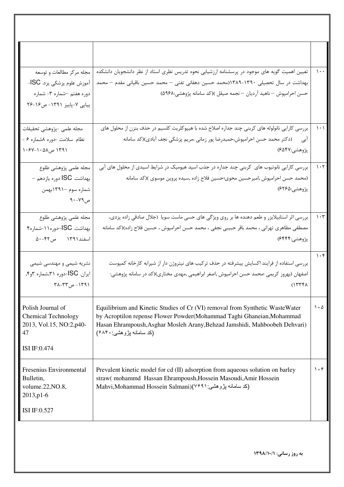| مجله مرکز مطالعات و توسعه<br>آموزش علوم پزشکی یزد. ISC-<br>دوره هفتم -شماره ۳- شماره<br>پیاپی ۷-پاییز ۱۳۹۱- ص۱۶-۲۶ | تعیین اهمیت گویه های موجود در پرسشنامه ارزشیابی نحوه تدریس نظری استاد از نظر دانشجویان دانشکده<br>بهداشت در سال تحصیلی ۱۳۹۰-۱۳۸۹(محمد حسین دهقانی تفتی – محمد حسین باقیانی مقدم – محمد<br>حسن احرامپوش — ناهید آردیان — نجمه صیقل )(کد سامانه پژوهشی:۹۶۸)       | $\cdots$                        |
|--------------------------------------------------------------------------------------------------------------------|-----------------------------------------------------------------------------------------------------------------------------------------------------------------------------------------------------------------------------------------------------------------|---------------------------------|
| مجله علمى -پژوهشى تحقيقات<br>نظام سلامت -دوره ۸شماره ۶ -<br>۱۳۹۱ ص۵۸-۱۰-۶۷                                         | بررسی کارایی نانولوله های کربنی چند جداره اصلاح شده با هیپوکلریت کلسیم در حذف بنزن از محلول های<br>(دکتر محمد حسن احرامپوش،حمیدرضا پور زمانی ،مریم پزشکی نجف آبادی)(کد سامانه<br>ابی<br>پژوهشي:۶۵۴۷)                                                            | $\lambda \cdot \lambda$         |
| مجله علمى پژوهشى طلوع<br>بهداشت. ISC دوره يازدهم -<br>شماره سوم –۱۳۹۱بهمن<br>ص۷۹-۹۰                                | بررسی کارایی نانوتیوب های کربنی چند جداره در جذب اسید هیومیک در شرایط اسیدی از محلول های آبی<br>(محمد حسن احرامپوش ,امیرحسین محوی؛حسین فلاح زاده ,سیده پروین موسوی )(کد سامانه<br>پژوهشي:۶۲۶۵)                                                                  | $\cdot$ $\cdot$ $\cdot$         |
| مجله علمى پژوهشى طلوع<br>بهداشت. SCا-دوره ۱۱-شماره۴<br>اسفند١٣٩١ ص٤٢-۵٠                                            | بررسی اثر استابیلایزر و طعم دهنده ها بر روی ویژگی های حسی ماست سویا (جلال صادقی زاده یزدی،<br>مصطفی مظاهری تهرانی ، محمد باقر حبیبی نجفی ، محمد حسن احرامپوش ، حسین فلاح زاده)(کد سامانه<br>پژوهشي:۶۴۴۴)                                                        | $\eta \cdot \tau$               |
| نشریه شیمی و مهندسی شیمی<br>ايران. SCا-دوره ٣١.شماره <sub>٩</sub> ۴.<br>۱۳۹۱ - ص۳۳-۲۸                              | بررسی استفاده از فرایند اکسایش پیشرفته در حذف ترکیب های نیتروژن دار از شیرابه کارخانه کمپوست<br>اصفهان (بهروز کریمی ؛محمد حسن احرامپوش ,اصغر ابراهیمی ,مهدی مختاری)(کد در سامانه پژوهشی:<br>(1777)                                                              |                                 |
| Polish Journal of<br><b>Chemical Technology</b><br>2013, Vol.15, NO:2, p40-<br>47<br>ISI IF:0.474                  | Equilibrium and Kinetic Studies of Cr (VI) removal from Synthetic WasteWater<br>by Acroptilon repense Flower Powder(Mohammad Taghi Ghaneian, Mohammad<br>Hasan Ehrampoush, Asghar Mosleh Arany, Behzad Jamshidi, Mahboobeh Dehvari)<br>(کد سامانه پژوهشي: ۶۸۴۰) | $\cdot \Delta$                  |
| Fresenius Environmental<br>Bulletin,<br>volume.22, NO.8,                                                           | Prevalent kinetic model for cd (II) adsorption from aqueous solution on barley<br>straw(mohammd Hassan Ehrampoush, Hossein Masoudi, Amir Hossein<br>Mahvi,Mohammad Hossein Salmani)(٧٤٩١) بژوهشي: ١                                                             | $\mathcal{L} \cdot \mathcal{F}$ |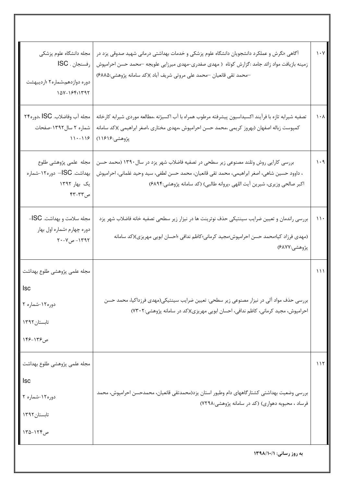| مجله دانشگاه علوم پزشکی<br>رفسنجان . ISC<br>دوره دوازدهم،شماره۲ ؛اردیبهشت<br>107-184:1797 | آگاهی ؛نگرش و عملکرد دانشجویان دانشگاه علوم پزشکی و خدمات بهداشتی درمانی شهید صدوقی یزد در<br>زمینه بازیافت مواد زائد جامد :گزارش کوتاه(مهدی صفدری-مهدی میرزایی علویجه –محمد حسن احرامپوش<br>–محمد تقی قانعیان –محمد علی مروتی شریف آباد )(کد سامانه پژوهشی:۶۸۸۵) | $\mathcal{N}\cdot\mathcal{N}$ |
|-------------------------------------------------------------------------------------------|-------------------------------------------------------------------------------------------------------------------------------------------------------------------------------------------------------------------------------------------------------------------|-------------------------------|
| مجله آب وفاضلاب. ISC ،دوره۲۴<br>شماره ۲ سال۱۳۹۲-صفحات<br>$11 - 119$                       | تصفيه شيرابه تازه با فرآيند اكسيداسيون پيشرفته مرطوب همراه با آب اكسيژنه ،مطالعه موردي شيرابه كارخانه<br>کمپوست زباله اصفهان (بهروز کریمی ،محمد حسن احرامپوش ،مهدی مختاری ،اصغر ابراهیمی )(کد سامانه<br>پژوهشي:۱۶۱۶)                                              | $\lambda \cdot \lambda$       |
| مجله علمى پژوهشى طلوع<br>بهداشت. SC– دوره۱۲-شماره<br>یک بھار ۱۳۹۲<br>ص۳۳-۴۳               | بررسی کارایی روش وتلند مصنوعی زیر سطحی در تصفیه فاضلاب شهر یزد در سال ۱۳۹۰ (محمد حسن<br>، داوود حسین شاهی، اصغر ابراهیمی، محمد تقی قانعیان، محمد حسن لطفی، سید وحید غلمانی، احرامپوش<br>اکبر صالحی وزیری، شیرین آیت اللهی ،پروانه طالبی) (کد سامانه پژوهشی:۶۸۹۴)  | $\eta \cdot \eta$             |
| مجله سلامت و بهداشت. ISC-<br>دوره چهارم ؛شماره اول بهار<br>۱۳۹۲ - ص۷-۲۰                   | بررسی راندمان و تعیین ضرایب سینتیکی حذف نوترینت ها در نیزار زیر سطحی تصفیه خانه فاضلاب شهر یزد<br>(مهدی فرزاد کیا؛محمد حسن احرامپوش؛مجید کرمانی؛کاظم ندافی ؛احسان ابویی مهریزی)(کد سامانه<br>پژوهشي:۶۸۷۷)                                                         | $\mathcal{U}$                 |
| مجله علمى پژوهشى طلوع بهداشت<br>دوره ۱۲-شماره ۲<br>تابستان ١٣٩٢<br>ص ۱۳۶–۱۴۶              | بررسی حذف مواد آلی در نیزار مصنوعی زیر سطحی: تعیین ضرایب سینتیکی(مهدی فرزداکیا، محمد حسن<br>احرامپوش، مجید کرمانی، کاظم ندافی، احسان ابویی مهریزی)(کد در سامانه پژوهشی:۷۳۰۲)                                                                                      | ۱۱۱                           |
| مجله علمي پژوهشي طلوع بهداشت<br><b>Isc</b><br>دوره ۱۲-شماره ۲<br>تابستان ۱۳۹۲<br>ص۱۲۴–۱۳۵ | بررسی وضعیت بهداشتی کشتارگاههای دام وطیور استان یزد(محمدتقی قانعیان، محمدحسن احرامپوش، محمد<br>فرساد ، محبوبه دهواری) (کد در سامانه پژوهشی:۷۲۹۸)                                                                                                                  | ۱۱۲                           |
|                                                                                           | به روز رسانی: ١٣٩٨/١٠/١                                                                                                                                                                                                                                           |                               |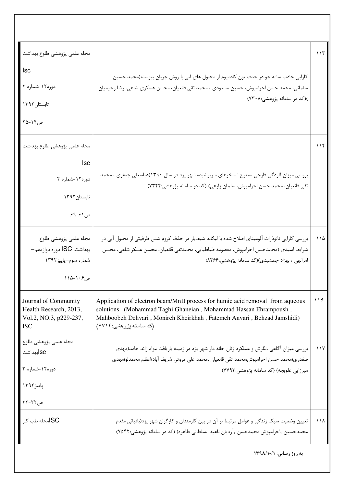| مجله علمي پژوهشي طلوع بهداشت<br><b>Isc</b>                                             |                                                                                                                                                                                                                                                         | ۱۱۳           |
|----------------------------------------------------------------------------------------|---------------------------------------------------------------------------------------------------------------------------------------------------------------------------------------------------------------------------------------------------------|---------------|
| دوره۱۲-شماره ۲                                                                         | کارایی جاذب ساقه جو در حذف یون کادمیوم از محلول های آبی با روش جریان پیوسته(محمد حسین<br>سلمانی، محمد حسن احرامپوش، حسین مسعودی ، محمد تقی قانعیان، محسن عسکری شاهی، رضا رحیمیان                                                                        |               |
| تابستان ١٣٩٢                                                                           | )(کد در سامانه پژوهشی:۷۳۰۸)                                                                                                                                                                                                                             |               |
| ص۱۴–۲۵                                                                                 |                                                                                                                                                                                                                                                         |               |
| مجله علمي پژوهشي طلوع بهداشت                                                           |                                                                                                                                                                                                                                                         | ۱۱۴           |
| <b>Isc</b>                                                                             |                                                                                                                                                                                                                                                         |               |
| دوره۱۲-شماره ۲                                                                         | بررسی میزان آلودگی قارچی سطوح استخرهای سرپوشیده شهر یزد در سال ۱۳۹۰(عباسعلی جعفری ، محمد<br>تقی قانعیان، محمد حسن احرامپوش، سلمان زارعی) (کد در سامانه پژوهشی:۷۳۲۴)                                                                                     |               |
| تابستان ۱۳۹۲                                                                           |                                                                                                                                                                                                                                                         |               |
| ص ۶۱–۶۹                                                                                |                                                                                                                                                                                                                                                         |               |
| مجله علمى پژوهشى طلوع<br>بهداشت. ISC دوره دوازدهم—<br>شماره سوم-پاييز ١٣٩٢<br>ص۱۰۶–۱۱۵ | بررسی کارایی نانوذرات آلومینای اصلاح شده با لیگاند شیفباز در حذف کروم شش ظرفیتی از محلول آبی در<br>شرايط اسيدي (محمدحسن احرامپوش، معصومه طباطبايي، محمدتقي قانعيان، محسن عسكر شاهي، محسن<br>امرالهی ، بهزاد جمشیدی)(کد سامانه پژوهشی:۸۳۶۶)              | $\bigwedge$   |
| Journal of Community<br>Health Research, 2013,<br>Vol.2, NO.3, p229-237,<br><b>ISC</b> | Application of electron beam/MnII process for humic acid removal from aqueous<br>solutions (Mohammad Taghi Ghaneian, Mohammad Hassan Ehrampoush,<br>Mahboobeh Dehvari, Monireh Kheirkhah, Fatemeh Anvari, Behzad Jamshidi)<br>(کد سامانـه پژوهشـی:۷۷۱۴) | $\frac{1}{2}$ |
| مجله علمی پژوهشی طلوع<br>ISC,بهداشت<br>دوره۱۲-شماره ۳<br>پاییز۱۳۹۲                     | بررسی میزان آگاهی ،نگرش و عملکرد زنان خانه دار شهر یزد در زمینه بازیافت مواد زائد جامد(مهدی<br>صفدري؛محمد حسن احرامپوش،محمد تقى قانعيان ,محمد على مروتى شريف آباد؛اعظم محمدلو؛مهدى<br>میرزایی علویجه) (کد سامانه پژوهشی:۷۷۹۳)                           | 11Y           |
| $\mathsf{r}$ ص ۲۲-۲۲                                                                   |                                                                                                                                                                                                                                                         |               |
| <b>SCا</b> مجله طب کار                                                                 | تعیین وضعیت سبک زندگی و عوامل مرتبط بر آن در بین کارمندان و کارگران شهر یزد(باقیانی مقدم<br>محمدحسین ,احرامیوش محمدحسن ,آردیان ناهید ,سلطانی طاهره) (کد در سامانه پژوهشی:۷۵۴۲)                                                                          | りりん           |
|                                                                                        | به روز رسانی: ۱۳۹۸/۱۰/۱                                                                                                                                                                                                                                 |               |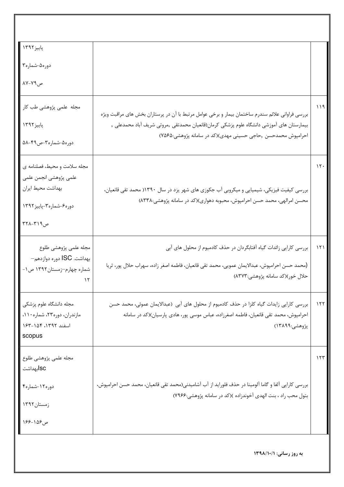| پاییز ۱۳۹۲ <mark> </mark>                                 |                                                                                                                                                                       |     |
|-----------------------------------------------------------|-----------------------------------------------------------------------------------------------------------------------------------------------------------------------|-----|
| دوره۵-شماره۳ <mark> </mark>                               |                                                                                                                                                                       |     |
| ص۷۹-۸۷                                                    |                                                                                                                                                                       |     |
| مجله علمی پژوهشی طب کار                                   | بررسی فراوانی علائم سندرم ساختمان بیمار و برخی عوامل مرتبط با آن در پرستاران بخش های مراقبت ویژه                                                                      | ۱۱۹ |
| پاییز ۱۳۹۲                                                | بیمارستان های آموزشی دانشگاه علوم پزشکی کرمان(قانعیان محمدتقی ,مروتی شریف آباد محمدعلی ,                                                                              |     |
| دوره۵-شماره۳-ص۴۹-۵۸                                       | احرامپوش محمدحسن ,حاجی حسینی مهدی)(کد در سامانه پژوهشی:۷۵۶۵)                                                                                                          |     |
| مجله سلامت و محيط، فصلنامه ي                              |                                                                                                                                                                       | 15. |
| علمى پژوهشى انجمن علمى<br>بهداشت محيط ايران               | بررسی کیفیت فیزیکی، شیمیایی و میکروبی آب جکوزی های شهر یزد در سال ۱۳۹۰( محمد تقی قانعیان،                                                                             |     |
| دوره۶-شماره۳-پاییز۱۳۹۲                                    | محسن امرالهی، محمد حسن احرامپوش، محبوبه دهواری)(کد در سامانه پژوهشی:۸۳۳۸)                                                                                             |     |
| $T11 - T19$ ص                                             |                                                                                                                                                                       |     |
| مجله علمى پژوهشى طلوع                                     | بررسی کارایی زائدات گیاه آفتابگردان در حذف کادمیوم از محلول های آبی                                                                                                   | ۱۲۱ |
| بهداشت. ISC دوره دوازدهم—<br>شماره چهارم-زمستان ۱۳۹۲ ص ۱- | (محمد حسن احرامپوش، عبدالایمان عمویی، محمد تقی قانعیان، فاطمه اصغر زاده، سهراب حلال پور، ثریا                                                                         |     |
|                                                           | حلال خور)(كد سامانه پژوهشي:٨٣٧٣)                                                                                                                                      |     |
| مجله دانشگاه علوم پزشکی                                   | بررسی کارایی زایدات گیاه کلزا در حذف کادمیوم از محلول های آبی (عبدالایمان عموئی، محمد حسن                                                                             | 157 |
| مازندران، دوره۲۳، شماره ۱۱۰،<br>اسفند ١٣٩٢، ١٥۴-١۶٣       | احرامپوش، محمد تقی قانعیان، فاطمه اصغرزاده، عباس موسی پور، هادی پارسیان)(کد در سامانه<br>پژوهشي:۱۳۸۹۹)                                                                |     |
| scopus                                                    |                                                                                                                                                                       |     |
| مجله علمى پژوهشى طلوع                                     |                                                                                                                                                                       | ۱۲۳ |
| lscابهداشت                                                |                                                                                                                                                                       |     |
| دوره ۱۲-شماره۴                                            | بررسی کارایی آلفا و گاما آلومینا در حذف فلوراید از آب آشامیدنی(محمد تقی قانعیان، محمد حسن احرامپوش،<br>بتول محب راد ، بنت الهدى آخوندزاده )(كد در سامانه پژوهشي:۷۹۶۶) |     |
| زمستان۱۳۹۲                                                |                                                                                                                                                                       |     |
| ص۱۵۶–۱۶۶                                                  |                                                                                                                                                                       |     |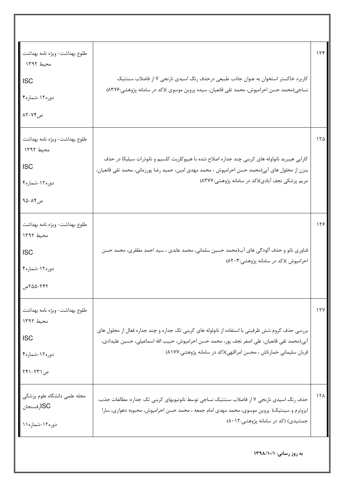| طلوع بهداشت- ويژه نامه بهداشت<br>محيط ١٣٩٢<br><b>ISC</b><br>دوره ۱۲-شماره۴<br>ص ۷۴-۸۳   | کاربرد خاکستر استخوان به عنوان جاذب طبیعی درحذف رنگ اسیدی نارنجی ۷ از فاضلاب سنتتیک<br>نساجی(محمد حسن احرامپوش، محمد تقی قانعیان، سیده پروین موسوی )(کد در سامانه پژوهشی:۸۳۷۶)                                                                                       | 156         |
|-----------------------------------------------------------------------------------------|----------------------------------------------------------------------------------------------------------------------------------------------------------------------------------------------------------------------------------------------------------------------|-------------|
| طلوع بهداشت- ويژه نامه بهداشت<br>محيط ١٣٩٢<br><b>ISC</b><br>دوره ۱۲-شماره۴<br>ص۸۴–۹۵    | کارایی هیبرید نانولوله های کربنی چند جداره اصلاح شده با هیپوکلریت کلسیم و نانوذرات سیلیکا در حذف<br>بنزن از محلول های آبی(محمد حسن احرامپوش ، محمد مهدی امین، حمید رضا پورزمانی، محمد تقی قانعیان،<br>مریم پزشکی نجف آبادی)(کد در سامانه پژوهشی:۸۳۷۷)                | ۱۲۵         |
| طلوع بهداشت- ويژه نامه بهداشت<br>محيط ١٣٩٢<br><b>ISC</b><br>دوره ۱۲-شماره۴<br>77-۵۵-گ   | فناوري نانو و حذف آلودگي هاي آب(محمد حسين سلماني، محمد عابدي ، سيد احمد مظفري، محمد حسن<br>احرامپوش )(کد در سامانه پژوهشی:۸۲۰۳)                                                                                                                                      | 158         |
| طلوع بهداشت- ويژه نامه بهداشت<br>محيط ١٣٩٢<br><b>ISC</b><br>دوره ۱۲-شماره۴<br>ص ۲۳۱-۲۴۱ | بررسی حذف کروم شش ظرفیتی با استفاده از نانولوله های کربنی تک جداره و چند جداره فعال از محلول های<br>آبی(محمد تقی قانعیان، علی اصغر نجف پور، محمد حسن احرامپوش، حبیب الله اسماعیلی، حسین علیدادی،<br>قربان سلیمانی خمارتاش ، محسن امراللهی)(کد در سامانه پژوهشی:۸۱۷۷) | $\lambda$   |
| مجله علمی دانشگاه علوم پزشکی<br>SCارفسنجان<br>دوره۱۲-شماره۱۱                            | حذف رنگ اسیدی نارنجی ۷ از فاضلاب سنتتیک نساجی توسط نانوتیوبهای کربنی تک جداره: مطالعات جذب،<br>ایزوترم و سینتیک( پروین موسوی، محمد مهدی امام جمعه ، محمد حسن احرامپوش، محبوبه دهواری، سارا<br>جمشیدی) (کد در سامانه پژوهشی:۸۰۱۲)                                     | $15\lambda$ |
|                                                                                         | به روز رسانی: ۱۳۹۸/۱۰/۱                                                                                                                                                                                                                                              |             |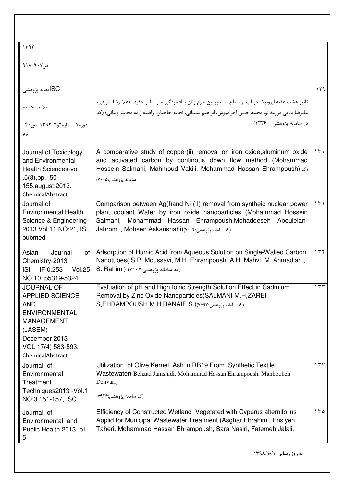| 1197                                                                                                                                                                         |                                                                                                                                                                                                                                                                          |     |
|------------------------------------------------------------------------------------------------------------------------------------------------------------------------------|--------------------------------------------------------------------------------------------------------------------------------------------------------------------------------------------------------------------------------------------------------------------------|-----|
| ص۷۰۲–۱۱۸                                                                                                                                                                     |                                                                                                                                                                                                                                                                          |     |
| SCامقاله پژوهشی                                                                                                                                                              |                                                                                                                                                                                                                                                                          | ۱۲۹ |
| سلامت جامعه                                                                                                                                                                  | تاثیر هشت هفته ایروبیک در آب بر سطح بتااندورفین سرم زنان با افسردگی متوسط و خفیف (غلامرضا شریفی،<br>عليرضا بابايي مزرعه نو، محمد حسن احرامپوش، ابراهيم سلماني، نجمه حاجيان، راضيه زاده محمد اوليائي) (كد                                                                 |     |
| دوره۷-شماره۲و۳-۱۳۹۲، ص۴۰-<br>۴٧                                                                                                                                              | در سامانه یژوهشی: ۱۳۳۶۰)                                                                                                                                                                                                                                                 |     |
| Journal of Toxicology<br>and Environmental<br><b>Health Sciences-vol</b><br>$.5(8)$ , pp. 150-<br>155, august, 2013,<br>ChemicalAbstract                                     | A comparative study of copper(ii) removal on iron oxide, aluminum oxide<br>and activated carbon by continous down flow method (Mohammad<br>Hossein Salmani, Mahmoud Vakili, Mohammad Hassan Ehrampoush) (d.)<br>سامانه پژوهشی:۷۰۰۵)                                      | 15. |
| Journal of<br><b>Environmental Health</b><br>Science & Engineering-<br>2013 Vol.11 NO:21, ISI,<br>pubmed                                                                     | Comparison between Ag(I)and Ni (II) removal from syntheic nuclear power<br>plant coolant Water by iron oxide nanoparticles (Mohammad Hossein<br>Mohammad Hassan Ehrampoush, Mohaddeseh<br>Salmani,<br>Abouieian-<br>Jahromi , Mohsen Askarishahi)(٧٠٠۴:ند سامانه پژوهشی) | 151 |
| Asian<br>Journal<br>of l<br>Chemistry-2013<br><b>ISI</b><br>IF:0.253<br><b>Vol.25</b><br>NO.10 p5319-5324                                                                    | Adsorption of Humic Acid from Aqueous Solution on Single-Walled Carbon<br>Nanotubes (S.P. Moussavi, M.H. Ehrampoush, A.H. Mahvi, M. Ahmadian,<br>S. Rahimi) (٧١٠٧) (اكد سامانه پژوهشي:۷۱۰۷                                                                               | ۱۳۲ |
| <b>JOURNAL OF</b><br><b>APPLIED SCIENCE</b><br><b>AND</b><br><b>ENVIRONMENTAL</b><br><b>MANAGEMENT</b><br>(JASEM)<br>December 2013<br>VOL.17(4) 583-593,<br>ChemicalAbstract | Evaluation of pH and High Ionic Strength Solution Effect in Cadmium<br>Removal by Zinc Oxide Nanoparticles (SALMANI M.H.ZAREI<br>S,EHRAMPOUSH M.H,DANAIE S.) (كد سامانه يژوهشى)                                                                                          | 155 |
| Journal of<br>Environmental<br>Treatment<br>Techniques2013 - Vol.1<br>NO:3 151-157, ISC                                                                                      | Utilization of Olive Kernel Ash in RB19 From Synthetic Textile<br>Wastewater (Behzad Jamshidi, Mohammad Hassan Ehrampoush, Mahboobeh<br>Dehvari)<br>(کد سامانه پژوهشی:۷۹۲۶)                                                                                              | 156 |
| Journal of<br>Environmental and<br>Public Health, 2013, p1-<br>5                                                                                                             | Efficiency of Constructed Wetland Vegetated with Cyperus alternifolius<br>Applid for Municipal Wastewater Treatment (Asghar Ebrahimi, Ensiyeh<br>Taheri, Mohammad Hassan Ehrampoush, Sara Nasiri, Fatemeh Jalali,                                                        | 150 |
|                                                                                                                                                                              | به روز رسانی: ۱۳۹۸/۱۰/۱                                                                                                                                                                                                                                                  |     |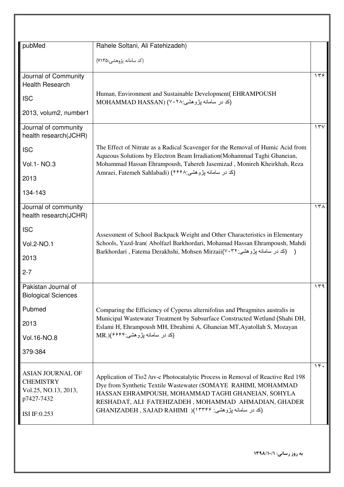|                                                                                   | (کد سامانه پژوهشی:۷۱۳۵)                                                                                                                                                                                                                                         |          |
|-----------------------------------------------------------------------------------|-----------------------------------------------------------------------------------------------------------------------------------------------------------------------------------------------------------------------------------------------------------------|----------|
| Journal of Community                                                              |                                                                                                                                                                                                                                                                 | 156      |
| <b>Health Research</b>                                                            |                                                                                                                                                                                                                                                                 |          |
| <b>ISC</b>                                                                        | Human, Environment and Sustainable Development(EHRAMPOUSH<br>(کد در سامانه پژوهشی:MOHAMMAD HASSAN) (۷۰۲۸                                                                                                                                                        |          |
| 2013, volum2, number1                                                             |                                                                                                                                                                                                                                                                 |          |
| Journal of community<br>health research(JCHR)                                     |                                                                                                                                                                                                                                                                 | $\gamma$ |
| <b>ISC</b>                                                                        | The Effect of Nitrate as a Radical Scavenger for the Removal of Humic Acid from<br>Aqueous Solutions by Electron Beam Irradiation(Mohammad Taghi Ghaneian,                                                                                                      |          |
| Vol.1- NO.3                                                                       | Mohammad Hassan Ehrampoush, Tahereh Jasemizad, Monireh Kheirkhah, Reza                                                                                                                                                                                          |          |
| 2013                                                                              | Amraei, Fatemeh Sahlabadi) (1998) اکد در سامانه پژوهشی جنوع است Amraei, Fatemeh Sahlabadi)                                                                                                                                                                      |          |
| 134-143                                                                           |                                                                                                                                                                                                                                                                 |          |
| Journal of community<br>health research(JCHR)                                     |                                                                                                                                                                                                                                                                 | ۱۳۸      |
| <b>ISC</b>                                                                        |                                                                                                                                                                                                                                                                 |          |
| Vol.2-NO.1                                                                        | Assessment of School Backpack Weight and Other Characteristics in Elementary<br>Schools, Yazd-Iran( Abolfazl Barkhordari, Mohamad Hassan Ehrampoush, Mahdi                                                                                                      |          |
| 2013                                                                              | Barkhordari , Fatema Derakhshi, Mohsen Mirzaii(٧٠٣٢ بژوهشی: ۱۰۳۲                                                                                                                                                                                                |          |
| $2 - 7$                                                                           |                                                                                                                                                                                                                                                                 |          |
| Pakistan Journal of<br><b>Biological Sciences</b>                                 |                                                                                                                                                                                                                                                                 | ۱۳۹      |
| Pubmed                                                                            | Comparing the Efficiency of Cyperus alternifolius and Phragmites australis in                                                                                                                                                                                   |          |
| 2013                                                                              | Municipal Wastewater Treatment by Subsurface Constructed Wetland (Shahi DH,                                                                                                                                                                                     |          |
| Vol.16-NO.8                                                                       | Eslami H, Ehrampoush MH, Ebrahimi A, Ghaneian MT, Ayatollah S, Mozayan<br>(کد در سامانه پژوهشي: MR.)(۶۶۴۴                                                                                                                                                       |          |
| 379-384                                                                           |                                                                                                                                                                                                                                                                 |          |
|                                                                                   |                                                                                                                                                                                                                                                                 |          |
| <b>ASIAN JOURNAL OF</b><br><b>CHEMISTRY</b><br>Vol.25, NO.13, 2013,<br>p7427-7432 | Application of Tio2 /uv-c Photocatalytic Process in Removal of Reactive Red 198<br>Dye from Synthetic Textile Wastewater (SOMAYE RAHIMI, MOHAMMAD<br>HASSAN EHRAMPOUSH, MOHAMMAD TAGHI GHANEIAN, SOHYLA<br>RESHADAT, ALI FATEHIZADEH, MOHAMMAD AHMADIAN, GHADER | 19.      |
| ISI IF:0.253                                                                      | (کد در سامانه پژوهشي: GHANIZADEH , SAJAD RAHIMI )(۱۳۳۴۶                                                                                                                                                                                                         |          |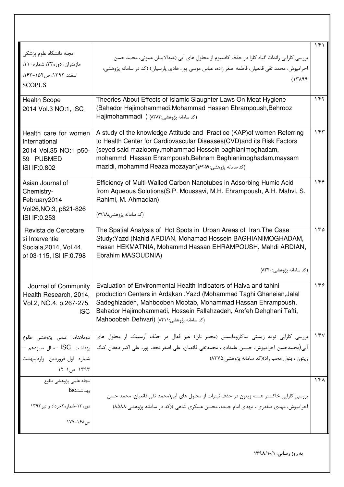| مجله دانشگاه علوم پزشکی<br>مازندران، دوره۲۳، شماره۱۱۰،<br>اسفند ١٣٩٢، ص١٥۴-١۶٣.<br><b>SCOPUS</b> | بررسی کارایی زائدات گیاه کلزا در حذف کادمیوم از محلول های آبی (عبدالایمان عموئی، محمد حسن<br>احرامپوش، محمد تقی قانعیان، فاطمه اصغر زاده، عباس موسی پور، هادی پارسیان) (کد در سامانه پژوهشی:<br>(1419)                                                                                                                               | ۱۴۱      |
|--------------------------------------------------------------------------------------------------|--------------------------------------------------------------------------------------------------------------------------------------------------------------------------------------------------------------------------------------------------------------------------------------------------------------------------------------|----------|
| <b>Health Scope</b><br>2014 Vol.3 NO:1, ISC                                                      | Theories About Effects of Islamic Slaughter Laws On Meat Hygiene<br>(Bahador Hajimohammadi, Mohammad Hassan Ehrampoush, Behrooz<br>Hajimohammadi ) (١٣٨٣) (مد سامانه يژوهشي)                                                                                                                                                         | ۱۴۲      |
| Health care for women<br>International<br>2014 Vol.35 NO:1 p50-<br>59 PUBMED<br>ISI IF: 0.802    | A study of the knowledge Attitude and Practice (KAP) of women Referring<br>to Health Center for Cardiovascular Diseases(CVD) and its Risk Factors<br>(seyed said mazloomy, mohammad Hossein baghianimoghadam,<br>mohammd Hassan Ehrampoush, Behnam Baghianimoghadam, maysam<br>mazidi, mohammd Reaza mozayan) (۶۲۵۹: شمامانه یژوهشی) | ۱۴۳      |
| Asian Journal of<br>Chemistry-<br>February2014<br>Vol26, NO: 3, p821-826<br>ISI IF: 0.253        | Efficiency of Multi-Walled Carbon Nanotubes in Adsorbing Humic Acid<br>from Aqueous Solutions (S.P. Moussavi, M.H. Ehrampoush, A.H. Mahvi, S.<br>Rahimi, M. Ahmadian)<br>(کد سامانه پژوهشی:۷۹۹۸)                                                                                                                                     | 156      |
| Revista de Cercetare<br>si Interventie<br>Sociala, 2014, Vol. 44,<br>p103-115, ISI IF:0.798      | The Spatial Analysis of Hot Spots in Urban Areas of Iran. The Case<br>Study: Yazd (Nahid ARDIAN, Mohamad Hossein BAGHIANIMOGHADAM,<br>Hasan HEKMATNIA, Mohammd Hassan EHRAMPOUSH, Mahdi ARDIAN,<br>Ebrahim MASOUDNIA)<br>(کد سامانه پژوهشی:۸۲۴۰)                                                                                     | 140      |
|                                                                                                  |                                                                                                                                                                                                                                                                                                                                      |          |
| Journal of Community<br>Health Research, 2014,<br>Vol.2, NO.4, p.267-275,<br><b>ISC</b>          | Evaluation of Environmental Health Indicators of Halva and tahini<br>production Centers in Ardakan, Yazd (Mohammad Taghi Ghaneian, Jalal<br>Sadeghizadeh, Mahboobeh Mootab, Mohammad Hassan Ehrampoush,<br>Bahador Hajimohammadi, Hossein Fallahzadeh, Arefeh Dehghani Tafti,<br>اكد سامانه يژوهشي: Mahboobeh Dehvari) (١٤٢١)        | ۱۴۶      |
| دوماهنامه علمى پژوهشى طلوع                                                                       | بررسی کارایی توده زیستی ساکارومایسس (مخمر نان) غیر فعال در حذف آرسینک از محلول های                                                                                                                                                                                                                                                   | $\gamma$ |
| بهداشت. ISC –سال سيزدهم –                                                                        | آبی(محمدحسن احرامپوش، حسین علیدادی، محمدتقی قانعیان، علی اصغر نجف پور، علی اکبر دهقان کنگ                                                                                                                                                                                                                                            |          |
| شماره اولخروردين وارديبهشت                                                                       | زيتون ، بتول محب راد)(كد سامانه پژوهشي:٨٣٧۵)                                                                                                                                                                                                                                                                                         |          |
| ۱۳۹۳ ص ۱-۱۲                                                                                      |                                                                                                                                                                                                                                                                                                                                      |          |
| مجله علمى پژوهشى طلوع                                                                            |                                                                                                                                                                                                                                                                                                                                      | ۱۴۸      |
| بهداشتIsc                                                                                        | بررسی کارایی خاکستر هسته زیتون در حذف نیترات از محلول های آبی(محمد تقی قانعیان، محمد حسن                                                                                                                                                                                                                                             |          |
| دوره۱۳-شماره۲خرداد و تیر ۱۳۹۳                                                                    | احرامپوش، مهدی صفدری ، مهدی امام جمعه، محسن عسکری شاهی )(کد در سامانه پژوهشی:۸۵۸۸)                                                                                                                                                                                                                                                   |          |
|                                                                                                  |                                                                                                                                                                                                                                                                                                                                      |          |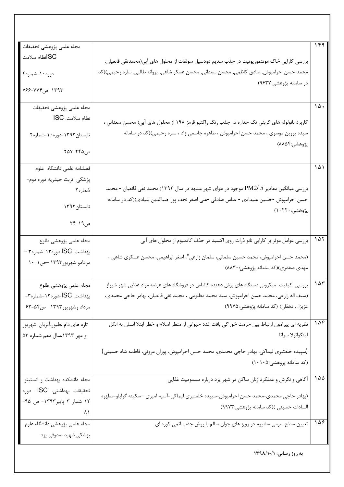| SCانظام سلامت<br>بررسی کارایی خاک مونتموریونیت در جذب سدیم دودسیل سولفات از محلول های آبی(محمدتقی قانعیان,<br>محمد حسن احرامپوش, صادق کاظمی, محسن سعدانی, محسن عسکر شاهی, پروانه طالبی, ساره رحیمی)(کد<br>دوره ۱۰-شماره۴<br>در سامانه پژوهشی:۹۶۳۷)<br>۱۳۹۳ ص۷۶۴-۷۶۶<br>مجله علمى پژوهشى تحقيقات<br>$\Delta$ .<br>نظام سلامت. ISC<br>کاربرد نانولوله های کربنی تک جداره در جذب رنگ راکتیو قرمز ۱۹۸ از محلول های آبی( محسن سعدانی ،<br>سیده پروین موسوی ، محمد حسن احرامپوش ، طاهره جاسمی زاد ، ساره رحیمی)(کد در سامانه<br>تابستان۱۳۹۳-دوره۱۰-شماره۲<br>پژوهشي:۸۸۵۴)<br>ص۲۴۵–۲۵۷<br>۱۵۱<br>فصلنامه علمى دانشگاه علوم<br>پزشکی تربت حیدریه دوره دوم-<br>بررسی میانگین مقادیر PM2/ 5 موجود در هوای شهر مشهد در سال ۱۳۹۲( محمد تقی قانعیان - محمد<br>شماره۲<br>حسن احرامپوش -حسین علیدادی - عباس صادقی -علی اصغر نجف پور-ضیاالدین بنیادی)(کد در سامانه<br>تابستان١٣٩٣<br>پژوهشي:۲۲۰(۱)<br>ص١٩-٢۴<br>107<br>بررسی عوامل موثر بر کارایی نانو ذرات روی اکسید در حذف کادمیوم از محلول های آبی<br>مجله علمى پژوهشى طلوع<br>بهداشت. ISC دور۱۳۰-شماره۳ –<br>(محمد حسن احرامپوش، محمد حسین سلمانی، سلمان زارعی*، اصغر ابراهیمی، محسن عسکری شاهی ،<br>مردادو شهريور١٣٩٣ حص١٠-١٠<br>مهدی صفدری)(کد سامانه پژوهشی: ۸۸۳۰)<br>۱۵۳<br>بررسی کیفیت میکروبی دستگاه های برش دهنده کالباس در فروشگاه های عرضه مواد غذایی شهر شیراز<br>مجله علمى پژوهشى طلوع<br>(سيف اله زارعي، محمد حسن احرامپوش، سيد محمد مظلومي ، محمد تقي قانعيان، بهادر حاجي محمدي،<br>بهداشت. ISC-دوره۱۳-شماره۳-<br>عزيزا. . دهقان) (كد سامانه پژوهشي:٩٩٧٥)<br>مرداد وشهريور١٣٩٣ ص٥٤-۶٣<br>108<br>نظریه ای پیرامون ارتباط بین حرمت خوراکی بافت غدد حیوانی از منظر اسلام و خطر ابتلا انسان به انگل<br>تازه های دام ،طیور،آبزیان-شهریور<br>و مهر ۱۳۹۳،سال دهم شماره ۵۳<br>لينگواتولا سراتا<br>(سپیده خلعتبری لیماکی، بهادر حاجی محمدی، محمد حسن احرامپوش، پوران مروتی، فاطمه شاه حسینی)<br>(کد سامانه پژوهشی:۱۰۵)<br>100<br>مجله دانشكده بهداشت و انستيتو<br>آگاهی و نگرش و عملکرد زنان ساکن در شهر یزد درباره مسمومیت غذایی<br>تحقیقات بهداشتی. ISC- دوره<br>(بهادر حاجی محمدی-محمد حسن احرامپوش-سپیده خلعتبری لیماکی-آسیه امیری –سکینه گرایلو-مطهره<br>۱۲ شمار ۳ پاییز۱۳۹۳- ص ۹۵-<br>السادات حسيني )(كد سامانه پژوهشي:٩٩٧٣)<br>٨١<br>109<br>مجله علمى پژوهشى دانشگاه علوم<br>تعیین سطح سرمی سلنیوم در زوج های جوان سالم با روش جذب اتمی کوره ای<br>پزشکی شهید صدوقی یزد.<br>به روز رسانی: ۱۳۹۸/۱۰/۱ |                          |     |
|----------------------------------------------------------------------------------------------------------------------------------------------------------------------------------------------------------------------------------------------------------------------------------------------------------------------------------------------------------------------------------------------------------------------------------------------------------------------------------------------------------------------------------------------------------------------------------------------------------------------------------------------------------------------------------------------------------------------------------------------------------------------------------------------------------------------------------------------------------------------------------------------------------------------------------------------------------------------------------------------------------------------------------------------------------------------------------------------------------------------------------------------------------------------------------------------------------------------------------------------------------------------------------------------------------------------------------------------------------------------------------------------------------------------------------------------------------------------------------------------------------------------------------------------------------------------------------------------------------------------------------------------------------------------------------------------------------------------------------------------------------------------------------------------------------------------------------------------------------------------------------------------------------------------------------------------------------------------------------------------------------------------------------------------------------------------------------------------------------------------------------------------------------------------------------------------------------------------------------------------------------------------------------------------------------------------------------------------------|--------------------------|-----|
|                                                                                                                                                                                                                                                                                                                                                                                                                                                                                                                                                                                                                                                                                                                                                                                                                                                                                                                                                                                                                                                                                                                                                                                                                                                                                                                                                                                                                                                                                                                                                                                                                                                                                                                                                                                                                                                                                                                                                                                                                                                                                                                                                                                                                                                                                                                                                    | مجله علمى پژوهشى تحقيقات | ۱۴۹ |
|                                                                                                                                                                                                                                                                                                                                                                                                                                                                                                                                                                                                                                                                                                                                                                                                                                                                                                                                                                                                                                                                                                                                                                                                                                                                                                                                                                                                                                                                                                                                                                                                                                                                                                                                                                                                                                                                                                                                                                                                                                                                                                                                                                                                                                                                                                                                                    |                          |     |
|                                                                                                                                                                                                                                                                                                                                                                                                                                                                                                                                                                                                                                                                                                                                                                                                                                                                                                                                                                                                                                                                                                                                                                                                                                                                                                                                                                                                                                                                                                                                                                                                                                                                                                                                                                                                                                                                                                                                                                                                                                                                                                                                                                                                                                                                                                                                                    |                          |     |
|                                                                                                                                                                                                                                                                                                                                                                                                                                                                                                                                                                                                                                                                                                                                                                                                                                                                                                                                                                                                                                                                                                                                                                                                                                                                                                                                                                                                                                                                                                                                                                                                                                                                                                                                                                                                                                                                                                                                                                                                                                                                                                                                                                                                                                                                                                                                                    |                          |     |
|                                                                                                                                                                                                                                                                                                                                                                                                                                                                                                                                                                                                                                                                                                                                                                                                                                                                                                                                                                                                                                                                                                                                                                                                                                                                                                                                                                                                                                                                                                                                                                                                                                                                                                                                                                                                                                                                                                                                                                                                                                                                                                                                                                                                                                                                                                                                                    |                          |     |
|                                                                                                                                                                                                                                                                                                                                                                                                                                                                                                                                                                                                                                                                                                                                                                                                                                                                                                                                                                                                                                                                                                                                                                                                                                                                                                                                                                                                                                                                                                                                                                                                                                                                                                                                                                                                                                                                                                                                                                                                                                                                                                                                                                                                                                                                                                                                                    |                          |     |
|                                                                                                                                                                                                                                                                                                                                                                                                                                                                                                                                                                                                                                                                                                                                                                                                                                                                                                                                                                                                                                                                                                                                                                                                                                                                                                                                                                                                                                                                                                                                                                                                                                                                                                                                                                                                                                                                                                                                                                                                                                                                                                                                                                                                                                                                                                                                                    |                          |     |
|                                                                                                                                                                                                                                                                                                                                                                                                                                                                                                                                                                                                                                                                                                                                                                                                                                                                                                                                                                                                                                                                                                                                                                                                                                                                                                                                                                                                                                                                                                                                                                                                                                                                                                                                                                                                                                                                                                                                                                                                                                                                                                                                                                                                                                                                                                                                                    |                          |     |
|                                                                                                                                                                                                                                                                                                                                                                                                                                                                                                                                                                                                                                                                                                                                                                                                                                                                                                                                                                                                                                                                                                                                                                                                                                                                                                                                                                                                                                                                                                                                                                                                                                                                                                                                                                                                                                                                                                                                                                                                                                                                                                                                                                                                                                                                                                                                                    |                          |     |
|                                                                                                                                                                                                                                                                                                                                                                                                                                                                                                                                                                                                                                                                                                                                                                                                                                                                                                                                                                                                                                                                                                                                                                                                                                                                                                                                                                                                                                                                                                                                                                                                                                                                                                                                                                                                                                                                                                                                                                                                                                                                                                                                                                                                                                                                                                                                                    |                          |     |
|                                                                                                                                                                                                                                                                                                                                                                                                                                                                                                                                                                                                                                                                                                                                                                                                                                                                                                                                                                                                                                                                                                                                                                                                                                                                                                                                                                                                                                                                                                                                                                                                                                                                                                                                                                                                                                                                                                                                                                                                                                                                                                                                                                                                                                                                                                                                                    |                          |     |
|                                                                                                                                                                                                                                                                                                                                                                                                                                                                                                                                                                                                                                                                                                                                                                                                                                                                                                                                                                                                                                                                                                                                                                                                                                                                                                                                                                                                                                                                                                                                                                                                                                                                                                                                                                                                                                                                                                                                                                                                                                                                                                                                                                                                                                                                                                                                                    |                          |     |
|                                                                                                                                                                                                                                                                                                                                                                                                                                                                                                                                                                                                                                                                                                                                                                                                                                                                                                                                                                                                                                                                                                                                                                                                                                                                                                                                                                                                                                                                                                                                                                                                                                                                                                                                                                                                                                                                                                                                                                                                                                                                                                                                                                                                                                                                                                                                                    |                          |     |
|                                                                                                                                                                                                                                                                                                                                                                                                                                                                                                                                                                                                                                                                                                                                                                                                                                                                                                                                                                                                                                                                                                                                                                                                                                                                                                                                                                                                                                                                                                                                                                                                                                                                                                                                                                                                                                                                                                                                                                                                                                                                                                                                                                                                                                                                                                                                                    |                          |     |
|                                                                                                                                                                                                                                                                                                                                                                                                                                                                                                                                                                                                                                                                                                                                                                                                                                                                                                                                                                                                                                                                                                                                                                                                                                                                                                                                                                                                                                                                                                                                                                                                                                                                                                                                                                                                                                                                                                                                                                                                                                                                                                                                                                                                                                                                                                                                                    |                          |     |
|                                                                                                                                                                                                                                                                                                                                                                                                                                                                                                                                                                                                                                                                                                                                                                                                                                                                                                                                                                                                                                                                                                                                                                                                                                                                                                                                                                                                                                                                                                                                                                                                                                                                                                                                                                                                                                                                                                                                                                                                                                                                                                                                                                                                                                                                                                                                                    |                          |     |
|                                                                                                                                                                                                                                                                                                                                                                                                                                                                                                                                                                                                                                                                                                                                                                                                                                                                                                                                                                                                                                                                                                                                                                                                                                                                                                                                                                                                                                                                                                                                                                                                                                                                                                                                                                                                                                                                                                                                                                                                                                                                                                                                                                                                                                                                                                                                                    |                          |     |
|                                                                                                                                                                                                                                                                                                                                                                                                                                                                                                                                                                                                                                                                                                                                                                                                                                                                                                                                                                                                                                                                                                                                                                                                                                                                                                                                                                                                                                                                                                                                                                                                                                                                                                                                                                                                                                                                                                                                                                                                                                                                                                                                                                                                                                                                                                                                                    |                          |     |
|                                                                                                                                                                                                                                                                                                                                                                                                                                                                                                                                                                                                                                                                                                                                                                                                                                                                                                                                                                                                                                                                                                                                                                                                                                                                                                                                                                                                                                                                                                                                                                                                                                                                                                                                                                                                                                                                                                                                                                                                                                                                                                                                                                                                                                                                                                                                                    |                          |     |
|                                                                                                                                                                                                                                                                                                                                                                                                                                                                                                                                                                                                                                                                                                                                                                                                                                                                                                                                                                                                                                                                                                                                                                                                                                                                                                                                                                                                                                                                                                                                                                                                                                                                                                                                                                                                                                                                                                                                                                                                                                                                                                                                                                                                                                                                                                                                                    |                          |     |
|                                                                                                                                                                                                                                                                                                                                                                                                                                                                                                                                                                                                                                                                                                                                                                                                                                                                                                                                                                                                                                                                                                                                                                                                                                                                                                                                                                                                                                                                                                                                                                                                                                                                                                                                                                                                                                                                                                                                                                                                                                                                                                                                                                                                                                                                                                                                                    |                          |     |
|                                                                                                                                                                                                                                                                                                                                                                                                                                                                                                                                                                                                                                                                                                                                                                                                                                                                                                                                                                                                                                                                                                                                                                                                                                                                                                                                                                                                                                                                                                                                                                                                                                                                                                                                                                                                                                                                                                                                                                                                                                                                                                                                                                                                                                                                                                                                                    |                          |     |
|                                                                                                                                                                                                                                                                                                                                                                                                                                                                                                                                                                                                                                                                                                                                                                                                                                                                                                                                                                                                                                                                                                                                                                                                                                                                                                                                                                                                                                                                                                                                                                                                                                                                                                                                                                                                                                                                                                                                                                                                                                                                                                                                                                                                                                                                                                                                                    |                          |     |
|                                                                                                                                                                                                                                                                                                                                                                                                                                                                                                                                                                                                                                                                                                                                                                                                                                                                                                                                                                                                                                                                                                                                                                                                                                                                                                                                                                                                                                                                                                                                                                                                                                                                                                                                                                                                                                                                                                                                                                                                                                                                                                                                                                                                                                                                                                                                                    |                          |     |
|                                                                                                                                                                                                                                                                                                                                                                                                                                                                                                                                                                                                                                                                                                                                                                                                                                                                                                                                                                                                                                                                                                                                                                                                                                                                                                                                                                                                                                                                                                                                                                                                                                                                                                                                                                                                                                                                                                                                                                                                                                                                                                                                                                                                                                                                                                                                                    |                          |     |
|                                                                                                                                                                                                                                                                                                                                                                                                                                                                                                                                                                                                                                                                                                                                                                                                                                                                                                                                                                                                                                                                                                                                                                                                                                                                                                                                                                                                                                                                                                                                                                                                                                                                                                                                                                                                                                                                                                                                                                                                                                                                                                                                                                                                                                                                                                                                                    |                          |     |
|                                                                                                                                                                                                                                                                                                                                                                                                                                                                                                                                                                                                                                                                                                                                                                                                                                                                                                                                                                                                                                                                                                                                                                                                                                                                                                                                                                                                                                                                                                                                                                                                                                                                                                                                                                                                                                                                                                                                                                                                                                                                                                                                                                                                                                                                                                                                                    |                          |     |
|                                                                                                                                                                                                                                                                                                                                                                                                                                                                                                                                                                                                                                                                                                                                                                                                                                                                                                                                                                                                                                                                                                                                                                                                                                                                                                                                                                                                                                                                                                                                                                                                                                                                                                                                                                                                                                                                                                                                                                                                                                                                                                                                                                                                                                                                                                                                                    |                          |     |
|                                                                                                                                                                                                                                                                                                                                                                                                                                                                                                                                                                                                                                                                                                                                                                                                                                                                                                                                                                                                                                                                                                                                                                                                                                                                                                                                                                                                                                                                                                                                                                                                                                                                                                                                                                                                                                                                                                                                                                                                                                                                                                                                                                                                                                                                                                                                                    |                          |     |
|                                                                                                                                                                                                                                                                                                                                                                                                                                                                                                                                                                                                                                                                                                                                                                                                                                                                                                                                                                                                                                                                                                                                                                                                                                                                                                                                                                                                                                                                                                                                                                                                                                                                                                                                                                                                                                                                                                                                                                                                                                                                                                                                                                                                                                                                                                                                                    |                          |     |
|                                                                                                                                                                                                                                                                                                                                                                                                                                                                                                                                                                                                                                                                                                                                                                                                                                                                                                                                                                                                                                                                                                                                                                                                                                                                                                                                                                                                                                                                                                                                                                                                                                                                                                                                                                                                                                                                                                                                                                                                                                                                                                                                                                                                                                                                                                                                                    |                          |     |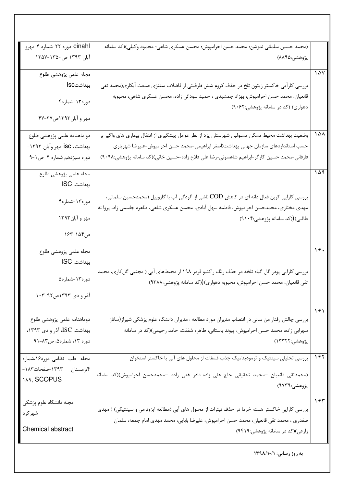| cinahl-دوره ٢٢-شماره ۴-مهرو<br>(محمد حسین سلمانی ندوشن؛ محمد حسن احرامپوش؛ محسن عسکری شاهی؛ محمود وکیلی)(کد سامانه<br>آبان ۱۳۹۳ ص۱۳۵۰–۱۳۵۷<br>پژوهشي:۸۸۹۵)<br>10V<br>مجله علمى پژوهشى طلوع<br>بهداشتlsc<br>بررسی کارآیی خاکستر زیتون تلخ در حذف کروم شش ظرفیتی از فاضلاب سنتزی صنعت آبکاری(محمد تقی<br>قانعیان، محمد حسن احرامپوش، بهزاد جمشیدی ، حمید سودائی زاده، محسن عسکری شاهی، محبوبه<br>دوره ۱۳-شماره۴<br>دهواری) (کد در سامانه پژوهشی:۹۰۶۲) |
|-----------------------------------------------------------------------------------------------------------------------------------------------------------------------------------------------------------------------------------------------------------------------------------------------------------------------------------------------------------------------------------------------------------------------------------------------------|
|                                                                                                                                                                                                                                                                                                                                                                                                                                                     |
|                                                                                                                                                                                                                                                                                                                                                                                                                                                     |
|                                                                                                                                                                                                                                                                                                                                                                                                                                                     |
|                                                                                                                                                                                                                                                                                                                                                                                                                                                     |
|                                                                                                                                                                                                                                                                                                                                                                                                                                                     |
| مهر و آبان١٣٩٣ص٣٢-۴٧                                                                                                                                                                                                                                                                                                                                                                                                                                |
| ۱۵۸<br>وضعیت بهداشت محیط مسکن مسلولین شهرستان یزد از نظر عوامل پیشگیری از انتقال بیماری های واگیر بر<br>دو ماهنامه علمی پژوهشی طلوع                                                                                                                                                                                                                                                                                                                 |
| بهداشت. isc-مهر وأبان ۱۳۹۳-<br>حسب استانداردهای سازمان جهانی بهداشت(اصغر ابراهیمی-محمد حسن احرامپوش-علیرضا شهریاری                                                                                                                                                                                                                                                                                                                                  |
| فارفانی-محمد حسین کارگر-ابراهیم شاهسونی-رضا علی فلاح زاده-حسین خانی)(کد سامانه پژوهشی:۹۰۹۸)<br>دوره سيزدهم شماره ۴ ص١-٩                                                                                                                                                                                                                                                                                                                             |
| 109<br>مجله علمى پژوهشى طلوع                                                                                                                                                                                                                                                                                                                                                                                                                        |
| بهداشت. ISC                                                                                                                                                                                                                                                                                                                                                                                                                                         |
| بررسی کارایی کربن فعال دانه ای در کاهش COD ناشی از آلودگی آب با گازوییل (محمدحسین سلمانی،<br>دوره۱۳-شماره۴                                                                                                                                                                                                                                                                                                                                          |
| مهدی مختاری، محمدحسن احرامپوش، فاطمه سهل آبادی، محسن عسکری شاهی، طاهره جاسمی زاد، پروا نه                                                                                                                                                                                                                                                                                                                                                           |
| مهر و أبان١٣٩٣<br>طالبی)((کد سامانه پژوهشی:۹۱۰۴)                                                                                                                                                                                                                                                                                                                                                                                                    |
| ص١۵۴-١۶۳                                                                                                                                                                                                                                                                                                                                                                                                                                            |
| $\gamma$ .<br>مجله علمى پژوهشى طلوع                                                                                                                                                                                                                                                                                                                                                                                                                 |
| بهداشت. ISC                                                                                                                                                                                                                                                                                                                                                                                                                                         |
| بررسی کارایی پودر گل گیاه تلخه در حذف رنگ راکتیو قرمز ۱۹۸ از محیطهای آبی ( مجتبی گل کاری، محمد<br>دوره۱۳-شماره۵                                                                                                                                                                                                                                                                                                                                     |
| تقی قانعیان، محمد حسن احرامپوش، محبوبه دهواری)((کد سامانه پژوهشی:۹۳۸۸)                                                                                                                                                                                                                                                                                                                                                                              |
| آذر و دی ۱۳۹۳ص۹۲-۱۰۳                                                                                                                                                                                                                                                                                                                                                                                                                                |
| 191<br>دوماهنامه علمى پژوهشى طلوع<br>بررسی چالش رفتار من سانی در انتصاب مدیران مورد مطالعه : مدیران دانشگاه علوم پزشکی شیراز(ساناز                                                                                                                                                                                                                                                                                                                  |
| بهداشت. ISC، آذر و دی ۱۳۹۳،<br>سهرابي زاده، محمد حسن احرامپوش، پيوند باستاني، طاهره شفقت، حامد رحيمي)(كد در سامانه                                                                                                                                                                                                                                                                                                                                  |
| دوره ١٣، شماره۵، ص٨٣-٩١<br>پژوهشي:۱۳۳۲۲)                                                                                                                                                                                                                                                                                                                                                                                                            |
|                                                                                                                                                                                                                                                                                                                                                                                                                                                     |
| ۱۶۲<br>بررسی تحلیلی سینتیک و ترمودینامیک جذب فسفات از محلول های آبی با خاکستر استخوان<br>مجله طب نظامی-دوره۱۶،شماره                                                                                                                                                                                                                                                                                                                                 |
| ١٣٩٣-صفحات١٨٣-<br>۴،زمستان<br>(محمدتقی قانعیان –محمد تحقیقی حاج علی زاده-قادر غنی زاده –محمدحسن احرامپوش)(کد سامانه                                                                                                                                                                                                                                                                                                                                 |
| <b>IA9, SCOPUS</b><br>پژوهشي:۹۷۳۹)                                                                                                                                                                                                                                                                                                                                                                                                                  |
| ۱۶۳<br>مجله دانشگاه علوم پزشکی                                                                                                                                                                                                                                                                                                                                                                                                                      |
| بررسی کارایی خاکستر هسته خرما در حذف نیترات از محلول های آبی (مطالعه ایزوترمی و سینتیکی) ( مهدی<br>شهركرد                                                                                                                                                                                                                                                                                                                                           |
| صفدری ، محمد تقی قانعیان، محمد حسن احرامپوش، علیرضا بابایی، محمد مهدی امام جمعه، سلمان                                                                                                                                                                                                                                                                                                                                                              |
| Chemical abstract<br>زارعی)(کد در سامانه پژوهشی:۹۴۱۹)                                                                                                                                                                                                                                                                                                                                                                                               |
| به روز رسانی: ١٣٩٨/١٠/١                                                                                                                                                                                                                                                                                                                                                                                                                             |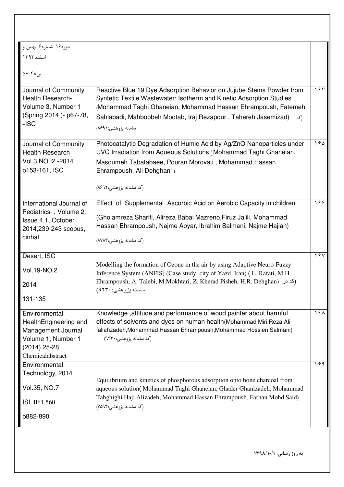| دور۱۶۰–شماره۶-بهمن و <sup>ا</sup><br>اسفند۱۳۹۳<br>ص ۴۸-۵۶<br>Journal of Community<br>Reactive Blue 19 Dye Adsorption Behavior on Jujube Stems Powder from<br>۱۶۴<br>Health Research-<br>Syntetic Textile Wastewater: Isotherm and Kinetic Adsorption Studies<br>Volume 3, Number 1<br>(Mohammad Taghi Ghaneian, Mohammad Hassan Ehrampoush, Fatemeh<br>(Spring 2014) - p67-78,<br>Sahlabadi, Mahboobeh Mootab, Iraj Rezapour, Tahereh Jasemizad)<br>(کد<br>$-ISC$<br>سامانه پژوهشی:۸۶۹۱)<br>۱۶۵<br>Photocatalytic Degradation of Humic Acid by Ag/ZnO Nanoparticles under<br>Journal of Community<br>UVC Irradiation from Aqueous Solutions (Mohammad Taghi Ghaneian,<br><b>Health Research</b><br>Vol.3 NO.:2 - 2014<br>Masoumeh Tabatabaee, Pouran Morovati, Mohammad Hassan<br>p153-161, ISC<br>Ehrampoush, Ali Dehghani)<br>(کد سامانه پژوهشی:۸۶۹۲)<br>Effect of Supplemental Ascorbic Acid on Aerobic Capacity in children<br>199<br>International Journal of<br>Pediatrics-, Volume 2,<br>(Gholamreza Sharifi, Alireza Babai Mazreno, Firuz Jalili, Mohammad<br>Issue 4.1, October<br>Hassan Ehrampoush, Najme Abyar, Ibrahim Salmani, Najme Hajian)<br>2014, 239-243 scopus,<br>cinhal<br>(کد سامانه پژوهشی:۸۷۸۳)<br>1.54<br>Desert, ISC<br>Modelling the formation of Ozone in the air by using Adaptive Neuro-Fuzzy<br>Vol.19-NO.2<br>Inference System (ANFIS) (Case study: city of Yazd, Iran) (L. Rafati, M.H.<br>Ehrampoush, A. Talebi, M.Mokhtari, Z. Kherad Pisheh, H.R. Dehghan) (كد در<br>سامانه پژوهشي: ۹۲۳۰)<br>131-135<br>198<br>Knowledge, attitude and performance of wood painter about harmful<br>Environmental<br>effects of solvents and dyes on human health (Mohammad Miri, Reza Ali<br>HealthEngineering and<br>fallahzadeh, Mohammad Hassan Ehrampoush, Mohammad Hossien Salmani)<br>Management Journal<br>Volume 1, Number 1<br>(کد سامانه پژوهشی:۹۳۳۰)<br>$(2014)$ 25-28,<br>Chemicalabstract<br>۱۶۹<br>Environmental<br>Technology, 2014<br>Equilibrium and kinetics of phosphorous adsorption onto bone charcoal from<br>Vol.35, NO.7<br>aqueous solution(Mohammad Taghi Ghaneian, Ghader Ghanizadeh, Mohammad<br>Tahghighi Haji Alizadeh, Mohammad Hassan Ehrampoush, Farhan Mohd Said)<br>ISI IF:1.560<br>(کد سامانه پژوهشی:۷۵۹۴)<br>p882-890 |      |  |
|----------------------------------------------------------------------------------------------------------------------------------------------------------------------------------------------------------------------------------------------------------------------------------------------------------------------------------------------------------------------------------------------------------------------------------------------------------------------------------------------------------------------------------------------------------------------------------------------------------------------------------------------------------------------------------------------------------------------------------------------------------------------------------------------------------------------------------------------------------------------------------------------------------------------------------------------------------------------------------------------------------------------------------------------------------------------------------------------------------------------------------------------------------------------------------------------------------------------------------------------------------------------------------------------------------------------------------------------------------------------------------------------------------------------------------------------------------------------------------------------------------------------------------------------------------------------------------------------------------------------------------------------------------------------------------------------------------------------------------------------------------------------------------------------------------------------------------------------------------------------------------------------------------------------------------------------------------------------------------------------------------------------------------------------------------------------------------------------------------------------------------------------------------------------------------------------------------------------------------------------------------------------------------|------|--|
|                                                                                                                                                                                                                                                                                                                                                                                                                                                                                                                                                                                                                                                                                                                                                                                                                                                                                                                                                                                                                                                                                                                                                                                                                                                                                                                                                                                                                                                                                                                                                                                                                                                                                                                                                                                                                                                                                                                                                                                                                                                                                                                                                                                                                                                                                  |      |  |
|                                                                                                                                                                                                                                                                                                                                                                                                                                                                                                                                                                                                                                                                                                                                                                                                                                                                                                                                                                                                                                                                                                                                                                                                                                                                                                                                                                                                                                                                                                                                                                                                                                                                                                                                                                                                                                                                                                                                                                                                                                                                                                                                                                                                                                                                                  |      |  |
|                                                                                                                                                                                                                                                                                                                                                                                                                                                                                                                                                                                                                                                                                                                                                                                                                                                                                                                                                                                                                                                                                                                                                                                                                                                                                                                                                                                                                                                                                                                                                                                                                                                                                                                                                                                                                                                                                                                                                                                                                                                                                                                                                                                                                                                                                  |      |  |
|                                                                                                                                                                                                                                                                                                                                                                                                                                                                                                                                                                                                                                                                                                                                                                                                                                                                                                                                                                                                                                                                                                                                                                                                                                                                                                                                                                                                                                                                                                                                                                                                                                                                                                                                                                                                                                                                                                                                                                                                                                                                                                                                                                                                                                                                                  |      |  |
|                                                                                                                                                                                                                                                                                                                                                                                                                                                                                                                                                                                                                                                                                                                                                                                                                                                                                                                                                                                                                                                                                                                                                                                                                                                                                                                                                                                                                                                                                                                                                                                                                                                                                                                                                                                                                                                                                                                                                                                                                                                                                                                                                                                                                                                                                  |      |  |
|                                                                                                                                                                                                                                                                                                                                                                                                                                                                                                                                                                                                                                                                                                                                                                                                                                                                                                                                                                                                                                                                                                                                                                                                                                                                                                                                                                                                                                                                                                                                                                                                                                                                                                                                                                                                                                                                                                                                                                                                                                                                                                                                                                                                                                                                                  |      |  |
|                                                                                                                                                                                                                                                                                                                                                                                                                                                                                                                                                                                                                                                                                                                                                                                                                                                                                                                                                                                                                                                                                                                                                                                                                                                                                                                                                                                                                                                                                                                                                                                                                                                                                                                                                                                                                                                                                                                                                                                                                                                                                                                                                                                                                                                                                  |      |  |
|                                                                                                                                                                                                                                                                                                                                                                                                                                                                                                                                                                                                                                                                                                                                                                                                                                                                                                                                                                                                                                                                                                                                                                                                                                                                                                                                                                                                                                                                                                                                                                                                                                                                                                                                                                                                                                                                                                                                                                                                                                                                                                                                                                                                                                                                                  |      |  |
|                                                                                                                                                                                                                                                                                                                                                                                                                                                                                                                                                                                                                                                                                                                                                                                                                                                                                                                                                                                                                                                                                                                                                                                                                                                                                                                                                                                                                                                                                                                                                                                                                                                                                                                                                                                                                                                                                                                                                                                                                                                                                                                                                                                                                                                                                  |      |  |
|                                                                                                                                                                                                                                                                                                                                                                                                                                                                                                                                                                                                                                                                                                                                                                                                                                                                                                                                                                                                                                                                                                                                                                                                                                                                                                                                                                                                                                                                                                                                                                                                                                                                                                                                                                                                                                                                                                                                                                                                                                                                                                                                                                                                                                                                                  |      |  |
|                                                                                                                                                                                                                                                                                                                                                                                                                                                                                                                                                                                                                                                                                                                                                                                                                                                                                                                                                                                                                                                                                                                                                                                                                                                                                                                                                                                                                                                                                                                                                                                                                                                                                                                                                                                                                                                                                                                                                                                                                                                                                                                                                                                                                                                                                  |      |  |
|                                                                                                                                                                                                                                                                                                                                                                                                                                                                                                                                                                                                                                                                                                                                                                                                                                                                                                                                                                                                                                                                                                                                                                                                                                                                                                                                                                                                                                                                                                                                                                                                                                                                                                                                                                                                                                                                                                                                                                                                                                                                                                                                                                                                                                                                                  | 2014 |  |
|                                                                                                                                                                                                                                                                                                                                                                                                                                                                                                                                                                                                                                                                                                                                                                                                                                                                                                                                                                                                                                                                                                                                                                                                                                                                                                                                                                                                                                                                                                                                                                                                                                                                                                                                                                                                                                                                                                                                                                                                                                                                                                                                                                                                                                                                                  |      |  |
|                                                                                                                                                                                                                                                                                                                                                                                                                                                                                                                                                                                                                                                                                                                                                                                                                                                                                                                                                                                                                                                                                                                                                                                                                                                                                                                                                                                                                                                                                                                                                                                                                                                                                                                                                                                                                                                                                                                                                                                                                                                                                                                                                                                                                                                                                  |      |  |
|                                                                                                                                                                                                                                                                                                                                                                                                                                                                                                                                                                                                                                                                                                                                                                                                                                                                                                                                                                                                                                                                                                                                                                                                                                                                                                                                                                                                                                                                                                                                                                                                                                                                                                                                                                                                                                                                                                                                                                                                                                                                                                                                                                                                                                                                                  |      |  |
|                                                                                                                                                                                                                                                                                                                                                                                                                                                                                                                                                                                                                                                                                                                                                                                                                                                                                                                                                                                                                                                                                                                                                                                                                                                                                                                                                                                                                                                                                                                                                                                                                                                                                                                                                                                                                                                                                                                                                                                                                                                                                                                                                                                                                                                                                  |      |  |
|                                                                                                                                                                                                                                                                                                                                                                                                                                                                                                                                                                                                                                                                                                                                                                                                                                                                                                                                                                                                                                                                                                                                                                                                                                                                                                                                                                                                                                                                                                                                                                                                                                                                                                                                                                                                                                                                                                                                                                                                                                                                                                                                                                                                                                                                                  |      |  |
|                                                                                                                                                                                                                                                                                                                                                                                                                                                                                                                                                                                                                                                                                                                                                                                                                                                                                                                                                                                                                                                                                                                                                                                                                                                                                                                                                                                                                                                                                                                                                                                                                                                                                                                                                                                                                                                                                                                                                                                                                                                                                                                                                                                                                                                                                  |      |  |
|                                                                                                                                                                                                                                                                                                                                                                                                                                                                                                                                                                                                                                                                                                                                                                                                                                                                                                                                                                                                                                                                                                                                                                                                                                                                                                                                                                                                                                                                                                                                                                                                                                                                                                                                                                                                                                                                                                                                                                                                                                                                                                                                                                                                                                                                                  |      |  |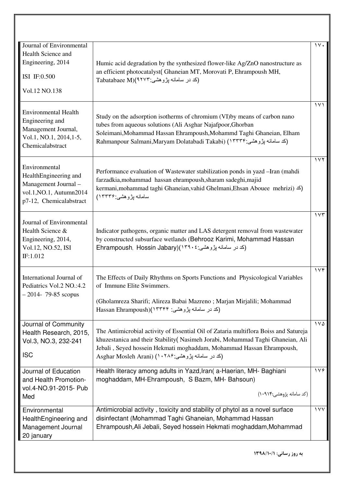| Journal of Environmental                                                                                             |                                                                                                                                                                                                                                                                                                                         | $\gamma \vee \cdot$  |
|----------------------------------------------------------------------------------------------------------------------|-------------------------------------------------------------------------------------------------------------------------------------------------------------------------------------------------------------------------------------------------------------------------------------------------------------------------|----------------------|
| Health Science and                                                                                                   |                                                                                                                                                                                                                                                                                                                         |                      |
| Engineering, 2014                                                                                                    | Humic acid degradation by the synthesized flower-like Ag/ZnO nanostructure as                                                                                                                                                                                                                                           |                      |
| ISI IF:0.500                                                                                                         | an efficient photocatalyst(Ghaneian MT, Morovati P, Ehrampoush MH,<br>Tabatabaee M)(۹۲۷۳: بژوهشی)                                                                                                                                                                                                                       |                      |
| Vol.12 NO.138                                                                                                        |                                                                                                                                                                                                                                                                                                                         |                      |
| <b>Environmental Health</b><br>Engineering and<br>Management Journal,<br>Vol.1, NO.1, 2014, 1-5,<br>Chemicalabstract | Study on the adsorption isotherms of chromium (VI) by means of carbon nano<br>tubes from aqueous solutions (Ali Asghar Najafpoor, Ghorban<br>Soleimani, Mohammad Hassan Ehrampoush, Mohammd Taghi Ghaneian, Elham<br>Rahmanpour Salmani,Maryam Dolatabadi Takabi) (١٣٣٣٣) بن وهشى: Rahmanpour Salmani,Maryam Dolatabadi | $\sqrt{11}$          |
| Environmental<br>HealthEngineering and<br>Management Journal -<br>vol.1, NO.1, Autumn2014<br>p7-12, Chemicalabstract | Performance evaluation of Wastewater stabilization ponds in yazd - Iran (mahdi<br>farzadkia, mohammad hassan ehrampoush, sharam sadeghi, majid<br>kermani, mohammad taghi Ghaneian, vahid Ghelmani, Ehsan Abouee mehrizi) <<br>سامانه بِژوهشي:۱۳۳۴۶)                                                                    | 111                  |
| Journal of Environmental<br>Health Science &<br>Engineering, 2014,<br>Vol.12, NO.52, ISI<br>IF:1.012                 | Indicator pathogens, organic matter and LAS detergent removal from wastewater<br>by constructed subsurface wetlands (Behrooz Karimi, Mohammad Hassan<br>Ehrampoush, Hossin Jabary)(١٣٩٠٤) (كد در سامانه پژوهشي: ۴۹۰٤)                                                                                                   | 155                  |
| International Journal of<br>Pediatrics Vol.2 NO.:4.2<br>$-2014 - 79-85$ scopus                                       | The Effects of Daily Rhythms on Sports Functions and Physicological Variables<br>of Immune Elite Swimmers.<br>(Gholamreza Sharifi; Alireza Babai Mazreno; Marjan Mirjalili; Mohammad<br>(کد در سامانه پژوهشی: ۱۳۳۴۴)(Hassan Ehrampoush                                                                                  | $\gamma \vee \gamma$ |
|                                                                                                                      |                                                                                                                                                                                                                                                                                                                         |                      |
| Journal of Community<br>Health Research, 2015,<br>Vol.3, NO.3, 232-241<br><b>ISC</b>                                 | The Antimicrobial activity of Essential Oil of Zataria multiflora Boiss and Satureja<br>khuzestanica and their Stability (Nasimeh Jorabi, Mohammad Taghi Ghaneian, Ali<br>Jebali, Seyed hossein Hekmati moghaddam, Mohammad Hassan Ehrampoush,<br>Asghar Mosleh Arani) (۱۰۲۸۶) (Asghar Mosleh Arani                     | 1 <sub>V</sub>       |
| Journal of Education<br>and Health Promotion-                                                                        | Health literacy among adults in Yazd, Iran (a-Haerian, MH- Baghiani<br>moghaddam, MH-Ehrampoush, S Bazm, MH- Bahsoun)                                                                                                                                                                                                   | 119                  |
| vol.4-NO.91-2015- Pub<br>Med                                                                                         | (کد سامانه پژوهشی:۱۰۹۱۴)                                                                                                                                                                                                                                                                                                |                      |
| Environmental<br>HealthEngineering and<br>Management Journal<br>20 january                                           | Antimicrobial activity, toxicity and stability of phytol as a novel surface<br>disinfectant (Mohammad Taghi Ghaneian, Mohammad Hassan<br>Ehrampoush, Ali Jebali, Seyed hossein Hekmati moghaddam, Mohammad                                                                                                              | $\sqrt{v}$           |
|                                                                                                                      | به روز رسانی: ۱۳۹۸/۱۰/۱                                                                                                                                                                                                                                                                                                 |                      |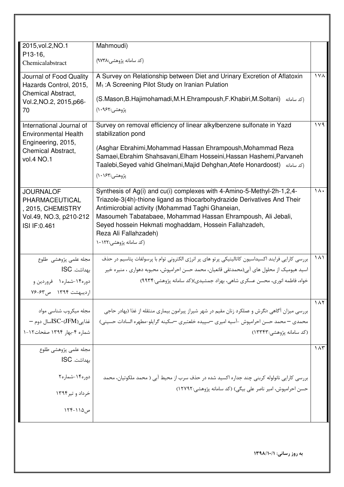| 2015, vol. 2, NO. 1         | Mahmoudi)                                                                                                                           |                           |
|-----------------------------|-------------------------------------------------------------------------------------------------------------------------------------|---------------------------|
| P13-16,                     |                                                                                                                                     |                           |
| Chemicalabstract            | (کد سامانه پژوهشی:۹۷۳۸)                                                                                                             |                           |
| Journal of Food Quality     | A Survey on Relationship between Diet and Urinary Excretion of Aflatoxin                                                            | $\sqrt{2}$                |
| Hazards Control, 2015,      | $M_1$ : A Screening Pilot Study on Iranian Pulation                                                                                 |                           |
| <b>Chemical Abstract.</b>   |                                                                                                                                     |                           |
| Vol.2, NO.2, 2015, p66-     | (S.Mason, B.Hajimohamadi, M.H.Ehrampoush, F.Khabiri, M.Soltani)<br>(کد سامانه                                                       |                           |
| 70                          | پژوهشي:۱۰۹۶۲)                                                                                                                       |                           |
| International Journal of    | Survey on removal efficiency of linear alkylbenzene sulfonate in Yazd                                                               | 111                       |
| <b>Environmental Health</b> | stabilization pond                                                                                                                  |                           |
| Engineering, 2015,          |                                                                                                                                     |                           |
| <b>Chemical Abstract.</b>   | (Asghar Ebrahimi, Mohammad Hassan Ehrampoush, Mohammad Reza<br>Samaei, Ebrahim Shahsavani, Elham Hosseini, Hassan Hashemi, Parvaneh |                           |
| vol.4 NO.1                  | Taalebi, Seyed vahid Ghelmani, Majid Dehghan, Atefe Honardoost) (كدسامانه)                                                          |                           |
|                             | پژوهشي:۱۶۳) (۱۰                                                                                                                     |                           |
|                             |                                                                                                                                     |                           |
| <b>JOURNALOF</b>            | Synthesis of Ag(i) and cu(i) complexes with 4-Amino-5-Methyl-2h-1,2,4-                                                              | 14.                       |
| PHARMACEUTICAL              | Triazole-3(4h)-thione ligand as thiocarbohydrazide Derivatives And Their                                                            |                           |
| , 2015, CHEMISTRY           | Antimicrobial activity (Mohammad Taghi Ghaneian,                                                                                    |                           |
| Vol.49, NO.3, p210-212      | Masoumeh Tabatabaee, Mohammad Hassan Ehrampoush, Ali Jebali,                                                                        |                           |
| ISI IF:0.461                | Seyed hossein Hekmati moghaddam, Hossein Fallahzadeh,<br>Reza Ali Fallahzadeh)                                                      |                           |
|                             | (کد سامانه پژوهشی:۱۰۱۲۲                                                                                                             |                           |
|                             |                                                                                                                                     |                           |
| مجله علمی پژوهشی طلوع       | بررسی کارایی فرایند اکسیداسیون کاتالیتیکی پرتو های پر انرژی الکترونی توام با پرسولفات پتاسیم در حذف                                 | $\lambda$                 |
| بهداشت. ISC                 | اسید هیومیک از محلول های آبی(محمدتقی قانعیان، محمد حسن احرامپوش، محبوبه دهواری ، منیره خیر                                          |                           |
| دوره۱۴-شماره۱ فروردین و     | خواه، فاطمه انوری، محسن عسکری شاهی، بهزاد جمشیدی)(کد سامانه پژوهشی:۹۹۳۴)                                                            |                           |
| ارديبهشت ١٣٩۴ ص۶۳-٧۶        |                                                                                                                                     |                           |
|                             |                                                                                                                                     | $\lambda$                 |
| مجله میکروب شناسی مواد      | بررسی میزان آگاهی ؛نگرش و عملکرد زنان مقیم در شهر شیراز پیرامون بیماری منتقله از غذا (بهادر حاجی                                    |                           |
| غذایی(JFM)-ISCسال دوم       | محمدی — محمد حسن احرامپوش -آسیه امیری —سپیده خلعتبری —سکینه گرایلو-مطهره السادات حسینی)                                             |                           |
| شماره ۴-بهار ۱۳۹۴ صفحات۱-۱  |                                                                                                                                     |                           |
|                             | (کد سامانه پژوهشي:۱۳۳۴۳)                                                                                                            |                           |
| مجله علمى پژوهشى طلوع       |                                                                                                                                     | $\overline{1\Lambda\tau}$ |
| بهداشت. ISC                 |                                                                                                                                     |                           |
|                             |                                                                                                                                     |                           |
| دوره۱۴-شماره۲               | بررسی کارایی نانولوله کربنی چند جداره اکسید شده در حذف سرب از محیط آبی ( محمد ملکوتیان، محمد                                        |                           |
|                             | حسن احرامپوش، امیر ناصر علی بیگی) (کد سامانه پژوهشی:۱۲۷۹۲)                                                                          |                           |
| خرداد و تير۱۳۹۴             |                                                                                                                                     |                           |
| ص۱۱۵–۱۲۴                    |                                                                                                                                     |                           |
|                             |                                                                                                                                     |                           |
|                             |                                                                                                                                     |                           |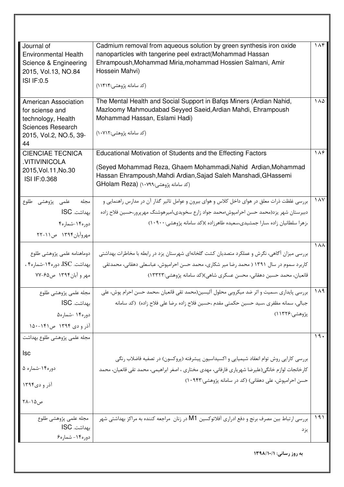| دوره۱۴- شماره۶                                                       |                                                                                                                                                                                        |                 |
|----------------------------------------------------------------------|----------------------------------------------------------------------------------------------------------------------------------------------------------------------------------------|-----------------|
| مجله علمى پژوهشى طلوع<br>بهداشت. ISC                                 | بررسی ارتباط بین مصرف برنج و دفع ادراری آفلاتوکسین M1 در زنان  مراجعه کننده به مراکز بهداشتی شهر<br>يزد                                                                                | ۱۹۱             |
| ص۱۵-۲۸                                                               |                                                                                                                                                                                        |                 |
| آذر و دی۱۳۹۴                                                         | حسن احرامپوش، علی دهقانی) (کد در سامانه پژوهشی:۱۰۹۴۳)                                                                                                                                  |                 |
| دوره۱۴-شماره ۵                                                       | کارخانجات لوازم خانگی(علیرضا شهریاری فارفانی، مهدی مختاری ، اصغر ابراهیمی، محمد تقی قانعیان، محمد                                                                                      |                 |
| <b>Isc</b>                                                           | بررسی کارایی روش توام انعقاد شیمیایی و اکسیداسیون پیشرفته (پروکسون) در تصفیه فاضلاب رنگی                                                                                               |                 |
| مجله علمي پژوهشي طلوع بهداشت                                         |                                                                                                                                                                                        | ۱۹۰             |
| آذر و دی ۱۳۹۴ ص۱۴۱-۱۵۰                                               |                                                                                                                                                                                        |                 |
| دوره۱۴ -شماره۵                                                       | پژوهشي:۱۱۳۲۶)                                                                                                                                                                          |                 |
| مجله علمى پژوهشى طلوع<br>بهداشت. ISC                                 | بررسی پایداری ،سمیت و اثر ضد میکروبی محلول آلیسین(محمد تقی قانعیان ،محمد حسن احرام پوش، علی<br>جبالي، سمانه مظفري ،سيد حسين حكمتي مقدم ،حسين فلاح زاده ،رضا على فلاح زاده)  (كد سامانه |                 |
|                                                                      |                                                                                                                                                                                        | 141             |
| بهداشت. ISC، دوره۱۴-شماره۴ ،<br>مهر و آبان۱۳۹۴ ص۶۵-۷۷                | کاربرد سموم در سال ۱۳۹۱ ( محمد رضا میر شکاری، محمد حسن احرامپوش، عباسعلی دهقانی، محمدتقی<br>قانعیان، محمد حسین دهقانی، محسن عسکری شاهی)(کد سامانه پژوهشی:۱۳۳۲۳)                        |                 |
| دوماهنامه علمى پژوهشى طلوع                                           | بررسی میزان آگاهی، نگرش و عملکرد متصدیان کشت گلخانهای شهرستان یزد در رابطه با مخاطرات بهداشتی                                                                                          |                 |
| مهروآبان۱۳۹۴ ص۱۱-۲۲                                                  |                                                                                                                                                                                        | 1 $\land \land$ |
| دوره۱۴-شماره۴                                                        | ،زهرا سلطانیان زاده ،سارا جمشیدی،سعیده طاهرزاده )(کد سامانه پژوهشی:۱۰۹۰۰)                                                                                                              |                 |
| بهداشت. ISC                                                          | دبیرستان شهر یزد(محمد حسن احرامپوش؛محمد جواد زارع سخویدی،امیرهوشنگ مهرپرور،حسین فلاح زاده                                                                                              |                 |
| مجله علمي پژوهشي طلوع                                                | بررسی غلظت ذرات معلق در هوای داخل کلاس و هوای بیرون و عوامل تاثیر گذار آن در مدارس راهنمایی و                                                                                          | $\lambda$       |
| 2015, Vol. 11, No. 30<br>ISI IF: 0.368                               | (Seyed Mohammad Reza, Ghaem Mohammadi, Nahid Ardian, Mohammad<br>Hassan Ehrampoush, Mahdi Ardian, Sajad Saleh Manshadi, GHassemi<br>(كد سامانه يژوهشى:GHolam Reza) (١٠٧٩٩)             |                 |
| <b>CIENCIAE TECNICA</b><br>.VITIVINICOLA                             | Educational Motivation of Students and the Effecting Factors                                                                                                                           | ۱۸۶.            |
| <b>Sciences Research</b><br>2015, Vol.2, NO.5, 39-<br>44             | (کد سامانه پژوهشی:۱۰۷۱۲)                                                                                                                                                               |                 |
| <b>American Association</b><br>for sciense and<br>technology, Health | The Mental Health and Social Support in Bafqs Miners (Ardian Nahid,<br>Mazloomy Mahmoudabad Seyyed Saeid, Ardian Mahdi, Ehrampoush<br>Mohammad Hassan, Eslami Hadi)                    | ۱۸۵             |
| <b>ISI IF:0.5</b>                                                    | (کد سامانه پژوهشی:۱۱۴۱۴)                                                                                                                                                               |                 |
| 2015, Vol.13, NO.84                                                  | Hossein Mahvi)                                                                                                                                                                         |                 |
| Science & Engineering                                                | Ehrampoush, Mohammad Miria, mohammad Hossien Salmani, Amir                                                                                                                             |                 |
| Journal of<br><b>Environmental Health</b>                            | Cadmium removal from aqueous solution by green synthesis iron oxide<br>nanoparticles with tangerine peel extract(Mohammad Hassan                                                       | 14F             |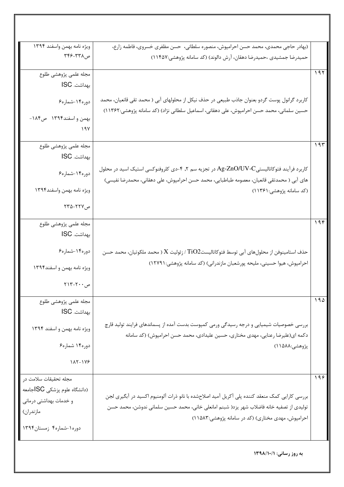|     | (بهادر حاجی محمدی، محمد حسن احرامپوش، منصوره سلطانی،  حسن مظفری خسروی، فاطمه زارع،                              | ويژه نامه بهمن واسفند ١٣٩۴                                                         |
|-----|-----------------------------------------------------------------------------------------------------------------|------------------------------------------------------------------------------------|
|     | حمیدرضا جمشیدی ،حمیدرضا دهقان، آرش دالوند) (کد سامانه پژوهشی:۱۱۴۵۷)                                             | ص۳۲۸–۳۴۶ ت                                                                         |
| 197 |                                                                                                                 | مجله علمى پژوهشى طلوع                                                              |
|     |                                                                                                                 | بهداشت. ISC                                                                        |
|     | کاربرد گرانول پوست گردو بعنوان جاذب طبیعی در حذف نیکل از محلولهای آبی ( محمد تقی قانعیان، محمد                  | دوره۱۴-شماره۶                                                                      |
|     | حسین سلمانی، محمد حسن احرامپوش، علی دهقانی، اسماعیل سلطانی نژاد) (کد سامانه پژوهشی:۱۱۳۶۲)                       |                                                                                    |
|     |                                                                                                                 | بهمن واسفند١٣٩۴ ص١٨۴-                                                              |
|     |                                                                                                                 | ۱۹۷                                                                                |
| 195 |                                                                                                                 | مجله علمى پژوهشى طلوع                                                              |
|     |                                                                                                                 | بهداشت. ISC                                                                        |
|     | کاربرد فرآیند فتوکاتالیستیAg-ZnO/UV-C در تجزیه سم ۲, ۴-دی کلروفنوکسی استیک اسید در محلول                        |                                                                                    |
|     | های آبی ( محمدتقی قانعیان، معصومه طباطبایی، محمد حسن احرامپوش، علی دهقانی، محمدرضا نفیسی)                       | دوره۱۴-شماره۶                                                                      |
|     | (کد سامانه پژوهشي:۱۱۳۶۱)                                                                                        | ويژه نامه بهمن واسفند١٣٩۴                                                          |
|     |                                                                                                                 |                                                                                    |
|     |                                                                                                                 | ص۲۲۷–۲۳۵ م                                                                         |
| 194 |                                                                                                                 | مجله علمى پژوهشى طلوع                                                              |
|     |                                                                                                                 | بهداشت. ISC                                                                        |
|     | حذف استامینوفن از محلولهای آبی توسط فتوکاتالیست $\mathrm{TiO2}$ / زئولیت $\mathrm{X}$ ( محمد ملکوتیان، محمد حسن | دوره۱۴-شماره۶                                                                      |
|     | احرامپوش، هیوا حسینی، ملیحه پورشعبان مازندرانی) (کد سامانه پژوهشی: ۱۲۷۹۱)                                       |                                                                                    |
|     |                                                                                                                 | ویژه نامه بهمن و اسفند۱۳۹۴                                                         |
|     |                                                                                                                 | $\mathsf{Y}\mathsf{Y}\mathsf{I}\mathsf{F}\mathsf{-}\mathsf{Y}\mathsf{I}\mathsf{Y}$ |
| 190 |                                                                                                                 | مجله علمى پژوهشى طلوع                                                              |
|     |                                                                                                                 | بهداشت. ISC                                                                        |
|     | بررسی خصوصیات شیمیایی و درجه رسیدگی ورمی کمپوست بدست آمده از پسماندهای فرایند تولید قارچ                        |                                                                                    |
|     | دکمه ای(علیرضا رعنایی، مهدی مختاری، حسین علیدادی، محمد حسن احرامپوش) (کد سامانه                                 | ويژه نامه بهمن و اسفند ١٣٩۴                                                        |
|     | پژوهشی:۱۵۸۸)                                                                                                    | دوره۱۴ شماره۶                                                                      |
|     |                                                                                                                 | 115-178                                                                            |
| 199 |                                                                                                                 | مجله تحقيقات سلامت در                                                              |
|     |                                                                                                                 | (دانشگاه علوم پزشکی SCاجامعه                                                       |
|     | بررسی کارایی کمک منعقد کننده پلی آکریل آمید اصلاحشده با نانو ذرات آلومنیوم اکسید در آبگیری لجن                  | و خدمات بهداشتی درمانی                                                             |
|     | تولیدی از تصفیه خانه فاضلاب شهر یزد( شبنم امانعلی خانی، محمد حسین سلمانی ندوشن، محمد حسن                        | مازندران)                                                                          |
|     | احرامپوش، مهدی مختاری) (کد در سامانه پژوهشی:۱۱۵۸۳)                                                              |                                                                                    |
|     |                                                                                                                 | دوره ۱-شماره۴ زمستان۱۳۹۴                                                           |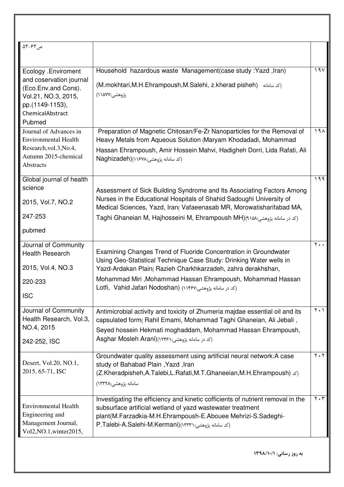| ص ۶۳-۶۳                                                                                                                                       |                                                                                                                                                                                                                                                                                           |                               |
|-----------------------------------------------------------------------------------------------------------------------------------------------|-------------------------------------------------------------------------------------------------------------------------------------------------------------------------------------------------------------------------------------------------------------------------------------------|-------------------------------|
|                                                                                                                                               |                                                                                                                                                                                                                                                                                           |                               |
| Ecology .Enviroment<br>and coservation journal<br>(Eco.Env.and Cons).<br>Vol.21, NO.3, 2015,<br>pp.(1149-1153),<br>ChemicalAbstract<br>Pubmed | Household hazardous waste Management (case study : Yazd, Iran)<br>(M.mokhtari, M.H.Ehrampoush, M.Salehi, z.kherad pisheh) (كدسامانه)<br>پژوهشی:۱۵۷۷)                                                                                                                                      | 19V                           |
| Journal of Advances in<br><b>Environmental Health</b><br>Research, vol.3, No.4,<br>Autumn 2015-chemical<br>Abstracts                          | Preparation of Magnetic Chitosan/Fe-Zr Nanoparticles for the Removal of<br>Heavy Metals from Aqueous Solution (Maryam Khodadadi, Mohammad<br>Hassan Ehrampoush, Amir Hossein Mahvi, Hadigheh Dorri, Lida Rafati, Ali<br>(كد سامانه يژوهشي:۱۶۷۸)(Naghizadeh                                | ۱۹۸                           |
| Global journal of health                                                                                                                      |                                                                                                                                                                                                                                                                                           | 199                           |
| science                                                                                                                                       | Assessment of Sick Building Syndrome and Its Associating Factors Among                                                                                                                                                                                                                    |                               |
| 2015, Vol.7, NO.2                                                                                                                             | Nurses in the Educational Hospitals of Shahid Sadoughi University of<br>Medical Sciences, Yazd, Iran(Vafaeenasab MR, Morowatisharifabad MA,                                                                                                                                               |                               |
| 247-253                                                                                                                                       | Taghi Ghaneian M, Hajhosseini M, Ehrampoush MH)(اكد در سامانه پژوهشی:Taghi Ghaneian M, Hajhosseini M, Ehrampoush MH)                                                                                                                                                                      |                               |
| pubmed                                                                                                                                        |                                                                                                                                                                                                                                                                                           |                               |
| Journal of Community<br><b>Health Research</b><br>2015, Vol.4, NO.3                                                                           | Examining Changes Trend of Fluoride Concentration in Groundwater<br>Using Geo-Statistical Technique Case Study: Drinking Water wells in<br>Yazd-Ardakan Plain (Razieh Charkhkarzadeh, zahra derakhshan,                                                                                   | $\mathbf{y}$ .                |
| 220-233                                                                                                                                       | Mohammad Miri, Mohammad Hassan Ehrampoush, Mohammad Hassan<br>Lotfi, Vahid Jafari Nodoshan) (١١۴۶٧: اكد در سامانه پژوهشى:۱۶۷                                                                                                                                                              |                               |
| <b>ISC</b>                                                                                                                                    |                                                                                                                                                                                                                                                                                           |                               |
| Journal of Community<br>Health Research, Vol.3,<br>NO.4, 2015<br>242-252, ISC                                                                 | Antimicrobial activity and toxicity of Zhumeria majdae essential oil and its<br>capsulated form (Rahil Emami, Mohammad Taghi Ghaneian, Ali Jebali,<br>Seyed hossein Hekmati moghaddam, Mohammad Hassan Ehrampoush,<br>Asghar Mosleh Arani)(١٢٣۶١: در سامانه پژوهشی:۸sghar Mosleh Arani)   | $\mathbf{Y} \cdot \mathbf{Y}$ |
| Desert, Vol.20, NO.1,<br>2015, 65-71, ISC                                                                                                     | Groundwater quality assessment using artificial neural network: A case<br>study of Bahabad Plain, Yazd, Iran<br>(Z.Kheradpisheh,A.Talebi,L.Rafati,M.T.Ghaneeian,M.H.Ehrampoush) (2.<br>سامانه پژوهشی:۱۳۳۲۸)                                                                               | $\mathbf{y}$ . $\mathbf{y}$   |
| <b>Environmental Health</b><br>Engineering and<br>Management Journal,<br>Vol2, NO.1, winter2015,                                              | Investigating the efficiency and kinetic cofficients of nutrient removal in the<br>subsurface artificial wetland of yazd wastewater treatment<br>plant(M.Farzadkia-M.H.Ehrampoush-E.Abouee Mehrizi-S.Sadeghi-<br>P.Talebi-A.Salehi-M.Kermani)(١٣٣٣١: يژوهشي: P.Talebi-A.Salehi-M.Kermani) | $\mathbf{Y} \cdot \mathbf{Y}$ |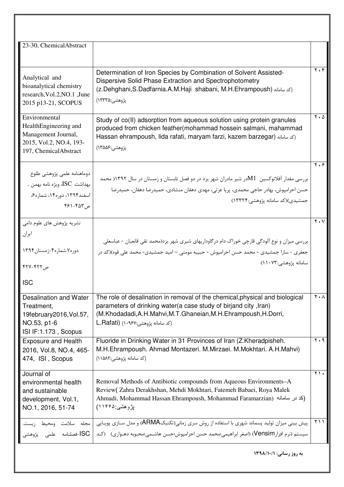| 23-30, ChemicalAbstract                                                                                                                            |                                                                                                                                                                                                                                                                                                                                  |                                              |
|----------------------------------------------------------------------------------------------------------------------------------------------------|----------------------------------------------------------------------------------------------------------------------------------------------------------------------------------------------------------------------------------------------------------------------------------------------------------------------------------|----------------------------------------------|
| Analytical and<br>bioanalytical chemistry<br>research, Vol.2, NO.1, June<br>2015 p13-21, SCOPUS                                                    | Determination of Iron Species by Combination of Solvent Assisted-<br>Dispersive Solid Phase Extraction and Spectrophotometry<br>(z.Dehghani,S.Dadfarnia.A.M.Haji shabani, M.H.Ehrampoush) (كدسامانه)<br>پژوهشی:۱۳۳۳۵)                                                                                                            | $Y \cdot Y$                                  |
| Environmental<br>HealthEngineering and<br>Management Journal,<br>2015, Vol.2, NO.4, 193-<br>197, ChemicalAbstract                                  | Study of co(II) adsorption from aqueous solution using protein granules<br>produced from chicken feather (mohammad hossein salmani, mahammad<br>Hassan ehrampoush, lida rafati, maryam farzi, kazem barzegar) (كد سامانه)<br>پژوهشی:۱۳۵۵۶)                                                                                       | $\mathbf{y} \cdot \mathbf{y}$                |
| دوماهنامه علمى پژوهشى طلوع<br>بهداشت. ISC، ويژه نامه بهمن .<br>اسفند۱۳۹۴، دوره۱۴، شماره۶،<br>$551 - 507$ , ح                                       | بررسی مقدار آفلاتوکسین   M1در شیر مادران شهر یزد در دو فصل تابستان و زمستان در سال ۱۳۹۲ محمد<br>حسن احرامپوش، بهادر حاجی محمدی، پریا عزتی، مهدی دهقان منشادی، حمیدرضا دهقان، حمیدرضا<br>جمشیدی)(کد سامانه پژوهشی:۱۳۳۲۴)                                                                                                          | $\mathbf{y} \cdot \mathbf{z}$                |
| نشریه پژوهش های علوم دامی<br>ايران<br>دوره ۷.شماره۴-زمستان۱۳۹۴<br>ص ۴۲۲–۴۲۷                                                                        | بررسی میزان و نوع آلودگی قارچی خوراک دام درگاوداریهای شیری شهر یزد(محمد تقی قانعیان - عباسعلی<br>جعفري - سارا جمشيدي - محمد حسن احرامپوش - حبيبه مومني – اميد جمشيدي- محمد علي قوه)(كد در<br>سامانه پژوهشی:۱۱۰۷۳)                                                                                                                | $Y \cdot V$                                  |
| <b>ISC</b><br>Desalination and Water<br>Treatment,<br>19february2016, Vol.57,<br>NO.53, p1-6<br>ISI IF:1.173, Scopus<br><b>Exposure and Health</b> | The role of desalination in removal of the chemical, physical and biological<br>parameters of drinking water(a case study of birjand city, Iran)<br>(M.Khodadadi, A.H.Mahvi, M.T.Ghaneian, M.H.Ehrampoush, H.Dorri,<br>لكد سامانه يژوهشي:L.Rafati) (۱۰۹۶۷<br>Fluoride in Drinking Water in 31 Provinces of Iran (Z.Kheradpisheh. | $Y \cdot A$<br>$\mathbf{r} \cdot \mathbf{r}$ |
| 2016, Vol.8, NO.4, 465-<br>474, ISI, Scopus                                                                                                        | M.H.Ehrampoush. Ahmad Montazeri. M.Mirzaei. M.Mokhtari. A.H.Mahvi)<br>(کد سامانه پژوهشی:۱۵۸۲)                                                                                                                                                                                                                                    |                                              |
| Journal of<br>environmental health<br>and sustainable<br>development, Vol.1,<br>NO.1, 2016, 51-74                                                  | Removal Methods of Antibiotic compounds from Aqueous Environments-A<br>Review (Zahra Derakhshan, Mehdi Mokhtari, Fatemeh Babaei, Roya Malek<br>Ahmadi, Mohammad Hassan Ehrampoush, Mohammad Faramarzian) (كد در سامانه)<br>بِژوهشي ۱۱۴۶۵)                                                                                        | $\gamma \wedge$                              |
| مجله سلامت ومحيط زيہ<br>خصلنامه علمی یژوهشی $\mathsf{ISC} \mid$                                                                                    | پیش بینی میزان تولید پسماند شهری با استفاده از روش سری زمانی(تکنیکARMA) و مدل سـازی پویـایی<br>سيستم (نرم افزار Vensim) (اصغر ابراهيمي؛محمد حسن احرامپوش؛حسن هاشـمي؛محبوبه دهـواري)   (كـد                                                                                                                                       | ۱۱ ۲                                         |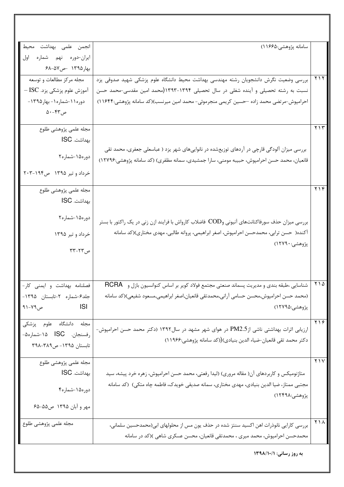| انجمن علمی بهداشت محیط                     | سامانه پژوهشي:۱۱۶۶۵)                                                                           |                                      |
|--------------------------------------------|------------------------------------------------------------------------------------------------|--------------------------------------|
| ایران-دوره نهم شماره اول                   |                                                                                                |                                      |
| بهار۱۳۹۵ -ص۵۷–۶۸                           |                                                                                                |                                      |
| مجله مركز مطالعات و توسعه                  | بررسی وضعیت نگرش دانشجویان رشته مهندسی بهداشت محیط دانشگاه علوم پزشکی شهید صدوقی یزد           | $\gamma \wedge \gamma$               |
| آموزش علوم پزشکی یزد. ISC —                | نسبت به رشته تحصیلی و آینده شغلی در سال تحصیلی ۱۳۹۴-۱۲۹۳(محمد امین مقدسی-محمد حسن              |                                      |
| دوره ۱۱-شماره ۱- بهار ۱۳۹۵-                | احرامپوش-مرتضی محمد زاده –حسین کریمی منجرموئی- محمد امین میرنسب)(کد سامانه پژوهشی:۱۱۶۴۴)       |                                      |
| ص۴۳-۵۰                                     |                                                                                                |                                      |
|                                            |                                                                                                | ۲۱۳                                  |
| مجله علمى پژوهشى طلوع                      |                                                                                                |                                      |
| بهداشت. ISC                                |                                                                                                |                                      |
| دوره۱۵-شماره۲                              | بررسی میزان آلودگی قارچی در آردهای توزیعشده در نانواییهای شهر یزد ( عباسعلی جعفری، محمد تقی    |                                      |
|                                            | قانعیان، محمد حسن احرامپوش، حبیبه مومنی، سارا جمشیدی، سمانه مظفری) (کد سامانه پژوهشی:۱۲۷۹۶)    |                                      |
| خرداد و تیر ۱۳۹۵ ص۱۹۴-۲۰۳                  |                                                                                                |                                      |
| مجله علمى پژوهشى طلوع                      |                                                                                                | $Y \vee Y$                           |
| بهداشت. ISC                                |                                                                                                |                                      |
|                                            |                                                                                                |                                      |
| دوره۱۵-شماره۲                              |                                                                                                |                                      |
|                                            | بررسی میزان حذف سورفاکتانتهای آنیونی وCOD فاضلاب کارواش با فرایند ازن زنی در یک راکتور با بستر |                                      |
| خرداد و تیر ۱۳۹۵                           | آکنده(  حسن ترابی، محمدحسن احرامپوش، اصغر ابراهیمی، پروانه طالبی، مهدی مختاری)(کد سامانه       |                                      |
| ص۲۲-۳۳                                     | پژوهشي:۱۲۷۹۰)                                                                                  |                                      |
|                                            |                                                                                                |                                      |
|                                            |                                                                                                |                                      |
|                                            |                                                                                                | ۲۱۵                                  |
| فصلنامه بهداشت و ايمني كار-                | شناسایی ،طبقه بندی و مدیریت پسماند صنعتی مجتمع فولاد کویر بر اساس کنوانسیون بازل و   RCRA      |                                      |
| جلد۶-شماره ۲-تابستان ۱۳۹۵-                 | (محمد حسن احرامپوش,محسن حسامی آرانی,محمدتقی قانعیان,اصغر ابراهیمی,مسعود شفیعی)(کد سامانه       |                                      |
| ص ۷۹–۱۹<br><b>Santa Contract Structure</b> | پژوهشي:۱۲۷۹۵)                                                                                  |                                      |
| مجله دانشگاه علوم پزشکی                    |                                                                                                | $\overline{\Uparrow\Uparrow\varphi}$ |
| رفسنجان. ISC ۱۵-شماره۵-                    | ارزیابی اثرات بهداشتی ناشی ازPM2.5 در هوای شهر مشهد در سال۱۳۹۲ (دکتر محمد حسن احرامپوش-        |                                      |
| تابستان ۱۳۹۵–۳۹۸–۳۹۸                       | دكتر محمد تقى قانعيان-ضياء الدين بنيادى)((كد سامانه پژوهشى:۱۱۹۶۶)                              |                                      |
|                                            |                                                                                                |                                      |
| مجله علمى پژوهشى طلوع                      |                                                                                                | Y                                    |
| بهداشت. ISC                                | متاژنومیکس و کاربردهای آن( مقاله مروری) (لیدا رفعتی، محمد حسن احرامپوش، زهره خرد پیشه، سید     |                                      |
|                                            | مجتبی ممتاز، ضیا الدین بنیادی، مهدی مختاری، سمانه صدیقی خویدک، فاطمه چاه متکی) (کد سامانه      |                                      |
| دوره۱۵-شماره۴                              | پژوهشي:۱۲۴۹۸)                                                                                  |                                      |
| مهر و آبان ۱۳۹۵ ص۵۵-۶۵                     |                                                                                                |                                      |
|                                            |                                                                                                |                                      |
| مجله علمى پژوهشى طلوع                      | بررسی کارایی نانوذرات اهن اکسید سنتز شده در حذف یون مس از محلولهای ابی(محمدحسین سلمانی،        | $\gamma \wedge \wedge$               |
|                                            | محمدحسن احرامپوش، محمد میری ، محمدتقی قانعیان، محسن عسکری شاهی )(کد در سامانه                  |                                      |
|                                            |                                                                                                |                                      |
|                                            | به روز رسانی: ۱۳۹۸/۱۰/۱                                                                        |                                      |
|                                            |                                                                                                |                                      |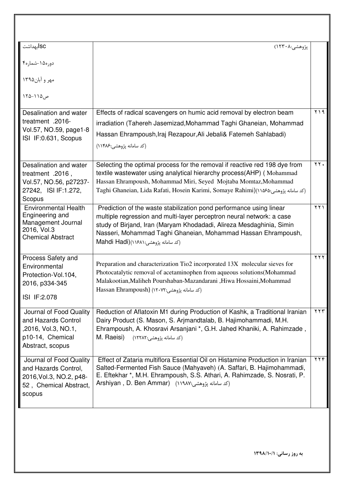| پژوهشي:۱۲۳۰۸)                                                                                                                                                                                                                                                                                                                                                |                        |
|--------------------------------------------------------------------------------------------------------------------------------------------------------------------------------------------------------------------------------------------------------------------------------------------------------------------------------------------------------------|------------------------|
|                                                                                                                                                                                                                                                                                                                                                              |                        |
|                                                                                                                                                                                                                                                                                                                                                              |                        |
|                                                                                                                                                                                                                                                                                                                                                              |                        |
| Effects of radical scavengers on humic acid removal by electron beam<br>irradiation (Tahereh Jasemizad, Mohammad Taghi Ghaneian, Mohammad<br>Hassan Ehrampoush, Iraj Rezapour, Ali Jebali& Fatemeh Sahlabadi)<br>(کد سامانه پژوهشی:۱۱۴۸۶)                                                                                                                    | Y                      |
| Selecting the optimal process for the removal if reactive red 198 dye from<br>textile wastewater using analytical hierarchy process(AHP) (Mohammad<br>Hassan Ehrampoush, Mohammad Miri, Seyed Mojtaba Momtaz, Mohammad<br>Taghi Ghaneian, Lida Rafati, Hosein Karimi, Somaye Rahimi)(١١٥۶۵: بوهشی:Taghi Ghaneian, Lida Rafati, Hosein Karimi, Somaye Rahimi) | ٢٢.                    |
| Prediction of the waste stabilization pond performance using linear<br>multiple regression and multi-layer perceptron neural network: a case<br>study of Birjand, Iran (Maryam Khodadadi, Alireza Mesdaghinia, Simin<br>Nasseri, Mohammad Taghi Ghaneian, Mohammad Hassan Ehrampoush,<br>(كد سامانه يژوهشي:۱۶۸۱)(Mahdi Hadi                                  | $\gamma \gamma$        |
| Preparation and characterization Tio2 incorporated 13X molecular sieves for<br>Photocatalytic removal of acetaminophen from aqueous solutions(Mohammad<br>Malakootian, Maliheh Pourshaban-Mazandarani, Hiwa Hossaini, Mohammad<br>(كد سامانه يژوهشي:۱۲۰۷۲) (Hassan Ehrampoush                                                                                | $\overline{Y}$         |
| Reduction of Aflatoxin M1 during Production of Kashk, a Traditional Iranian<br>Dairy Product (S. Mason, S. Arjmandtalab, B. Hajimohammadi, M.H.<br>Ehrampoush, A. Khosravi Arsanjani *, G.H. Jahed Khaniki, A. Rahimzade,<br>M. Raeisi)<br>(کد سامانه پژوهشي:١٢٢٨٢)                                                                                          | $\overline{Y}$         |
| Effect of Zataria multiflora Essential Oil on Histamine Production in Iranian<br>Salted-Fermented Fish Sauce (Mahyaveh) (A. Saffari, B. Hajimohammadi,<br>E. Eftekhar *, M.H. Ehrampoush, S.S. Athari, A. Rahimzade, S. Nosrati, P.<br>Arshiyan , D. Ben Ammar) (١١٩٨٧: شامانه يژوهشي)                                                                       | $\gamma \gamma \gamma$ |
|                                                                                                                                                                                                                                                                                                                                                              |                        |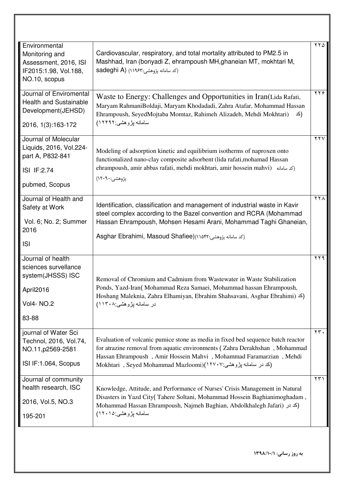| Environmental<br>Monitoring and<br>Assessment, 2016, ISI<br>IF2015:1.98, Vol.188,<br>NO.10, scopus   | Cardiovascular, respiratory, and total mortality attributed to PM2.5 in<br>Mashhad, Iran (bonyadi Z, ehrampoush MH, ghaneian MT, mokhtari M,<br>Sadeghi A) (١١٩۶٣: يژوهشي: ۱۱۹۶۳)                                                                                                                                  | ۲۲۵                    |
|------------------------------------------------------------------------------------------------------|--------------------------------------------------------------------------------------------------------------------------------------------------------------------------------------------------------------------------------------------------------------------------------------------------------------------|------------------------|
| Journal of Enviromental<br><b>Health and Sustainable</b><br>Development(JEHSD)<br>2016, 1(3):163-172 | Waste to Energy: Challenges and Opportunities in Iran(Lida Rafati,<br>Maryam RahmaniBoldaji, Maryam Khodadadi, Zahra Atafar, Mohammad Hassan<br>Ehrampoush, SeyedMojtaba Momtaz, Rahimeh Alizadeh, Mehdi Mokhtari)<br>(کد<br>سامانه بِژوهشي:۱۲۴۹۲)                                                                 | $\overline{YYf}$       |
| Journal of Molecular<br>Liquids, 2016, Vol.224-<br>part A, P832-841<br>ISI IF:2.74<br>pubmed, Scopus | Modeling of adsorption kinetic and equilibrium isotherms of naproxen onto<br>functionalized nano-clay composite adsorbent (lida rafati, mohamad Hassan<br>ehrampoush, amir abbas rafati, mehdi mokhtari, amir hossein mahvi) (كد سامانه ()<br>پژوهشی:۹۰۹۰)                                                         | $\gamma \gamma \gamma$ |
| Journal of Health and<br>Safety at Work<br>Vol. 6; No. 2; Summer<br>2016<br><b>ISI</b>               | Identification, classification and management of industrial waste in Kavir<br>steel complex according to the Bazel convention and RCRA (Mohammad<br>Hassan Ehrampoush, Mohsen Hesami Arani, Mohammad Taghi Ghaneian,<br>Asghar Ebrahimi, Masoud Shafiee)(١١٥۴٢: ركد سامانه يژوهشي:Asghar Ebrahimi, Masoud Shafiee) | $\gamma \gamma \wedge$ |
| Journal of health<br>sciences survellance<br>system(JHSSS) ISC<br>April2016<br>Vol4- NO.2<br>83-88   | Removal of Chromium and Cadmium from Wastewater in Waste Stabilization<br>Ponds, Yazd-Iran(Mohammad Reza Samaei, Mohammad hassan Ehrampoush,<br>Hoshang Maleknia, Zahra Elhamiyan, Ebrahim Shahsavani, Asghar Ebrahimi) $\leq$ )<br>در سامانه پژوهشی:۱۱۳۰۸)                                                        | ۲۲۹                    |
| journal of Water Sci<br>Technol, 2016, Vol.74,<br>NO.11, p2569-2581<br>ISI IF:1.064, Scopus          | Evaluation of volcanic pumice stone as media in fixed bed sequence batch reactor<br>for atrazine removal from aquatic environments (Zahra Derakhshan, Mohammad<br>Hassan Ehrampoush, Amir Hossein Mahvi, Mohammad Faramarzian, Mehdi<br>(كد در سامانه پژوهشي:۱۲۷۰۷(Mokhtari) , Seyed Mohammad Mazloomi             | $\tau\tau$ .           |
| Journal of community<br>health research, ISC<br>2016, Vol.5, NO.3<br>195-201                         | Knowledge, Attitude, and Performance of Nurses' Crisis Management in Natural<br>Disasters in Yazd City(Tahere Soltani, Mohammad Hossein Baghianimoghadam,<br>Mohammad Hassan Ehrampoush, Najmeh Baghian, Abdolkhalegh Jafari) (كد در)<br>سامانـه پژوهشـی:۱۲۰۱۵)                                                    | $\gamma \gamma \gamma$ |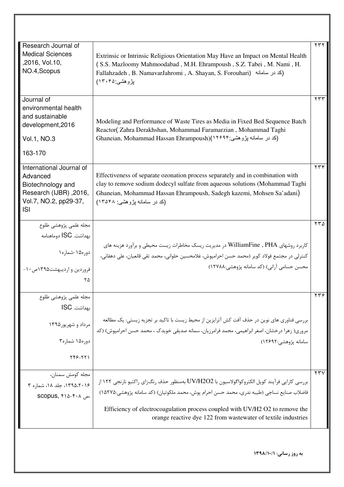| Research Journal of<br><b>Medical Sciences</b><br>,2016, Vol.10,<br>NO.4, Scopus                                           | Extrinsic or Intrinsic Religious Orientation May Have an Impact on Mental Health<br>(S.S. Mazloomy Mahmoodabad, M.H. Ehrampoush, S.Z. Tabei, M. Nami, H.<br>Fallahzadeh , B. NamavarJahromi , A. Shayan, S. Forouhari) (كد در سامانه)<br>بڑوہشی ۱۳۰۴۵)                                                                                        | ۲۳۲                    |
|----------------------------------------------------------------------------------------------------------------------------|-----------------------------------------------------------------------------------------------------------------------------------------------------------------------------------------------------------------------------------------------------------------------------------------------------------------------------------------------|------------------------|
| Journal of<br>environmental health<br>and sustainable<br>development, 2016<br>Vol.1, NO.3<br>163-170                       | Modeling and Performance of Waste Tires as Media in Fixed Bed Sequence Batch<br>Reactor(Zahra Derakhshan, Mohammad Faramarzian, Mohammad Taghi<br>(کد در سامانه پژوهشی:۱۲۶۹۴)(Ghaneian, Mohammad Hassan Ehrampoush)                                                                                                                           | ۲۳۳                    |
| International Journal of<br>Advanced<br>Biotechnology and<br>,2016, Research (IJBR)<br>Vol.7, NO.2, pp29-37,<br><b>ISI</b> | Effectiveness of separate ozonation process separately and in combination with<br>clay to remove sodium dodecyl sulfate from aqueous solutions (Mohammad Taghi<br>Ghaneian, Mohammad Hassan Ehrampoush, Sadegh kazemi, Mohsen Sa'adani)<br>(کد در سامانه پژوهشی: ۱۳۵۴۸)                                                                       | ۲۳۴                    |
| مجله علمى پژوهشى طلوع<br>بهداشت. ISC دوماهنامه<br>  دوره۱۵-شماره۱<br>فروردین و اردیبهشت۱۳۹۵ص ۱۰-<br>۲۵                     | کاربرد روشهای WilliamFine , PHA در مدیریت ریسک مخاطرات زیست محیطی و برآورد هزینه های<br>كنترلي در مجتمع فولاد كوير (محمد حسن احرامپوش، غلامحسين حلواني، محمد تقي قانعيان، على دهقاني،<br>محسن حسامی آرانی) (کد سامانه پژوهشی:۱۲۷۸۸)                                                                                                           | ۲۳۵                    |
| مجله علمى پژوهشى طلوع<br>بهداشت. ISC<br>مرداد و شهریور۱۳۹۵<br>دوره۱۵ شماره۳<br>$YY5 - YY1$                                 | بررسی فناوری های نوین در حذف آفت کش آترایزین از محیط زیست با تاکید بر تجزیه زیستی: یک مطالعه<br>مروري( زهرا درخشان، اصغر ابراهيمي، محمد فرامرزيان، سمانه صديقي خويدک ، محمد حسن احرامپوش) (کد<br>سامانه يژوهشي:١٢۶٩٢)                                                                                                                         | $\gamma \gamma \gamma$ |
| مجله كومش سمنان،<br>۱۳۹۵،۲۰۱۶، جلد ۱۸، شماره ۳<br>scopus, ۴۱۵-۴۰۸                                                          | بررسي كارايي فرآيند كوپل الكتروكواگولاسيون با UV/H2O2 بەمنظور حذف رنگ(اي راكتيو نارنجي ١٢٢ از<br>فاضلاب صنايع نساجي (طيبه ندري، محمد حسن احرام پوش، محمد ملكوتيان) (كد سامانه پژوهشي:١٥٢٧٥)<br>Efficiency of electrocoagulation process coupled with UV/H2 O2 to remove the<br>orange reactive dye 122 from was tewater of textile industries | ۲۳۷                    |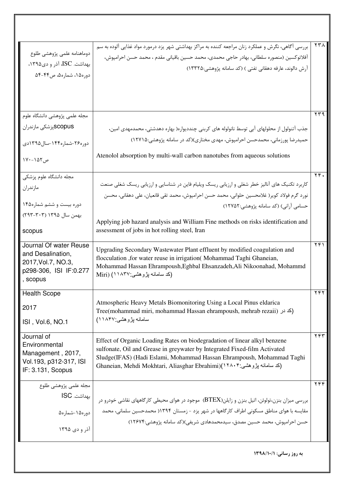| دوماهنامه علمى پژوهشى طلوع<br>بهداشت. ISC، آذر و دی۱۳۹۵،<br>دوره۱۵، شماره۵، ص۴۴-۵۴                        | بررسی آگاهی، نگرش و عملکرد زنان مراجعه کننده به مراکز بهداشتی شهر یزد درمورد مواد غذایی آلوده به سم<br>آفلاتوكسين (منصوره سلطاني، بهادر حاجي محمدي، محمد حسين باقياني مقدم ، محمد حسن احرامپوش،<br>آرش دالوند، عارفه دهقانی تفتی ) (کد سامانه پژوهشی:۱۳۳۲۵)                                                                                                                   | ۲۳۸                     |
|-----------------------------------------------------------------------------------------------------------|-------------------------------------------------------------------------------------------------------------------------------------------------------------------------------------------------------------------------------------------------------------------------------------------------------------------------------------------------------------------------------|-------------------------|
| مجله علمى پژوهشى دانشگاه علوم<br>SCOPUSپزشکی مازندران<br>دوره۲۶-شماره۱۴۴-سال۱۳۹۵دی<br>ص ۱۵۲-۱۷۰           | جذب آتنولول از محلولهای آبی توسط نانولوله های کربنی چنددیواره( بهاره دهدشتی، محمدمهدی امین،<br>حمیدرضا پورزمانی، محمدحسن احرامپوش، مهدی مختاری)(کد در سامانه پژوهشی:۱۲۷۱۵)<br>Atenolol absorption by multi-wall carbon nanotubes from aqueous solutions                                                                                                                       | ۲۳۹                     |
| مجله دانشگاه علوم پزشکی<br>مازندران<br>دوره بیست و ششم شماره۱۴۵<br>بهمن سال ۱۳۹۵ (۲۰۳–۲۹۳)<br>scopus      | کاربرد تکنیک های آنالیز خطر شغلی و ارزیابی ریسک ویلیام فاین در شناسایی و ارزیابی ریسک شغلی صنعت<br>نورد گرم فولاد کویر( غلامحسین حلوانی، محمد حسن احرامپوش، محمد تقی قانعیان، علی دهقانی، محسن<br>حسامی آرانی) (کد سامانه پژوهشی:۱۲۷۵۲)<br>Applying job hazard analysis and William Fine methods on risks identification and<br>assessment of jobs in hot rolling steel, Iran | $\mathbf{Y} \mathbf{Y}$ |
| Journal Of water Reuse<br>and Desalination,<br>2017, Vol. 7, NO. 3,<br>p298-306, ISI IF:0.277<br>, scopus | Upgrading Secondary Wastewater Plant effluent by modified coagulation and<br>flocculation, for water reuse in irrigation (Mohammad Taghi Ghaneian,<br>Mohammad Hassan Ehrampoush, Eghbal Ehsanzadeh, Ali Nikoonahad, Mohammd<br>(کد سامانه بڑوهشی:۱۱۸۳۷) (Miri                                                                                                                | ۲۴۱                     |
| <b>Health Scope</b><br>2017<br>ISI, Vol.6, NO.1                                                           | Atmospheric Heavy Metals Biomonitoring Using a Local Pinus eldarica<br>Tree(mohammad miri, mohammad Hassan ehrampoush, mehrab rezaii) (كد در)<br>سامانه بزوهشي:۱۸۴۷)                                                                                                                                                                                                          | ۲۴۲                     |
| Journal of<br>Environmental<br>Management, 2017,<br>Vol.193, p312-317, ISI<br>IF: 3.131, Scopus           | Effect of Organic Loading Rates on biodegradation of linear alkyl benzene<br>sulfonate, Oil and Grease in greywater by Integrated Fixed-film Activated<br>Sludge(IFAS) (Hadi Eslami, Mohammad Hassan Ehrampoush, Mohammad Taghi<br>(كد سامانه پژوهشي:۱۲۸۰۴)(Ghaneian, Mehdi Mokhtari, Aliasghar Ebrahimi)                                                                     | ۲۴۳                     |
| مجله علمی پژوهشی طلوع<br>بهداشت. ISC<br>  دوره۱۵-شماره۵<br>آذر و دي ۱۳۹۵                                  | بررسی میزان بنزن،تولوئن، اتیل بنزن و زایلن(BTEX)  موجود در هوای محیطی کارگاههای نقاشی خودرو در<br>مقایسه با هوای مناطق مسکونی اطراف کارگاهها در شهر یزد – زمستان ۱۳۹۴( محمدحسین سلمانی، محمد<br>حسن احرامپوش، محمد حسین مصدق، سیدمحمدهادی شریفی)(کد سامانه پژوهشی:۱۲۶۷۴)                                                                                                      | YYY                     |
|                                                                                                           | به روز رسانی: ۱۳۹۸/۱۰/۱                                                                                                                                                                                                                                                                                                                                                       |                         |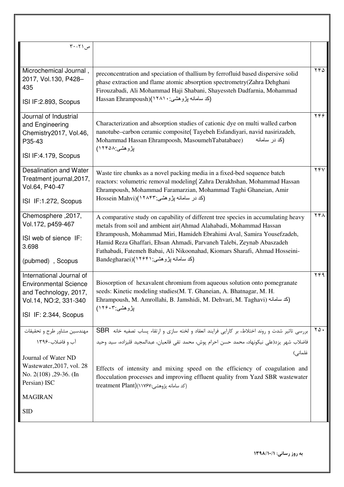| $\mathsf{Y} \cdot - \mathsf{Y} \setminus \mathsf{Q}$                                                                                |                                                                                                                                                                                                                                                                                                                                                                                                                                   |                                       |
|-------------------------------------------------------------------------------------------------------------------------------------|-----------------------------------------------------------------------------------------------------------------------------------------------------------------------------------------------------------------------------------------------------------------------------------------------------------------------------------------------------------------------------------------------------------------------------------|---------------------------------------|
| Microchemical Journal,<br>2017, Vol.130, P428-<br>435                                                                               | preconcentration and speciation of thallium by ferrofluid based dispersive solid<br>phase extraction and flame atomic absorption spectrometry(Zahra Dehghani<br>Firouzabadi, Ali Mohammad Haji Shabani, Shayessteh Dadfarnia, Mohammad<br>(کد سامانه بڑو هشی: ۱۲۸۱۰)(Hassan Ehrampoush                                                                                                                                            | $\overline{\Upsilon^{\varphi}\Delta}$ |
| ISI IF:2.893, Scopus                                                                                                                |                                                                                                                                                                                                                                                                                                                                                                                                                                   |                                       |
| Journal of Industrial<br>and Engineering<br>Chemistry2017, Vol.46,<br>P35-43<br>ISI IF:4.179, Scopus                                | Characterization and absorption studies of cationic dye on multi walled carbon<br>nanotube-carbon ceramic composite(Tayebeh Esfandiyari, navid nasirizadeh,<br>Mohammad Hassan Ehrampoosh, MasoumehTabatabaee)<br>(کد در سامانه<br>بِزْوهشي ۱۲۴۵۸)                                                                                                                                                                                | $\overline{\Uparrow \gamma}$          |
|                                                                                                                                     |                                                                                                                                                                                                                                                                                                                                                                                                                                   |                                       |
| <b>Desalination and Water</b><br>Treatment journal, 2017,<br>Vol.64, P40-47<br>ISI IF:1.272, Scopus                                 | Waste tire chunks as a novel packing media in a fixed-bed sequence batch<br>reactors: volumetric removal modeling(Zahra Derakhshan, Mohammad Hassan<br>Ehrampoush, Mohammad Faramarzian, Mohammad Taghi Ghaneian, Amir<br>(کد در سامانه پژوهشي:۲۸۴۳)(Hossein Mahvi                                                                                                                                                                | YYV                                   |
| Chemosphere, 2017,                                                                                                                  |                                                                                                                                                                                                                                                                                                                                                                                                                                   | YFA                                   |
| Vol.172, p459-467<br>ISI web of sience IF:<br>3.698<br>(pubmed), Scopus                                                             | A comparative study on capability of different tree species in accumulating heavy<br>metals from soil and ambient air(Ahmad Alahabadi, Mohammad Hassan<br>Ehrampoush, Mohammad Miri, Hamideh Ebrahimi Aval, Samira Yousefzadeh,<br>Hamid Reza Ghaffari, Ehsan Ahmadi, Parvaneh Talebi, Zeynab Abaszadeh<br>Fathabadi, Fatemeh Babai, Ali Nikoonahad, Kiomars Sharafi, Ahmad Hosseini-<br>(کد سامانـه پژوهشـي: ۱۲۶۴۱)(Bandegharaei |                                       |
| International Journal of<br><b>Environmental Science</b><br>and Technology, 2017,<br>Vol.14, NO:2, 331-340<br>ISI IF: 2.344, Scopus | Biosorption of hexavalent chromium from aqueous solution onto pomegranate<br>seeds: Kinetic modeling studies (M. T. Ghaneian, A. Bhatnagar, M. H.<br>Ehrampoush, M. Amrollahi, B. Jamshidi, M. Dehvari, M. Taghavi) (كد سامانه)<br>بِزْوهشي:۱۲۶۰۳)                                                                                                                                                                                | $\overline{Y}$                        |
| مهندسين مشاور طرح و تحقيقات                                                                                                         | بررسی تاثیر شدت و روند اختلاط، بر کارایی فرایند انعقاد و لخته سازی و ارتقاء پساب تصفیه خانه SBR                                                                                                                                                                                                                                                                                                                                   | ۲۵.                                   |
| آب و فاضلاب-۱۳۹۶                                                                                                                    | فاضلاب شهر يزد(على نيكونهاد، محمد حسن احرام پوش، محمد تقى قانعيان، عبدالمجيد قليزاده، سيد وحيد                                                                                                                                                                                                                                                                                                                                    |                                       |
| Journal of Water ND<br>Wastewater, 2017, vol. 28<br>No. $2(108)$ , $29-36$ . (In<br>Persian) ISC                                    | غلمانی)<br>Effects of intensity and mixing speed on the efficiency of coagulation and<br>flocculation processes and improving effluent quality from Yazd SBR wastewater<br>(كد سامانه يژوهشي:۱۷۶۷)(treatment Plant                                                                                                                                                                                                                |                                       |
| <b>MAGIRAN</b>                                                                                                                      |                                                                                                                                                                                                                                                                                                                                                                                                                                   |                                       |
| <b>SID</b>                                                                                                                          |                                                                                                                                                                                                                                                                                                                                                                                                                                   |                                       |
|                                                                                                                                     |                                                                                                                                                                                                                                                                                                                                                                                                                                   |                                       |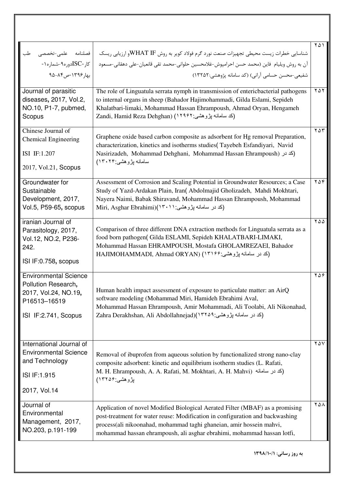| فصلنامه علمى-تخصصى<br>طب<br>کار -ISCدوره۹-شماره۱-<br>بهار ۱۳۹۶-ص ۸۴-۹۵                                              | شناسایی خطرات زیست محیطی تجهیزات صنعت نورد گرم فولاد کویر به روش WHAT IFو ارزیابی ریسک<br>آن به روش ويليام فاين (محمد حسن احرامپوش-غلامحسين حلواني-محمد تقي قانعيان-علي دهقاني-مسعود<br>شفيعي-محسن حسامي آراني) (كد سامانه پژوهشي:١٣٢۵٢)                                                                                       | ۲۵۱                    |
|---------------------------------------------------------------------------------------------------------------------|--------------------------------------------------------------------------------------------------------------------------------------------------------------------------------------------------------------------------------------------------------------------------------------------------------------------------------|------------------------|
| Journal of parasitic<br>diseases, 2017, Vol.2,<br>NO.10, P1-7, pubmed,<br>Scopus                                    | The role of Linguatula serrata nymph in transmission of entericbacterial pathogens<br>to internal organs in sheep (Bahador Hajimohammadi, Gilda Eslami, Sepideh<br>Khalatbari-limaki, Mohammad Hassan Ehrampoush, Ahmad Oryan, Hengameh<br>Zandi, Hamid Reza Dehghan) (1۲۹۶۲) محمد السلمانه بِژوهشي: Zandi, Hamid Reza Dehghan | YAY                    |
| Chinese Journal of<br><b>Chemical Engineering</b><br>ISI IF:1.207<br>2017, Vol.21, Scopus                           | Graphene oxide based carbon composite as adsorbent for Hg removal Preparation,<br>characterization, kinetics and isotherms studies(Tayebeh Esfandiyari, Navid<br>Nasirizadeh, Mohammad Dehghani, Mohammad Hassan Ehrampoush) (كد در)<br>سامانه بژوهشي:۱۳۰۲۴)                                                                   | $Y \Delta Y$           |
| Groundwater for<br>Sustainable<br>Development, 2017,<br>Vol.5, P59-65, scopus                                       | Assessment of Corrosion and Scaling Potential in Groundwater Resources; a Case<br>Study of Yazd-Ardakan Plain, Iran( Abdolmajid Gholizadeh, Mahdi Mokhtari,<br>Nayera Naimi, Babak Shiravand, Mohammad Hassan Ehrampoush, Mohammad<br>(کد در سامانه پژوهشی: Miri, Asghar Ebrahimi)(۱۳۰۱۱                                       | $Y\Delta Y$            |
| iranian Journal of<br>Parasitology, 2017,<br>Vol.12, NO.2, P236-<br>242.<br>ISI IF:0.758, scopus                    | Comparison of three different DNA extraction methods for Linguatula serrata as a<br>food born pathogen(Gilda ESLAMI, Sepideh KHALATBARI-LIMAKI,<br>Mohammad Hassan EHRAMPOUSH, Mostafa GHOLAMREZAEI, Bahador<br>HAJIMOHAMMADI, Ahmad ORYAN) (١٣١٤٤) لكد در سامانه پژوهشي:۶۴۶۴ FIAJIMOHAMMADI, Ahmad                            | $\gamma \Delta \Delta$ |
| <b>Environmental Science</b><br>Pollution Research,<br>2017, Vol.24, NO.19,<br>P16513-16519<br>ISI IF:2.741, Scopus | Human health impact assessment of exposure to particulate matter: an AirQ<br>software modeling (Mohammad Miri, Hamideh Ebrahimi Aval,<br>Mohammad Hassan Ehrampoush, Amir Mohammadi, Ali Toolabi, Ali Nikonahad,<br>Zahra Derakhshan, Ali Abdollahnejad)(١٣٢٥٩: تر سامانه بژوهشي: 1                                            | $Y\Delta\mathcal{F}$   |
| International Journal of<br><b>Environmental Science</b><br>and Technology<br>ISI IF:1.915<br>2017, Vol.14          | Removal of ibuprofen from aqueous solution by functionalized strong nano-clay<br>composite adsorbent: kinetic and equilibrium isotherm studies (L. Rafati,<br>M. H. Ehrampoush, A. A. Rafati, M. Mokhtari, A. H. Mahvi) (كد در سامانه)<br>پژوهشی:۱۳۲۵۶)                                                                        | ۲۵۷                    |
| Journal of<br>Environmental<br>Management, 2017,<br>NO.203, p.191-199                                               | Application of novel Modified Biological Aerated Filter (MBAF) as a promising<br>post-treatment for water reuse: Modification in configuration and backwashing<br>process(ali nikoonahad, mohammad taghi ghaneian, amir hossein mahvi,<br>mohammad hassan ehrampoush, ali asghar ebrahimi, mohammad hassan lotfi,              | ۲۵۸                    |
|                                                                                                                     | به روز رسانی: ۱۳۹۸/۱۰/۱                                                                                                                                                                                                                                                                                                        |                        |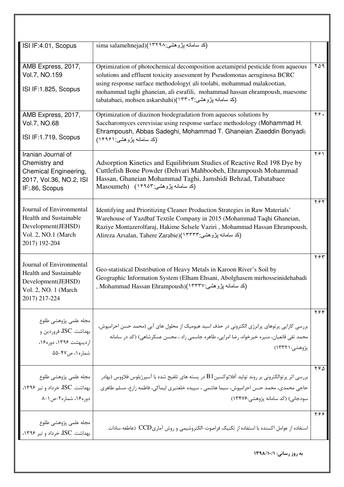| ISI IF:4.01, Scopus                                                                                               | sima salamehnejad)(١٣٢٩٨) ( كد سامانه پژوهشي:                                                                                                                                                                                                                                                                                                                                     |                                              |
|-------------------------------------------------------------------------------------------------------------------|-----------------------------------------------------------------------------------------------------------------------------------------------------------------------------------------------------------------------------------------------------------------------------------------------------------------------------------------------------------------------------------|----------------------------------------------|
| AMB Express, 2017,<br>Vol.7, NO.159<br>ISI IF:1.825, Scopus                                                       | Optimization of photochemical decomposition acetamiprid pesticide from aqueous<br>solutions and effluent toxicity assessment by Pseudomonas aeruginosa BCRC<br>using response surface methodology( ali toolabi, mohammad malakootian,<br>mohammad taghi ghaneian, ali esrafili, mohammad hassan ehrampoush, maesome<br>tabatabaei, mohsen askarshahi)(١٣٣٠٣) (كد سامانه پژوهشي: ۲ | $Y\Delta$ 9                                  |
| AMB Express, 2017,<br>Vol.7, NO.68<br>ISI IF:1.719, Scopus                                                        | Optimization of diazinon biodegradation from aqueous solutions by<br>Saccharomyces cerevisiae using response surface methodology (Mohammad H.<br>Ehrampoush, Abbas Sadeghi, Mohammad T. Ghaneian, Ziaeddin Bonyadi)<br>(کد سامانه پژوهشي: ۱۴۹۶۱)                                                                                                                                  | $\overline{Y}$ $\overline{Y}$ $\overline{Y}$ |
| Iranian Journal of<br>Chemistry and<br>Chemical Engineering,<br>2017, Vol.36, NO.2, ISI<br>IF:86, Scopus          | Adsorption Kinetics and Equilibrium Studies of Reactive Red 198 Dye by<br>Cuttlefish Bone Powder (Dehvari Mahboobeh, Ehrampoush Mohammad<br>Hassan, Ghaneian Mohammad Taghi, Jamshidi Behzad, Tabatabaee<br>(کد سامانه پژوهشي:۱۴۹۵۳) Masoumeh)                                                                                                                                    | ۲۶۱                                          |
| Journal of Environmental<br>Health and Sustainable<br>Development(JEHSD)<br>Vol. 2, NO.1 (March<br>2017) 192-204  | Identifying and Prioritizing Cleaner Production Strategies in Raw Materials'<br>Warehouse of Yazdbaf Textile Company in 2015 (Mohammad Taqhi Ghaneian,<br>Raziye Montazerolfaraj, Hakime Selsele Vaziri, Mohammad Hassan Ehrampoush,<br>Alireza Arsalan, Tahere Zarabie)(١٣٣٣٣) ابڑوهشي:Alireza Arsalan, Tahere Zarabie                                                           | ۲۶۲                                          |
| Journal of Environmental<br>Health and Sustainable<br>Development(JEHSD)<br>Vol. 2, NO. 1 (March<br>2017) 217-224 | Geo-statistical Distribution of Heavy Metals in Karoon River's Soil by<br>Geographic Information System (Elham Ehsani, Abolghasem mirhosseinidehabadi<br>(کد سامانه پژوهشی:۱۳۳۲۷)(Mohammad Hassan Ehrampoush ,                                                                                                                                                                    | ۲۶۳                                          |
| مجله علمى پژوهشى طلوع<br>بهداشت. ISC، فروردين و<br>ارديبهشت ١٣٩۶، دوره١۶،<br>شماره ۰۱ ص۴۷-۵۵                      | بررسی کارایی پرتوهای پرانرژی الکترونی در حذف اسید هیومیک از محلول های آبی (محمد حسن احرامپوش،<br>محمد تقی قانعیان، منیره خیرخواه، رضا امرایی، طاهره جاسمی زاد ، محسن عسکرشاهی) (کد در سامانه<br>پژوهشي:۱۳۳۲۱)                                                                                                                                                                     | ۲۶۴                                          |
| مجله علمى پژوهشى طلوع<br>بهداشت. ISC، خرداد و تير ١٣٩۶،<br>دوره ۱۶، شماره۲-ص۱-۸                                   | بررسی اثر پرتوالکترونی بر روند تولید آفلاتوکسین $\mathrm{B1}$ در پسته های تلقیح شده با آسپرژیلوس فلاووس (بهادر<br>حاجی محمدی، محمد حسن احرامپوش، سیما هاشمی ، سپیده خلعتبری لیماکی، فاطمه زارع، مسلم طاهری<br>سودجانی) (کد سامانه پژوهشی:۱۳۴۷۶)                                                                                                                                   | ۲۶۵                                          |
| مجله علمى پژوهشى طلوع<br>بهداشت. ISC، خرداد و تیر ۱۳۹۶،                                                           | استفاده از عوامل اکسنده با استفاده از تکنیک فراصوت–الکتروشیمی و روش آماری ${\rm CCD}$ (عاطفه سادات                                                                                                                                                                                                                                                                                | Y99                                          |
|                                                                                                                   | به روز رسانی: ١٣٩٨/١٠/١                                                                                                                                                                                                                                                                                                                                                           |                                              |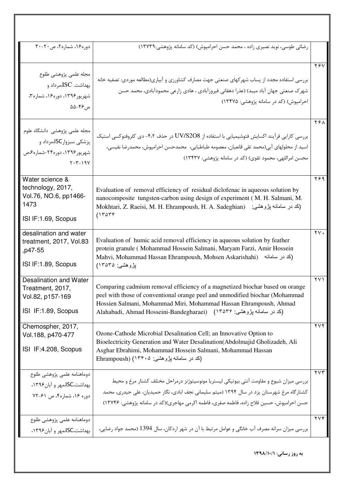| دوره۱۶، شماره۲، ص۲۰-۳۰                                                                                        | رضائی طوسی، نوید نصیری زاده ، محمد حسن احرامپوش) (کد سامانه پژوهشی:۱۳۷۳۹)                                                                                                                                                                                                                                                                          |                      |
|---------------------------------------------------------------------------------------------------------------|----------------------------------------------------------------------------------------------------------------------------------------------------------------------------------------------------------------------------------------------------------------------------------------------------------------------------------------------------|----------------------|
| مجله علمى پژوهشى طلوع<br>بهداشت. $\rm{ISC}$ ،مرداد و<br>شهریور ۱۳۹۶، دوره۱۶، شماره۳،<br>ص ۴۶–۵۵               | بررسی استفاده مجدد از پساب شهرکهای صنعتی جهت مصارف کشاورزی و آبیاری(مطالعه موردی: تصفیه خانه<br>شهرک صنعتی جهان آباد میبد) (عذرا دهقانی فیروزآبادی ، هادی زارعی محمودآبادی، محمد حسن<br>احرامیوش) (کد در سامانه پژوهشی: ۱۳۴۷۵)                                                                                                                     | YfV                  |
| مجله علمی پژوهشی دانشگاه علوم<br>پزشکی سبزوارSC،مرداد و<br>شهریور ۱۳۹۶، دوره۲۴-شماره م،ص<br>$Y \cdot Y - 19Y$ | بررسی کارایی فرآیند اکسایش فتوشیمیایی با استفاده از UV/S2O8 در حذف ۴،۲- دی کلروفنوکسی استیک<br>اسيد از محلولهاي آبي(محمد تقي قانعيان، معصومه طباطبايي،  محمدحسن احرامپوش، محمدرضا نفيسي،<br>محسن امراللهی، محمود تقوی) (کد در سامانه پژوهشی: ۱۳۴۳۷)                                                                                                | YFA                  |
| Water science &<br>technology, 2017,<br>Vol.76, NO.6, pp1466-<br>1473<br>ISI IF:1.69, Scopus                  | Evaluation of removal efficiency of residual diclofenac in aqueous solution by<br>nanocomposite tungsten-carbon using design of experiment (M. H. Salmani, M.<br>Mokhtari, Z. Raeisi, M. H. Ehrampoush, H. A. Sadeghian) (كد در سامانه پژوهشي:<br>(17079)                                                                                          | ۲۶۹                  |
| desalination and water<br>treatment, 2017, Vol.83<br>p47-55,<br>ISI IF:1.89, Scopus                           | Evaluation of humic acid removal efficiency in aqueous solution by feather<br>protein granule (Mohammad Hossein Salmani, Maryam Farzi, Amir Hossein<br>Mahvi, Mohammad Hassan Ehrampoush, Mohsen Askarishahi)<br>(کد در سامانه<br>بڑوہشی: ۱۳۵۳۵)                                                                                                   | $\gamma$ $\gamma$ .  |
| Desalination and Water<br>Treatment, 2017,<br>Vol.82, p157-169<br>ISI IF:1.89, Scopus                         | Comparing cadmium removal efficiency of a magnetized biochar based on orange<br>peel with those of conventional orange peel and unmodified biochar (Mohammad<br>Hossien Salmani, Mohammad Miri, Mohammad Hassan Ehrampoush, Ahmad<br>Alahabadi, Ahmad Hosseini-Bandegharaei) (1۳۵۳۶) (کد در سامانه پژوهشی: Alahabadi, Ahmad Hosseini-Bandegharaei) | ۲۷۱                  |
| Chemospher, 2017,<br>Vol.188, p470-477<br>ISI IF:4.208, Scopus                                                | Ozone-Cathode Microbial Desalination Cell; an Innovative Option to<br>Bioelectricity Generation and Water Desalination (Abdolmajid Gholizadeh, Ali<br>Asghar Ebrahimi, Mohammad Hossein Salmani, Mohammad Hassan<br>(کد در سامانه پژوهشی: ۱۳۴۰۵) (Ehrampoush                                                                                       | $\gamma \vee \gamma$ |
| دوماهنامه علمى پژوهشى طلوع<br>بهداشت،SC،مهر و آبان۱۳۹۶.<br>دوره ۱۶، شماره۴، ص ۶۱-۷۲                           | بررسی میزان شیوع و مقاومت آنتی بیوتیکی لیستریا مونوسیتوژنز درمراحل مختلف کشتار مرغ و محیط<br>کشتار گاه مرغ شهرستان یزد در سال ۱۳۹۴ (میثم سلیمانی نجف ابادی، نگار حمیدیان، علی حیدری، محمد<br>حسن احرامیوش، حسین فلاح زاده، فاطمه صفری، فاطمه اکرمی مهاجری)(کد در سامانه پژوهشی: ۱۳۷۴۶)                                                             | $\gamma \vee \gamma$ |
| دوماهنامه علمى پژوهشى طلوع<br>بهداشت،SC،مهر و آبان ۱۳۹۶،                                                      | بررسی میزان سرانه مصرف آب خانگی و عوامل مرتبط با آن در شهر اردکان، سال 1394 (محمد جواد رضایی،                                                                                                                                                                                                                                                      | $\gamma \vee \gamma$ |
|                                                                                                               | به روز رسانی: ١٣٩٨/١٠/١                                                                                                                                                                                                                                                                                                                            |                      |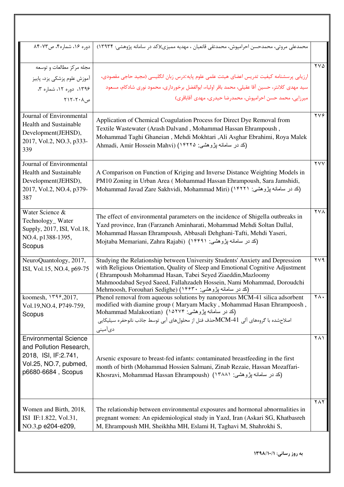| دوره ۱۶، شماره۴، ص۷۳-۸۴               | محمدعلی مروتی، محمدحسن احرامپوش، محمدتقی قانعیان ، مهدیه ممیزی)(کد در سامانه پژوهشی: ۱۳۹۳۴)                                          |                                  |
|---------------------------------------|--------------------------------------------------------------------------------------------------------------------------------------|----------------------------------|
| مجله مرکز مطالعات و توسعه             |                                                                                                                                      | $\gamma \vee \delta$             |
| آموزش علوم پزشکی یزد، پاییز           | ارزيابي پرسشنامه كيفيت تدريس اعضاي هيئت علمي علوم پايه:درس زبان انگليسي (مجيد حاجي مقصودي،                                           |                                  |
| ١٣٩۶، دوره ١٢، شماره ٣،               | سید مهدی کلانتر، حسین آقا عقیلی، محمد باقر اولیاء، ابوالفضل برخورداری، محمود نوری شادکام، مسعود                                      |                                  |
| $Y \setminus Y - Y \cdot \Lambda$ , م | میرزایی، محمد حسن احرامپوش، محمدرضا حیدری، مهدی آقاباقری)                                                                            |                                  |
|                                       |                                                                                                                                      |                                  |
| Journal of Environmental              | Application of Chemical Coagulation Process for Direct Dye Removal from                                                              | $\gamma \gamma \gamma$           |
| <b>Health and Sustainable</b>         | Textile Wastewater (Arash Dalvand, Mohammad Hassan Ehrampoush,                                                                       |                                  |
| Development(JEHSD),                   | Mohammad Taghi Ghaneian, Mehdi Mokhtari, Ali Asghar Ebrahimi, Roya Malek                                                             |                                  |
| 2017, Vol.2, NO.3, p333-              | Ahmadi, Amir Hossein Mahvi) (١۴٢٢٥ بژوهشي: م                                                                                         |                                  |
| 339                                   |                                                                                                                                      |                                  |
| Journal of Environmental              |                                                                                                                                      | $\mathsf{Y}\mathsf{V}\mathsf{V}$ |
| <b>Health and Sustainable</b>         | A Comparison on Function of Kriging and Inverse Distance Weighting Models in                                                         |                                  |
| Development(JEHSD),                   | PM10 Zoning in Urban Area (Mohammad Hassan Ehrampoush, Sara Jamshidi,                                                                |                                  |
| 2017, Vol.2, NO.4, p379-<br>387       | Mohammad Javad Zare Sakhvidi, Mohammad Miri) (١٤٢٢١ بزرهشي: ١٢٢٦١)                                                                   |                                  |
|                                       |                                                                                                                                      |                                  |
| Water Science &                       | The effect of environmental parameters on the incidence of Shigella outbreaks in                                                     | <b>YVA</b>                       |
| Technology_Water                      | Yazd province, Iran (Farzaneh Aminharati, Mohammad Mehdi Soltan Dallal,                                                              |                                  |
| Supply, 2017, ISI, Vol.18,            | Mohammad Hassan Ehrampoush, Abbasali Dehghani-Tafti, Mehdi Yaseri,                                                                   |                                  |
| NO.4, p1388-1395,                     | Mojtaba Memariani, Zahra Rajabi) (١۴۴٩١ بِژوهشي: ١٤٣٩١)                                                                              |                                  |
| Scopus                                |                                                                                                                                      |                                  |
| NeuroQuantology, 2017,                | Studying the Relationship between University Students' Anxiety and Depression                                                        | $\gamma \vee \gamma$             |
| ISI, Vol.15, NO.4, p69-75             | with Religious Orientation, Quality of Sleep and Emotional Cognitive Adjustment                                                      |                                  |
|                                       | (Ehrampoush Mohammad Hasan, Tabei Seyed Ziaeddin, Mazloomy<br>Mahmoodabad Seyed Saeed, Fallahzadeh Hossein, Nami Mohammad, Doroudchi |                                  |
|                                       | (کد در سامانه پژوهشي: ۱۴۶۳۰) (Mehrnoosh, Forouhari Sedighe                                                                           |                                  |
| koomesh, $149,2017$ ,                 | Phenol removal from aqueous solutions by nanoporous MCM-41 silica adsorbent                                                          | ۲۸.                              |
| Vol.19, NO.4, P749-759,               | modified with diamine group (Maryam Macky, Mohammad Hasan Ehrampoosh,<br>(کد در سامانه پژوهشی: Mohammad Malakootian) (۱۵۲۷۴          |                                  |
| Scopus                                | اصلاحشده با گروههای آلی MCM-41حذف فنل از محلولهای آبی توسط جاذب نانوحفره سیلیکایی                                                    |                                  |
|                                       | دیآمینی                                                                                                                              |                                  |
| <b>Environmental Science</b>          |                                                                                                                                      | ۲۸۱                              |
| and Pollution Research,               |                                                                                                                                      |                                  |
| 2018, ISI, IF: 2.741,                 | Arsenic exposure to breast-fed infants: contaminated breastfeeding in the first                                                      |                                  |
| Vol.25, NO.7, pubmed,                 | month of birth (Mohammad Hossien Salmani, Zinab Rezaie, Hassan Mozaffari-                                                            |                                  |
| p6680-6684, Scopus                    | Khosravi, Mohammad Hassan Ehrampoush) (١٣٨٨١ بِرْوهشي: ١٣٨٨١)                                                                        |                                  |
|                                       |                                                                                                                                      |                                  |
|                                       |                                                                                                                                      |                                  |
|                                       |                                                                                                                                      | $Y \wedge Y$                     |
| Women and Birth, 2018,                | The relationship between environmental exposures and hormonal abnormalities in                                                       |                                  |
| ISI IF:1.822, Vol.31,                 | pregnant women: An epidemiological study in Yazd, Iran (Askari SG, Khatbasreh                                                        |                                  |
| NO.3, p e204-e209,                    | M, Ehrampoush MH, Sheikhha MH, Eslami H, Taghavi M, Shahrokhi S,                                                                     |                                  |
|                                       |                                                                                                                                      |                                  |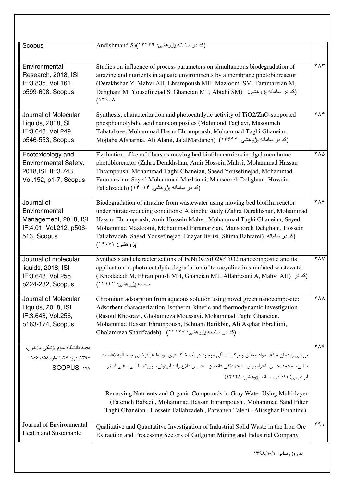| Scopus                                                                                                                                                                                                                                                                                                                                                                                                                                         | (کد در سامانه پژوهشي: Andishmand S)(۱۳۴۶۹                                                                                                                                                                                                                                                                                                                                                                                |                              |
|------------------------------------------------------------------------------------------------------------------------------------------------------------------------------------------------------------------------------------------------------------------------------------------------------------------------------------------------------------------------------------------------------------------------------------------------|--------------------------------------------------------------------------------------------------------------------------------------------------------------------------------------------------------------------------------------------------------------------------------------------------------------------------------------------------------------------------------------------------------------------------|------------------------------|
|                                                                                                                                                                                                                                                                                                                                                                                                                                                |                                                                                                                                                                                                                                                                                                                                                                                                                          |                              |
| Environmental<br>Research, 2018, ISI<br>IF:3.835, Vol.161,<br>p599-608, Scopus<br>(119.1)                                                                                                                                                                                                                                                                                                                                                      | Studies on influence of process parameters on simultaneous biodegradation of<br>atrazine and nutrients in aquatic environments by a membrane photobioreactor<br>(Derakhshan Z, Mahvi AH, Ehrampoush MH, Mazloomi SM, Faramarzian M,<br>Dehghani M, Yousefinejad S, Ghaneian MT, Abtahi SM) (كد در سامانه پژوهشي:                                                                                                         | $Y \wedge Y$                 |
| Journal of Molecular<br>Liquids, 2018, ISI<br>IF:3.648, Vol.249,<br>p546-553, Scopus                                                                                                                                                                                                                                                                                                                                                           | Synthesis, characterization and photocatalytic activity of TiO2/ZnO-supported<br>phosphomolybdic acid nanocomposites (Mahmoud Taghavi, Masoumeh<br>Tabatabaee, Mohammad Hasan Ehrampoush, Mohammad Taghi Ghaneian,<br>Mojtaba Afsharnia, Ali Alami, JalalMardaneh) (١٣٤٩٢ بژوهشي: ١٣٤٩٦                                                                                                                                  | $Y \wedge Y$                 |
| Evaluation of kenaf fibers as moving bed biofilm carriers in algal membrane<br>Ecotoxicology and<br>Environmental Safety,<br>photobioreactor (Zahra Derakhshan, Amir Hossein Mahvi, Mohammad Hassan<br>2018, ISI IF: 3.743,<br>Ehrampoush, Mohammad Taghi Ghaneian, Saeed Yousefinejad, Mohammad<br>Vol.152, p1-7, Scopus<br>Faramarzian, Seyed Mohammad Mazloomi, Mansooreh Dehghani, Hossein<br>Fallahzadeh) (١۴٠١۴) (عد در سامانه پژوهشي: ۴ |                                                                                                                                                                                                                                                                                                                                                                                                                          | $\sqrt{10}$                  |
| Journal of<br>Environmental<br>Management, 2018, ISI<br>IF:4.01, Vol.212, p506-<br>513, Scopus                                                                                                                                                                                                                                                                                                                                                 | Biodegradation of atrazine from wastewater using moving bed biofilm reactor<br>under nitrate-reducing conditions: A kinetic study (Zahra Derakhshan, Mohammad<br>Hassan Ehrampoush, Amir Hossein Mahvi, Mohammad Taghi Ghaneian, Seyed<br>Mohammad Mazloomi, Mohammad Faramarzian, Mansooreh Dehghani, Hossein<br>Fallahzadeh, Saeed Yousefinejad, Enayat Berizi, Shima Bahrami) (كد در سامانه)<br>بِزْوِهْنْسَى: ١۴٠٧٢) | $\gamma \wedge \hat{\gamma}$ |
| Journal of molecular<br>liquids, 2018, ISI<br>IF:3.648, Vol.255,<br>p224-232, Scopus                                                                                                                                                                                                                                                                                                                                                           | Synthesis and characterizations of FeNi3@SiO2@TiO2 nanocomposite and its<br>application in photo-catalytic degradation of tetracycline in simulated wastewater<br>(Khodadadi M, Ehrampoush MH, Ghaneian MT, Allahresani A, Mahvi AH) (كد در)<br>سامانه پژوهشي: ۱۴۱۴۴)                                                                                                                                                    | YAY                          |
| Journal of Molecular<br>Liquids, 2018, ISI<br>IF:3.648, Vol.256,<br>p163-174, Scopus                                                                                                                                                                                                                                                                                                                                                           | Chromium adsorption from aqueous solution using novel green nanocomposite:<br>Adsorbent characterization, isotherm, kinetic and thermodynamic investigation<br>(Rasoul Khosravi, Gholamreza Moussavi, Mohammad Taghi Ghaneian,<br>Mohammad Hassan Ehrampoush, Behnam Barikbin, Ali Asghar Ebrahimi,<br>(کد در سامانه پژوهشي: ۱۴۱۲۷) Gholamreza Sharifzadeh)                                                              | <b>YAA</b>                   |
| _<br>مجله دانشگاه علوم پزشکی مازندران،<br>۱۳۹۶، دوره ۲۷، شماره ۱۵۸، ۱۶۶–<br><b>SCOPUS</b> WA                                                                                                                                                                                                                                                                                                                                                   | بررسی راندمان حذف مواد مغذی و ترکیبات آلی موجود در آب خاکستری توسط فیلترشنی چند الیه (فاطمه<br>بابايي، محمد حسن احرامپوش، محمدتقي قانعيان، حسين فلاح زاده ابرقوئي، پروانه طالبي، على اصغر<br>ابراهیمی) (کد در سامانه پژوهشی: ۱۴۱۴۸)                                                                                                                                                                                      | ۲۸۹                          |
|                                                                                                                                                                                                                                                                                                                                                                                                                                                | Removing Nutrients and Organic Compounds in Gray Water Using Multi-layer<br>(Fatemeh Babaei, Mohammad Hassan Ehrampoush, Mohammad Sand Filter<br>Taghi Ghaneian, Hossein Fallahzadeh, Parvaneh Talebi, Aliasghar Ebrahimi)                                                                                                                                                                                               |                              |
| Journal of Environmental<br>Health and Sustainable                                                                                                                                                                                                                                                                                                                                                                                             | Qualitative and Quantatity Investigation of Industrial Solid Waste in the Iron Ore<br>Extraction and Processing Sectors of Golgohar Mining and Industrial Company                                                                                                                                                                                                                                                        | ٢٩.                          |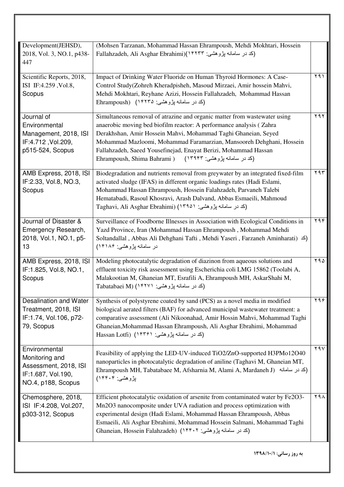| Fallahzadeh, Ali Asghar Ebrahimi)(١۴٢٣٣ بڑوهشی: Fallahzadeh, Ali Asghar Ebrahimi)<br>2018, Vol. 3, NO.1, p438-<br>447                                                                                                                                                                                                                                                                                                                                                                                                  |                                |
|------------------------------------------------------------------------------------------------------------------------------------------------------------------------------------------------------------------------------------------------------------------------------------------------------------------------------------------------------------------------------------------------------------------------------------------------------------------------------------------------------------------------|--------------------------------|
| Scientific Reports, 2018,<br>Impact of Drinking Water Fluoride on Human Thyroid Hormones: A Case-<br>Control Study(Zohreh Kheradpisheh, Masoud Mirzaei, Amir hossein Mahvi,<br>ISI IF:4.259, Vol.8,<br>Mehdi Mokhtari, Reyhane Azizi, Hossein Fallahzadeh, Mohammad Hassan<br>Scopus<br>(کد در سامانه پژوهشي: ۱۴۲۳۵) Ehrampoush)                                                                                                                                                                                       | ۲۹۱                            |
| Journal of<br>Simultaneous removal of atrazine and organic matter from wastewater using<br>Environmental<br>anaerobic moving bed biofilm reactor: A performance analysis (Zahra<br>Management, 2018, ISI<br>Derakhshan, Amir Hossein Mahvi, Mohammad Taghi Ghaneian, Seyed<br>IF:4.712, Vol.209,<br>Mohammad Mazloomi, Mohammad Faramarzian, Mansooreh Dehghani, Hossein<br>Fallahzadeh, Saeed Yousefinejad, Enayat Berizi, Mohammad Hassan<br>p515-524, Scopus<br>Ehrampoush, Shima Bahrami ) (1۳۹۴۳) نیزوهشی: ۱۳۹۴۳) | ۲۹۲                            |
| AMB Express, 2018, ISI<br>Biodegradation and nutrients removal from greywater by an integrated fixed-film<br>activated sludge (IFAS) in different organic loadings rates (Hadi Eslami,<br>IF:2.33, Vol.8, NO.3,<br>Mohammad Hassan Ehrampoush, Hossein Falahzadeh, Parvaneh Talebi<br>Scopus<br>Hematabadi, Rasoul Khosravi, Arash Dalvand, Abbas Esmaeili, Mahmoud<br>Taghavi, Ali Asghar Ebrahimi) (١٣٩٥١ بژوهشي: ۱۳۹۵۰)                                                                                             | $\gamma$ 9 $\overline{\gamma}$ |
| Journal of Disaster &<br>Surveillance of Foodborne Illnesses in Association with Ecological Conditions in<br>Emergency Research,<br>Yazd Province, Iran (Mohammad Hassan Ehrampoush, Mohammad Mehdi<br>Soltandallal, Abbas Ali Dehghani Tafti, Mehdi Yaseri, Farzaneh Aminharati) $\leq$ )<br>2018, Vol.1, NO.1, p5-<br>در سامانه پژوهشي: ۱۴۱۸۶)<br>13                                                                                                                                                                 | ۲۹۴                            |
| Modeling photocatalytic degradation of diazinon from aqueous solutions and<br>AMB Express, 2018, ISI<br>IF:1.825, Vol.8, NO.1,<br>effluent toxicity risk assessment using Escherichia coli LMG 15862 (Toolabi A,<br>Malakootian M, Ghaneian MT, Esrafili A, Ehrampoush MH, AskarShahi M,<br>Scopus<br>Tabatabaei M) (١۴٢٧١ پژوهشي: ۱۴۲۷۱)                                                                                                                                                                              | ۲۹۵                            |
| Desalination and Water<br>Synthesis of polystyrene coated by sand (PCS) as a novel media in modified<br>biological aerated filters (BAF) for advanced municipal wastewater treatment: a<br>Treatment, 2018, ISI<br>comparative assessment (Ali Nikoonahad, Amir Hossin Mahvi, Mohammad Taghi<br>IF:1.74, Vol.106, p72-<br>Ghaneian, Mohammad Hassan Ehrampoush, Ali Asghar Ebrahimi, Mohammad<br>79, Scopus<br>(کد در سامانه پژوهشی: ۱۴۳۶۱) (Hassan Lotfi                                                              | ۲۹۶                            |
| Environmental<br>Feasibility of applying the LED-UV-induced TiO2/ZnO-supported H3PMo12O40<br>Monitoring and<br>nanoparticles in photocatalytic degradation of aniline (Taghavi M, Ghaneian MT,<br>Assessment, 2018, ISI<br>Ehrampoush MH, Tabatabaee M, Afsharnia M, Alami A, Mardaneh J) (كد در سامانه)<br>IF:1.687, Vol.190,<br>بِزْوِهِشَىٰ: ۱۴۴۰۴)<br>NO.4, p188, Scopus                                                                                                                                           | $Y$ ۹ $V$                      |
| Chemosphere, 2018,<br>Efficient photocatalytic oxidation of arsenite from contaminated water by Fe2O3-<br>ISI IF:4.208, Vol.207,<br>Mn2O3 nanocomposite under UVA radiation and process optimization with<br>experimental design (Hadi Eslami, Mohammad Hassan Ehrampoush, Abbas<br>p303-312, Scopus<br>Esmaeili, Ali Asghar Ebrahimi, Mohammad Hossein Salmani, Mohammad Taghi<br>(کد در سامانه پژوهشی: Ghaneian, Hossein Falahzadeh) (۱۴۴۰۲                                                                          | ۲۹۸                            |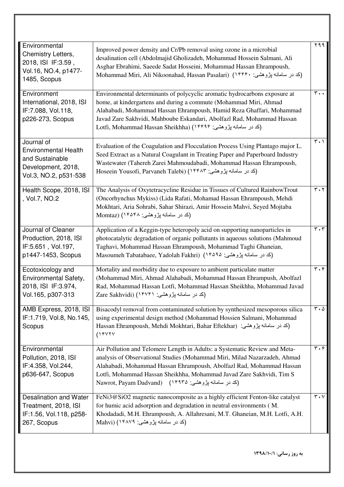| Environmental                                                                                                                                                                                                                                                                                                                                                                                                                                                                                                                                          |                                                                                                                                                                                                                                                                                                                                                             | ۲۹۹                                    |
|--------------------------------------------------------------------------------------------------------------------------------------------------------------------------------------------------------------------------------------------------------------------------------------------------------------------------------------------------------------------------------------------------------------------------------------------------------------------------------------------------------------------------------------------------------|-------------------------------------------------------------------------------------------------------------------------------------------------------------------------------------------------------------------------------------------------------------------------------------------------------------------------------------------------------------|----------------------------------------|
| Chemistry Letters,<br>2018, ISI IF: 3.59,<br>Vol.16, NO.4, p1477-<br>1485, Scopus                                                                                                                                                                                                                                                                                                                                                                                                                                                                      | Improved power density and Cr/Pb removal using ozone in a microbial<br>desalination cell (Abdolmajid Gholizadeh, Mohammad Hossein Salmani, Ali<br>Asghar Ebrahimi, Saeede Sadat Hosseini, Mohammad Hassan Ehrampoush,<br>Mohammad Miri, Ali Nikoonahad, Hassan Pasalari) (١٤٣٢٠ بِژوهشي: ١٤٣٢٠)                                                             |                                        |
| Environment<br>International, 2018, ISI<br>IF:7.088, Vol.118,<br>p226-273, Scopus                                                                                                                                                                                                                                                                                                                                                                                                                                                                      | Environmental determinants of polycyclic aromatic hydrocarbons exposure at<br>home, at kindergartens and during a commute (Mohammad Miri, Ahmad<br>Alahabadi, Mohammad Hassan Ehrampoush, Hamid Reza Ghaffari, Mohammad<br>Javad Zare Sakhvidi, Mahboube Eskandari, Abolfazl Rad, Mohammad Hassan<br>Lotfi, Mohammad Hassan Sheikhha) (١۴۴٩۴ بِژوهشي: ۱۶۴۹۴ | $\mathbf{r} \cdot \cdot$               |
| Journal of<br>Evaluation of the Coagulation and Flocculation Process Using Plantago major L.<br><b>Environmental Health</b><br>Seed Extract as a Natural Coagulant in Treating Paper and Paperboard Industry<br>and Sustainable<br>Wastewater (Tahereh Zarei Mahmoudabadi, Mohammad Hassan Ehrampoush,<br>Development, 2018,<br>Hoseein Yousofi, Parvaneh Talebi) (١۴۴٨٣ بِژوهشي: Hoseein Yousofi, Parvaneh Talebi)<br>Vol.3, NO.2, p531-538<br>Health Scope, 2018, ISI<br>The Analysis of Oxytetracycline Residue in Tissues of Cultured RainbowTrout |                                                                                                                                                                                                                                                                                                                                                             | $\overline{r} \cdot \overline{1}$      |
| (Oncorhynchus Mykiss) (Lida Rafati, Mohamad Hassan Ehrampoush, Mehdi<br>, Vol.7, NO.2<br>Mokhtari, Aria Sohrabi, Sahar Shirazi, Amir Hossein Mahvi, Seyed Mojtaba<br>(کد در سامانه پژوهشی: ۱۴۵۴۸) (Momtaz                                                                                                                                                                                                                                                                                                                                              |                                                                                                                                                                                                                                                                                                                                                             | $\mathbf{r} \cdot \mathbf{r}$          |
| Journal of Cleaner<br>Production, 2018, ISI<br>IF:5.651, Vol.197,<br>p1447-1453, Scopus                                                                                                                                                                                                                                                                                                                                                                                                                                                                | Application of a Keggin-type heteropoly acid on supporting nanoparticles in<br>photocatalytic degradation of organic pollutants in aqueous solutions (Mahmoud<br>Taghavi, Mohammad Hassan Ehrampoush, Mohammad Taghi Ghaneian,<br>Masoumeh Tabatabaee, Yadolah Fakhri) (1۴۵۹۵ بژوهشی: ۱۴۵۹۵)                                                                | $\mathbf{r} \cdot \mathbf{r}$          |
| Ecotoxicology and<br>Environmental Safety,<br>2018, ISI IF: 3.974,<br>Vol.165, p307-313                                                                                                                                                                                                                                                                                                                                                                                                                                                                | Mortality and morbidity due to exposure to ambient particulate matter<br>(Mohammad Miri, Ahmad Alahabadi, Mohammad Hassan Ehrampush, Abolfazl<br>Rad, Mohammad Hassan Lotfi, Mohammad Hassan Sheikhha, Mohammad Javad<br>(کد در سامانه پژوهشي: Zare Sakhvidi) (۱۴۷۴۱                                                                                        | $\overline{\mathbf{r}\cdot\mathbf{r}}$ |
| AMB Express, 2018, ISI<br>IF:1.719, Vol.8, No.145,<br>Scopus                                                                                                                                                                                                                                                                                                                                                                                                                                                                                           | Bisacodyl removal from contaminated solution by synthesized mesoporous silica<br>using experimental design method (Mohammad Hossien Salmani, Mohammad<br>Hassan Ehrampoush, Mehdi Mokhtari, Bahar Eftekhar) (كد در سامانه پژوهشي:<br>(1444)                                                                                                                 | $\mathbf{r} \cdot \mathbf{r}$          |
| Air Pollution and Telomere Length in Adults: a Systematic Review and Meta-<br>Environmental<br>analysis of Observational Studies (Mohammad Miri, Milad Nazarzadeh, Ahmad<br>Pollution, 2018, ISI<br>IF:4.358, Vol.244,<br>Alahabadi, Mohammad Hassan Ehrampoush, Abolfazl Rad, Mohammad Hassan<br>Lotfi, Mohammad Hassan Sheikhha, Mohammad Javad Zare Sakhvidi, Tim S<br>p636-647, Scopus<br>(کد در سامانه پژوهشی: ۱۴۹۳۵) (Nawrot, Payam Dadvand)                                                                                                     |                                                                                                                                                                                                                                                                                                                                                             | $\mathbf{r} \cdot \mathbf{r}$          |
| Desalination and Water<br>Treatment, 2018, ISI<br>IF:1.56, Vol.118, p258-<br>267, Scopus                                                                                                                                                                                                                                                                                                                                                                                                                                                               | FeNi3@SiO2 magnetic nanocomposite as a highly efficient Fenton-like catalyst<br>for humic acid adsorption and degradation in neutral environments (M.<br>Khodadadi, M.H. Ehrampoush, A. Allahresani, M.T. Ghaneian, M.H. Lotfi, A.H.<br>(کد در سامانه پژوهشی: ۱۴۸۷۹) (Mahvi                                                                                 | $r \cdot v$                            |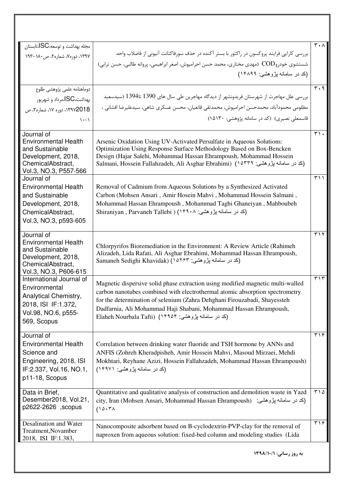| مجله بهداشت و توسعه،SC،تابستان          |                                                                                                                                                                 | $\mathbf{r} \cdot \mathbf{v}$     |
|-----------------------------------------|-----------------------------------------------------------------------------------------------------------------------------------------------------------------|-----------------------------------|
| ۱۳۹۷، دوره۷، شماره۲، ص۱۸۰–۱۹۳           | بررسی کارایی فرایند پروکسون در راکتور با بستر آکنده در حذف سورفاکتانت آنیونی از فاضلاب واحد                                                                     |                                   |
|                                         | شستشوي خودروCOD  (مهدي مختاري، محمد حسن احرامپوش، اصغر ابراهيمي، پروانه طالبي، حسن ترابي)                                                                       |                                   |
|                                         | (کد در سامانه پژوهشی: ۱۴۸۹۹)                                                                                                                                    |                                   |
| دوماهنامه علمى پژوهشى طلوع              |                                                                                                                                                                 | $\overline{r} \cdot \overline{q}$ |
| بهداشت،SC،مرداد و شهریور                | بررسی علل مهاجرت از شهرستان فریدونشهر از دیدگاه مهاجرین طی سال های 1390 تا1394 (سیدسعید                                                                         |                                   |
| ١٣٩٧2018، دوره ١٧، شماره؟، ص            | مظلومی محمودآباد، محمدحسن احرامپوش، محمدتقی قانعیان، محسن عسکری شاهی، سیدعلیرضا افشانی ،                                                                        |                                   |
| $\lambda - \lambda$                     | قاسمعلی نصیری) (کد در سامانه پژوهشی: ۱۵۱۳۰)                                                                                                                     |                                   |
| Journal of                              |                                                                                                                                                                 | $\mathbf{r}$ .                    |
| <b>Environmental Health</b>             | Arsenic Oxidation Using UV-Activated Persulfate in Aqueous Solutions:                                                                                           |                                   |
| and Sustainable                         | Optimization Using Response Surface Methodology Based on Box-Bencken                                                                                            |                                   |
| Development, 2018,<br>ChemicalAbstract, | Design (Hajar Salehi, Mohammad Hassan Ehrampoush, Mohammad Hossein<br>Salmani, Hossein Fallahzadeh, Ali Asghar Ebrahimi) (١٥٣٣٩ بزوهشي: ١٥٣٣٩)                  |                                   |
| Vol.3, NO.3, P557-566                   |                                                                                                                                                                 |                                   |
| Journal of                              |                                                                                                                                                                 | 511                               |
| <b>Environmental Health</b>             | Removal of Cadmium from Aqueous Solutions by a Synthesized Activated                                                                                            |                                   |
| and Sustainable                         | Carbon (Mohsen Ansari, Amir Hosein Mahvi, Mohammad Hossein Salmani,                                                                                             |                                   |
| Development, 2018,                      | Mohammad Hassan Ehrampoush, Mohammad Taghi Ghaneiyan, Mahboubeh                                                                                                 |                                   |
| ChemicalAbstract,                       | Shiraniyan , Parvaneh Tallebi ) (١۴٩٠٨) ( Shiraniyan , Parvaneh Tallebi                                                                                         |                                   |
| Vol.3, NO.3, p593-605                   |                                                                                                                                                                 |                                   |
| Journal of                              |                                                                                                                                                                 | ۳۱۲                               |
| <b>Environmental Health</b>             | Chlorpyrifos Bioremediation in the Environment: A Review Article (Rahimeh                                                                                       |                                   |
| and Sustainable                         | Alizadeh, Lida Rafati, Ali Asghar Ebrahimi, Mohammad Hassan Ehrampoush,                                                                                         |                                   |
| Development, 2018,<br>ChemicalAbstract, | Samaneh Sedighi Khavidak) (۱۵۲۶۳ پژوهشی: ۱۵۲۶۳                                                                                                                  |                                   |
| Vol.3, NO.3, P606-615                   |                                                                                                                                                                 |                                   |
| International Journal of                |                                                                                                                                                                 | $\mathbf{r} \setminus \mathbf{r}$ |
| Environmental                           | Magnetic dispersive solid phase extraction using modified magnetic multi-walled<br>carbon nanotubes combined with electrothermal atomic absorption spectrometry |                                   |
| Analytical Chemistry,                   | for the determination of selenium (Zahra Dehghani Firouzabadi, Shayessteh                                                                                       |                                   |
| 2018, ISI IF:1.372,                     | Dadfarnia, Ali Mohammad Haji Shabani, Mohammad Hassan Ehrampoush,                                                                                               |                                   |
| Vol.98, NO.6, p555-                     | (کد در سامانه پژوهشی: ۱۴۹۵۴) (Elaheh Nourbala Tafti                                                                                                             |                                   |
| 569, Scopus                             |                                                                                                                                                                 |                                   |
| Journal of                              |                                                                                                                                                                 | 515                               |
| <b>Environmental Health</b>             | Correlation between drinking water fluoride and TSH hormone by ANNs and                                                                                         |                                   |
| Science and                             | ANFIS (Zohreh Kheradpisheh, Amir Hossein Mahvi, Masoud Mirzaei, Mehdi                                                                                           |                                   |
| Engineering, 2018, ISI                  | Mokhtari, Reyhane Azizi, Hossein Fallahzadeh, Mohammad Hassan Ehrampoush)                                                                                       |                                   |
| IF:2.337, Vol.16, NO.1,                 | (کد در سامانه بِژوهشي: ۱۴۹۷۱)                                                                                                                                   |                                   |
| p11-18, Scopus                          |                                                                                                                                                                 |                                   |
| Data in Brief,                          | Quantitative and qualitative analysis of construction and demolition waste in Yazd                                                                              | ۲۱۵                               |
| Desember2018, Vol.21,                   | city, Iran (Mohsen Ansari, Mohammad Hassan Ehrampoush) (كد در سامانه پژوهشي:                                                                                    |                                   |
| p2622-2626 , scopus                     | (10.7)                                                                                                                                                          |                                   |
| Desalination and Water                  | Nanocomposite adsorbent based on B-cyclodextrin-PVP-clay for the removal of                                                                                     | 519                               |
| Treatment, Novamber                     | naproxen from aqueous solution: fixed-bed column and modeling studies (Lida                                                                                     |                                   |
| 2018, ISI IF:1.383,                     |                                                                                                                                                                 |                                   |
|                                         | به روز رسانی: ١٣٩٨/١٠/١                                                                                                                                         |                                   |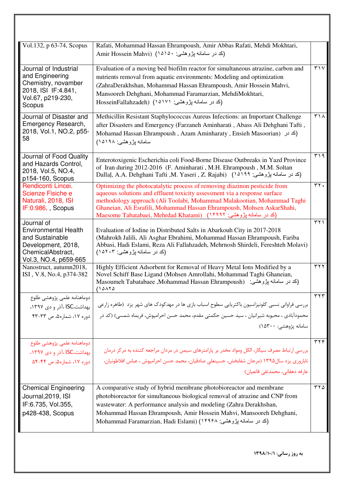| Vol.132, p 63-74, Scopus                                                                                                         | Rafati, Mohammad Hassan Ehrampoush, Amir Abbas Rafati, Mehdi Mokhtari,<br>Amir Hossein Mahvi) (1010. بِژوهشي: ۱۵۱۵۰)                                                                                                                                                                                                                                                                      |                                |
|----------------------------------------------------------------------------------------------------------------------------------|-------------------------------------------------------------------------------------------------------------------------------------------------------------------------------------------------------------------------------------------------------------------------------------------------------------------------------------------------------------------------------------------|--------------------------------|
| Journal of Industrial<br>and Engineering<br>Chemistry, novamber<br>2018, ISI IF:4.841,<br>Vol.67, p219-230,<br>Scopus            | Evaluation of a moving bed biofilm reactor for simultaneous atrazine, carbon and<br>nutrients removal from aquatic environments: Modeling and optimization<br>(ZahraDerakhshan, Mohammad Hassan Ehrampoush, Amir Hossein Mahvi,<br>Mansooreh Dehghani, Mohammad Faramarzian, MehdiMokhtari,<br>(کد در سامانه پژوهشی: HosseinFallahzadeh) (۱۵۱۷۱                                           | $\mathbf{r} \wedge \mathbf{v}$ |
| Journal of Disaster and<br>Emergency Research,<br>2018, Vol.1, NO.2, p55-<br>58                                                  | Methicillin Resistant Staphylococcus Aureus Infections: an Important Challenge<br>after Disasters and Emergency (Farzaneh Aminharati, Abass Ali Dehghani Tafti,<br>Mohamad Hassan Ehrampoush, Azam Aminharaty, Ensieh Masoorian) (كد در)<br>سامانه بِژوهشي: ۱۵۱۹۸)                                                                                                                        | ۳۱۸                            |
| Journal of Food Quality<br>and Hazards Control,<br>2018, Vol.5, NO.4,<br>∥p154-160, Scopus                                       | Enterotoxigenic Escherichia coli Food-Borne Disease Outbreaks in Yazd Province<br>of Iran during 2012-2016 (F. Aminharati, M.H. Ehrampoush, M.M. Soltan<br>Dallal, A.A. Dehghani Tafti ,M. Yaseri , Z. Rajabi) (14199 يژوهشي: 1414)                                                                                                                                                       | ۳۱۹                            |
| Rendiconti Lincei.<br>Scienze Fisiche e<br>Naturali, 2018, ISI<br>$IF:0.986,$ , Scopus                                           | Optimizing the photocatalytic process of removing diazinon pesticide from<br>aqueous solutions and effluent toxicity assessment via a response surface<br>methodology approach (Ali Toolabi, Mohammad Malakootian, Mohammad Taghi<br>Ghaneian, Ali Esrafili, Mohammad Hassan Ehrampoush, Mohsen AskarShahi,<br>Maesome Tabatabaei, Mehrdad Khatami) (1۴۹۹۲ پژوهشي: ۱۴۹۹۲)                 | rr.                            |
| Journal of<br><b>Environmental Health</b><br>and Sustainable<br>Development, 2018,<br>ChemicalAbstract,<br>Vol.3, NO.4, p659-665 | Evaluation of Iodine in Distributed Salts in Abarkouh City in 2017-2018<br>(Mahrokh Jalili, Ali Asghar Ebrahimi, Mohammad Hassan Ehrampoush, Fariba<br>Abbasi, Hadi Eslami, Reza Ali Fallahzadeh, Mehrnosh Shirdeli, Fereshteh Molavi)<br>(کد در سامانه پژوهشی: ۱۵۲۰۳)                                                                                                                    | $\uparrow \uparrow \uparrow$   |
| Nanostruct, autumn2018,<br>ISI, V.8, No.4, p374-382                                                                              | Highly Efficient Adsorbent for Removal of Heavy Metal Ions Modified by a<br>Novel Schiff Base Ligand (Mohsen Amrollahi, Mohammad Taghi Ghaneian,<br>(كد در سامانه پژوهشي: Masoumeh Tabatabaee ,Mohammad Hassan Ehrampoush)<br>(1018)                                                                                                                                                      | ۳۲۲                            |
| دوماهنامه علمى پژوهشى طلوع<br>بهداشت،ISC ،آذر و دی ۱۳۹۷،<br>دوره ١٧، شماره۵، ص ٣٣-۴٣                                             | بررسی فراوانی نسبی کلونیزاسیون باکتریایی سطوح اسباب بازی ها در مهدکودک های شهر یزد  (طاهره زارعی<br>محمودآبادی ، محبوبه شیرانیان ، سید حسین حکمتی مقدم، محمد حسن احرامپوش، فریماه شمسی) (کد در<br>سامانه پژوهشي: ۱۵۳۰۰)                                                                                                                                                                   | $\tau \tau \tau$               |
| دوماهنامه علمى پژوهشى طلوع<br>بهداشت،ISC ،آذر و دی ۱۳۹۷،<br>دوره ١٧، شماره۵، ص ۴۴-۵۴                                             | بررسی ارتباط مصرف سیگار، الکل ومواد مخدر بر پارامترهای سیمن در مردان مراجعه کننده به مرکز درمان<br>ناباروري يزد سال١٣٩۵ (مرجان شفابخش، حسينعلي صادقيان، محمد حسن احرامپوش ، عباس افلاطونيان،<br>عارفه دهقانی، محمدتقی قانعیان)                                                                                                                                                            | $\overline{\tau\tau\epsilon}$  |
| Chemical Engineering<br>Journal, 2019, ISI<br>IF:6.735, Vol.355,<br>p428-438, Scopus                                             | A comparative study of hybrid membrane photobioreactor and membrane<br>photobioreactor for simultaneous biological removal of atrazine and CNP from<br>wastewater: A performance analysis and modeling (Zahra Derakhshan,<br>Mohammad Hassan Ehrampoush, Amir Hossein Mahvi, Mansooreh Dehghani,<br>Mohammad Faramarzian, Hadi Eslami) (١۴٩٤٨) بژوهشي: Mohammad Faramarzian, Hadi Eslami) | ۲۲۵                            |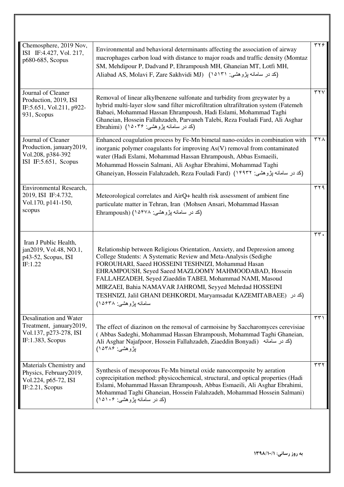| Chemosphere, 2019 Nov,<br>ISI IF:4.427, Vol. 217,<br>p680-685, Scopus                           | Environmental and behavioral determinants affecting the association of airway<br>macrophages carbon load with distance to major roads and traffic density (Momtaz<br>SM, Mehdipour P, Dadvand P, Ehrampoush MH, Ghaneian MT, Lotfi MH,<br>Aliabad AS, Molavi F, Zare Sakhvidi MJ) (١٥١٣١ بزوهشي: ١٥١٣١)                                                                                                                                                                          | $\tau \tau$                |
|-------------------------------------------------------------------------------------------------|----------------------------------------------------------------------------------------------------------------------------------------------------------------------------------------------------------------------------------------------------------------------------------------------------------------------------------------------------------------------------------------------------------------------------------------------------------------------------------|----------------------------|
| Journal of Cleaner<br>Production, 2019, ISI<br>IF:5.651, Vol.211, p922-<br>931, Scopus          | Removal of linear alkylbenzene sulfonate and turbidity from greywater by a<br>hybrid multi-layer slow sand filter microfiltration ultrafiltration system (Fatemeh<br>Babaei, Mohammad Hassan Ehrampoush, Hadi Eslami, Mohammad Taghi<br>Ghaneian, Hossein Fallahzadeh, Parvaneh Talebi, Reza Fouladi Fard, Ali Asghar<br>(کد در سامانه پژوهشی: ۱۵۰۳۶) (Ebrahimi                                                                                                                  | $\overline{r}$             |
| Journal of Cleaner<br>Production, january2019,<br>Vol.208, p384-392<br>ISI IF:5.651, Scopus     | Enhanced coagulation process by Fe-Mn bimetal nano-oxides in combination with<br>inorganic polymer coagulants for improving As(V) removal from contaminated<br>water (Hadi Eslami, Mohammad Hassan Ehrampoush, Abbas Esmaeili,<br>Mohammad Hossein Salmani, Ali Asghar Ebrahimi, Mohammad Taghi<br>(كد در سامانه بِژوهشي: ۱۴۹۳۲) (Ghaneiyan, Hossein Falahzadeh, Reza Fouladi Fard                                                                                               | ۳۲۸                        |
| Environmental Research,<br>2019, ISI IF:4.732,<br>Vol.170, p141-150,<br>scopus                  | Meteorological correlates and AirQ+ health risk assessment of ambient fine<br>particulate matter in Tehran, Iran (Mohsen Ansari, Mohammad Hassan<br>(کد در سامانه پژوهشي: ۱۵۴۷۸) (Ehrampoush                                                                                                                                                                                                                                                                                     | $\overline{r}$             |
| Iran J Public Health,<br>jan2019, Vol.48, NO.1,<br>p43-52, Scopus, ISI<br>IF:1.22               | Relationship between Religious Orientation, Anxiety, and Depression among<br>College Students: A Systematic Review and Meta-Analysis (Sedighe<br>FOROUHARI, Saeed HOSSEINI TESHNIZI, Mohammad Hasan<br>EHRAMPOUSH, Seyed Saeed MAZLOOMY MAHMOODABAD, Hossein<br>FALLAHZADEH, Seyed Ziaeddin TABEI, Mohammad NAMI, Masoud<br>MIRZAEI, Bahia NAMAVAR JAHROMI, Seyyed Mehrdad HOSSEINI<br>TESHNIZI, Jalil GHANI DEHKORDI, Maryamsadat KAZEMITABAEE) (كد در<br>سامانه بڑوهشی: ۱۵۶۳۸) | rr.                        |
| Desalination and Water<br>Treatment, january2019,<br>Vol.137, p273-278, ISI<br>IF:1.383, Scopus | The effect of diazinon on the removal of carmoisine by Saccharomyces cerevisiae<br>(Abbas Sadeghi, Mohammad Hassan Ehrampoush, Mohammad Taghi Ghaneian,<br>Ali Asghar Najafpoor, Hossein Fallahzadeh, Ziaeddin Bonyadi) (كد در سامانه)<br>بِژوهشي: ۱۵۳۸۶)                                                                                                                                                                                                                        | $\uparrow\uparrow\uparrow$ |
| Materials Chemistry and<br>Physics, February2019,<br>Vol.224, p65-72, ISI<br>IF:2.21, Scopus    | Synthesis of mesoporous Fe-Mn bimetal oxide nanocomposite by aeration<br>coprecipitation method: physicochemical, structural, and optical properties (Hadi<br>Eslami, Mohammad Hassan Ehrampoush, Abbas Esmaeili, Ali Asghar Ebrahimi,<br>Mohammad Taghi Ghaneian, Hossein Falahzadeh, Mohammad Hossein Salmani)<br>(کد در سامانه پژوهشی: ۱۵۱۰۶)                                                                                                                                 | ۳۳۲                        |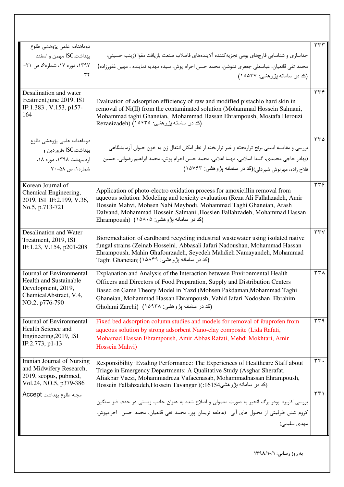|                                                          |                                                                                                                                                               | ۳۳۳              |
|----------------------------------------------------------|---------------------------------------------------------------------------------------------------------------------------------------------------------------|------------------|
| دوماهنامه علمى پژوهشى طلوع                               | جداسازی و شناسایی قارچهای بومی تجزیه کننده آلایندههای فاضلاب صنعت بازیافت مقوا (زینب حسینی،                                                                   |                  |
| بهداشت،ISC ،بهمن و اسفند<br>۱۳۹۷، دوره ۱۷، شماره۶، ص ۲۱- |                                                                                                                                                               |                  |
| ۳۲                                                       | محمد تقی قانعیان، عباسعلی جعفری ندوشن، محمد حسن احرام پوش، سیده مهدیه نماینده ، مهین غفورزاده)                                                                |                  |
|                                                          | (کد در سامانه پژوهشی: ۱۵۵۴۷)                                                                                                                                  |                  |
| Desalination and water                                   |                                                                                                                                                               | ۳۳۴              |
| treatment, june 2019, ISI                                | Evaluation of adsorption efficiency of raw and modified pistachio hard skin in                                                                                |                  |
| IF:1.383, V.153, p157-<br>164                            | removal of Ni(II) from the contaminated solution (Mohammad Hossein Salmani,<br>Mohammad taghi Ghaneian, Mohammad Hassan Ehrampoush, Mostafa Herouzi           |                  |
|                                                          | (کد در سامانه پژوهشي: Rezaeizadeh) (۱۵۶۳۵                                                                                                                     |                  |
|                                                          |                                                                                                                                                               |                  |
| دوماهنامه علمى پژوهشى طلوع                               |                                                                                                                                                               | $rr\Delta$       |
| بهداشت،ISC ،فروردين و                                    | بررسی و مقایسه ایمنی برنج تراریخته و غیر تراریخته از نظر امکان انتقال ژن به خون حیوان آزمایشگاهی                                                              |                  |
| اردیبهشت ۱۳۹۸، دوره ۱۸،                                  | (بهادر حاجي محمدي، گيلدا اسلامي، مهسا اعلايي، محمد حسن احرام پوش، محمد ابراهيم رضواني، حسين                                                                   |                  |
| شماره ۱، ص ۵۸-۷۰                                         | فلاح زاده، مهرنوش شیردلی)(کد در سامانه پژوهشی: ۱۵۷۶۳)                                                                                                         |                  |
| Korean Journal of                                        |                                                                                                                                                               | rrf              |
| Chemical Engineering,                                    | Application of photo-electro oxidation process for amoxicillin removal from<br>aqueous solution: Modeling and toxicity evaluation (Reza Ali Fallahzadeh, Amir |                  |
| 2019, ISI IF:2.199, V.36,<br>No.5, p.713-721             | Hossein Mahvi, Mohsen Nabi Meybodi, Mohammad Taghi Ghaneian, Arash                                                                                            |                  |
|                                                          | Dalvand, Mohammad Hossein Salmani, Hossien Fallahzadeh, Mohammad Hassan                                                                                       |                  |
|                                                          | (کد در سامانه پژوهشی: ۱۵۸۰۵) (Ehrampoush                                                                                                                      |                  |
| Desalination and Water                                   | Bioremediation of cardboard recycling industrial wastewater using isolated native                                                                             | rrv              |
| Treatment, 2019, ISI<br>IF:1.23, V.154, p201-208         | fungal strains (Zeinab Hosseini, Abbasali Jafari Nadoushan, Mohammad Hassan                                                                                   |                  |
|                                                          | Ehrampoush, Mahin Ghafourzadeh, Seyedeh Mahdieh Namayandeh, Mohammad                                                                                          |                  |
|                                                          | (کد در سامانه پژوهشی: ۲۵۸۴۹) (Taghi Ghaneian                                                                                                                  |                  |
| Journal of Environmental                                 | Explanation and Analysis of the Interaction between Environmental Health                                                                                      | $\tau\tau\wedge$ |
| <b>Health and Sustainable</b><br>Development, 2019,      | Officers and Directors of Food Preparation, Supply and Distribution Centers                                                                                   |                  |
| ChemicalAbstract, V.4,                                   | Based on Game Theory Model in Yazd (Mohsen Pakdaman, Mohammad Taghi                                                                                           |                  |
| NO.2, p776-790                                           | Ghaneian, Mohammad Hassan Ehrampoush, Vahid Jafari Nodoshan, Ebrahim<br>(کد در سامانه پژوهشی: ۱۵۹۳۸) (Gholami Zarchi                                          |                  |
|                                                          |                                                                                                                                                               |                  |
| Journal of Environmental                                 | Fixed bed adsorption column studies and models for removal of ibuprofen from                                                                                  | ۳۳۹              |
| Health Science and<br>Engineering, 2019, ISI             | aqueous solution by strong adsorbent Nano-clay composite (Lida Rafati,<br>Mohamad Hassan Ehrampoush, Amir Abbas Rafati, Mehdi Mokhtari, Amir                  |                  |
| IF:2.773, p1-13                                          | Hossein Mahvi)                                                                                                                                                |                  |
|                                                          |                                                                                                                                                               |                  |
| Iranian Journal of Nursing<br>and Midwifery Research,    | Responsibility Evading Performance: The Experiences of Healthcare Staff about                                                                                 | rr.              |
| 2019, scopus, pubmed,                                    | Triage in Emergency Departments: A Qualitative Study (Asghar Sherafat,<br>Aliakbar Vaezi, Mohammadreza Vafaeenasab, Mohammadhassan Ehrampoush,                |                  |
| Vol.24, NO.5, p379-386                                   | Hossein Fallahzadeh,Hossein Tavangar )(:16154 بزوهشی)                                                                                                         |                  |
| مجله طلوع بهداشت Accept                                  |                                                                                                                                                               | $\tau$ ۴۱        |
|                                                          | بررسی کاربرد پودر برگ انجیر به صورت معمولی و اصلاح شده به عنوان جاذب زیستی در حذف فلز سنگین                                                                   |                  |
|                                                          | كروم شش ظرفيتي از محلول هاي آبي (عاطفه نريمان پور، محمد تقي قانعيان، محمد حسن احرامپوش،                                                                       |                  |
|                                                          | مهدی سلیمی)                                                                                                                                                   |                  |
|                                                          |                                                                                                                                                               |                  |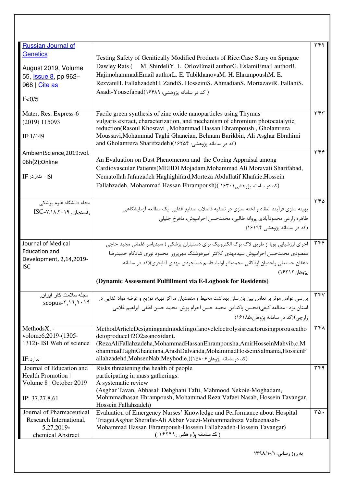| <b>Russian Journal of</b>                              |                                                                                                    | ۳۴۲              |
|--------------------------------------------------------|----------------------------------------------------------------------------------------------------|------------------|
| <b>Genetics</b>                                        |                                                                                                    |                  |
|                                                        | Testing Safety of Genitically Modified Products of Rice: Case Stury on Sprague                     |                  |
| August 2019, Volume                                    | M. ShirdeliY. L. OrlovEmail authorG. EslamiEmail authorB.<br>Dawley Rats (                         |                  |
| 55, <b>Issue 8</b> , pp 962-                           | HajimohammadiEmail authorL. E. TabikhanovaM. H. EhrampoushM. E.                                    |                  |
| $968 \mid$ Cite as                                     | RezvaniH. FallahzadehH. ZandiS. HosseiniS. AhmadianS. MortazaviR. FallahiS.                        |                  |
|                                                        | ( کد در سامانه پژوهشي: Asadi-Yousefabad(۱۶۴۸۹                                                      |                  |
| It < 0/5                                               |                                                                                                    |                  |
| Mater. Res. Express-6                                  | Facile green synthesis of zinc oxide nanoparticles using Thymus                                    | ۳۴۳              |
| (2019) 115093                                          | vulgaris extract, characterization, and mechanism of chromium photocatalytic                       |                  |
|                                                        | reduction(Rasoul Khosravi, Mohammad Hassan Ehrampoush, Gholamreza                                  |                  |
| IF:1/449                                               | Moussavi, Mohammad Taghi Ghaneian, Behnam Barikbin, Ali Asghar Ebrahimi                            |                  |
|                                                        | and Gholamreza Sharifzadeh)(۱۶۲۵۴ پژوهشی: ۱۶۲۵۴)                                                   |                  |
| AmbientScience,2019:vol.                               |                                                                                                    | ۳۴۴              |
| 06h(2);Online                                          | An Evaluation on Dust Phenomenon and the Coping Appraisal among                                    |                  |
|                                                        | Cardiovascular Patients (MEHDI Mojadam, Mohammad Ali Moravati Sharifabad,                          |                  |
| IF : ندارد: IF                                         | Nematollah Jafarzadeh Haghighifard, Morteza Abdullatif Khafaie, Hossein                            |                  |
|                                                        | Fallahzadeh, Mohammad Hassan Ehrampoush)( ۱۶۳۰۱ بژوهشی)                                            |                  |
|                                                        |                                                                                                    |                  |
| مجله دانشگاه علوم پزشکی                                |                                                                                                    | ۲۴۵              |
| $ISC-\varepsilon$ ،۱۸٬۲۰۱۹), $\mathcal{C}-\mathcal{C}$ | بهينه سازي فرآيند انعقاد و لخته سازي در تصفيه فاضلاب صنايع غذايي: يک مطالعه آزمايشگاهي             |                  |
|                                                        | طاهره زارعي محمودآبادي يروانه طالبي، محمدحسن احراميوش، ماهرخ جليلي                                 |                  |
|                                                        | (کد در سامانه پژوهشی ۱۶۱۹۴)                                                                        |                  |
|                                                        |                                                                                                    |                  |
| Journal of Medical                                     | اجرای ارزشیابی پویا از طریق لاگ بوک الکترونیک برای دستیاران پزشکی ( سیدیاسر غلمانی مجید حاجی       | ۳۴۶              |
| <b>Education and</b>                                   |                                                                                                    |                  |
| Development, 2,14,2019-                                | مقصودی محمدحسن احرامپوش سیدمهدی کلانتر امیرهوشنگ مهرپرور  محمود نوری شادکام حمیدرضا                |                  |
| <b>ISC</b>                                             | دهقان حسنعلي واحديان اردكاني محمدباقر اولياء قاسم دستجردي مهدى آقاباقرى)(كد در سامانه              |                  |
|                                                        | يژوهان ۱۶۲۱۲)                                                                                      |                  |
|                                                        | (Dynamic Assessment Fulfillment via E-Logbook for Residents)                                       |                  |
| مجله سلامت كار ابران٬                                  | بررسی عوامل موثر بر تعامل بین بازرسان بهداشت محیط و متصدیان مراکز تهیه، توزیع و عرضه مواد غذایی در | $rr\overline{v}$ |
| $scopus-Y, 17, Y, 19$                                  | استان يزد : مطالعه كيفي(محسن ياكدامن-محمد حسن احرام يوش-محمد حسن لطفي-ابراهيم غلامي                |                  |
|                                                        |                                                                                                    |                  |
|                                                        | زارجي)(کد در سامانه پژوهان:۱۶۱۸۵)                                                                  |                  |
| MethodsX, -                                            | MethodArticleDesigningandmodelingofanovelelectrolysisreactorusingporouscatho                       | ۳۴۸              |
| volome6,2019-(1305-                                    | detoproduceH2O2asanoxidant.                                                                        |                  |
| 1312)- ISI Web of science                              | (RezaAliFallahzadeha,MohammadHassanEhrampousha,AmirHosseinMahvib,c,M                               |                  |
|                                                        | ohammadTaghiGhaneiana,ArashDalvanda,MohammadHosseinSalmania,HossienF                               |                  |
| ندارد:IF                                               | allahzadehd,MohsenNabiMeybodie,)(١۵٨٠۶ برسامانه پژوهان ۹۶۵/۲۰۶                                     |                  |
| Journal of Education and                               | Risks threatening the health of people                                                             | ٣۴٩              |
| Health Promotion                                       | participating in mass gatherings:                                                                  |                  |
| Volume 8   October 2019                                | A systematic review                                                                                |                  |
|                                                        | (Asghar Tavan, Abbasali Dehghani Tafti, Mahmood Nekoie-Moghadam,                                   |                  |
| IP: 37.27.8.61                                         | Mohmmadhasan Ehrampoush, Mohammad Reza Vafaei Nasab, Hossein Tavangar,                             |                  |
|                                                        | Hossein Fallahzadeh)                                                                               |                  |
|                                                        |                                                                                                    |                  |
| Journal of Pharmaceutical                              |                                                                                                    |                  |
| Research International,                                | Triage(Asghar Sherafat-Ali Akbar Vaezi-Mohammadreza Vafaeenasab-                                   |                  |
| 5,27,2019-<br>chemical Abstract                        | Mohammad Hassan Ehrampoush-Hossein Fallahzadeh-Hossein Tavangar)<br>(کد سامانـه پژوهشـی :۱۶۲۴۹ )   |                  |
|                                                        | Evaluation of Emergency Nurses' Knowledge and Performance about Hospital                           | $r\Delta$ .      |
|                                                        |                                                                                                    |                  |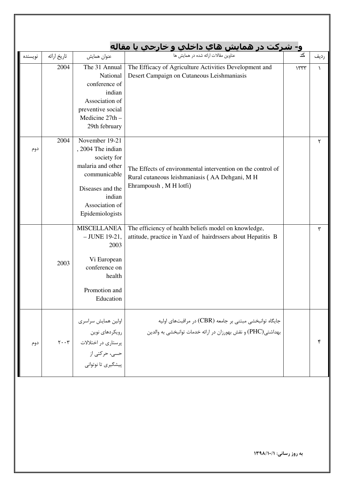| نويسنده | تاريخ ارائه                   | عنوان همايش                                                                                                                                                |                                                                                                                                         | کد   | رديف      |
|---------|-------------------------------|------------------------------------------------------------------------------------------------------------------------------------------------------------|-----------------------------------------------------------------------------------------------------------------------------------------|------|-----------|
|         | 2004                          | The 31 Annual<br>National<br>conference of<br>indian<br>Association of<br>preventive social<br>Medicine 27th -<br>29th february                            | The Efficacy of Agriculture Activities Development and<br>Desert Campaign on Cutaneous Leishmaniasis                                    | 1577 | $\lambda$ |
| دوم     | 2004                          | November 19-21<br>, 2004 The indian<br>society for<br>malaria and other<br>communicable<br>Diseases and the<br>indian<br>Association of<br>Epidemiologists | The Effects of environmental intervention on the control of<br>Rural cutaneous leishmaniasis (AA Dehgani, M H<br>Ehrampoush, M H lotfi) |      | ٢         |
|         | 2003                          | <b>MISCELLANEA</b><br>$-$ JUNE 19-21,<br>2003<br>Vi European<br>conference on<br>health<br>Promotion and<br>Education                                      | The efficiency of health beliefs model on knowledge,<br>attitude, practice in Yazd of hairdrssers about Hepatitis B                     |      | ٣         |
| دوم     | $\mathbf{y} \cdot \mathbf{y}$ | اولين همايش سراسري<br>رويكردهاي نوين<br>پرستاری در اختلالات<br>حسى، حركتي از<br>پیشگیری تا نوتوانی                                                         | جايگاه توانبخشي مبتني بر جامعه (CBR) در مراقبتهاي اوليه<br>بهداشتی(PHC) و نقش بهورزان در ارائه خدمات توانبخشی به والدین                 |      | ۴         |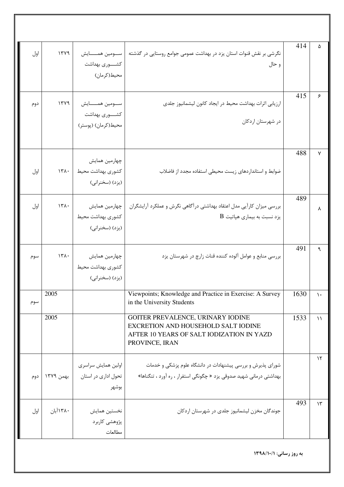| اول | 1749      | سومين همسايش<br>كشـــــورى بهداشت<br>محيط(كرمان)                  | نگرشی بر نقش قنوات استان یزد در بهداشت عمومی جوامع روستایی در گذشته<br>و حال                                                            | 414  | ۵             |
|-----|-----------|-------------------------------------------------------------------|-----------------------------------------------------------------------------------------------------------------------------------------|------|---------------|
| دوم | 1749      | ســـومين همـــــــايش<br>كشـــــورى بهداشت<br>محیط(کرمان) (پوستر) | ارزیابی اثرات بهداشت محیط در ایجاد کانون لیشمانیوز جلدی<br>در شهرستان اردکان                                                            | 415  | ۶             |
| اول | $151 -$   | چهارمین همایش<br>كشورى بهداشت محيط<br>(يزد) (سخنراني)             | ضوابط و استانداردهای زیست محیطی استفاده مجدد از فاضلاب                                                                                  | 488  | ٧             |
| اول | 151.      | چهارمین همایش<br>كشورى بهداشت محيط<br>(يزد) (سخنراني)             | بررسی میزان کارآیی مدل اعتقاد بهداشتی درآگاهی نگرش و عملکرد آرایشگران<br>$\rm\,B$ یزد نسبت به بیماری هپاتیت                             | 489  | ٨             |
| سوم | 151.      | چهارمین همایش<br>كشورى بهداشت محيط<br>(يزد) (سخنراني)             | بررسی منابع و عوامل آلوده کننده قنات زارچ در شهرستان یزد                                                                                | 491  | ٩             |
| سوم | 2005      |                                                                   | Viewpoints; Knowledge and Practice in Exercise: A Survey<br>in the University Students                                                  | 1630 | $\mathcal{L}$ |
|     | 2005      |                                                                   | GOITER PREVALENCE, URINARY IODINE<br>EXCRETION AND HOUSEHOLD SALT IODINE<br>AFTER 10 YEARS OF SALT IODIZATION IN YAZD<br>PROVINCE, IRAN | 1533 | $\setminus$   |
| دوم | بهمن ۱۳۷۹ | اولین همایش سراسری<br>  تحول اداري در استان<br>بوشهر              | شورای پذیرش و بررسی پیشنهادات در دانشگاه علوم پزشکی و خدمات<br>بهداشتی درمانی شهید صدوقی یزد « چگونگی استفرار ، ره آورد ، تنگناها»      |      | $\mathcal{N}$ |
| اول | ۱۳۸۰آبان  | نخستين همايش<br>پژوهشی کاربرد<br>مطالعات                          | جوندگان مخزن لیشمانیوز جلدی در شهرستان اردکان                                                                                           | 493  | $\gamma$      |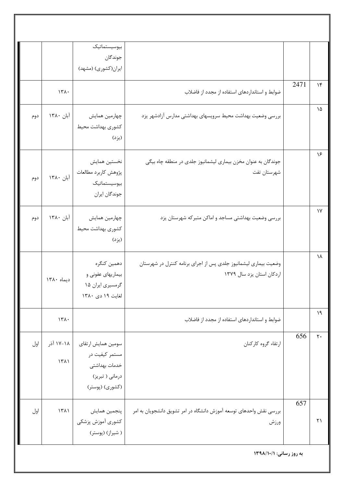|                       |      |                                                                                              | بيوسيستماتيك<br>جوندگان<br>ایران(کشوری) (مشهد)                                              |                   |     |
|-----------------------|------|----------------------------------------------------------------------------------------------|---------------------------------------------------------------------------------------------|-------------------|-----|
| $\lambda$             | 2471 | ضوابط و استانداردهای استفاده از مجدد از فاضلاب                                               |                                                                                             | 151.              |     |
| ۱۵                    |      | بررسی وضعیت بهداشت محیط سرویسهای بهداشتی مدارس آزادشهر یزد                                   | چهارمین همایش<br>كشورى بهداشت محيط<br>(يزد)                                                 | آبان ۱۳۸۰         | دوم |
| ۱۶                    |      | جوندگان به عنوان مخزن بیماری لیشمانیوز جلدی در منطقه چاه بیگی<br>شهرستان تفت                 | نخستين همايش<br>پژوهش كاربرد مطالعات<br>بيوسيستماتيك<br>جوندگان ايران                       | آبان ١٣٨٠         | دوم |
| $\gamma$              |      | بررسی وضعیت بهداشتی مساجد و اماکن متبرکه شهرستان یزد                                         | چهارمین همایش<br>كشورى بهداشت محيط<br>(يزد)                                                 | آبان ۱۳۸۰         | دوم |
| ١٨                    |      | وضعیت بیماری لیشمانیوز جلدی پس از اجرای برنامه کنترل در شهرستان<br>اردكان استان يزد سال ١٣٧٩ | دهمين كنگره<br>بیماریهای عفونی و<br>گرمسیری ایران ۱۵<br>لغايت ١٩ دى ١٣٨٠                    | ديماه ١٣٨٠        |     |
| $\lambda$             |      | ضوابط و استاندار دهای استفاده از مجدد از فاضلاب                                              |                                                                                             | 171.              |     |
| 656<br>$\mathbf{y}$ . |      | ارتقاء گروه كاركنان                                                                          | سومين همايش ارتقاى<br>مستمر کیفیت در<br>خدمات بهداشتى<br>درماني ( تبريز)<br>(کشوری) (پوستر) | ۱۸-۱۷ آذر<br>1511 | اول |
| 657<br>$\uparrow$     |      | بررسی نقش واحدهای توسعه آموزش دانشگاه در امر تشویق دانشجویان به امر<br>ورزش                  | پنجمین همایش<br>كشورى أموزش پزشكى<br>( شیراز) (پوستر)                                       | $\binom{1}{1}$    | اول |
|                       |      | به روز رسانی: ١٣٩٨/١٠/١                                                                      |                                                                                             |                   |     |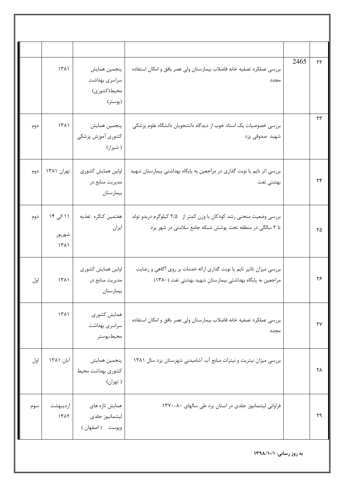|     | 1511                        | پنجمين همايش<br>سراسري بهداشت<br>محيط(كشوري)<br>(پوستر) | بررسي عملكرد تصفيه خانه فاضلاب بيمارستان ولي عصر بافق و امكان استفاده<br>مجدد                                                      | 2465 | $\mathsf{Y}\mathsf{Y}$ |
|-----|-----------------------------|---------------------------------------------------------|------------------------------------------------------------------------------------------------------------------------------------|------|------------------------|
| دوم | 1511                        | پنجمين همايش<br>كشورى أموزش پزشكى<br>( شیراز)           | بررسی خصوصیات یک استاد خوب از دیدگاه دانشجویان دانشگاه علوم پزشکی<br>شهيد صدوقى يزد                                                |      | $\mathsf{Y}\mathsf{Y}$ |
| دوم | تهران ۱۳۸۱                  | اولين همايش كشورى<br>مديريت منابع در<br>بيمارستان       | بررسی اثر تایم یا نوبت گذاری در مراجعین به پایگاه بهداشتی بیمارستان شهید<br>بهشتى تفت                                              |      | ۲۴                     |
| دوم | ۱۱ الی ۱۴<br>شهريور<br>1511 | هفتمين كنگره تغذيه<br>ايران                             | بررسی وضعیت منحنی رشد کودکان با وزن کمتر از ۲/۵ کیلوگرم دربدو تولد<br>تا ۲ سالگی در منطقه تحت پوشش شبکه جامع سلامتی در شهر یزد     |      | ۲۵                     |
| اول | ۱۳۸۱                        | اولين همايش كشورى<br>مديريت منابع در<br>بيمارستان       | بررسی میزان تاثیر تایم یا نوبت گذاری ارائه خدمات بر روی آگاهی و رضایت<br>مراجعین به پایگاه بهداشتی بیمارستان شهید بهشتی تفت (١٣٨٠) |      | ۲۶                     |
|     | 1511                        | همایش کشوری<br>سراسري بهداشت<br>محيط،پوستر              | بررسي عملكرد تصفيه خانه فاضلاب بيمارستان ولى عصر بافق و امكان استفاده<br>مجدد                                                      |      | $\mathsf{Y}\mathsf{Y}$ |
| اول | آبان ۱۳۸۱                   | پنجمين همايش<br>كشورى بهداشت محيط<br>( تهران)           | بررسی میزان نیتریت و نیترات منابع آب آشامیدنی شهرستان یزد سال ۱۳۸۱                                                                 |      | ۲۸                     |
| سوم | ارديبهشت<br>1517            | همایش تازه های<br>ليشمانيوز جلدى<br>وپوست (اصفهان)      | فراوانی لیشمانیوز جلدی در استان یزد طی سالهای ۸۰-۱۳۷۰                                                                              |      | ٢٩                     |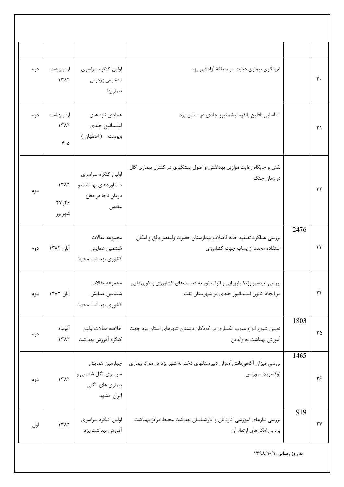| $\mathbf{r}$ .    |      | غربالگری بیماری دیابت در منطقهٔ آزادشهر یزد                                                                            | اولین کنگره سراسری<br>تشخيص زودرس<br>بيماريها                           | ارديبهشت<br>1517               | دوم |
|-------------------|------|------------------------------------------------------------------------------------------------------------------------|-------------------------------------------------------------------------|--------------------------------|-----|
| ۳۱                |      | شناسایی ناقلین بالقوه لیشمانیوز جلدی در استان یزد                                                                      | همایش تازه های<br>ليشمانيوز جلدى<br>وپوست (اصفهان)                      | ارديبهشت<br>1517<br>$F-\Delta$ | دوم |
| ٣٢                |      | نقش و جایگاه رعایت موازین بهداشتی و اصول پیشگیری در کنترل بیماری گال<br>در زمان جنگ                                    | اولین کنگره سراسری<br>دستاوردهای بهداشت و<br>درمان ناجا در دفاع<br>مقدس | 1517<br>$YY_{0}Y$ ۶<br>شهريور  | دوم |
| ٣٣                | 2476 | بررسي عملكرد تصفيه خانه فاضلاب بيمارستان حضرت وليعصر بافق و امكان<br>استفاده مجدد از پساب جهت كشاورزى                  | مجموعه مقالات<br>ششمين همايش<br>كشورى بهداشت محيط                       | آبان ۱۳۸۲                      | دوم |
| $\mathbf{r}$      |      | بررسی اپیدمیولوژیک ارزیابی و اثرات توسعه فعالیتهای کشاورزی و کویرزدایی<br>در ایجاد کانون لیشمانیوز جلدی در شهرستان تفت | مجموعه مقالات<br>ششمين همايش<br>كشوري بهداشت محيط                       | آبان ۱۳۸۲                      | دوم |
| ۳۵                | 1803 | تعیین شیوع انواع عیوب انکساری در کودکان دبستان شهرهای استان یزد جهت<br>آموزش بهداشت به والدين                          | خلاصه مقالات اولين<br>كنگره آموزش بهداشت                                | آذرماه<br>1317                 | دوم |
| ۳۶                | 1465 | بررسی میزان آگاهیدانشآموزان دبیرستانهای دخترانه شهر یزد در مورد بیماری<br>توكسوپلاسموزيس                               | چهارمین همایش<br>سراسری انگل شناسی و<br>بیماری های انگلی<br>ايران-مشهد  | 11717                          | دوم |
| $\forall \forall$ | 919  | بررسی نیازهای آموزشی کاردانان و کارشناسان بهداشت محیط مرکز بهداشت<br>یزد و راهکارهای ارتقاء آن                         | اولین کنگره سراسری<br>آموزش بهداشت يزد                                  | 1517                           | اول |
|                   |      | به روز رسانی: ١٣٩٨/١٠/١                                                                                                |                                                                         |                                |     |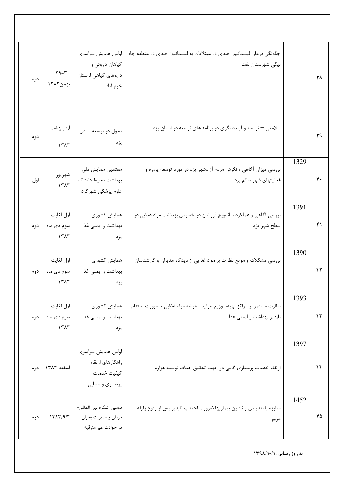| دوم | $\mathbf{Y} \mathbf{Y} - \mathbf{Y} \cdot$<br>بهمن ١٣٨٢ | اولین همایش سراسری<br>گیاهان داروئی و<br>داروهای گیاهی لرستان<br>خرم أباد | چگونگی درمان لیشمانیوز جلدی در مبتلایان به لیشمانیوز جلدی در منطقه چاه<br>بیگی شهرستان تفت            |      | ۳۸ |
|-----|---------------------------------------------------------|---------------------------------------------------------------------------|-------------------------------------------------------------------------------------------------------|------|----|
| دوم | ارديبهشت<br>1515                                        | تحول در توسعه استان<br>يزد                                                | سلامتی – توسعه و آینده نگری در برنامه های توسعه در استان یزد                                          |      | ٣٩ |
| اول | شهريور<br>1515                                          | هفتمین همایش ملی<br>بهداشت محيط دانشگاه<br>علوم پزشکی شهر کرد             | بررسی میزان آگاهی و نگرش مردم آزادشهر یزد در مورد توسعه پروژه و<br>فعالیتهای شهر سالم یزد             | 1329 | ۴۰ |
| دوم | اول لغايت<br>سوم دی ماه<br>1500                         | همايش كشورى<br>بهداشت و ایمنی غذا<br>يزد                                  | بررسی آگاهی و عملکرد ساندویچ فروشان در خصوص بهداشت مواد غذایی در<br>سطح شهر يزد                       | 1391 | ۴۱ |
| دوم | اول لغايت<br>سوم دی ماه<br>151                          | همايش كشورى<br>بهداشت و ایمنی غذا<br>يزد                                  | بررسی مشکلات و موانع نظارت بر مواد غذایی از دیدگاه مدیران و کارشناسان                                 | 1390 | ۴۲ |
| دوم | اول لغايت<br>سوم دی ماه<br>1515                         | همايش كشورى<br>بهداشت و ايمني غذا<br>يزد                                  | نظارت مستمر بر مراكز تهيه، توزيع ،توليد ، عرضه مواد غذايي ، ضرورت اجتناب<br>ناپذیر بهداشت و ایمنی غذا | 1393 | ۴۳ |
| دوم | اسفند ١٣٨٣                                              | اولين همايش سراسري<br>راهكارهاى ارتقاء<br>كيفيت خدمات<br>پرستاري و مامايي | ارتقاء خدمات پرستاری گامی در جهت تحقیق اهداف توسعه هزاره                                              | 1397 | ۴۴ |
| دوم | $\frac{1}{\gamma}$                                      | دومين كنگره بين المللي-<br>درمان و مديريت بحران<br>در حوادث غير مترقبه    | مبارزه با بندپایان و ناقلین بیماریها ضرورت اجتناب ناپذیر پس از وقوع زلزله<br>دربم                     | 1452 | ۴۵ |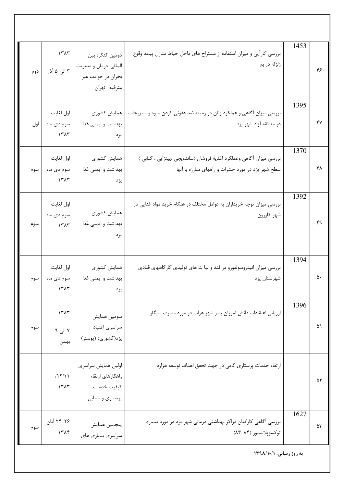| ۴۸ |      | سطح شهر یزد در مورد حشرات و راههای مبارزه با آنها                                       | بهداشت و ایمنی غذا<br>يزد                                                 | سوم دی ماه<br>$\lambda$         | سوم |
|----|------|-----------------------------------------------------------------------------------------|---------------------------------------------------------------------------|---------------------------------|-----|
| ۴۹ | 1392 | بررسی میزان توجه خریداران به عوامل مختلف در هنگام خرید مواد غذایی در<br>شهر کازرون      | همايش كشورى<br>بهداشت و ایمنی غذا<br>يزد                                  | اول لغايت<br>سوم دی ماه<br>1٣٨٣ | سوم |
| ۵۰ | 1394 | بررسی میزان انیدروسولفورو در قند و نبا ت های تولیدی کارگاههای قنادی<br>شهرستان يزد      | همايش كشورى<br>بهداشت و ایمنی غذا<br>يزد                                  | اول لغايت<br>سوم دی ماه<br>151  | سوم |
| ۵۱ | 1396 | ارزیابی اعتقادات دانش آموزان پسر شهر هرات در مورد مصرف سیگار                            | سومين همايش<br>سراسري اعتياد<br>یزد(کشوری) (پوستر)                        | ۱۳۸۳<br>۷ الی ۹<br>بهمن         | سوم |
| ۵۲ |      | ارتقاء خدمات پرستاری گامی در جهت تحقق اهداف توسعه هزاره                                 | اولين همايش سراسري<br>راهكارهاى ارتقاء<br>كيفيت خدمات<br>پرستاري و مامايي | /15/11<br>1515                  |     |
| ۵٣ | 1627 | بررسی آگاهی کارکنان مراکز بهداشتی درمانی شهر یزد در مورد بیماری<br>توكسوپلاسموز (۸۴-۸۳) | پنجمين همايش<br>سراسري بيماري هاي                                         | ۲۴-۲۴ آبان<br>۱۳۸۴              | سوم |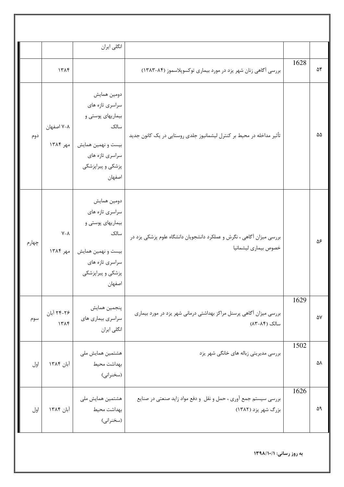|       |                             | انگلی ایران                                                                                                                         |                                                                                               |      |    |
|-------|-----------------------------|-------------------------------------------------------------------------------------------------------------------------------------|-----------------------------------------------------------------------------------------------|------|----|
|       | 1314                        |                                                                                                                                     | بررسی آگاهی زنان شهر یزد در مورد بیماری توکسوپلاسموز (۸۴-۱۳۸۳)                                | 1628 | ۵۴ |
| دوم   | ۷-۸ اصفهان<br>مهر ۱۳۸۴      | دومين همايش<br>سراسري تازه هاي<br>بیماریهای پوستی و<br>سالک<br>بیست و نهمین همایش<br>سراسري تازه هاي<br>پزشکی و پیراپزشکی<br>اصفهان | تأثیر مداخله در محیط بر کنترل لیشمانیوز جلدی روستایی در یک کانون جدید                         |      | ۵۵ |
| چهارم | $V - \Lambda$<br>  مهر ۱۳۸۴ | دومين همايش<br>سراسري تازه هاي<br>بیماریهای پوستی و<br>سالک<br>بیست و نهمین همایش<br>سراسري تازه هاي<br>پزشکی و پیراپزشکی<br>اصفهان | بررسی میزان آگاهی ، نگرش و عملکرد دانشجویان دانشگاه علوم پزشکی یزد در<br>خصوص بيمارى ليشمانيا |      | ۵۶ |
| سوم   | ۲۴-۲۴ آبان<br>1515          | پنجمين همايش<br>سراسري بيماري هاي<br>انگلی ایران                                                                                    | بررسی میزان آگاهی پرسنل مراکز بهداشتی درمانی شهر یزد در مورد بیماری<br>سالک (۸۴-۸۳)           | 1629 | ۵۷ |
| اول   | آبان ۱۳۸۴                   | هشتمین همایش ملی<br>بهداشت محيط<br>(سخنرانی)                                                                                        | بررسی مدیریتی زباله های خانگی شهر یزد                                                         | 1502 | ۵۸ |
| اول   | آبان ۱۳۸۴                   | هشتمین همایش ملی<br>بهداشت محيط<br>(سخنراني)                                                                                        | بررسی سیستم جمع آوری ، حمل و نقل و دفع مواد زاید صنعتی در صنایع<br>بزرگ شهر یزد (۱۳۸۲)        | 1626 | ۵۹ |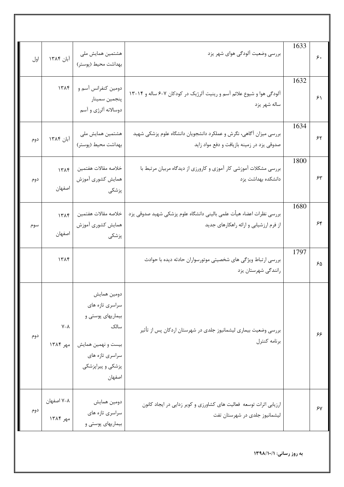| اول | آبان ۱۳۸۴                 | هشتمین همایش ملی<br>بهداشت محيط (پوستر)                                                                                             | بررسی وضعیت آلودگی هوای شهر یزد                                                                                  | 1633 | ۶.                     |
|-----|---------------------------|-------------------------------------------------------------------------------------------------------------------------------------|------------------------------------------------------------------------------------------------------------------|------|------------------------|
|     | 1515                      | دومین کنفرانس آسم و<br>پنجمين سمينار<br>دوسالانه ألرژي و آسم                                                                        | آلودگی هوا و شیوع علائم آسم و رینیت آلرژیک در کودکان ۷-۶ ساله و ۱۴-۱۳<br>ساله شهر يزد                            | 1632 | $\mathcal{F}\setminus$ |
| دوم | آبان ۱۳۸۴                 | هشتمین همایش ملی<br>بهداشت محيط (پوستر)                                                                                             | بررسی میزان آگاهی، نگرش و عملکرد دانشجویان دانشگاه علوم پزشکی شهید<br>صدوقی یزد در زمینه بازیافت و دفع مواد زاید | 1634 | ۶۲                     |
| دوم | 1515<br>اصفهان            | خلاصه مقالات هفتمين<br>همايش كشورى أموزش<br>پزشکی                                                                                   | بررسی مشکلات آموزشی کار آموزی و کارورزی از دیدگاه مربیان مرتبط با<br>دانشكده بهداشت يزد                          | 1800 | $\mathcal{F}^{\psi}$   |
| سوم | 1515<br>اصفهان            | خلاصه مقالات هفتمين<br>همايش كشورى أموزش<br>پزشکی                                                                                   | بررسي نظرات اعضاء هيأت علمي باليني دانشگاه علوم پزشكي شهيد صدوقي يزد<br>از فرم ارزشیابی و ارائه راهکارهای جدید   | 1680 | ۶۴                     |
|     | ١٣٨۴                      |                                                                                                                                     | بررسی ارتباط ویژگی های شخصیتی موتورسواران حادثه دیده با حوادث<br>رانندگی شهرستان یزد                             | 1797 | ۶۵                     |
| دوم | $V - \Lambda$<br>مهر ۱۳۸۴ | دومين همايش<br>سراسري تازه هاي<br>بیماریهای پوستی و<br>سالک<br>بیست و نهمین همایش<br>سراسری تازه های<br>پزشکی و پیراپزشکی<br>اصفهان | بررسی وضعیت بیماری لیشمانیوز جلدی در شهرستان اردکان پس از تأثیر<br>برنامه كنترل                                  |      | ۶۶                     |
| دوم | ۷-۸ اصفهان<br>مهر ۱۳۸۴    | دومين همايش<br>سراسري تازه هاي<br>بیماریهای پوستی و                                                                                 | ارزیابی اثرات توسعه فعالیت های کشاورزی و کویر زدایی در ایجاد کانون<br>لیشمانیوز جلدی در شهرستان تفت              |      | ۶۷                     |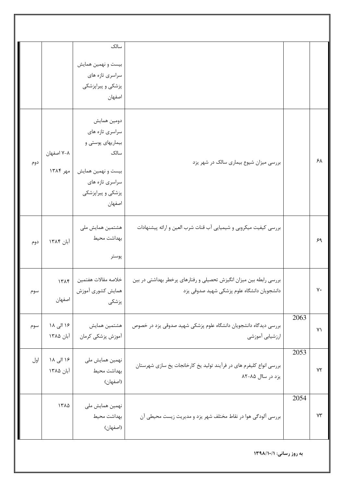|     |                        | سالک<br>بیست و نهمین همایش<br>سراسري تازه هاي<br>پزشکی و پیراپزشکی<br>اصفهان                                                        |                                                                                                                    |      |              |
|-----|------------------------|-------------------------------------------------------------------------------------------------------------------------------------|--------------------------------------------------------------------------------------------------------------------|------|--------------|
| دوم | ۷-۸ اصفهان<br>مهر ۱۳۸۴ | دومين همايش<br>سراسری تازه های<br>بیماریهای پوستی و<br>سالک<br>بیست و نهمین همایش<br>سراسري تازه هاي<br>پزشکی و پیراپزشکی<br>اصفهان | بررسی میزان شیوع بیماری سالک در شهر یزد                                                                            |      | ۶λ           |
| دوم | آبان ۱۳۸۴              | هشتمین همایش ملی<br>بهداشت محيط<br>پوستر                                                                                            | بررسی کیفیت میکروبی و شیمیایی آب قنات شرب العین و ارائه پیشنهادات                                                  |      | ۶۹           |
| سوم | 1515<br>اصفهان         | خلاصه مقالات هفتمين<br>همايش كشورى أموزش<br>پزشکی                                                                                   | بررسی رابطه بین میزان انگیزش تحصیلی و رفتارهای پرخطر بهداشتی در بین<br>دانشجویان دانشگاه علوم پزشکی شهید صدوقی یزد |      | ٧٠           |
| سوم | ۱۶ الی ۱۸<br>آبان ۱۳۸۵ | هشتمين همايش<br>أموزش پزشكى كرمان                                                                                                   | بررسی دیدگاه دانشجویان دانشگاه علوم پزشکی شهید صدوقی یزد در خصوص<br>ارزشيابي أموزشي                                | 2063 | $Y\setminus$ |
| اول | ۱۶ الی ۱۸<br>آبان ۱۳۸۵ | نهمین همایش ملی<br>بهداشت محيط<br>(اصفهان)                                                                                          | بررسی انواع کلیفرم های در فرآیند تولید یخ کارخانجات یخ سازی شهرستان<br>یزد در ساال ۸۵-۸۲                           | 2053 | Y٢           |
|     | ١٣٨۵                   | نهمین همایش ملی<br>بهداشت محيط<br>(اصفهان)                                                                                          | بررسی آلودگی هوا در نقاط مختلف شهر یزد و مدیریت زیست محیطی آن                                                      | 2054 | $Y\Upsilon$  |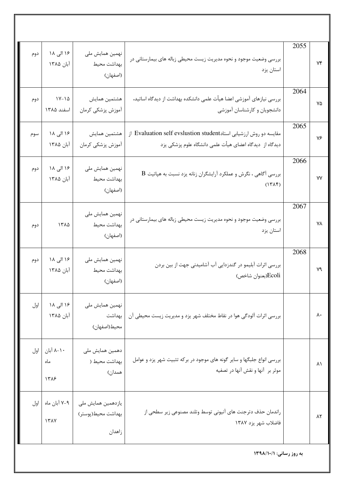| Yf          | 2055                    | بررسی وضعیت موجود و نحوه مدیریت زیست محیطی زباله های بیمارستانی در<br>استان يزد                                              | نهمین همایش ملی<br>بهداشت محيط<br>(اصفهان)         | ۱۶ الی ۱۸<br>آبان ۱۳۸۵         | دوم |  |  |
|-------------|-------------------------|------------------------------------------------------------------------------------------------------------------------------|----------------------------------------------------|--------------------------------|-----|--|--|
| ٧۵          | 2064                    | بررسی نیازهای آموزشی اعضا هیأت علمی دانشکده بهداشت از دیدگاه اساتید،<br>دانشجویان و کارشناسان آموزشی                         | هشتمين همايش<br>آموزش پزشکی کرمان                  | $1Y-1\Delta$<br>اسفند ١٣٨۵     | دوم |  |  |
| ٧۶          | 2065                    | مقایسه دو روش ارزشیابی استادEvaluation self evslustion student از<br>دیدگاه از دیدگاه اعضای هیأت علمی دانشگاه علوم پزشکی یزد | هشتمين همايش<br>آموزش پزشکی کرمان                  | ۱۶ الی ۱۸<br>آبان ۱۳۸۵         | سوم |  |  |
| ٧Y          | 2066                    | $\rm\,B$ بررسی آگاهی ، نگرش و عملکرد آرایشگران زنانه یزد نسبت به هپاتیت<br>$(17\lambda)$                                     | نهمین همایش ملی<br>بهداشت محيط<br>(اصفهان)         | ۱۶ الی ۱۸<br>آبان ۱۳۸۵         | دوم |  |  |
| <b>YA</b>   | 2067                    | بررسی وضعیت موجود و نحوه مدیریت زیست محیطی زباله های بیمارستانی در<br>استان يزد                                              | نهمین همایش ملی<br>بهداشت محيط<br>(اصفهان)         | ١٣٨۵                           | دوم |  |  |
| Y٩          | 2068                    | بررسی اثرات آبلیمو در گندزدایی آب آشامیدنی جهت از بین بردن<br>Ecoli(بعنوان شاخص)                                             | نهمین همایش ملی<br>بهداشت محيط<br>(اصفهان)         | ۱۶ الی ۱۸<br>آبان ۱۳۸۵         | دوم |  |  |
| ٨٠          |                         | بررسی اثرات آلودگی هوا در نقاط مختلف شهر یزد و مدیریت زیست محیطی آن                                                          | نهمین همایش ملی<br>بهداشت<br>محيط(اصفهان)          | ۱۶ الی ۱۸<br>آبان ۱۳۸۵         | اول |  |  |
| $\lambda$   |                         | بررسی انواع جلبگها و سایر گونه های موجود در برکه تثبیت شهر یزد و عوامل<br>موثر بر آنها و نقش آنها در تصفيه                   | دهمین همایش ملی<br>بهداشت محیط (<br>همدان)         | ٨-١٠ آبان   اول<br>ماه<br>17A9 |     |  |  |
| $\lambda$ ٢ |                         | راندمان حذف دترجنت های آنیونی توسط وتلند مصنوعی زیر سطحی از<br>فاضلاب شهر يزد ١٣٨٧                                           | یازدهمین همایش ملی<br>بهداشت محيط(پوستر)<br>زاهدان | ٧-٩ آبان ماه   اول<br>151Y     |     |  |  |
|             | به روز رسانی: ١٣٩٨/١٠/١ |                                                                                                                              |                                                    |                                |     |  |  |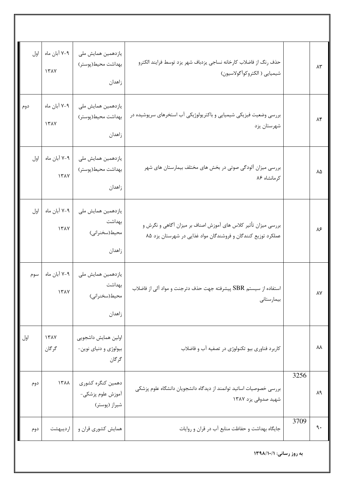| اول | ۷-۹ آبان ماه<br><b>ITAY</b> | یازدهمین همایش ملی<br>بهداشت محيط(پوستر)<br>زاهدان      | حذف رنگ از فاضلاب كارخانه نساجي يزدباف شهر يزد توسط فرايند الكترو<br>شيميايي ( الكتروكواًگولاسيون)                              |      | ۸۳          |
|-----|-----------------------------|---------------------------------------------------------|---------------------------------------------------------------------------------------------------------------------------------|------|-------------|
| دوم | ۷-۹ آبان ماه<br>1٣٨٧        | یازدهمین همایش ملی<br>بهداشت محيط(پوستر)<br>زاهدان      | بررسی وضعیت فیزیکی شیمیایی و باکتریولوژیکی آب استخرهای سرپوشیده در<br>شهرستان يزد                                               |      | $\lambda$ ۴ |
| اول | ۷-۹ آبان ماه<br>1٣٨٧        | یازدهمین همایش ملی<br>بهداشت محيط(پوستر)<br>زاهدان      | بررسی میزان آلودگی صوتی در بخش های مختلف بیمارستان های شهر<br>کر مانشاه ۸۶                                                      |      | ٨۵          |
| اول | ۷-۹ آبان ماه<br>1317        | یازدهمین همایش ملی<br>بهداشت<br>محیط(سخنرانی)<br>زاهدان | بررسی میزان تأثیر کلاس های آموزش اصناف بر میزان آگاهی و نگرش و<br>عملکرد توزیع کنندگان و فروشندگان مواد غذایی در شهرستان یزد ۸۵ |      | ۸۶          |
| سوم | ۷-۹ آبان ماه<br>17AY        | یازدهمین همایش ملی<br>بهداشت<br>محيط(سخنراني)<br>زاهدان | استفاده از سیستم ${\rm SBR}$ پیشرفته جهت حذف دترجنت و مواد آلی از فاضلاب<br>بيمارستانى                                          |      | ٨٧          |
| اول | 151<br>گرگان                | اولين همايش داشجويي<br>بیولوژی و دنیای نوین-<br>گرگان   | کاربرد فناوری بیو تکنولوژی در تصفیه آب و فاضلاب                                                                                 |      | W           |
| دوم | 1٣٨٨                        | دهمين كنگره كشورى<br>آموزش علوم پزشکی–<br>شیراز (پوستر) | بررسی خصوصیات اساتید توانمند از دیدگاه دانشجویان دانشگاه علوم پزشکی<br>شهيد صدوقي يزد ١٣٨٧                                      | 3256 | ٨٩          |
| دوم | ارديبهشت                    | همایش کشوری قران و                                      | جایگاه بهداشت و حفاظت منابع آب در قران و روایات                                                                                 | 3709 | ٩.          |
|     |                             |                                                         | به روز رسانی: ۱۳۹۸/۱۰/۱                                                                                                         |      |             |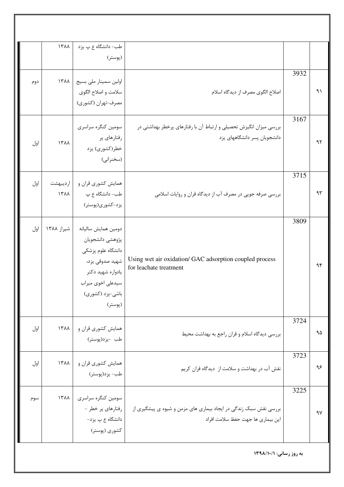| اول | 1311                    | همایش کشوری قران و                                                               |                                                                                                    | 3724         |    |
|-----|-------------------------|----------------------------------------------------------------------------------|----------------------------------------------------------------------------------------------------|--------------|----|
|     |                         | یادواره شهید دکتر<br>سیدعلی اخوی میراب<br>باشي-يزد (كشورى)<br>(پوستر)            |                                                                                                    |              |    |
| اول | شیراز ۱۳۸۸              | دومين همايش ساليانه<br>پژوهشي دانشجويان<br>دانشگاه علوم پزشکی<br>شهيد صدوقي يزد، | Using wet air oxidation/ GAC adsorption coupled process<br>for leachate treatment                  |              | ٩۴ |
| اول | ارديبهشت<br><b>۱۳۸۸</b> | همایش کشوری قران و<br>طب- دانشگاه ع پ<br>یزد-کشوری(پوستر)                        | بررسی صرفه جویی در مصرف آب از دیدگاه قران و روایات اسلامی                                          | 3809         | ۹۳ |
| اول | 1٣٨٨                    | سومین کنگره سراسری<br>رفتارهای پر<br>خطر(کشوری) یزد<br>(سخنرانی)                 | بررسی میزان انگیزش تحصیلی و ارتباط آن با رفتارهای پرخطر بهداشتی در<br>دانشجویان پسر دانشگاههای یزد | 3167<br>3715 | 97 |
| دوم | ۱۳۸۸                    | اولین سمینار ملی بسیج<br>سلامت و اصلاح الگوي<br>مصرف-تهران (کشوری)               | اصلاح الگوی مصرف از دیدگاه اسلام                                                                   | 3932         | ۹١ |
|     | 1311                    | طب- دانشگاه ع پ يزد<br>(پوستر)                                                   |                                                                                                    |              |    |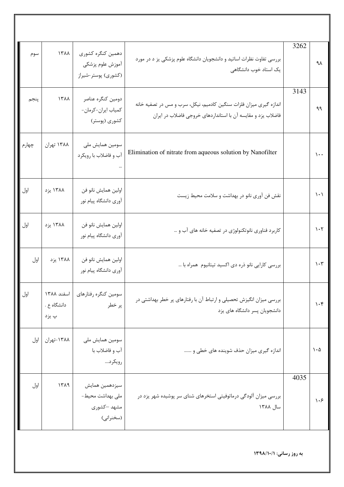| سوم   | 1711                               | دهمين كنگره كشورى<br>آموزش علوم پزشكى<br>(کشوری) پوستر-شیراز   | بررسی تفاوت نظرات اساتید و دانشجویان دانشگاه علوم پزشکی یز د در مورد<br>یک استاد خوب دانشگاهی                                      | 3262 | ٩λ                              |
|-------|------------------------------------|----------------------------------------------------------------|------------------------------------------------------------------------------------------------------------------------------------|------|---------------------------------|
| پنجم  | 1٣٨٨                               | دومين كنگره عناصر<br>كمياب ايران-كرمان-<br>کشوری (پوستر)       | اندازه گیری میزان فلزات سنگین کادمیم، نیکل، سرب و مس در تصفیه خانه<br>فاضلاب يزد و مقايسه آن با استانداردهاى خروجى فاضلاب در ايران | 3143 | ٩٩                              |
| چهارم | ۱۳۸۸ تهران                         | سومین همایش ملی<br>آب و فاضلاب با رويكرد                       | Elimination of nitrate from aqueous solution by Nanofilter                                                                         |      | $\mathcal{L}$ .                 |
| اول   | ۱۳۸۸ یزد                           | اولين همايش نانو فن<br>آوري دانشگاه پيام نور                   | نقش فن أوري نانو در بهداشت و سلامت محيط زيست                                                                                       |      | $\backslash \cdot \backslash$   |
| اول   | ۱۳۸۸ یزد                           | اولين همايش نانو فن<br>آوري دانشگاه پيام نور                   | کاربرد فناوری نانوتکنولوژی در تصفیه خانه های آب و …                                                                                |      | $\mathcal{N} \cdot \mathcal{N}$ |
| اول   | ۱۳۸۸ یزد                           | اولين همايش نانو فن<br>آوری دانشگاه پیام نور                   | بررسی کارایی نانو ذره دی اکسید تیتانیوم همراه با …                                                                                 |      | $\mathcal{N} \cdot \mathcal{N}$ |
| اول   | اسفند ١٣٨٨<br>دانشگاه ع .<br>پ يزد | سومين كنگره رفتارهاي<br>پر خطر                                 | بررسی میزان انگیزش تحصیلی و ارتباط آن با رفتارهای پر خطر بهداشتی در<br>دانشجویان پسر دانشگاه های یزد                               |      | $\mathcal{N} \cdot \mathcal{K}$ |
| اول   | ۱۳۸۸-تهران                         | سومین همایش ملی<br>آب و فاضلاب با<br>رويكرد                    | اندازه گیری میزان حذف شوینده های خطی و                                                                                             |      | $\lambda \cdot \Delta$          |
| اول   | 1519                               | سيزدهمين همايش<br>ملی بهداشت محیط-<br>مشهد —کشوری<br>(سخنرانی) | بررسی میزان آلودگی درماتوفیتی استخرهای شنای سر پوشیده شهر یزد در<br>سال ۱۳۸۸                                                       | 4035 | $\lambda \cdot \xi$             |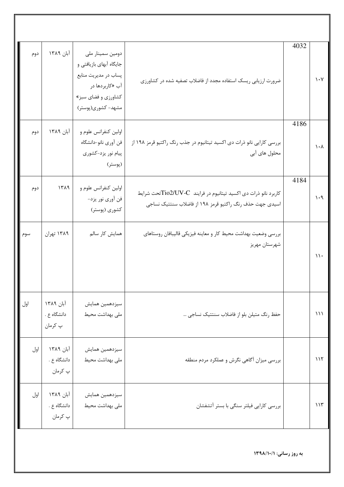| دوم | آبان ۱۳۸۹                           | دومین سمینار ملی<br>جایگاه آبهای بازیافتی و<br>پساب در مدیریت منابع<br>آب «کاربردها در<br>کشاورزي و فضاي سبز»<br>مشهد- کشوری(پوستر) | ضرورت ارزیابی ریسک استفاده مجدد از فاضلاب تصفیه شده در کشاورزی                                                              | 4032 | $\mathcal{N} \cdot \mathcal{N}$ |
|-----|-------------------------------------|-------------------------------------------------------------------------------------------------------------------------------------|-----------------------------------------------------------------------------------------------------------------------------|------|---------------------------------|
| دوم | آبان ۱۳۸۹                           | اولین کنفرانس علوم و<br>فن أوري نانو-دانشگاه<br>پیام نور یزد-کشوری<br>(پوستر)                                                       | بررسی کارایی نانو ذرات دی اکسید تیتانیوم در جذب رنگ راکتیو قرمز ۱۹۸ از<br>محلول های آبی                                     | 4186 | $\lambda \cdot \gamma$          |
| دوم | 1519                                | اولین کنفرانس علوم و<br>فن آوري نور يزد-<br>کشوری (پوستر)                                                                           | كاربرد نانو ذرات دى اكسيد تيتانيوم در فرايند Tio2/UV-Cتحت شرايط<br>اسیدی جهت حذف رنگ راکتیو قرمز ۱۹۸ از فاضلاب سنتتیک نساجی | 4184 | $\lambda \cdot \theta$          |
| سوم | ۱۳۸۹ تهران                          | همایش کار سالم                                                                                                                      | بررسي وضعيت بهداشت محيط كار و معاينه فيزيكي قاليبافان روستاهاي<br>شهرستان مهريز                                             |      | ۱۱۰                             |
| اول | آبان ١٣٨٩<br>دانشگاه ع .<br>پ کرمان | سيزدهمين همايش<br>ملی بهداشت محیط                                                                                                   | حفظ رنگ متیلن بلو از فاضلاب سنتتیک نساجی …                                                                                  |      | $\binom{1}{k}$                  |
| اول | آبان ۱۳۸۹<br>دانشگاه ع .<br>پ کرمان | سيزدهمين همايش<br>ملی بهداشت محیط                                                                                                   | بررسی میزان أگاهی نگرش و عملکرد مردم منطقه                                                                                  |      | 117                             |
| اول | آبان ۱۳۸۹<br>دانشگاه ع .<br>پ کرمان | سيزدهمين همايش<br>ملی بهداشت محیط                                                                                                   | بررسی کارایی فیلتر سنگی با بستر آتشفشان                                                                                     |      | 115                             |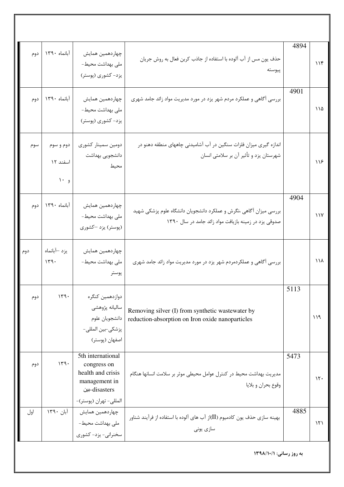| دوم | آبانماه ١٣٩٠                  | چهاردهمین همایش<br>ملی بهداشت محیط-<br>یزد- کشوری (پوستر)                                                         | حذف يون مس از آب آلوده با استفاده از جاذب كربن فعال به روش جريان<br>پيوسته                                                  | 4894 | 116             |
|-----|-------------------------------|-------------------------------------------------------------------------------------------------------------------|-----------------------------------------------------------------------------------------------------------------------------|------|-----------------|
| دوم | آبانماه ١٣٩٠                  | چهاردهمین همایش<br>ملی بهداشت محیط-<br>یزد- کشوری (پوستر)                                                         | بررسی آگاهی و عملکرد مردم شهر یزد در مورد مدیریت مواد زائد جامد شهری                                                        | 4901 | $\bigwedge$     |
| سوم | دوم و سوم<br>اسفند ١٢<br>و ۱۰ | دومین سمینار کشوری<br>دانشجويي بهداشت<br>محيط                                                                     | اندازه گیری میزان فلزات سنگین در آب آشامیدنی چاههای منطقه دهنو در<br>شهرستان یزد و تأثیر آن بر سلامتی انسان                 |      | $\lambda$       |
| دوم | آبانماه ١٣٩٠                  | چهاردهمين همايش<br>ملی بهداشت محیط-<br>(پوستر) یزد —کشوری                                                         | بررسی میزان آگاهی ،نگرش و عملکرد دانشجویان دانشگاه علوم پزشکی شهید<br>صدوقی یزد در زمینه بازیافت مواد زائد جامد در سال ۱۳۹۰ | 4904 | $\frac{1}{4}$   |
| دوم | يزد –آبانماه<br>149.          | چهاردهمین همایش<br>ملی بهداشت محیط-<br>پوستر                                                                      | بررسی آگاهی و عملکردمردم شهر یزد در مورد مدیریت مواد زائد جامد شهری                                                         |      | 11 <sub>Y</sub> |
| دوم | 149.                          | دوازدهمين كنگره<br>ساليانه پژوهشي<br>دانشجويان علوم<br>پزشکی-بین المللی-<br>اصفهان (پوستر)                        | Removing silver (I) from synthetic wastewater by<br>reduction-absorption on Iron oxide nanoparticles                        | 5113 | ۱۱۹             |
| دوم | 149.                          | 5th international<br>congress on<br>health and crisis<br>management in<br>disasters-بين<br>المللي- تهران (پوستر)- | مدیریت بهداشت محیط در کنترل عوامل محیطی موثر بر سلامت انسانها هنگام<br>وقوع بحران و بلايا                                   | 5473 | $\mathcal{N}$   |
| اول | آبان ۱۳۹۰                     | چهاردهمین همایش<br>  ملی بهداشت محیط-<br>سخنرانی- یزد- کشوری                                                      | بهینه سازی حذف یون کادمیوم (II)از آب های آلوده با استفاده از فرآیند شناور  <br>سازی یونی                                    | 4885 | $\mathcal{N}$   |
|     |                               |                                                                                                                   |                                                                                                                             |      |                 |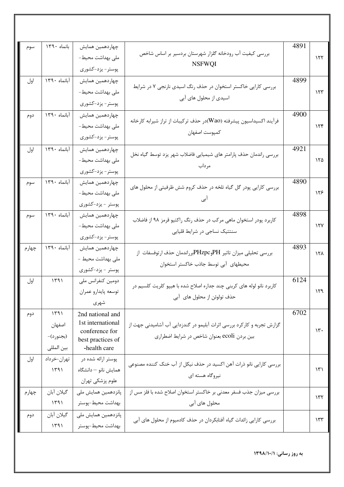| سوم   | بانماه ١٣٩٠  | چهاردهمین همایش                   |                                                                        | 4891 |                 |
|-------|--------------|-----------------------------------|------------------------------------------------------------------------|------|-----------------|
|       |              | ملی بهداشت محیط-                  | بررسی کیفیت آب رودخانه گلزار شهرستان بردسیر بر اساس شاخص               |      | 157             |
|       |              | پوستر- يزد-كشورى                  | <b>NSFWQI</b>                                                          |      |                 |
| اول   | آبانماه ١٣٩٠ | چهاردهمين همايش                   |                                                                        | 4899 |                 |
|       |              | ملی بهداشت محیط-                  | بررسی کارایی خاکستر استخوان در حذف رنگ اسیدی نارنجی ۷ در شرایط         |      | 155             |
|       |              | پوستر- يزد-كشورى                  | اسیدی از محلول های آبی                                                 |      |                 |
| دوم   | آبانماه ١٣٩٠ | چهاردهمین همایش                   |                                                                        | 4900 |                 |
|       |              | ملی بهداشت محیط-                  | فرآیند اکسیداسیون پیشرفته (Wao)در حذف ترکیبات از تراز شیرابه کارخانه   |      | 156             |
|       |              | پوستر- يزد-كشورى                  | كمپوست اصفهان                                                          |      |                 |
| اول   | آبانماه ١٣٩٠ | چهاردهمين همايش                   | بررسی راندمان حذف پارامتر های شیمیایی فاضلاب شهر یزد توسط گیاه نخل     | 4921 |                 |
|       |              | ملی بهداشت محیط-                  | مرداب                                                                  |      | ۱۲۵             |
|       |              | پوستر- يزد-كشورى                  |                                                                        |      |                 |
| سوم   | آبانماه ١٣٩٠ | چهاردهمين همايش                   | بررسی کارایی پودر گل گیاه تلخه در حذف کروم شش ظرفیتی از محلول های      | 4890 |                 |
|       |              | ملی بهداشت محیط-                  |                                                                        |      | ۱۲۶             |
|       |              | پوستر - يزد-كشورى                 |                                                                        |      |                 |
| سوم   | آبانماه ١٣٩٠ | چهاردهمين همايش                   | کاربرد پودر استخوان ماهی مرکب در حذف رنگ راکتیو قرمز ۹۸ از فاضلاب      | 4898 |                 |
|       |              | ملی بهداشت محیط-                  | سنتتیک نساجی در شرایط قلیایی                                           |      | $\lambda Y$     |
|       |              | پوستر- يزد-كشورى                  |                                                                        |      |                 |
| چهارم | آبانماه ١٣٩٠ | چهاردهمين همايش                   | بررسی تحلیلی میزان تاثیر PHوPHzpcبرراندمان حذف ارتوفسفات از            | 4893 | ۱۲۸             |
|       |              | ملی بهداشت محیط -                 | محیطهای آبی توسط جاذب خاکستر استخوان                                   |      |                 |
|       |              | پوستر - يزد-كشورى                 |                                                                        | 6124 |                 |
| اول   | 1491         | دومین کنفرانس ملی                 | کاربرد نانو لوله های کربنی چند جداره اصلاح شده با هیپو کلریت کلسیم در  |      | 159             |
|       |              | توسعه پايدارو عمران<br>شهري       | حذف تولوئن از محلول های آبی                                            |      |                 |
|       | 1491         | 2nd national and                  |                                                                        | 6702 |                 |
| دوم   | اصفهان       | 1st international                 | گزارش تجربه و کارکرد بررسی اثرات آبلیمو در گندزدایی آب آشامیدنی جهت از |      |                 |
|       | (بجنورد)-    | conference for                    | بین بردن ecoli بعنوان شاخص در شرایط اضطراری                            |      | $\mathcal{N}$ . |
|       | بين المللى   | best practices of<br>-health care |                                                                        |      |                 |
| اول   | تهران–خرداد  | پوستر ارائه شده در                |                                                                        |      |                 |
|       | 1491         | همایش نانو – دانشگاه              | بررسی کارایی نانو ذرات آهن اکسید در حذف نیکل از آب خنک کننده مصنوعی    |      | ۱۳۱             |
|       |              | علوم پزشکی تهران                  | نیروگاه هسته ای                                                        |      |                 |
| چهارم | گيلان آبان   | پانزدهمین همایش ملی               | بررسی میزان جذب فسفر معدنی بر خاکستر استخوان اصلاح شده با فلز مس از    |      |                 |
|       | ۱۳۹۱         | بهداشت محيط-پوستر                 | محلول های آبی                                                          |      | ۱۳۲             |
| دوم   | گيلان آبان   | پانزدهمین همایش ملی               | بررسی کارایی زائدات گیاه آفتابکردان در حذف کادمیوم از محلول های آبی    |      | ۱۳۳             |
|       | 1491         | بهداشت محيط-پوستر                 |                                                                        |      |                 |
|       |              |                                   |                                                                        |      |                 |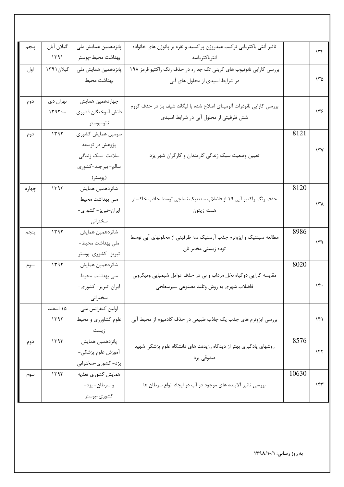| پنجم  | گيلان آبان | پانزدهمین همایش ملی  | تاثیر آنتی باکتریایی ترکیب هیدروژن پراکسید و نقره بر پاتوژن های خانواده |       | 156           |
|-------|------------|----------------------|-------------------------------------------------------------------------|-------|---------------|
|       | 1591       | بهداشت محيط-پوستر    | انترباكترياسه                                                           |       |               |
| اول   | گیلان ۱۳۹۱ | پانزدهمین همایش ملی  | بررسی کارایی نانوتیوب های کربنی تک جداره در حذف رنگ راکتیو قرمز ۱۹۸     |       |               |
|       |            | بهداشت محيط          | در شرایط اسیدی از محلول های آبی                                         |       | ۱۳۵           |
|       |            |                      |                                                                         |       |               |
| دوم   | تهران دي   | چهاردهمین همایش      | بررسی کارایی نانوذرات آلومینای اصلاح شده با لیگاند شیف باز در حذف کروم  |       |               |
|       | ماه ١٣٩٢   | دانش أموختگان فناوري | شش ظرفیتی از محلول آبی در شرایط اسیدی                                   |       | ۱۳۶           |
|       |            | نانو-پوستر           |                                                                         |       |               |
| دوم   | 1197       | سومين همايش كشورى    |                                                                         | 8121  |               |
|       |            | پژوهش در توسعه       |                                                                         |       | ۱۳۷           |
|       |            | سلامت-سبک زندگی      | تعیین وضعیت سبک زندگی کارمندان و کارگران شهر یزد                        |       |               |
|       |            | سالم- بيرجند-كشورى   |                                                                         |       |               |
|       |            | (پوستر)              |                                                                         |       |               |
| چهارم | ۱۳۹۲       | شانزدهمين همايش      |                                                                         | 8120  |               |
|       |            | ملی بهداشت محیط      | حذف رنگ راکتیو آبی ۱۹ از فاضلاب سنتتیک نساجی توسط جاذب خاکستر           |       | ۱۳۸           |
|       |            | ايران-تبريز- كشورى-  | هسته زيتون                                                              |       |               |
|       |            | سخنراني              |                                                                         |       |               |
| پنجم  | ۱۳۹۲       | شانزدهمين همايش      | مطالعه سینتیک و ایزوترم جذب آرسنیک سه ظرفیتی از محلولهای آبی توسط       | 8986  |               |
|       |            | ملی بهداشت محیط-     | توده زيستي مخمر نان                                                     |       | ۱۳۹           |
|       |            | تبريز – كشورى-پوستر  |                                                                         |       |               |
| سوم   | 1497       | شانزدهمين همايش      |                                                                         | 8020  |               |
|       |            | ملی بهداشت محیط      | مقایسه کارایی دوگیاه نخل مرداب و نی در حذف عوامل شیمیایی ومیکروبی       |       |               |
|       |            | ايران-تبريز- كشورى-  | فاضلاب شهزي به روش وتلند مصنوعي سيرسطحي                                 |       | $\mathcal{N}$ |
|       |            | سخنراني              |                                                                         |       |               |
|       | ۱۵ اسفند   | اولین کنفرانس ملی    |                                                                         |       |               |
|       | ۱۳۹۲       | علوم کشاورزی و محیط  | بررسی ایزوترم های جذب یک جاذب طبیعی در حذف کادمیوم از محیط آبی          |       | ۱۴۱           |
|       |            | زيست                 |                                                                         |       |               |
| دوم   | ۱۳۹۳       | پانزدهمین همایش      | روشهای یادگیری بهتر از دیدگاه رزیدنت های دانشگاه علوم پزشکی شهید        | 8576  |               |
|       |            | آموزش علوم پزشکی-    |                                                                         |       | ۱۴۲           |
|       |            | یزد- کشوری-سخنرانی   | صدوقي يزد                                                               |       |               |
| سوم   | ۱۳۹۳       | همايش كشورى تغذيه    |                                                                         | 10630 |               |
|       |            | و سرطان- يزد-        | بررسی تاثیر آلاینده های موجود در آب در ایجاد انواع سرطان ها             |       | ۱۴۳           |
|       |            | كشورى-پوستر          |                                                                         |       |               |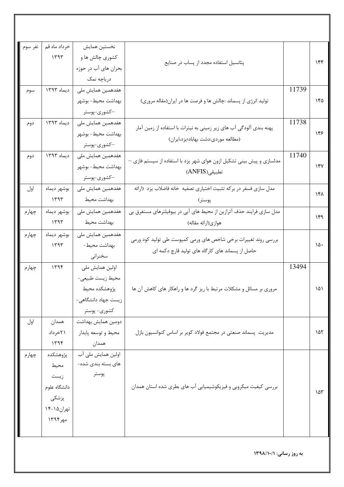| نفر سوم ا | خرداد ماه قم | نخستين همايش         |                                                                       |       |          |
|-----------|--------------|----------------------|-----------------------------------------------------------------------|-------|----------|
|           | 1595         | کشوری چالش ها و      | پتانسیل استفاده مجدد از پساب در صنایع                                 |       | 156      |
|           |              | بحران های آب در حوزه |                                                                       |       |          |
|           |              | درياچه نمک           |                                                                       |       |          |
| سوم       | ديماه ١٣٩٣   | هفدهمین همایش ملی    |                                                                       | 11739 |          |
|           |              | بهداشت محيط- بوشهر   | تولید انرژی از پسماند :چالش ها و فرصت ها در ایران(مقاله مروری)        |       | ۱۴۵      |
|           |              | —کشوری-پوستر         |                                                                       |       |          |
| دوم       | دیماه ۱۳۹۳   | هفدهمین همایش ملی    | پهنه بندی آلودگی آب های زیر زمینی به نیترات با استفاده از زمین آمار   | 11738 |          |
|           |              | بهداشت محيط- بوشهر   | (مطالعه موردي:دشت بهاباد؛يزد،ايران)                                   |       | ۱۴۶      |
|           |              | –کشوری-پوستر         |                                                                       |       |          |
| دوم       | ديماه ١٣٩٣   | هفدهمین همایش ملی    | مدلسازی و پیش بینی تشکیل ازون هوای شهر یزد با استفاده از سیستم فازی — | 11740 |          |
|           |              | بهداشت محيط- بوشهر   | تطبيقي(ANFIS)                                                         |       | $\gamma$ |
|           |              | —کشوری-پوستر         |                                                                       |       |          |
| اول       | بوشهر ديماه  | هفدهمین همایش ملی    | مدل سازی فسفر در برکه تثبیت اختیاری تصفیه خانه فاضلاب یزد (ارائه      |       | ۱۴۸      |
|           | ۱۳۹۳         | بهداشت محيط          | پوستر)                                                                |       |          |
| چهارم     | بوشهر ديماه  | هفدهمین همایش ملی    | مدل سازی فرایند حذف آترازین از محیط های آبی در بیوفیلترهای مستغرق بی  |       | ۱۴۹      |
|           | ۱۳۹۳         | بهداشت محيط          | هوازي(ارائه مقاله)                                                    |       |          |
| چهارم     | بوشهر ديماه  | هفدهمین همایش ملی    | بررسی روند تغییرات برخی شاخص های ورمی کمپوست طی تولید کود ورمی        |       |          |
|           | ۱۳۹۳         | بهداشت محيط-         | حاصل از پسماند های کارگاه های تولید قارچ دکمه ای                      |       | ۱۵۰      |
|           |              | سخنرانى              |                                                                       |       |          |
| چهارم     | ۱۳۹۴         | اولین همایش ملی      |                                                                       | 13494 |          |
|           |              | محيط زيست طبيعي-     |                                                                       |       |          |
|           |              | پژوهشکده محیط        | مروری بر مسائل و مشکلات مرتبط با ریز گرد ها و راهکار های کاهش آن ها   |       | ۱۵۱      |
|           |              | زیست جهاد دانشگاهی-  |                                                                       |       |          |
|           |              | كشورى- پوستر         |                                                                       |       |          |
| اول       | همدان        | دومين همايش بهداشت   |                                                                       |       |          |
|           | ۲۱خرداد      | محيط و توسعه پايدار  | مدیریت پسماند صنعتی در مجتمع فولاد کویر بر اساس کنوانسیون بازل        |       | ۱۵۲      |
|           | ۱۳۹۴         | همدان                |                                                                       |       |          |
| چهارم     | پژوهشکده     | اولین همایش ملی آب   |                                                                       |       |          |
|           | محيط         | های بسته بندی شده–   |                                                                       |       |          |
|           | زيست         | پوستر                |                                                                       |       |          |
|           | دانشگاه علوم |                      | بررسی کیفیت میکروبی و فیزیکوشیمیایی آب های بطری شده استان همدان       |       | ۱۵۳      |
|           | پزشکی        |                      |                                                                       |       |          |
|           | تهران ۱۵-۱۴  |                      |                                                                       |       |          |
|           | مهر۱۳۹۴      |                      |                                                                       |       |          |
|           |              |                      |                                                                       |       |          |
|           |              |                      |                                                                       |       |          |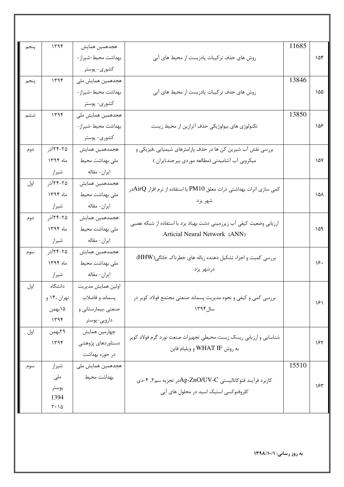| پنجم | 1496                                   | هجدهمين همايش       |                                                                      | 11685 |     |
|------|----------------------------------------|---------------------|----------------------------------------------------------------------|-------|-----|
|      |                                        | بهداشت محيط-شيراز-  | روش های حذف ترکیبات پادزیست از محیط های آبی                          |       | ۱۵۴ |
|      |                                        | كشورى- پوستر        |                                                                      |       |     |
| پنجم | 1496                                   | هجدهمین همایش ملی   |                                                                      | 13846 |     |
|      |                                        | بهداشت محيط-شيراز-  | روش های حذف ترکیبات پادزیست از محیط های آبی                          |       | ۱۵۵ |
|      |                                        | كشورى- پوستر        |                                                                      |       |     |
| ششم  | ۱۳۹۴                                   | هجدهمین همایش ملی   |                                                                      | 13850 |     |
|      |                                        | بهداشت محيط-شيراز-  | تکنولوژی های بیولوژیکی حذف آترازین از محیط زیست                      |       | ۱۵۶ |
|      |                                        | كشورى- پوستر        |                                                                      |       |     |
| دوم  | ۲۵-۲۴آذر                               | هجمدهمين همايش      | بررسی نقش آب شیرین کن ها در حذف پارامترهای شیمیایی ،فیزیکی و         |       |     |
|      | ماه ۱۳۹۴                               | ملی بهداشت محیط     | میکروبی آب آشامیدنی (مطالعه موردی بیرجند،ایران )                     |       | ۱۵۷ |
|      | شيراز                                  | ايران- مقاله        |                                                                      |       |     |
| اول  | ۲۵-۲۴آذر                               | هجمدهمين همايش      | کمی سازی اثرات بهداشتی ذرات معلق PM10 با استفاده از نرم افزار AirQدر |       |     |
|      | ماه ١٣٩۴                               | ملی بهداشت محیط     | شهر يزد                                                              |       | ۱۵۸ |
|      | شيراز                                  | ايران- مقاله        |                                                                      |       |     |
| دوم  | ۲۵-۲۴آذر                               | هجمدهمين همايش      | ارزیابی وضعیت کیفی آب زیرزمینی دشت بهباد یزد با استفاده از شبکه عصبی |       |     |
|      | ماه ۱۳۹۴                               | ملی بهداشت محیط     | Articial Neural Network (ANN)                                        |       | ۱۵۹ |
|      | شيراز                                  | ايران- مقاله        |                                                                      |       |     |
| سوم  | ۲۵-۲۴آذر                               | هجمدهمين همايش      | بررسی کمیت و اجزاء تشکیل دهنده زباله های خطرناک خانگی(HHW)           |       |     |
|      | ماه ۱۳۹۴                               | ملی بهداشت محیط     | درشهر يزد                                                            |       | ۱۶۰ |
|      | شيراز                                  | ايران- مقاله        |                                                                      |       |     |
| اول  | دانشگاه                                | اولين همايش مديريت  |                                                                      |       |     |
|      | تهران ۱۴۰ و                            | پسماند و فاضلاب     | بررسی کمی و کیفی و نحوه مدیریت پسماند صنعتی مجتمع فولاد کویر در      |       | ۱۶۱ |
|      | ۱۵بهمن                                 | صنعتی ،بیمارستانی و | سال ۱۳۹۴                                                             |       |     |
|      | ۱۳۹۴                                   | دارویی-پوستر        |                                                                      |       |     |
| اول  | ۲۹بهمن                                 | چهارمین همایش       | شناسایی و ارزیابی ریسک زیست محیطی تجهیزات صنعت نورد گرم فولاد کویر   |       |     |
|      | 1195                                   | دستاوردهای پژوهشی   | به روش WHAT IF و ويليام فاين                                         |       | ۱۶۲ |
|      |                                        | در حوزه بهداشت      |                                                                      |       |     |
| سوم  | شيراز                                  | هجدهمین همایش ملی   |                                                                      | 15510 |     |
|      | ملی                                    | بهداشت محيط         | کاربرد فرآیند فتوکاتالیستی Ag-ZnO/UV-Cدر تجزیه سم۲, ۴-دی             |       |     |
|      | پوستر                                  |                     | کلروفنوکسی استیک اسید در محلول های آبی                               |       | ۱۶۳ |
|      | 1394<br>$\mathbf{Y} \cdot \mathbf{10}$ |                     |                                                                      |       |     |
|      |                                        |                     |                                                                      |       |     |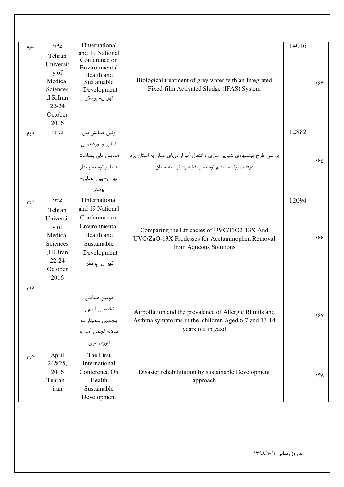| سوم | ۱۳۹۵<br>Tehran<br>Universit<br>y of<br>Medical<br>Sciences<br>,I.R.Iran<br>$22 - 24$<br>October<br>2016 | 1International<br>and 19 National<br>Conference on<br>Environmental<br>Health and<br>Sustainable<br>-Development<br>تهران- پوستر | Biological treatment of grey water with an Integrated<br>Fixed-film Activated Sludge (IFAS) System                                        | 14016 | ۱۶۴ |
|-----|---------------------------------------------------------------------------------------------------------|----------------------------------------------------------------------------------------------------------------------------------|-------------------------------------------------------------------------------------------------------------------------------------------|-------|-----|
| دوم | ۱۳۹۵                                                                                                    | اولين همايش بين<br>المللي و نوزدهمين<br>محيط و توسعه پايدار-<br>تهران- بين المللي-<br>پوستر                                      | بررسی طرح پیشنهادی شیرین سازی و انتقال آب از دریای عمان به استان یزد   همایش ملی بهداشت<br>درقالب برنامه ششم توسعه و نقشه راه توسعه استان | 12882 | ۱۶۵ |
| دوم | ۱۳۹۵<br>Tehran<br>Universit<br>y of<br>Medical<br>Sciences<br>,I.R.Iran<br>$22 - 24$<br>October<br>2016 | 1International<br>and 19 National<br>Conference on<br>Environmental<br>Health and<br>Sustainable<br>-Development<br>تهران- پوستر | Comparing the Efficacies of UVC/TIO2-13X And<br>UVC/ZnO-13X Prodesses for Acetaminophen Removal<br>from Aqueous Solutions                 | 12094 | 188 |
| دوم |                                                                                                         | دومین همایش<br>تخصصی آسم و<br>پنجمين سمينار دو<br>سالانه انجمن آسم و<br>ألرژي ايران                                              | Airpollution and the prevalence of Allergic Rhinits and<br>Asthma symptorms in the children Aged 6-7 and 13-14<br>years old in yazd       |       | ١۶٧ |
| دوم | April<br>24&25,<br>2016<br>Tehran -<br>iran                                                             | The First<br>International<br>Conference On<br>Health<br>Sustainable<br>Development                                              | Disaster rehabihitation by sustainable Development<br>approach                                                                            |       | ١۶λ |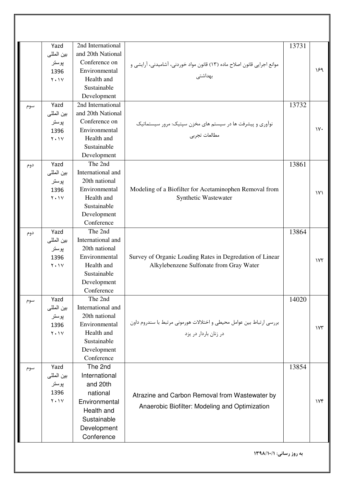|     | Yazd          | 2nd International         |                                                                          | 13731 |                         |
|-----|---------------|---------------------------|--------------------------------------------------------------------------|-------|-------------------------|
|     | بين المللي    | and 20th National         |                                                                          |       |                         |
|     | پوستر         | Conference on             | موانع اجرایی قانون اصلاح ماده (١٣) قانون مواد خوردنی، آشامیدنی، آرایشی و |       |                         |
|     | 1396          | Environmental             |                                                                          |       | ۱۶۹                     |
|     | $Y \cdot Y$   | Health and                | بهداشتی                                                                  |       |                         |
|     |               | Sustainable               |                                                                          |       |                         |
|     |               | Development               |                                                                          |       |                         |
| سوم | Yazd          | 2nd International         |                                                                          | 13732 |                         |
|     | بين المللي    | and 20th National         |                                                                          |       |                         |
|     | پوستر         | Conference on             | نوآوری و پیشرفت ها در سیستم های مخزن سپتیک: مرور سیستماتیک               |       |                         |
|     | 1396          | Environmental             |                                                                          |       | $\gamma$ .              |
|     | $Y \cdot Y$   | Health and                | مطالعات تجربي                                                            |       |                         |
|     |               | Sustainable               |                                                                          |       |                         |
|     |               | Development               |                                                                          |       |                         |
| دوم | Yazd          | The 2nd                   |                                                                          | 13861 |                         |
|     | بين المللي    | International and         |                                                                          |       |                         |
|     | پوستر         | 20th national             |                                                                          |       |                         |
|     | 1396          | Environmental             | Modeling of a Biofilter for Acetaminophen Removal from                   |       | $\mathsf{V} \mathsf{V}$ |
|     | $Y \cdot Y$   | Health and                | Synthetic Wastewater                                                     |       |                         |
|     |               | Sustainable               |                                                                          |       |                         |
|     |               | Development               |                                                                          |       |                         |
|     |               | Conference                |                                                                          |       |                         |
| دوم | Yazd          | The 2nd                   |                                                                          | 13864 |                         |
|     | بين المللي    | International and         |                                                                          |       |                         |
|     | پوستر         | 20th national             |                                                                          |       |                         |
|     | 1396          | Environmental             | Survey of Organic Loading Rates in Degredation of Linear                 |       | $\gamma \gamma$         |
|     | $Y \cdot Y$   | Health and                | Alkylebenzene Sulfonate from Gray Water                                  |       |                         |
|     |               | Sustainable               |                                                                          |       |                         |
|     |               | Development               |                                                                          |       |                         |
|     |               | Conference                |                                                                          |       |                         |
| سوم | Yazd          | The 2nd                   |                                                                          | 14020 |                         |
|     | بين المللي    | International and         |                                                                          |       |                         |
|     | پوستر         | 20th national             | بررسي ارتباط بين عوامل محيطى و اختلالات هورموني مرتبط با سندروم داون     |       |                         |
|     | 1396          | Environmental             |                                                                          |       | $\gamma \gamma$         |
|     | $Y \cdot Y$   | Health and                | در زنان باردار در یزد                                                    |       |                         |
|     |               | Sustainable               |                                                                          |       |                         |
|     |               | Development<br>Conference |                                                                          |       |                         |
|     |               | The 2nd                   |                                                                          |       |                         |
| سوم | Yazd          | International             |                                                                          | 13854 |                         |
|     | بين المللي    |                           |                                                                          |       |                         |
|     | پوستر<br>1396 | and 20th                  |                                                                          |       |                         |
|     | $Y \cdot Y$   | national                  | Atrazine and Carbon Removal from Wastewater by                           |       | Vf                      |
|     |               | Environmental             | Anaerobic Biofilter: Modeling and Optimization                           |       |                         |
|     |               | Health and                |                                                                          |       |                         |
|     |               | Sustainable               |                                                                          |       |                         |
|     |               | Development               |                                                                          |       |                         |
|     |               | Conference                |                                                                          |       |                         |
|     |               |                           | به روز رسانی: ١٣٩٨/١٠/١                                                  |       |                         |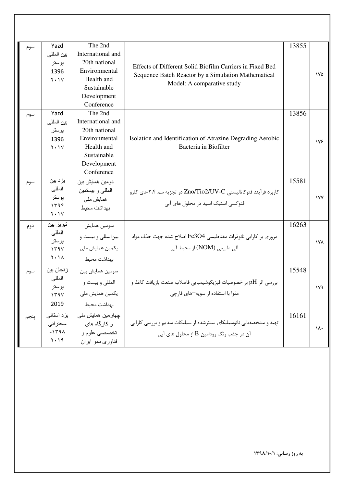| سوم  | Yazd<br>بين المللي<br>پوستر<br>1396<br>$Y \cdot Y$  | The 2nd<br>International and<br>20th national<br>Environmental<br>Health and<br>Sustainable<br>Development<br>Conference | Effects of Different Solid Biofilm Carriers in Fixed Bed<br>Sequence Batch Reactor by a Simulation Mathematical<br>Model: A comparative study | 13855 | ١٧۵        |
|------|-----------------------------------------------------|--------------------------------------------------------------------------------------------------------------------------|-----------------------------------------------------------------------------------------------------------------------------------------------|-------|------------|
| سوم  | Yazd<br>بين المللي<br>پوستر<br>1396<br>$Y \cdot Y$  | The 2nd<br>International and<br>20th national<br>Environmental<br>Health and<br>Sustainable<br>Development<br>Conference | Isolation and Identification of Atrazine Degrading Aerobic<br>Bacteria in Biofilter                                                           | 13856 | ۱۷۶        |
| سوم  | یز د بین<br>المللي<br>پوستر<br>1599<br>$Y \cdot Y$  | دومين همايش بين<br>المللي و بيستمين<br>ہمایش ملے<br>بهداشت محيط                                                          | کاربرد فرآیند فتوکاتالیستی Zno/Tio2/UV-C در تجزیه سم ۲،۴-دی کلرو<br>فنوکسی استیک اسید در محلول های آبی                                        | 15581 | <b>IVY</b> |
| دوم  | تبريز بين<br>المللى<br>پوستر<br>1594<br>$Y \cdot Y$ | سومين همايش<br>بینالمللی و بیست و<br>یکمین همایش ملی<br>بهداشت محيط                                                      | مروری بر کارایی نانوذرات مغناطیسی Fe3O4 اصلاح شده جهت حذف مواد<br>آلي طبيعي (NOM) از محيط آبي                                                 | 16263 | ١٧٨        |
| سوم  | ز نجان بين<br>المللي<br>بو ستر<br>1794<br>2019      | سومين همايش بين<br>المللي و بيست و<br>یکمین همایش ملی<br>بهداشت محيط                                                     | $\vdash$ بررسی اثر $\rm pH$ بر خصوصیات فیزیکوشیمیایی فاضلاب صنعت بازیافت کاغذ و<br>مقوا با استفاده از سویه¬های قارچی                          | 15548 | ۱۷۹        |
| پنجم | یز د استانی<br>سخنراني<br>$-159A$<br>$Y \cdot 19$   | چھارمین ہمایش ملی<br>و کارگاه های<br>تخصصي علوم و<br>فناوري نانو ايران                                                   | تهیه و مشخصهیابی نانوسیلیکای سنتزشده از سیلیکات سدیم و بررسی کارایی<br>آن در جذب رنگ رودامین $\rm{B}$ از محلول های آبی                        | 16161 | ١٨٠        |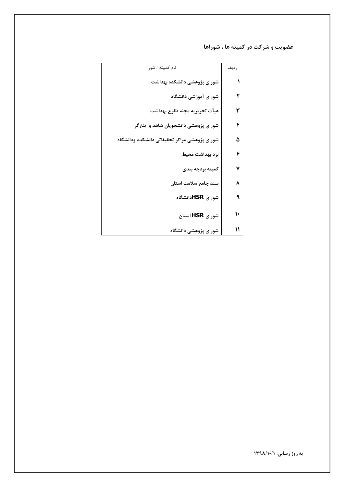عضویت و شرکت در کمیته ها ، شوراها

| نام کمیته / شورا                             | ر دیف |
|----------------------------------------------|-------|
| شورای پژوهشی دانشکده بهداشت                  |       |
| شورای آموزشی دانشگاه                         |       |
| هيأت تحريريه مجله طلوع بهداشت                | ٣     |
| شورای پژوهشی دانشجویان شاهد و ایثارگر        | ۴     |
| شوراي پژوهشي مراكز تحقيقاتي دانشكده ودانشگاه | ۵     |
| برد بهداشت محيط                              | ۶     |
| كميته بودجه بندى                             | ۷     |
| سند جامع سلامت استان                         | ٨     |
| شورای HSRدانشگاه                             | ٩     |
| شورای HSR استان                              |       |
| شورای پژوهشی دانشگاه                         | ١١    |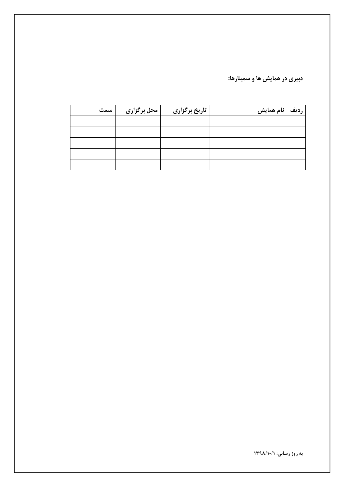دبیری در همایش ها و سمینارها:

| سمت | محل برگزاری | تاریخ برگزاری | رديف   نام همايش |  |
|-----|-------------|---------------|------------------|--|
|     |             |               |                  |  |
|     |             |               |                  |  |
|     |             |               |                  |  |
|     |             |               |                  |  |
|     |             |               |                  |  |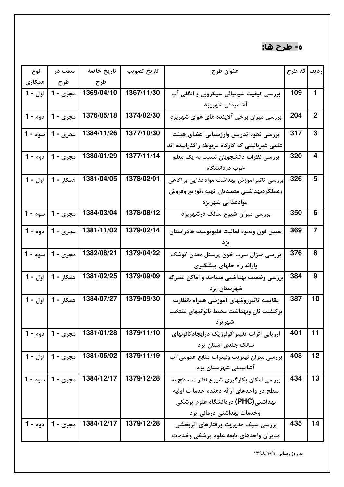## ه- طرح ها:

| نوع            | سمت در              | تاريخ خاتمه | تاريخ تصويب | عنوان طرح                                      | رديف <mark>كد طرح</mark> |                |
|----------------|---------------------|-------------|-------------|------------------------------------------------|--------------------------|----------------|
| همكاري         | طرح                 | طرح         |             |                                                |                          |                |
| اول - 1        | مجري - 1            | 1369/04/10  | 1367/11/30  | بررسی کیفیت شیمیائی ،میکروبی و انگلی آب        | 109                      | 1              |
|                |                     |             |             | آشامیدنی شهریزد                                |                          |                |
|                | مجري - 1   دوم - 1  | 1376/05/18  | 1374/02/30  | بررسی میزان برخی آلاینده های هوای شهریزد       | 204                      | $\mathbf 2$    |
| سوم - 1        | مجري - 1            | 1384/11/26  | 1377/10/30  | بررسی نحوه تدریس وارزشیابی اعضای هیئت          | 317                      | 3              |
|                |                     |             |             | علمی غیربالینی که کارگاه مربوطه راگذرانیده اند |                          |                |
|                | مجري - 1   دوم - 1  | 1380/01/29  | 1377/11/14  | بررسی نظرات دانشجویان نسبت به یک معلم          | 320                      | 4              |
|                |                     |             |             | خوب دردانشگاه                                  |                          |                |
| اول - <b>1</b> | همکار - 1           | 1381/04/05  | 1378/02/01  | .<br>بررسی تاثیرآموزش بهداشت موادغذایی برآگاهی | 326                      | 5              |
|                |                     |             |             | وعملكردبهداشتي متصديان تهيه ،توزيع وفروش       |                          |                |
|                |                     |             |             | موادغذایی شهریزد                               |                          |                |
|                | مجري - 1   سوم - 1  | 1384/03/04  | 1378/08/12  | بررسی میزان شیوع سالک درشهریزد                 | 350                      | 6              |
| دوم - 1        | مجري - 1            | 1381/11/02  | 1379/02/14  | تعيين فون ونحوه فعاليت فلبوتومينه هادراستان    | 369                      | $\overline{7}$ |
|                |                     |             |             |                                                |                          |                |
|                | مجري - 1   سوم - 1  | 1382/08/21  | 1379/04/22  | بررسی میزان سرب خون پرسنل معدن کوشک            | 376                      | 8              |
|                |                     |             |             | وارائه راه حلهای پیشگیری                       |                          |                |
|                | همكار - 1   اول - 1 | 1381/02/25  | 1379/09/09  | .<br>ابررسی وضعیت بهداشتی مساجد و اماکن متبرکه | 384                      | 9              |
|                |                     |             |             | شهرستان يزد                                    |                          |                |
| اول - 1        | همكار - 1           | 1384/07/27  | 1379/09/30  | مقايسه تاثيرروشهاى آموزشى همراه بانظارت        | 387                      | 10             |
|                |                     |             |             | بركيفيت نان وبهداشت محيط نانوائيهاي منتخب      |                          |                |
|                |                     |             |             | شهريزد                                         |                          |                |
|                | مجري - 1   دوم - 1  | 1381/01/28  | 1379/11/10  | ارزيابي اثرات تغييراكولوژيک درايجادكانونهاي    | 401                      | 11             |
|                |                     |             |             | سالک جلدی استان یزد                            |                          |                |
|                | مجري - 1   اول - 1  | 1381/05/02  | 1379/11/19  | بررسی میزان نیتریت ونیترات منابع عمومی آب      | 408                      | 12             |
|                |                     |             |             | آشامیدنی شهرستان یزد                           |                          |                |
|                | مجري - 1   سوم - 1  | 1384/12/17  | 1379/12/28  | بررسی امکان بکارگیری شیوع نظارت سطح به         | 434                      | 13             |
|                |                     |             |             | سطح در واحدهای ارائه دهنده خدما ت اولیه        |                          |                |
|                |                     |             |             | بهداشتی(PHC) دردانشگاه علوم پزشکی              |                          |                |
|                |                     |             |             | وخدمات بهداشتی درمانی یزد                      |                          |                |
|                | مجري - 1   دوم - 1  | 1384/12/17  | 1379/12/28  | بررسی سبک مدیریت ورفتارهای اثربخشی             | 435                      | 14             |
|                |                     |             |             | مديران واحدهاى تابعه علوم يزشكي وخدمات         |                          |                |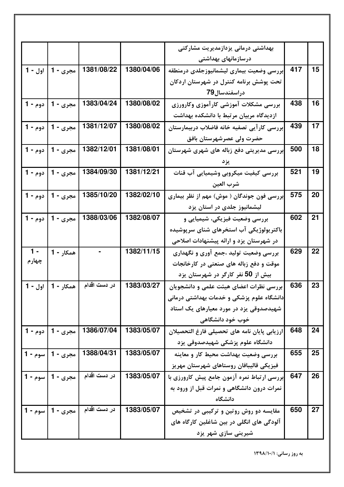|         |                     |              |            | بهداشتی درمانی یزدازمدیریت مشارکتی           |     |    |
|---------|---------------------|--------------|------------|----------------------------------------------|-----|----|
|         |                     |              |            | درسازمانهای بهداشتی                          |     |    |
|         | مجري - 1   اول - 1  | 1381/08/22   | 1380/04/06 | إبررسي وضعيت بيمارى ليشمانيوزجلدى درمنطقه    | 417 | 15 |
|         |                     |              |            | تحت پوشش برنامه کنترل در شهرستان اردکان      |     |    |
|         |                     |              |            | دراسفندسال79                                 |     |    |
| دوم - 1 | مجري - 1            | 1383/04/24   | 1380/08/02 | بررسى مشكلات آموزشى كارآموزي وكارورزى        | 438 | 16 |
|         |                     |              |            | ازدیدگاه مربیان مرتبط با دانشکده بهداشت      |     |    |
|         | مجري - 1   دوم - 1  | 1381/12/07   | 1380/08/02 | بررسى كارآيى تصفيه خانه فاضلاب دربيمارستان   | 439 | 17 |
|         |                     |              |            | حضرت ولی عصرشهرستان بافق                     |     |    |
|         | مجري - 1   دوم - 1  | 1382/12/01   | 1381/08/01 | بررسی مدیریتی دفع زباله های شهری شهرستان     | 500 | 18 |
|         |                     |              |            |                                              |     |    |
| دوم - 1 | مجري - 1            | 1384/09/30   | 1381/12/21 | بررسی کیفیت میکروبی وشیمیایی آب قنات         | 521 | 19 |
|         |                     |              |            | شرب العين                                    |     |    |
|         | مجري - 1   دوم - 1  | 1385/10/20   | 1382/02/10 | بررسی فون جوندگان ( موش) مهم از نظر بیماری   | 575 | 20 |
|         |                     |              |            | لیشمانیوز جلدی در استان یزد                  |     |    |
| دوم - 1 | مجري - 1            | 1388/03/06   | 1382/08/07 | بررسی وضعیت فیزیکی، شیمیایی و                | 602 | 21 |
|         |                     |              |            | باکتریولوژیکی آب استخرهای شنای سرپوشیده      |     |    |
|         |                     |              |            | در شهرستان یزد و ارائه پیشنهادات اصلاحی      |     |    |
| $1 -$   | همکار - 1           |              | 1382/11/15 | بررسی وضعیت تولید ،جمع آوری و نگهداری        | 629 | 22 |
| چهارم   |                     |              |            | موقت و دفع زباله های صنعتی در کارخانجات      |     |    |
|         |                     |              |            | بیش از 50 نفر کارگر در شهرستان یزد           |     |    |
|         | همكار - 1   اول - 1 | در دست اقدام | 1383/03/27 | بررسی نظرات اعضای هیئت علمی و دانشجویان      | 636 | 23 |
|         |                     |              |            | دانشگاه علوم پزشکی و خدمات بهداشتی درمانی    |     |    |
|         |                     |              |            | شهیدصدوقی یزد در مورد معیارهای یک استاد      |     |    |
|         |                     |              |            | خوب خود دانشگاهی                             |     |    |
|         | مجري - 1   دوم - 1  | 1386/07/04   | 1383/05/07 | ارزيابي پايان نامه هاي تحصيلي فارغ التحصيلان | 648 | 24 |
|         |                     |              |            | دانشگاه علوم پزشکی شهیدصدوقی یزد             |     |    |
|         | مجري - 1   سوم - 1  | 1388/04/31   | 1383/05/07 | بررسی وضعیت بهداشت محیط کار و معاینه         | 655 | 25 |
|         |                     |              |            | فيزيكي قاليبافان روستاهاي شهرستان مهريز      |     |    |
|         | مجري - 1   سوم - 1  | در دست اقدام | 1383/05/07 | ابررسی ارتباط نمره آزمون جامع پیش کارورزی با | 647 | 26 |
|         |                     |              |            | نمرات درون دانشگاهی و نمرات قبل از ورود به   |     |    |
|         |                     |              |            | دانشگاه                                      |     |    |
|         | مجري - 1   سوم - 1  | در دست اقدام | 1383/05/07 | مقایسه دو روش روتین و ترکیبی در تشخیص        | 650 | 27 |
|         |                     |              |            | آلودگی های انگلی در بین شاغلین کارگاه های    |     |    |
|         |                     |              |            | شیرینی سازی شهر یزد                          |     |    |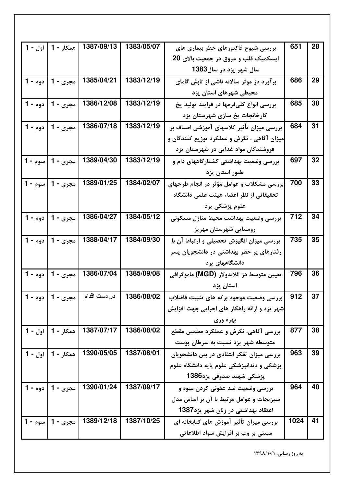| اول - 1 | همکار - 1           | 1387/09/13   | 1383/05/07 | بررسی شیوع فاکتورهای خطر بیماری های             | 651  | 28 |
|---------|---------------------|--------------|------------|-------------------------------------------------|------|----|
|         |                     |              |            | ایسکمیک قلب و عروق در جمعیت بالای 20            |      |    |
|         |                     |              |            | سال شهر یزد در سال1383                          |      |    |
|         | مجري - 1   دوم - 1  | 1385/04/21   | 1383/12/19 | برآورد دز موثر سالانه ناشی از تابش گامای        | 686  | 29 |
|         |                     |              |            | محیطی شهرهای استان یزد                          |      |    |
|         | مجري - 1   دوم - 1  | 1386/12/08   | 1383/12/19 | بررسی انواع کلیفرمها در فرایند تولید یخ         | 685  | 30 |
|         |                     |              |            | کارخانجات یخ سازی شهرستان یزد                   |      |    |
|         | مجري - 1   دوم - 1  | 1386/07/18   | 1383/12/19 | بررسی میزان تأثیر کلاسهای آموزشی اصناف بر       | 684  | 31 |
|         |                     |              |            | میزان آگاهی ، نگرش و عملکرد توزیع کنندگان و     |      |    |
|         |                     |              |            | فروشندگان مواد غذایی در شهرستان یزد             |      |    |
|         | مجري - 1   سوم - 1  | 1389/04/30   | 1383/12/19 | بررسی وضعیت بهداشتی کشتارگاههای دام و           | 697  | 32 |
|         |                     |              |            | طیور استان یزد                                  |      |    |
|         | مجري - 1   سوم - 1  | 1389/01/25   | 1384/02/07 | .<br>ابررسی مشکلات و عوامل مؤثر در انجام طرحهای | 700  | 33 |
|         |                     |              |            | تحقیقاتی از نظر اعضاء هیئت علمی دانشگاه         |      |    |
|         |                     |              |            | علوم پزشکی یزد                                  |      |    |
|         | مجري - 1   دوم - 1  | 1386/04/27   | 1384/05/12 | بررسي وضعيت بهداشت محيط منازل مسكوني            | 712  | 34 |
|         |                     |              |            | روستایی شهرستان مهریز                           |      |    |
|         | مجري - 1   دوم - 1  | 1388/04/17   | 1384/09/30 | بررسی میزان انگیزش تحصیلی و ارتباط آن با        | 735  | 35 |
|         |                     |              |            | رفتارهای پر خطر بهداشتی در دانشجویان پسر        |      |    |
|         |                     |              |            | دانشگاههای یزد                                  |      |    |
|         | مجري - 1   دوم - 1  | 1386/07/04   | 1385/09/08 | تعیین متوسط دز گلاندولار (MGD) ماموگرافی        | 796  | 36 |
|         |                     |              |            | استان يزد                                       |      |    |
|         | مجري - 1   دوم - 1  | در دست اقدام | 1386/08/02 | بررسی وضعیت موجود برکه های تثبیت فاضلاب         | 912  | 37 |
|         |                     |              |            | شهر یزد و ارائه راهکار های اجرایی جهت افزایش    |      |    |
|         |                     |              |            | بهره وری                                        |      |    |
| اول - 1 | همکار - 1           | 1387/07/17   | 1386/08/02 | بررسی آگاهی، نگرش و عملکرد معلمین مقطع          | 877  | 38 |
|         |                     |              |            | متوسطه شهر یزد نسبت به سرطان پوست               |      |    |
|         | همكار - 1   اول - 1 | 1390/05/05   | 1387/08/01 | بررسی میزان تفکر انتقادی در بین دانشجویان       | 963  | 39 |
|         |                     |              |            | پزشکی و دندانپزشکی علوم پایه دانشگاه علوم       |      |    |
|         |                     |              |            | پزشکی شهید صدوقی پزد1386                        |      |    |
|         | مجري - 1   دوم - 1  | 1390/01/24   | 1387/09/17 | بررسی وضعیت ضد عفونی کردن میوه و                | 964  | 40 |
|         |                     |              |            | سبزیجات و عوامل مرتبط با آن بر اساس مدل         |      |    |
|         |                     |              |            | اعتقاد بهداشتی در زنان شهر یزد1387              |      |    |
|         | مجري - 1   سوم - 1  | 1389/12/18   | 1387/10/25 | بررسی میزان تأثیر آموزش های کتابخانه ای         | 1024 | 41 |
|         |                     |              |            | مبتنی بر وب بر افزایش سواد اطلاعاتی             |      |    |
|         |                     |              |            |                                                 |      |    |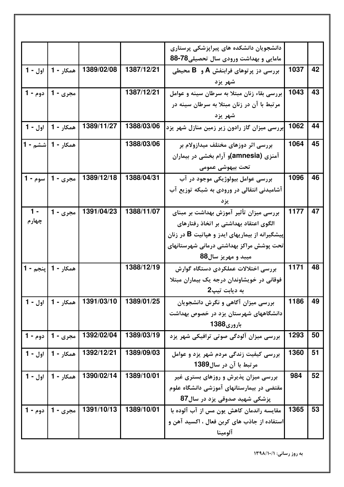|         |                     |            |            | دانشجویان دانشکده های پیراپزشکی پرستاری        |      |    |
|---------|---------------------|------------|------------|------------------------------------------------|------|----|
|         |                     |            |            | مامایی و بهداشت ورودی سال تحصیلی78-88          |      |    |
|         | همكار - 1   اول - 1 | 1389/02/08 | 1387/12/21 | بررسی دز پرتوهای فرابنفش A و B محیطی           | 1037 | 42 |
|         |                     |            |            | شهر يزد                                        |      |    |
| دوم - 1 | مجري - 1            |            | 1387/12/21 | بررسی بقاء زنان مبتلا به سرطان سینه و عوامل    | 1043 | 43 |
|         |                     |            |            | مرتبط با آن در زنان مبتلا به سرطان سینه در     |      |    |
|         |                     |            |            | شهر يزد                                        |      |    |
|         | همكار - 1   اول - 1 | 1389/11/27 | 1388/03/06 | ابررسی میزان گاز رادون زیر زمین منازل شهر یزد  | 1062 | 44 |
|         | همکار - 1  ششم - 1  |            | 1388/03/06 | بررسی اثر دوزهای مختلف میدازولام بر            | 1064 | 45 |
|         |                     |            |            | آمنزی (amnesia)و آرام بخشی در بیماران          |      |    |
|         |                     |            |            | تحت بيهوشي عمومي                               |      |    |
| سوم - 1 | مجري - 1            | 1389/12/18 | 1388/04/31 | بررسي عوامل بيولوژيکي موجود در آب              | 1096 | 46 |
|         |                     |            |            | آشامیدنی انتقالی در ورودی به شبکه توزیع آب     |      |    |
|         |                     |            |            | يز د                                           |      |    |
| $1 -$   | مجري - 1            | 1391/04/23 | 1388/11/07 | بررسی میزان تأثیر آموزش بهداشت بر مبنای        | 1177 | 47 |
| چهارم   |                     |            |            | الگوی اعتقاد بهداشتی بر اتخاذ رفتارهای         |      |    |
|         |                     |            |            | پیشگیرانه از بیماریهای ایدز و هپاتیت B در زنان |      |    |
|         |                     |            |            | تحت پوشش مراکز بهداشتی درمانی شهرستانهای       |      |    |
|         |                     |            |            | میبد و مهریز سال88                             |      |    |
|         | همكار - 1  پنجم - 1 |            | 1388/12/19 | بررسی اختلالات عملکردی دستگاه گوارش            | 1171 | 48 |
|         |                     |            |            | فوقانی در خویشاوندان درجه یک بیماران مبتلا     |      |    |
|         |                     |            |            | به ديابت تيپ2                                  |      |    |
|         | همكار - 1   اول - 1 | 1391/03/10 | 1389/01/25 | بررسی میزان آگاهی و نگرش دانشجویان             | 1186 | 49 |
|         |                     |            |            | دانشگاههای شهرستان یزد در خصوص بهداشت          |      |    |
|         |                     |            |            | باروري1388                                     |      |    |
|         | مجري - 1   دوم - 1  | 1392/02/04 | 1389/03/19 | بررسی میزان آلودگی صوتی ترافیکی شهر یزد        | 1293 | 50 |
|         | همكار - 1   اول - 1 | 1392/12/21 | 1389/09/03 | بررسی کیفیت زندگی مردم شهر یزد و عوامل         | 1360 | 51 |
|         |                     |            |            | مرتبط با آن در سال1389                         |      |    |
| اول - 1 | همكار - 1           | 1390/02/14 | 1389/10/01 | بررسی میزان پذیرش و روزهای بستری غیر           | 984  | 52 |
|         |                     |            |            | مقتضی در بیمارستانهای آموزشی دانشگاه علوم      |      |    |
|         |                     |            |            | پزشکی شهید صدوقی پزد در سال87                  |      |    |
|         | مجري - 1   دوم - 1  | 1391/10/13 | 1389/10/01 | مقایسه راندمان کاهش یون مس از آب آلوده با      | 1365 | 53 |
|         |                     |            |            | استفاده از جاذب های کربن فعال ، اکسید آهن و    |      |    |
|         |                     |            |            | آلومينا                                        |      |    |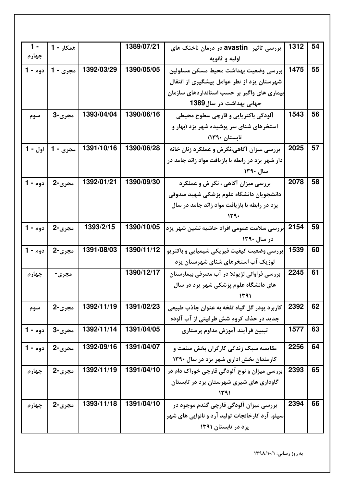| $1 -$     | همكار - 1 |            | 1389/07/21 | بررسی تاثیر avastin در درمان ناخنک های            | 1312 | 54 |
|-----------|-----------|------------|------------|---------------------------------------------------|------|----|
| چهارم     |           |            |            | اوليه و ثانويه                                    |      |    |
| دوم - 1   | مجری - 1  | 1392/03/29 | 1390/05/05 | بررسى وضعيت بهداشت محيط مسكن مسلولين              | 1475 | 55 |
|           |           |            |            | شهرستان یزد از نظر عوامل پیشگیری از انتقال        |      |    |
|           |           |            |            | بیماری های واگیر بر حسب استانداردهای سازمان       |      |    |
|           |           |            |            | جهانی بهداشت در سال1389                           |      |    |
| سوم       | مجري-3    | 1393/04/04 | 1390/06/16 | آلودگی باکتریایی و قارچی سطوح محیطی               | 1543 | 56 |
|           |           |            |            | استخرهای شنای سر پوشیده شهر یزد (بهار و           |      |    |
|           |           |            |            | تابستان ۱۳۹۰)                                     |      |    |
| ا اول - 1 | مجري - 1  | 1391/10/16 | 1390/06/28 | بررسی میزان آگاهی،نگرش و عملکرد زنان خانه         | 2025 | 57 |
|           |           |            |            | دار شهر یزد در رابطه با بازیافت مواد زائد جامد در |      |    |
|           |           |            |            | سال ۱۳۹۰                                          |      |    |
| دوم - 1   | مجری-2    | 1392/01/21 | 1390/09/30 | بررسی میزان آگاهی ، نگر ش و عملکرد                | 2078 | 58 |
|           |           |            |            | دانشجویان دانشگاه علوم پزشکی شهید صدوقی           |      |    |
|           |           |            |            | یزد در رابطه با بازیافت مواد زائد جامد در سال     |      |    |
|           |           |            |            |                                                   |      |    |
| دوم - 1   | مجري-2    | 1393/2/15  | 1390/10/05 | بررسی سلامت عمومی افراد حاشیه نشین شهر یزد        | 2154 | 59 |
|           |           |            |            | در سال ۱۳۹۰                                       |      |    |
| دوم - 1   | مجري-2    | 1391/08/03 | 1390/11/12 | بررسی وضعیت کیفیت فیزیکی شیمیایی و باکتریو        | 1539 | 60 |
|           |           |            |            | لوژیک آب استخرهای شنای شهرستان یزد                |      |    |
| چهارم     | مجری-     |            | 1390/12/17 | بررسی فراوانی لژیونلا در آب مصرفی بیمارستان       | 2245 | 61 |
|           |           |            |            | های دانشگاه علوم پزشکی شهر یزد در سال             |      |    |
|           |           |            |            | ۱۳۹۱                                              |      |    |
| سوم       | مجري-2    | 1392/11/19 | 1391/02/23 | کاربرد پودر گل گیاه تلخه به عنوان جاذب طبیعی      | 2392 | 62 |
|           |           |            |            | جدید در حذف کروم شش ظرفیتی از آب آلوده            |      |    |
| دوم - 1   | مجری-3    | 1392/11/14 | 1391/04/05 | تبيين فرآيند آموزش مداوم پرستاري                  | 1577 | 63 |
| دوم - 1   | مجري-2    | 1392/09/16 | 1391/04/07 | مقایسه سبک زندگی کارگران بخش صنعت و               | 2256 | 64 |
|           |           |            |            | کارمندان بخش اداری شهر یزد در سال ۱۳۹۰            |      |    |
|           | مجري-2    | 1392/11/19 | 1391/04/10 |                                                   | 2393 | 65 |
| چهارم     |           |            |            | بررسی میزان و نوع آلودگی قارچی خوراک دام در       |      |    |
|           |           |            |            | گاوداری های شیری شهرستان یزد در تابستان<br>۱۳۹۱   |      |    |
|           |           | 1393/11/18 | 1391/04/10 |                                                   | 2394 | 66 |
| چهارم     | مجري-2    |            |            | بررسی میزان آلودگی قارچی گندم موجود در            |      |    |
|           |           |            |            | سیلو، آرد کارخانجات تولید آرد و نانوایی های شهر   |      |    |
|           |           |            |            | یزد در تابستان ۱۳۹۱                               |      |    |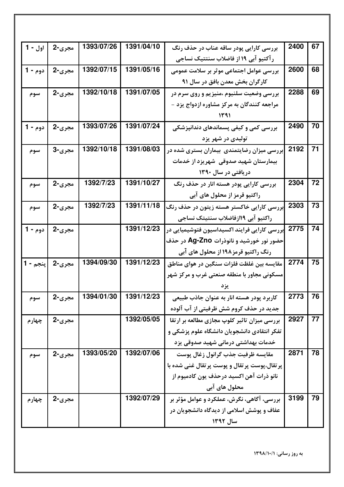| اول - 1  | مجري-2 | 1393/07/26 | 1391/04/10 | بررسی کارایی پودر ساقه عناب در حذف رنگ                    | 2400 | 67 |
|----------|--------|------------|------------|-----------------------------------------------------------|------|----|
|          |        |            |            | رآکتیو آبی ۱۹ از فاضلاب سنتتیک نساجی                      |      |    |
| دوم - 1  | مجری-2 | 1392/07/15 | 1391/05/16 | بررسی عوامل اجتماعی موثر بر سلامت عمومی                   | 2600 | 68 |
|          |        |            |            | کارگران بخش معدن بافق در سال ۹۱                           |      |    |
| سوم      | مجري-2 | 1392/10/18 | 1391/07/05 | بررسی وضعیت سلنیوم ،منیزیم و روی سرم در                   | 2288 | 69 |
|          |        |            |            | مراجعه کنندگان به مرکز مشاوره ازدواج یزد -                |      |    |
|          |        |            |            |                                                           |      |    |
| دوم - 1  | مجری-2 | 1393/07/26 | 1391/07/24 | بررسی کمی و کیفی پسماندهای دندانپزشکی                     | 2490 | 70 |
|          |        |            |            | تولیدی در شهر یزد                                         |      |    |
| سوم      | مجري-3 | 1392/10/18 | 1391/08/03 | بررسی میزان رضایتمندی بیماران بستری شده در                | 2192 | 71 |
|          |        |            |            | بیمارستان شهید صدوقی شهریزد از خدمات                      |      |    |
|          |        |            |            | دریافتی در سال ۱۳۹۰                                       |      |    |
| سوم      | مجري-2 | 1392/7/23  | 1391/10/27 | بررسی کارایی پودر هسته انار در حذف رنگ                    | 2304 | 72 |
|          |        |            |            | راکتیو قرمز از محلول های آبی                              |      |    |
| سوم      | مجري-2 | 1392/7/23  | 1391/11/18 | بررسی کارایی خاکستر هسته زیتون در حذف رنگ                 | 2303 | 73 |
|          |        |            |            | راكتيو آبي ١١٩زفاضلاب سنتيتك نساجي                        |      |    |
| دوم - 1  | مجري-2 |            | 1391/12/23 | <mark>بررسی کارایی فرایند اکسیداسیون فتوشیمیایی در</mark> | 2775 | 74 |
|          |        |            |            | حضور نور خورشید و نانوذرات Ag-Zno در حذف                  |      |    |
|          |        |            |            | رنگ راکتیو قرمز۱۹۸ از محلول های آبی                       |      |    |
| پنجم - 1 | مجري-2 | 1394/09/30 | 1391/12/23 | مقایسه بین غلظت فلزات سنگین در هوای مناطق                 | 2774 | 75 |
|          |        |            |            | مسکونی مجاور با منطقه صنعتی غرب و مرکز شهر                |      |    |
|          |        |            |            | يزد                                                       |      |    |
| سوم      | مجري-2 | 1394/01/30 | 1391/12/23 | کاربرد پودر هسته انار به عنوان جاذب طبیعی                 | 2773 | 76 |
|          |        |            |            | جدید در حذف کروم شش ظرفیتی از آب آلوده                    |      |    |
| چهارم    | مجری-2 |            | 1392/05/05 | بررسی میزان تاثیر کلوپ مجازی مطالعه بر ارتقا              | 2927 | 77 |
|          |        |            |            | تفکر انتقادی دانشجویان دانشگاه علوم پزشکی و               |      |    |
|          |        |            |            | خدمات بهداشتی درمانی شهید صدوقی یزد                       |      |    |
| سوم      | مجري-2 | 1393/05/20 | 1392/07/06 | مقايسه ظرفيت جذب گرانول زغال پوست                         | 2871 | 78 |
|          |        |            |            | پر تقال،پوست پر تقال و پوست پر تقال غنی شده با            |      |    |
|          |        |            |            | نانو ذرات آهن اکسید درحذف یون کادمیوم از                  |      |    |
|          |        |            |            | محلول های آبی                                             |      |    |
| چهارم    | مجري-2 |            | 1392/07/29 | بررسی، آگاهی، نگرش، عملکرد و عوامل مؤثر بر                | 3199 | 79 |
|          |        |            |            | عفاف و پوشش اسلامی از دیدگاه دانشجویان در                 |      |    |
|          |        |            |            | سال ۱۳۹۲                                                  |      |    |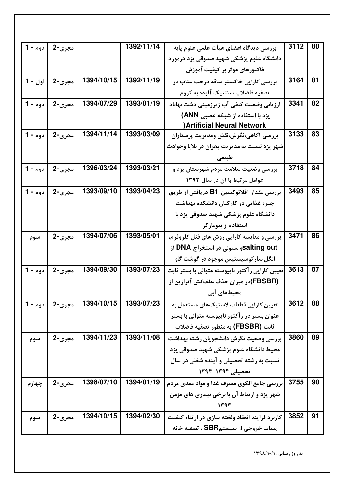| دوم - 1 | مجری-2 |            | 1392/11/14 | بررسی دیدگاه اعضای هیأت علمی علوم پایه           | 3112 | 80 |
|---------|--------|------------|------------|--------------------------------------------------|------|----|
|         |        |            |            | دانشگاه علوم پزشکی شهید صدوقی یزد درمورد         |      |    |
|         |        |            |            | فاکتورهای موثر بر کیفیت آموزش                    |      |    |
| اول - 1 | مجري-2 | 1394/10/15 | 1392/11/19 | بررسی کارایی خاکستر ساقه درخت عناب در            | 3164 | 81 |
|         |        |            |            | تصفيه فاضلاب سنتتيك آلوده به كروم                |      |    |
| دوم - 1 | مجري-2 | 1394/07/29 | 1393/01/19 | ارزیابی وضعیت کیفی آب زیرزمینی دشت بهاباد        | 3341 | 82 |
|         |        |            |            | یزد با استفاده از شبکه عصبی ANN)                 |      |    |
|         |        |            |            | ) Artificial Neural Network                      |      |    |
| دوم - 1 | مجري-2 | 1394/11/14 | 1393/03/09 | بررسی آگاهی،نگرش،نقش ومدیریت پرستاران            | 3133 | 83 |
|         |        |            |            | شهر یزد نسبت به مدیریت بحران در بلایا وحوادث     |      |    |
|         |        |            |            | طبيعي                                            |      |    |
| دوم - 1 | مجري-2 | 1396/03/24 | 1393/03/21 | بررسی وضعیت سلامت مردم شهرستان یزد و             | 3718 | 84 |
|         |        |            |            | عوامل مرتبط با آن در سال ۱۳۹۳                    |      |    |
| دوم - 1 | مجري-2 | 1393/09/10 | 1393/04/23 | بررسی مقدار آفلاتوکسین B1 دریافتی از طریق        | 3493 | 85 |
|         |        |            |            | جیره غذایی در کارکنان دانشکده بهداشت             |      |    |
|         |        |            |            | دانشگاه علوم پزشکی شهید صدوقی یزد با             |      |    |
|         |        |            |            | استفاده از بیومارکر                              |      |    |
| سوم     | مجري-2 | 1394/07/06 | 1393/05/01 | بررسی و مقایسه کارایی روش های فنل کلروفرم،       | 3471 | 86 |
|         |        |            |            | salting outو ستونی در استخراج DNA از             |      |    |
|         |        |            |            | انگل سار کوسیستیس موجود در گوشت گاو              |      |    |
| دوم - 1 | مجری-2 | 1394/09/30 | 1393/07/23 | تعیین کارایی رآکتور ناپیوسته متوالی با بستر ثابت | 3613 | 87 |
|         |        |            |            | (FBSBR)در میزان حذف علفکش آترازین از             |      |    |
|         |        |            |            | محیطهای آبی                                      |      |    |
| دوم - 1 | مجری-2 | 1394/10/15 | 1393/07/23 | تعیین کارایی قطعات لاستیکهای مستعمل به           | 3612 | 88 |
|         |        |            |            | عنوان بستر در رآکتور ناپیوسته متوالی با بستر     |      |    |
|         |        |            |            | ثابت (FBSBR) به منظور تصفيه فاضلاب               |      |    |
| سوم     | مجري-2 | 1394/11/23 | 1393/11/08 | بررسي وضعيت نگرش دانشجويان رشته بهداشت           | 3860 | 89 |
|         |        |            |            | محیط دانشگاه علوم پزشکی شهید صدوقی پزد           |      |    |
|         |        |            |            | نسبت به رشته تحصیلی و آینده شغلی در سال          |      |    |
|         |        |            |            | تحصیلی ۱۳۹۴-۱۳۹۳                                 |      |    |
| چهارم   | مجري-2 | 1398/07/10 | 1394/01/19 | بررسي جامع الگوي مصرف غذا و مواد مغذي مردم       | 3755 | 90 |
|         |        |            |            | شهر یزد و ارتباط آن با برخی بیماری های مزمن      |      |    |
|         |        |            |            | 1393                                             |      |    |
| سوم     | مجري-2 | 1394/10/15 | 1394/02/30 | کاربرد فرایند انعقاد ولخته سازی در ارتقاء کیفیت  | 3852 | 91 |
|         |        |            |            | پساب خروجی از سیستمSBR ، تصفیه خانه              |      |    |
|         |        |            |            |                                                  |      |    |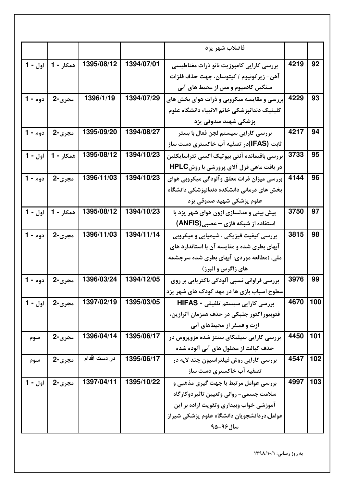|                    |           |              |            | فاضلاب شهر يزد                                                                    |      |     |
|--------------------|-----------|--------------|------------|-----------------------------------------------------------------------------------|------|-----|
| اول - 1            | همکار - 1 | 1395/08/12   | 1394/07/01 | بررسى كارايي كامپوزيت نانو ذرات مغناطيسي                                          | 4219 | 92  |
|                    |           |              |            | آهن- زير كونيوم / كيتوسان، جهت حذف فلزات                                          |      |     |
|                    |           |              |            | سنگین کادمیوم و مس از محیط های آبی                                                |      |     |
| دوم - 1            | مجري-2    | 1396/1/19    | 1394/07/29 | ابررسی و مقایسه میکروبی و ذرات هوای بخش های                                       | 4229 | 93  |
|                    |           |              |            | كلينيك دندانپزشكي خاتم الانبياء دانشگاه علوم                                      |      |     |
|                    |           |              |            | پزشکی شهید صدوقی یزد                                                              |      |     |
| دوم - 1            | مجري-2    | 1395/09/20   | 1394/08/27 | بررسی کارایی سیستم لجن فعال با بستر                                               | 4217 | 94  |
|                    |           |              |            | ثابت (IFAS)در تصفیه آب خاکستری دست ساز                                            |      |     |
| <b>1</b> - اول - 1 | همکار - 1 | 1395/08/12   | 1394/10/23 | ً بررسی باقیمانده آنتی بیوتیک اکسی تتراسایکلین                                    | 3733 | 95  |
|                    |           |              |            | در بافت ماهی قزل آلای پرورشی با روشHPLC                                           |      |     |
| دوم - 1            | مجري-2    | 1396/11/03   | 1394/10/23 | بررسی میزان ذرات معلق وآلودگی میکروبی هوای                                        | 4144 | 96  |
|                    |           |              |            | بخش های درمانی دانشکده دندانپزشکی دانشگاه                                         |      |     |
|                    |           |              |            | علوم پزشکی شهید صدوقی یزد                                                         |      |     |
| اول - 1            | همكار - 1 | 1395/08/12   | 1394/10/23 | پیش بینی و مدلسازی ازون هوای شهر یزد با                                           | 3750 | 97  |
|                    |           |              |            | استفاده از شبکه فازی – عصبی(ANFIS)                                                |      |     |
| دوم - 1            | مجری-2    | 1396/11/03   | 1394/11/14 | بررسی کیفیت فیزیکی ، شیمیایی و میکروبی                                            | 3815 | 98  |
|                    |           |              |            | آبهای بطری شده و مقایسه آن با استاندارد های                                       |      |     |
|                    |           |              |            | ملی. (مطالعه موردی: آبهای بطری شده سرچشمه                                         |      |     |
|                    |           |              |            | های زاگرس و البرز)                                                                |      |     |
| دوم - 1            | مجری-2    | 1396/03/24   | 1394/12/05 | بررسی فراوانی نسبی آلودگی باکتریایی بر روی                                        | 3976 | 99  |
|                    |           |              |            | سطوح اسباب بازی ها در مهد کودک های شهر یزد                                        | 4670 |     |
| $1 - J_9$          | مجري-2    | 1397/02/19   | 1395/03/05 | بررسی کارایی سیستم تلفیقی - HIFAS                                                 |      | 100 |
|                    |           |              |            | فتوبیور آکتور جلبکی در حذف همزمان آترازین،                                        |      |     |
|                    |           | 1396/04/14   | 1395/06/17 | ازت و فسفر از محیطهای آبی                                                         | 4450 | 101 |
| سوم                | مجري-2    |              |            | بررسی کارایی سیلیکای سنتز شده مزوپروس در                                          |      |     |
|                    |           | در دست اقدام | 1395/06/17 | حذف کبالت از محلول های آبی آلوده شده                                              | 4547 | 102 |
| سوم                | مجري-2    |              |            | بررسی کارایی روش فیلتراسیون چند لایه در                                           |      |     |
|                    |           | 1397/04/11   | 1395/10/22 | تصفیه آب خاکستری دست ساز                                                          | 4997 | 103 |
| اول - 1            | مجري-2    |              |            | بررسی عوامل مرتبط با جهت گیری مذهبی و                                             |      |     |
|                    |           |              |            | سلامت جسمي- رواني وتعيين تاثيردوكارگاه<br>آموزشی خواب وبیداری وتقویت اراده بر این |      |     |
|                    |           |              |            | عوامل،دردانشجویان دانشگاه علوم پزشکی شیراز                                        |      |     |
|                    |           |              |            | سال ۹۶-۹۵                                                                         |      |     |
|                    |           |              |            |                                                                                   |      |     |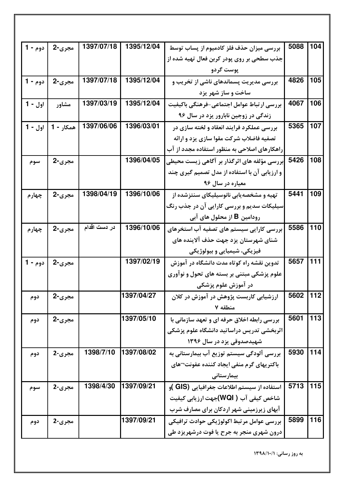| دوم - 1 | مجري-2    | 1397/07/18   | 1395/12/04 | بررسی میزان حذف فلز کادمیوم از پساب توسط          | 5088 | 104 |
|---------|-----------|--------------|------------|---------------------------------------------------|------|-----|
|         |           |              |            | جذب سطحی بر روی پودر کربن فعال تهیه شده از        |      |     |
|         |           |              |            | پوست گردو                                         |      |     |
| دوم - 1 | مجري-2    | 1397/07/18   | 1395/12/04 | بررسی مدیریت پسماندهای ناشی از تخریب و            | 4826 | 105 |
|         |           |              |            | ساخت و ساز شهر یزد                                |      |     |
| اول - 1 | مشاور     | 1397/03/19   | 1395/12/04 | بررسي ارتباط عوامل اجتماعي-فرهنگي باكيفيت         | 4067 | 106 |
|         |           |              |            | زندگی در زوجین نابارور یزد در سال ۹۶              |      |     |
| اول - 1 | همکار - 1 | 1397/06/06   | 1396/03/01 | بررسی عملکرد فرایند انعقاد و لخته سازی در         | 5365 | 107 |
|         |           |              |            | تصفیه فاضلاب شرکت مقوا سازی یزد و ارائه           |      |     |
|         |           |              |            | راهکارهای اصلاحی به منظور استفاده مجدد از آب      |      |     |
| سوم     | مجري-2    |              | 1396/04/05 | .<br>ابررسی مؤلفه های اثرگذار بر آگاهی زیست محیطی | 5426 | 108 |
|         |           |              |            | و ارزیابی آن با استفاده از مدل تصمیم گیری چند     |      |     |
|         |           |              |            | معياره در سال ۹۶                                  |      |     |
| چهارم   | مجري-2    | 1398/04/19   | 1396/10/06 | تهیه و مشخصهیابی نانوسیلیکای سنتزشده از           | 5441 | 109 |
|         |           |              |            | سیلیکات سدیم و بررسی کارایی آن در جذب رنگ         |      |     |
|         |           |              |            | رودامین <b>B</b> از محلول های آبی                 |      |     |
| چهارم   | مجري-2    | در دست اقدام | 1396/10/06 | بررسی کارایی سیستم های تصفیه آب استخرهای          | 5586 | 110 |
|         |           |              |            | شنای شهرستان یزد جهت حذف آلاینده های              |      |     |
|         |           |              |            | فیزیکی، شیمیایی و بیولوژیکی                       |      |     |
| دوم - 1 | مجري-2    |              | 1397/02/19 | تدوین نقشه راه کوتاه مدت دانشگاه در آموزش         | 5657 | 111 |
|         |           |              |            | علوم پزشکی مبتنی بر بسته های تحول و نوآوری        |      |     |
|         |           |              |            | در آموزش علوم پزشکی                               |      |     |
| دوم     | مجری-2    |              | 1397/04/27 | ارزشیابی کاربست پژوهش در آموزش در کلان            | 5602 | 112 |
|         |           |              |            | منطقه ٧                                           |      |     |
| دوم     | مجري-2    |              | 1397/05/10 | بررسی رابطه اخلاق حرفه ای و تعهد سازمانی با       | 5601 | 113 |
|         |           |              |            | اثربخشی تدریس دراساتید دانشگاه علوم پزشکی         |      |     |
|         |           |              |            | شهیدصدوقی یزد در سال ۱۳۹۶                         |      |     |
| دوم     | مجري-2    | 1398/7/10    | 1397/08/02 | بررسی آلودگی سیستم توزیع آب بیمارستانی به         | 5930 | 114 |
|         |           |              |            | باکتریهای گرم منفی ایجاد کننده عفونت¬های          |      |     |
|         |           |              |            | بیمارستانی                                        |      |     |
| سوم     | مجري-2    | 1398/4/30    | 1397/09/21 | استفاده از سیستم اطلاعات جغرافیایی (GIS )و        | 5713 | 115 |
|         |           |              |            | شاخص کیفی آب ( WQI)جهت ارزیابی کیفیت              |      |     |
|         |           |              |            | آبهای زیرزمینی شهر اردکان برای مصارف شرب          |      |     |
| دوم     | مجري-2    |              | 1397/09/21 | بررسي عوامل مرتبط اكولوژيكي حوادث ترافيكي         | 5899 | 116 |
|         |           |              |            | درون شهری منجر به جرح یا فوت درشهریزد طی          |      |     |
|         |           |              |            |                                                   |      |     |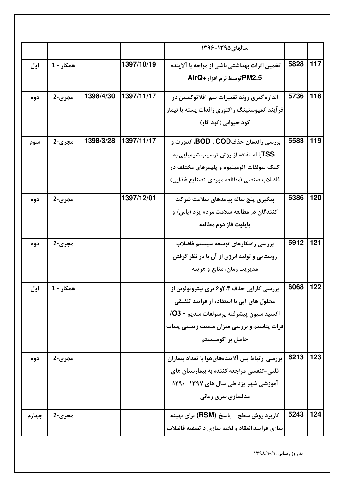|       |           |           |            | سالهای ۱۳۹۵-۱۳۹۶                                |      |     |
|-------|-----------|-----------|------------|-------------------------------------------------|------|-----|
| اول   | همكار - 1 |           | 1397/10/19 | تخمین اثرات بهداشتی ناشی از مواجه با آلاینده    | 5828 | 117 |
|       |           |           |            | PM2.5 توسط نرم افزار+AirQ                       |      |     |
| دوم   | مجري-2    | 1398/4/30 | 1397/11/17 | اندازه گیری روند تغییرات سم آفلاتوکسین در       | 5736 | 118 |
|       |           |           |            | فرآیند کمپوستینگ راکتوری زائدات پسته با تیمار   |      |     |
|       |           |           |            | کود حیوانی (کود گاو)                            |      |     |
| سوم   | مجري-2    | 1398/3/28 | 1397/11/17 | بررسی راندمان حذفCOD ، COD، کدورت و             | 5583 | 119 |
|       |           |           |            | <b>TSSبا استفاده از روش ترسیب شیمیایی به</b>    |      |     |
|       |           |           |            | کمک سولفات آلومینیوم و پلیمرهای مختلف در        |      |     |
|       |           |           |            | فاضلاب صنعتي (مطالعه موردي :صنايع غذايي)        |      |     |
| دوم   | مجري-2    |           | 1397/12/01 | پیگیری پنج ساله پیامدهای سلامت شرکت             | 6386 | 120 |
|       |           |           |            | کنندگان در مطالعه سلامت مردم یزد (پاس) و        |      |     |
|       |           |           |            | پايلوت فاز دوم مطالعه                           |      |     |
| دوم   | مجري-2    |           |            | بررسى راهكارهاى توسعه سيستم فاضلاب              | 5912 | 121 |
|       |           |           |            | روستایی و تولید انرژی از آن با در نظر گرفتن     |      |     |
|       |           |           |            | مدیریت زمان، منابع و هزینه                      |      |     |
| اول   | همكار - 1 |           |            | بررسی کارایی حذف ۲،۴و۶ تری نیتروتولوئن از       | 6068 | 122 |
|       |           |           |            | محلول های آبی با استفاده از فرایند تلفیقی       |      |     |
|       |           |           |            | اكسيداسيون پيشرفته پرسولفات سديم - O3/          |      |     |
|       |           |           |            | فرات پتاسیم و بررسی میزان سمیت زیستی پساب       |      |     |
|       |           |           |            | حاصل بر اکوسیستم                                |      |     |
| دوم   | مجري-2    |           |            | بررسی ارتباط بین آلایندههایهوا با تعداد بیماران | 6213 | 123 |
|       |           |           |            | قلبی-تنفسی مراجعه کننده به بیمارستان های        |      |     |
|       |           |           |            | آموزشی شهر یزد طی سال های ۱۳۹۷- ۱۳۹۰:           |      |     |
|       |           |           |            | مدلسازی سری زمانی                               |      |     |
| چهارم | مجري-2    |           |            | ِ کاربرد روش سطح - پاسخ (RSM) برای بهینه        | 5243 | 124 |
|       |           |           |            | سازی فرایند انعقاد و لخته سازی د تصفیه فاضلاب   |      |     |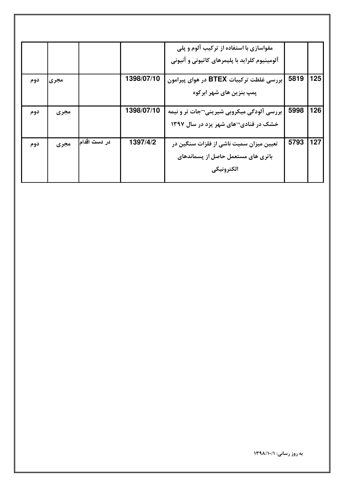|     |      |              |            | مقواسازی با استفاده از ترکیب آلوم و پلی       |      |     |
|-----|------|--------------|------------|-----------------------------------------------|------|-----|
|     |      |              |            | آلومینیوم کلراید با پلیمرهای کاتیونی و آنیونی |      |     |
|     |      |              | 1398/07/10 |                                               | 5819 | 125 |
| دوم | مجرى |              |            | بررسی غلظت ترکیبات BTEX در هوای پیرامون       |      |     |
|     |      |              |            | پمپ بنزین های شهر ابرکوه                      |      |     |
|     |      |              | 1398/07/10 |                                               | 5998 | 126 |
| دوم | مجرى |              |            | بررسی آلودگی میکروبی شیرینی¬جات تر و نیمه     |      |     |
|     |      |              |            | خشک در قنادی¬های شهر یزد در سال ۱۳۹۷          |      |     |
|     |      |              |            |                                               |      |     |
| دوم | مجرى | در دست اقدام | 1397/4/2   | تعیین میزان سمیت ناشی از فلزات سنگین در       | 5793 | 127 |
|     |      |              |            | باتری های مستعمل حاصل از پسماندهای            |      |     |
|     |      |              |            | الكترونيكي                                    |      |     |
|     |      |              |            |                                               |      |     |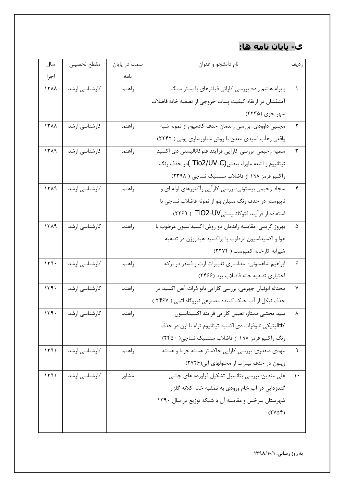## ې- پايان نامه ها:

| سال  | مقطع تحصيلى   | سمت در پایان | نام دانشجو و عنوان                                       | رديف |
|------|---------------|--------------|----------------------------------------------------------|------|
| اجرا |               | نامه         |                                                          |      |
| 1٣٨٨ | كارشناسى ارشد | راهنما       | بایرام هاشم زاده: بررسی کارائی فیلترهای با بستر سنگ      |      |
|      |               |              | آتشفشان در ارتقاء كيفيت پساب خروجي از تصفيه خانه فاضلاب  |      |
|      |               |              | شهر خوی (۲۲۳۵)                                           |      |
| 1711 | كارشناسى ارشد | راهنما       | مجتبی داوودی: بررسی راندمان حذف کادمیوم از نمونه شبه     | ٢    |
|      |               |              | واقعی زهآب اسیدی معدن با روش شناورسازی یونی ( ۲۲۴۲)      |      |
| 1519 | كارشناسى ارشد | راهنما       | سمیه رحیمی: بررسی کاراًیی فراًیند فتوکاتالیستی دی اکسید  | ٣    |
|      |               |              | تيتانيوم و اشعه ماوراء بنفش(Tio2/UV-C )در حذف رنگ        |      |
|      |               |              | راکتیو قرمز ۱۹۸ از فاضلاب سنتتیک نساجی ( ۲۳۹۸)           |      |
| ۱۳۸۹ | كارشناسى ارشد | راهنما       | سجاد رحیمی بیستونی: بررسی کارآیی رآکتورهای لوله ای و     | ۴    |
|      |               |              | ناپیوسته در حذف رنگ متیلن بلو از نمونه فاضلاب نساجی با   |      |
|      |               |              | استفاده از فرآیند فتوكاتاليستيJU-TiO2-UV ( ٢٢۶٩)         |      |
| 1519 | كارشناسى ارشد | راهنما       | بهروز كريمي: مقايسه راندمان دو روش اكسيداسيون مرطوب با   | ۵    |
|      |               |              | هوا و اکسیداسیون مرطوب با پراکسید هیدروژن در تصفیه       |      |
|      |               |              | شیرابه کارخانه کمپوست ( ۲۲۷۴)                            |      |
| 149. | كارشناسى ارشد | راهنما       | ابراهیم شاهسونی:  مدلسازی تغییرات ازت و فسفر در برکه     | ۶    |
|      |               |              | اختیاری تصفیه خانه فاضلاب یزد (٢۴۶۶)                     |      |
| 149. | كارشناسي ارشد | راهنما       | محدثه ابوئیان جهرمی: بررسی کارایی نانو ذرات آهن اکسید در | ٧    |
|      |               |              | حذف نیکل از آب خنک کننده مصنوعی نیروگاه اتمی ( ۲۴۶۷ )    |      |
| ۱۳۹۰ | كارشناسي ارشد | راهنما       | سید مجتبی ممتاز: تعیین کارایی فرایند اکسیداسیون          |      |
|      |               |              | كاتاليتيكي نانوذرات دي اكسيد تيتانيوم توام با ازن در حذف |      |
|      |               |              | رنگ راکتیو قرمز ۱۹۸ از فاضلاب سنتتیک نساجی( ۲۴۵۰)        |      |
| 1491 | کارشناسی ارشد | راهنما       | مهدی صفدری: بررسی کارایی خاکستر هسته خرما و هسته         | ٩    |
|      |               |              | زیتون در حذف نیترات از محلولهای آبی(۲۷۲۶)                |      |
| 1491 | کارشناسی ارشد | مشاور        | علی متدین: بررسی پتانسیل تشکیل فراورده های جانبی         | ۱۰   |
|      |               |              | گندزدایی در آب خام ورودی به تصفیه خانه کلاته گلزار       |      |
|      |               |              | شهرستان سرخس و مقایسه آن با شبکه توزیع در سال ۱۳۹۰       |      |
|      |               |              | (110f)                                                   |      |
|      |               |              |                                                          |      |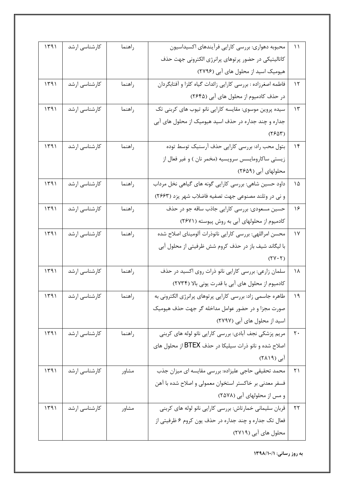| ۱۱             | محبوبه دهواري: بررسي كارايي فرآيندهاي اكسيداسيون            | راهنما | كارشناسي ارشد | 1491 |
|----------------|-------------------------------------------------------------|--------|---------------|------|
|                | کاتالیتیکی در حضور پرتوهای پرانرژی الکترونی جهت حذف         |        |               |      |
|                | هیومیک اسید از محلول های آبی (۲۷۹۶)                         |        |               |      |
| $\mathcal{N}$  | فاطمه اصغرزاده : بررسي كارايي زائدات گياه كلزا و أفتابگردان | راهنما | كارشناسي ارشد | 1491 |
|                | در حذف کادمیوم از محلول های آبی (۲۶۴۵)                      |        |               |      |
| $\gamma$       | سیده پروین موسوی: مقایسه کارایی نانو تیوب های کربنی تک      | راهنما | كارشناسي ارشد | 1491 |
|                | جداره و چند جداره در حذف اسید هیومیک از محلول های آبی       |        |               |      |
|                | $(Y^{\varphi}\Delta Y)$                                     |        |               |      |
| $\mathcal{N}$  | بتول محب راد: بررسي كارايي حذف آرسنيک توسط توده             | راهنما | کارشناسی ارشد | 1491 |
|                | زیستی ساکارومایسس سرویسیه (مخمر نان ) و غیر فعال از         |        |               |      |
|                | محلولهای آبی (۲۶۵۹)                                         |        |               |      |
| ۱۵             | داود حسین شاهی: بررسی کارایی گونه های گیاهی نخل مرداب       | راهنما | كارشناسي ارشد | 1491 |
|                | و نی در وتلند مصنوعی جهت تصفیه فاضلاب شهر یزد (۲۶۶۳)        |        |               |      |
| ۱۶             | حسین مسعودی: بررسی کارایی جاذب ساقه جو در حذف               | راهنما | كارشناسى ارشد | 1491 |
|                | کادمیوم از محلولهای آبی به روش پیوسته (۲۶۷۱)                |        |               |      |
| $\gamma$       | محسن امراللهي: بررسي كارايي نانوذرات آلوميناي اصلاح شده     | راهنما | كارشناسي ارشد | 1491 |
|                | با لیگاند شیف باز در حذف کروم شش ظرفیتی از محلول آبی        |        |               |      |
|                | $(YY \cdot Y)$                                              |        |               |      |
| ۱۸             | سلمان زارعی: بررسی کارایی نانو ذرات روی اکسید در حذف        | راهنما | کارشناسی ارشد | 1491 |
|                | کادمیوم از محلول های آبی با قدرت یونی بالا (۲۷۳۴)           |        |               |      |
| ۱۹             | طاهره جاسمی زاد: بررسی کارایی پرتوهای پرانرژی الکترونی به   | راهنما | کارشناسی ارشد | ۱۳۹۱ |
|                | صورت مجزا و در حضور عوامل مداخله گر جهت حذف هیومیک          |        |               |      |
|                | اسید از محلول های آبی (۲۷۹۷)                                |        |               |      |
| $\mathsf{r}$ . | مریم پزشکی نجف آبادی: بررسی کارایی نانو لوله های کربنی      | راهنما | کارشناسی ارشد | 1491 |
|                | اصلاح شده و نانو ذرات سیلیکا در حذف BTEX از محلول های       |        |               |      |
|                | آبی (۲۸۱۹)                                                  |        |               |      |
| ۲۱             | محمد تحقیقی حاجی علیزاده: بررسی مقایسه ای میزان جذب         | مشاور  | کارشناسی ارشد | 1491 |
|                | فسفر معدنی بر خاکستر استخوان معمولی و اصلاح شده با آهن      |        |               |      |
|                | و مس از محلولهای آبی (٢٥٧٨)                                 |        |               |      |
| ۲۲             | قربان سلیمانی خمارتاش: بررسی کارایی نانو لوله های کربنی     | مشاور  | کارشناسی ارشد | 1491 |
|                | فعال تک جداره و چند جداره در حذف یون کروم ۶ ظرفیتی از       |        |               |      |
|                | محلول های آبی (۲۷۱۹)                                        |        |               |      |
|                |                                                             |        |               |      |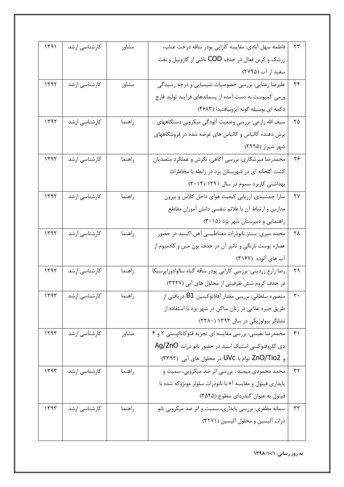| ۲۳         | فاطمه سهل آبادي: مقايسه كارايي پودر ساقه درخت عناب،          | مشاور  | كارشناسى ارشد | 1491 |
|------------|--------------------------------------------------------------|--------|---------------|------|
|            | زرشک و کربن فعال در حذف COD ناشی از گازوییل و نفت            |        |               |      |
|            | سفید از آب (۲۷۹۵)                                            |        |               |      |
| ۲۴         | علیرضا رعنایی: بررسی خصوصیات شیمیایی و درجه رسیدگی           | مشاور  | كارشناسى ارشد | 1197 |
|            | ورمی کمپوست به دست آمده از پسماندهای فرآیند تولید قارچ       |        |               |      |
|            | دكمه اي بوسيله گونه ايزونيافتيدا (۴۶۸۳)                      |        |               |      |
| ۲۵         | سیف الله زارعی: بررسی وضعیت آلودگی میکروبی دستگاههای         | راهنما | كارشناسي ارشد | 1197 |
|            | برش دهنده کالباس و کالباس های عرضه شده در فروشگاههای         |        |               |      |
|            | شهر شیراز (۲۹۹۵)                                             |        |               |      |
| ۲۶         | محمدرضا میرشکاری: بررسی أگاهی، نگرش و عملکرد متصدیان         | راهنما | كارشناسى ارشد | ۱۳۹۲ |
|            | کشت گلخانه ای در شهرستان یزد در رابطه با مخاطرات             |        |               |      |
|            | بهداشتی کاربرد سموم در سال ۱۳۹۱ (۳۰۱۴)                       |        |               |      |
| ۲۷         | سارا جمشیدی: ارزیابی کیفیت هوای داخل کلاس و بیرون            | راهنما | كارشناسى ارشد | 1197 |
|            | مدارس و ارتباط آن با علائم تنفسي دانش آموزان مقاطع           |        |               |      |
|            | راهنمایی و دبیرستان شهر یزد (۳۰۱۵)                           |        |               |      |
| ٢٨         | محمد میری: سنتز نانوذرات مغناطیسی آهن اکسید در حضور          | راهنما | کارشناسی ارشد | ۱۳۹۲ |
|            | عصاره پوست نارنگی و تاثیر آن در حذف یون مس و کادمیوم از      |        |               |      |
|            | آب های آلوده  (۳۱۶۷)                                         |        |               |      |
| ۲۹         | رضا زارع زرديني: بررسي كارايي پودر ساقه گياه سالوادوراپرسيكا | راهنما | كارشناسي ارشد | 1197 |
|            | در حذف کروم شش ظرفیتی از محلول های آبی (۳۲۲۷)                |        |               |      |
| ٣٠         | منصوره سلطانی: بررسی مقدار آفلاتوکسین $\rm B1$ دریافتی از    | راهنما | کارشناسی ارشد | 1494 |
|            | طریق جیره غذایی در زنان ساکن در شهر یزد با استفاده از        |        |               |      |
|            | نشانگر بیولوژیکی در سال ۱۳۹۳ (۳۳۸۰)                          |        |               |      |
| $\uparrow$ | محمدرضا نفیسی: بررسی مقایسه ای تجزیه فتوکاتالیستی ۲ و ۴      | مشاور  | کارشناسی ارشد | 1197 |
|            | دی کلروفنوکسی استیک اسید در حضور نانو ذرات Ag/ZnO            |        |               |      |
|            | و ZnO/Tio2 توام با UVc در محلول های آبی (٣٣٩٢)               |        |               |      |
| ٣٢         | محمد محمودی میمند : بررسی اثر ضد میکروبی، سمیت و             | راهنما | کارشناسی ارشد | 1197 |
|            | پایداری فیتول و مقایسه آ« با نانوذرات سلولز مونژوگه شده با   |        |               |      |
|            | فیتول به عنوان گندزدای سطوح (۳۵۴۵)                           |        |               |      |
| ٣٣         | سمانه مظفری: بررسی پایداری، سمیت و اثر ضد میکروبی نانو       | راهنما | کارشناسی ارشد | 1497 |
|            | ذرات آلیسین و محلول آلیسین (۳۲۷۱)                            |        |               |      |
|            |                                                              |        |               |      |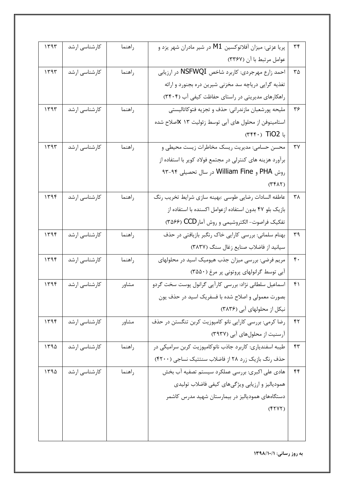| ٣۴               | پریا عزتی: میزان آفلاتوکسین M1 در شیر مادران شهر یزد و    | راهنما | كارشناسى ارشد | 1497 |
|------------------|-----------------------------------------------------------|--------|---------------|------|
|                  | عوامل مرتبط با آن (٣٣۶٧)                                  |        |               |      |
| ۳۵               | احمد زارع مهرجردي: کاربرد شاخص NSFWQI در ارزيابي          | راهنما | كارشناسي ارشد | 1197 |
|                  | تغذیه گرایی دریاچه سد مخزنی شیرین دره بجنورد و ارائه      |        |               |      |
|                  | راهکارهای مدیریتی در راستای حفاظت کیفی آب (٣۴٠۴)          |        |               |      |
| ۳۶               | مليحه پورشعبان مازندراني: حذف و تجزيه فتوكاتاليستي        | راهنما | كارشناسي ارشد | ۱۳۹۳ |
|                  | استامینوفن از محلول های آبی توسط زئولیت ۱۳ Xاصلاح شده     |        |               |      |
|                  | $( \mathsf{r} \mathsf{r} \mathsf{r} \cdot )$ TiO2 با      |        |               |      |
| ٣٧               | محسن حسامي: مديريت ريسک مخاطرات زيست محيطي و              | راهنما | كارشناسى ارشد | ۱۳۹۳ |
|                  | برآورد هزینه های کنترلی در مجتمع فولاد کویر با استفاده از |        |               |      |
|                  | روش PHA و William Fine در سال تحصیلی ۹۴-۹۳                |        |               |      |
|                  | (۳۴۸۲)                                                    |        |               |      |
| ۳۸               | عاطفه السادات رضايي طوسي :بهينه سازي شرايط تخريب رنگ      | راهنما | كارشناسى ارشد | 1199 |
|                  | بازیک بلو ۴۷ بدون استفاده ازعوامل اکسنده با استفاده از    |        |               |      |
|                  | تفكيك فراصوت- الكتروشيمي و روش آمار CCD (۳۵۶۶)            |        |               |      |
| ٣٩               | بهنام سلمانی: بررسی کارایی خاک رنگبر بازیافتی در حذف      | راهنما | كارشناسى ارشد | ۱۳۹۴ |
|                  | سیانید از فاضلاب صنایع زغال سنگ (٣٨٣٧)                    |        |               |      |
| $\mathfrak{r}$ . | مریم فرضی: بررسی میزان جذب هیومیک اسید در محلولهای        | راهنما | كارشناسى ارشد | 1199 |
|                  | آبی توسط گرانولهای پروتونی پر مرغ (٣۵۵٠)                  |        |               |      |
| ۴۱               | اسماعیل سلطانی نژاد: بررسی کارآیی گرانول پوست سخت گردو    | مشاور  | کارشناسی ارشد | 1199 |
|                  | بصورت معمولی و اصلاح شده با فسفریک اسید در حذف یون        |        |               |      |
|                  | نیکل از محلولهای آبی (۳۸۳۶)                               |        |               |      |
| ۴۲               | رضا کرمی: بررسی کارایی نانو کامپوزیت کربن تنگستن در حذف   | مشاور  | کارشناسی ارشد | 1199 |
|                  | آرسنیت از محلولهای آبی (۳۹۳۷)                             |        |               |      |
| $\mathbf{r}$     | طیبه اسفندیاری: کاربرد جاذب نانوکامپوزیت کربن سرامیکی در  | راهنما | کارشناسی ارشد | 1490 |
|                  | حذف رنگ بازیک زرد ۲۸ از فاضلاب سنتتیک نساجی (۴۲۰۰)        |        |               |      |
| ۴۴               | هادی علی اکبری: بررسی عملکرد سیستم تصفیه آب بخش           | راهنما | کارشناسی ارشد | 1490 |
|                  | همودیالیز و ارزیابی ویژگیهای کیفی فاضلاب تولیدی           |        |               |      |
|                  | دستگاههای همودیالیز در بیمارستان شهید مدرس کاشمر          |        |               |      |
|                  | (511)                                                     |        |               |      |
|                  |                                                           |        |               |      |
|                  |                                                           |        |               |      |
|                  |                                                           |        |               |      |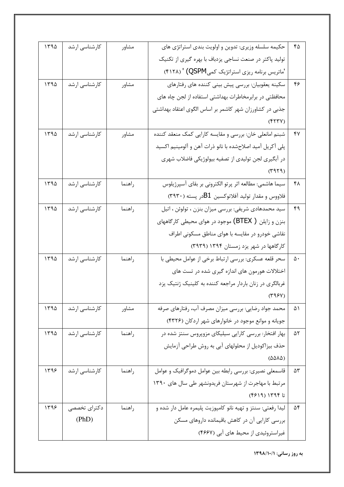| حکیمه سلسله وزیری: تدوین و اولویت بندی استراتژی های<br>١٣٩۵<br>كارشناسى ارشد<br>۴۵<br>مشاور<br>تولید پاکتر در صنعت نساجی یزدباف با بهره گیری از تکنیک<br>'ماتریس برنامه ریزی استراتژیک کمیQSPM) ' (۴۱۲۸)<br>سکینه یعقوبیان: بررسی پیش بینی کننده های رفتارهای<br>١٣٩۵<br>كارشناسى ارشد<br>۴۶<br>مشاور<br>محافظتی در برابرمخاطرات بهداشتی استفاده از لجن چاه های<br>جذبی در کشاورزان شهر کاشمر بر اساس الگوی اعتقاد بهداشتی<br>(YYY)<br>شبنم امانعلي خان: بررسي و مقايسه كارايي كمك منعقد كننده<br>١٣٩۵<br>كارشناسى ارشد<br>۴۷<br>مشاور<br>پلی آکریل آمید اصلاحشده با نانو ذرات آهن و آلومینیم اکسید<br>در آبگیری لجن تولیدی از تصفیه بیولوژیکی فاضلاب شهری<br>(1919)<br>سیما هاشمی: مطالعه اثر پرتو الکترونی بر بقای آسپرژیلوس<br>كارشناسى ارشد<br>1490<br>۴۸<br>راهنما<br>فلاووس و مقدار تولید آفلاتوکسین $\rm B1$ در پسته (۳۹۳۰)<br>سید محمدهادی شریفی: بررسی میزان بنزن ، تولوئن ، اتیل<br>١٣٩۵<br>كارشناسى ارشد<br>۴۹<br>راهنما<br>بنزن و زایلن ( BTEX) موجود در هوای محیطی کارگاههای<br>نقاشی خودرو در مقایسه با هوای مناطق مسکونی اطراف<br>کارگاهها در شهر یزد زمستان ۱۳۹۴ (۳۹۳۹)<br>سحر قلعه عسکري: بررسي ارتباط برخي از عوامل محيطي با<br>۱۳۹۵<br>کارشناسی ارشد<br>راهنما<br>۵۰<br>اختلالات هورمون های اندازه گیری شده در تست های<br>غربالگری در زنان باردار مراجعه کننده به کلینیک ژنتیک یزد<br>$(\Upsilon \varphi \varphi \vee)$<br>محمد جواد رضایی: بررسی میزان مصرف آب، رفتارهای صرفه<br>کارشناسی ارشد<br>1440<br>۵۱<br>مشاور<br>جویانه و موانع موجود در خانوارهای شهر اردکان (۴۳۲۶)<br>بهار افتخار: بررسی کارایی سیلیکای مزوپروس سنتز شده در<br>1490<br>کارشناسی ارشد<br>راهنما<br>۵۲<br>حذف بیزاکودیل از محلولهای آبی به روش طراحی آزمایش<br>(5886)<br>قاسمعلی نصیری: بررسی رابطه بین عوامل دموگرافیک و عوامل<br>کارشناسی ارشد<br>۱۳۹۶<br>راهنما<br>۵٣<br>مرتبط با مهاجرت از شهرستان فریدونشهر طی سال های ١٣٩٠<br>تا ۱۳۹۴ (۴۶۱۹)<br>ليدا رفعتي: سنتز و تهيه نانو كامپوزيت پليمره عامل دار شده و<br>۱۳۹۶<br>دکترای تخصصی<br>راهنما<br>۵۴<br>بررسی کارایی آن در کاهش باقیمانده داروهای مسکن<br>(PhD)<br>غیراستروئیدی از محیط های آبی (۴۶۶۷) |  |  |  |
|---------------------------------------------------------------------------------------------------------------------------------------------------------------------------------------------------------------------------------------------------------------------------------------------------------------------------------------------------------------------------------------------------------------------------------------------------------------------------------------------------------------------------------------------------------------------------------------------------------------------------------------------------------------------------------------------------------------------------------------------------------------------------------------------------------------------------------------------------------------------------------------------------------------------------------------------------------------------------------------------------------------------------------------------------------------------------------------------------------------------------------------------------------------------------------------------------------------------------------------------------------------------------------------------------------------------------------------------------------------------------------------------------------------------------------------------------------------------------------------------------------------------------------------------------------------------------------------------------------------------------------------------------------------------------------------------------------------------------------------------------------------------------------------------------------------------------------------------------------------------------------------------------------------------------------------------------------------------------------------------------------------------------------------------------------|--|--|--|
|                                                                                                                                                                                                                                                                                                                                                                                                                                                                                                                                                                                                                                                                                                                                                                                                                                                                                                                                                                                                                                                                                                                                                                                                                                                                                                                                                                                                                                                                                                                                                                                                                                                                                                                                                                                                                                                                                                                                                                                                                                                         |  |  |  |
|                                                                                                                                                                                                                                                                                                                                                                                                                                                                                                                                                                                                                                                                                                                                                                                                                                                                                                                                                                                                                                                                                                                                                                                                                                                                                                                                                                                                                                                                                                                                                                                                                                                                                                                                                                                                                                                                                                                                                                                                                                                         |  |  |  |
|                                                                                                                                                                                                                                                                                                                                                                                                                                                                                                                                                                                                                                                                                                                                                                                                                                                                                                                                                                                                                                                                                                                                                                                                                                                                                                                                                                                                                                                                                                                                                                                                                                                                                                                                                                                                                                                                                                                                                                                                                                                         |  |  |  |
|                                                                                                                                                                                                                                                                                                                                                                                                                                                                                                                                                                                                                                                                                                                                                                                                                                                                                                                                                                                                                                                                                                                                                                                                                                                                                                                                                                                                                                                                                                                                                                                                                                                                                                                                                                                                                                                                                                                                                                                                                                                         |  |  |  |
|                                                                                                                                                                                                                                                                                                                                                                                                                                                                                                                                                                                                                                                                                                                                                                                                                                                                                                                                                                                                                                                                                                                                                                                                                                                                                                                                                                                                                                                                                                                                                                                                                                                                                                                                                                                                                                                                                                                                                                                                                                                         |  |  |  |
|                                                                                                                                                                                                                                                                                                                                                                                                                                                                                                                                                                                                                                                                                                                                                                                                                                                                                                                                                                                                                                                                                                                                                                                                                                                                                                                                                                                                                                                                                                                                                                                                                                                                                                                                                                                                                                                                                                                                                                                                                                                         |  |  |  |
|                                                                                                                                                                                                                                                                                                                                                                                                                                                                                                                                                                                                                                                                                                                                                                                                                                                                                                                                                                                                                                                                                                                                                                                                                                                                                                                                                                                                                                                                                                                                                                                                                                                                                                                                                                                                                                                                                                                                                                                                                                                         |  |  |  |
|                                                                                                                                                                                                                                                                                                                                                                                                                                                                                                                                                                                                                                                                                                                                                                                                                                                                                                                                                                                                                                                                                                                                                                                                                                                                                                                                                                                                                                                                                                                                                                                                                                                                                                                                                                                                                                                                                                                                                                                                                                                         |  |  |  |
|                                                                                                                                                                                                                                                                                                                                                                                                                                                                                                                                                                                                                                                                                                                                                                                                                                                                                                                                                                                                                                                                                                                                                                                                                                                                                                                                                                                                                                                                                                                                                                                                                                                                                                                                                                                                                                                                                                                                                                                                                                                         |  |  |  |
|                                                                                                                                                                                                                                                                                                                                                                                                                                                                                                                                                                                                                                                                                                                                                                                                                                                                                                                                                                                                                                                                                                                                                                                                                                                                                                                                                                                                                                                                                                                                                                                                                                                                                                                                                                                                                                                                                                                                                                                                                                                         |  |  |  |
|                                                                                                                                                                                                                                                                                                                                                                                                                                                                                                                                                                                                                                                                                                                                                                                                                                                                                                                                                                                                                                                                                                                                                                                                                                                                                                                                                                                                                                                                                                                                                                                                                                                                                                                                                                                                                                                                                                                                                                                                                                                         |  |  |  |
|                                                                                                                                                                                                                                                                                                                                                                                                                                                                                                                                                                                                                                                                                                                                                                                                                                                                                                                                                                                                                                                                                                                                                                                                                                                                                                                                                                                                                                                                                                                                                                                                                                                                                                                                                                                                                                                                                                                                                                                                                                                         |  |  |  |
|                                                                                                                                                                                                                                                                                                                                                                                                                                                                                                                                                                                                                                                                                                                                                                                                                                                                                                                                                                                                                                                                                                                                                                                                                                                                                                                                                                                                                                                                                                                                                                                                                                                                                                                                                                                                                                                                                                                                                                                                                                                         |  |  |  |
|                                                                                                                                                                                                                                                                                                                                                                                                                                                                                                                                                                                                                                                                                                                                                                                                                                                                                                                                                                                                                                                                                                                                                                                                                                                                                                                                                                                                                                                                                                                                                                                                                                                                                                                                                                                                                                                                                                                                                                                                                                                         |  |  |  |
|                                                                                                                                                                                                                                                                                                                                                                                                                                                                                                                                                                                                                                                                                                                                                                                                                                                                                                                                                                                                                                                                                                                                                                                                                                                                                                                                                                                                                                                                                                                                                                                                                                                                                                                                                                                                                                                                                                                                                                                                                                                         |  |  |  |
|                                                                                                                                                                                                                                                                                                                                                                                                                                                                                                                                                                                                                                                                                                                                                                                                                                                                                                                                                                                                                                                                                                                                                                                                                                                                                                                                                                                                                                                                                                                                                                                                                                                                                                                                                                                                                                                                                                                                                                                                                                                         |  |  |  |
|                                                                                                                                                                                                                                                                                                                                                                                                                                                                                                                                                                                                                                                                                                                                                                                                                                                                                                                                                                                                                                                                                                                                                                                                                                                                                                                                                                                                                                                                                                                                                                                                                                                                                                                                                                                                                                                                                                                                                                                                                                                         |  |  |  |
|                                                                                                                                                                                                                                                                                                                                                                                                                                                                                                                                                                                                                                                                                                                                                                                                                                                                                                                                                                                                                                                                                                                                                                                                                                                                                                                                                                                                                                                                                                                                                                                                                                                                                                                                                                                                                                                                                                                                                                                                                                                         |  |  |  |
|                                                                                                                                                                                                                                                                                                                                                                                                                                                                                                                                                                                                                                                                                                                                                                                                                                                                                                                                                                                                                                                                                                                                                                                                                                                                                                                                                                                                                                                                                                                                                                                                                                                                                                                                                                                                                                                                                                                                                                                                                                                         |  |  |  |
|                                                                                                                                                                                                                                                                                                                                                                                                                                                                                                                                                                                                                                                                                                                                                                                                                                                                                                                                                                                                                                                                                                                                                                                                                                                                                                                                                                                                                                                                                                                                                                                                                                                                                                                                                                                                                                                                                                                                                                                                                                                         |  |  |  |
|                                                                                                                                                                                                                                                                                                                                                                                                                                                                                                                                                                                                                                                                                                                                                                                                                                                                                                                                                                                                                                                                                                                                                                                                                                                                                                                                                                                                                                                                                                                                                                                                                                                                                                                                                                                                                                                                                                                                                                                                                                                         |  |  |  |
|                                                                                                                                                                                                                                                                                                                                                                                                                                                                                                                                                                                                                                                                                                                                                                                                                                                                                                                                                                                                                                                                                                                                                                                                                                                                                                                                                                                                                                                                                                                                                                                                                                                                                                                                                                                                                                                                                                                                                                                                                                                         |  |  |  |
|                                                                                                                                                                                                                                                                                                                                                                                                                                                                                                                                                                                                                                                                                                                                                                                                                                                                                                                                                                                                                                                                                                                                                                                                                                                                                                                                                                                                                                                                                                                                                                                                                                                                                                                                                                                                                                                                                                                                                                                                                                                         |  |  |  |
|                                                                                                                                                                                                                                                                                                                                                                                                                                                                                                                                                                                                                                                                                                                                                                                                                                                                                                                                                                                                                                                                                                                                                                                                                                                                                                                                                                                                                                                                                                                                                                                                                                                                                                                                                                                                                                                                                                                                                                                                                                                         |  |  |  |
|                                                                                                                                                                                                                                                                                                                                                                                                                                                                                                                                                                                                                                                                                                                                                                                                                                                                                                                                                                                                                                                                                                                                                                                                                                                                                                                                                                                                                                                                                                                                                                                                                                                                                                                                                                                                                                                                                                                                                                                                                                                         |  |  |  |
|                                                                                                                                                                                                                                                                                                                                                                                                                                                                                                                                                                                                                                                                                                                                                                                                                                                                                                                                                                                                                                                                                                                                                                                                                                                                                                                                                                                                                                                                                                                                                                                                                                                                                                                                                                                                                                                                                                                                                                                                                                                         |  |  |  |
|                                                                                                                                                                                                                                                                                                                                                                                                                                                                                                                                                                                                                                                                                                                                                                                                                                                                                                                                                                                                                                                                                                                                                                                                                                                                                                                                                                                                                                                                                                                                                                                                                                                                                                                                                                                                                                                                                                                                                                                                                                                         |  |  |  |
|                                                                                                                                                                                                                                                                                                                                                                                                                                                                                                                                                                                                                                                                                                                                                                                                                                                                                                                                                                                                                                                                                                                                                                                                                                                                                                                                                                                                                                                                                                                                                                                                                                                                                                                                                                                                                                                                                                                                                                                                                                                         |  |  |  |
|                                                                                                                                                                                                                                                                                                                                                                                                                                                                                                                                                                                                                                                                                                                                                                                                                                                                                                                                                                                                                                                                                                                                                                                                                                                                                                                                                                                                                                                                                                                                                                                                                                                                                                                                                                                                                                                                                                                                                                                                                                                         |  |  |  |
|                                                                                                                                                                                                                                                                                                                                                                                                                                                                                                                                                                                                                                                                                                                                                                                                                                                                                                                                                                                                                                                                                                                                                                                                                                                                                                                                                                                                                                                                                                                                                                                                                                                                                                                                                                                                                                                                                                                                                                                                                                                         |  |  |  |
|                                                                                                                                                                                                                                                                                                                                                                                                                                                                                                                                                                                                                                                                                                                                                                                                                                                                                                                                                                                                                                                                                                                                                                                                                                                                                                                                                                                                                                                                                                                                                                                                                                                                                                                                                                                                                                                                                                                                                                                                                                                         |  |  |  |
|                                                                                                                                                                                                                                                                                                                                                                                                                                                                                                                                                                                                                                                                                                                                                                                                                                                                                                                                                                                                                                                                                                                                                                                                                                                                                                                                                                                                                                                                                                                                                                                                                                                                                                                                                                                                                                                                                                                                                                                                                                                         |  |  |  |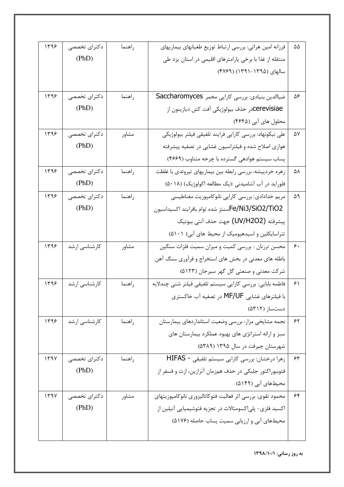| ۵۵ | فرزانه امین هراتی: بررسی ارتباط توزیع طغیانهای بیماریهای   | راهنما | دکترای تخصصی  | ۱۳۹۶ |
|----|------------------------------------------------------------|--------|---------------|------|
|    | منتقله از غذا با برخی پارامترهای اقلیمی در استان یزد طی    |        | (PhD)         |      |
|    | سالهای (۱۳۹۵–۱۳۹۱) (۴۷۶۹)                                  |        |               |      |
|    |                                                            |        |               |      |
| ۵۶ | ضیاالدین بنیادی: بررسی کارایی مخمر Saccharomyces           | راهنما | دکترای تخصصی  | ۱۳۹۶ |
|    | Cerevisiaeدر حذف بيولوژيكي آفت كش ديازينون از              |        | (PhD)         |      |
|    | محلول های آبی (۴۶۴۵)                                       |        |               |      |
| ۵۷ | على نيكونهاد: بررسي كارايي فرايند تلفيقي فيلتر بيولوژيكي   | مشاور  | دکترای تخصصی  | ۱۳۹۶ |
|    | هوازی اصلاح شده و فیلتراسیون غشایی در تصفیه پیشرفته        |        | (PhD)         |      |
|    | پساب سیستم هوادهی گسترده با چرخه متناوب (۴۶۶۹)             |        |               |      |
| ۵٨ | زهره خردپیشه: بررسی رابطه بین بیماریهای تیروئدی با غلظت    | راهنما | دکترای تخصصی  | ۱۳۹۶ |
|    | فلوراید در آب آشامیدنی :(یک مطالعه اکولوژیک) (۵۰۱۸)        |        | (PhD)         |      |
| ۵۹ | مریم خدادادی: بررسی کارایی نانوکامپوزیت مغناطیسی           | راهنما | دکترای تخصصی  | ۱۳۹۶ |
|    | Fe/Ni3/SiO2/TiO2سنتز شده توام بافرايند اكسيداسيون          |        | (PhD)         |      |
|    | پیشرفته (UV/H2O2) جهت حذف آنتی بیوتیک                      |        |               |      |
|    | تتراسایکلین و اسیدهیومیک از محیط های آبی( ۵۱۰۱)            |        |               |      |
| ۶. | محسن ترزنان : بررسي كميت و ميزان سميت فلزات سنگين          | مشاور  | كارشناسى ارشد | ۱۳۹۶ |
|    | باطله های معدنی در بخش های استخراج و فرآوری سنگ آهن        |        |               |      |
|    | شرکت معدنی و صنعتی گل گهر سیرجان (۵۱۲۳)                    |        |               |      |
| ۶۱ | فاطمه بابایی: بررسی کارایی سیستم تلفیقی فیلتر شنی چندلایه  | راهنما | كارشناسى ارشد | ۱۳۹۶ |
|    | با فیلترهای غشایی MF/UF در تصفیه آب خاکستری                |        |               |      |
|    | دستساز (۵۳۱۲)                                              |        |               |      |
| ۶۲ | نجمه مشايخي مزار: بررسي وضعيت استانداردهاي بيمارستان       | راهنما | کارشناسی ارشد | ۱۳۹۶ |
|    | سبز و ارائه استراتژی های بهبود عملکرد بیمارستان های        |        |               |      |
|    | شهرستان جیرفت در سال ۱۳۹۵ (۵۳۸۹)                           |        |               |      |
| ۶۳ | زهرا درخشان: بررسي كارايي سيستم تلفيقي - HIFAS             | راهنما | دکترای تخصصی  | 1494 |
|    | فتوبیوراکتور جلبکی در حذف همزمان آترازین، ازت و فسفر از    |        | (PhD)         |      |
|    | محیطهای آبی (۵۱۴۹)                                         |        |               |      |
| ۶۴ | محمود تقوى: بررسي اثر فعاليت فتوكاتاليزوري نانوكامپوزيتهاي | مشاور  | دکترای تخصصی  | 179Y |
|    | اکسید فلزی- پلیاکسومتالات در تجزیه فتوشیمیایی آنیلین از    |        | (PhD)         |      |
|    | محیطهای آبی و ارزیابی سمیت پساب حاصله (۵۱۷۶)               |        |               |      |
|    |                                                            |        |               |      |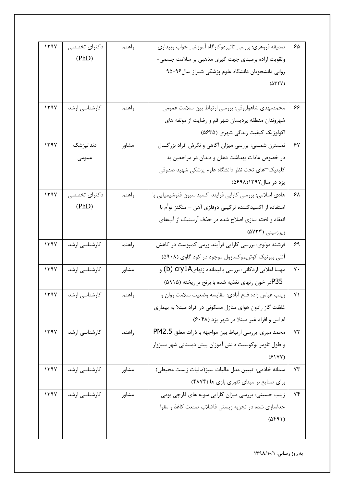| ۶۵ | صديقه فروهري: بررسي تاثيردوكارگاه أموزشي خواب وبيداري     | راهنما | دکترای تخصصی  | 1494 |
|----|-----------------------------------------------------------|--------|---------------|------|
|    | وتقویت اراده برمبنای جهت گیری مذهبی بر سلامت جسمی-        |        | (PhD)         |      |
|    | روانی دانشجویان دانشگاه علوم پزشکی شیراز سال۹۶-۹۵         |        |               |      |
|    | $(\Delta \Upsilon \Upsilon V)$                            |        |               |      |
|    |                                                           |        |               |      |
| ۶۶ | محمدمهدي شاهواروقي: بررسي ارتباط بين سلامت عمومي          | راهنما | كارشناسي ارشد | 1494 |
|    | شهروندان منطقه پردیسان شهر قم و رضایت از مولفه های        |        |               |      |
|    | اکولوژیک کیفیت زندگی شهری (۵۶۳۵)                          |        |               |      |
| ۶۷ | نمسترن شمسي: بررسي ميزان أگاهي و نگرش افراد بزرگسال       | مشاور  | دندانپزشک     | ۱۳۹۷ |
|    | در خصوص عادات بهداشت دهان و دندان در مراجعین به           |        | عمومى         |      |
|    | کلینیک¬های تحت نظر دانشگاه علوم پزشکی شهید صدوقی          |        |               |      |
|    | يزد در سال۱۳۹۷(۵۶۹۸)                                      |        |               |      |
| ۶۸ | هادی اسلامی: بررسی کارایی فرایند اکسیداسیون فتوشیمیایی با | راهنما | دکترای تخصصی  | 1494 |
|    | استفاده از اکسیدکننده ترکیبی دوفلزی آهن — منگنز توأم با   |        | (PhD)         |      |
|    | انعقاد و لخته سازی اصلاح شده در حذف آرسنیک از آبهای       |        |               |      |
|    | زیرزمینی (۵۷۳۳)                                           |        |               |      |
| ۶۹ | فرشته مولوی: بررسی کارایی فرآیند ورمی کمپوست در کاهش      | راهنما | كارشناسي ارشد | 1494 |
|    | آنتی بیوتیک کوتریموکسازول موجود در کود گاوی (۵۹۰۸)        |        |               |      |
| γ۰ | مهسا اعلايي اردكاني: بررسي باقيمانده ژنهايcry1A (b) و     | مشاور  | كارشناسى ارشد | ۱۳۹۷ |
|    | P35در خون رتهای تغذیه شده با برنج تراریخته (۵۹۱۵)         |        |               |      |
| ۷١ | زينب عباس زاده فتح أبادي: مقايسه وضعيت سلامت روان و       | راهنما | کارشناسی ارشد | 1194 |
|    | غلظت گاز رادون هوای منازل مسکونی در افراد مبتلا به بیماری |        |               |      |
|    | ام اس و افراد غیر مبتلا در شهر یزد (۶۰۴۸)                 |        |               |      |
| ٧٢ | محمد میري: بررسي ارتباط بين مواجهه با ذرات معلق PM2.5     | راهنما | کارشناسی ارشد | 1494 |
|    | و طول تلومر لوكوسيت دانش آموزان پيش دبستاني شهر سبزوار    |        |               |      |
|    | (81YY)                                                    |        |               |      |
| ٧٣ | سمانه خادمي: تبيين مدل ماليات سبز(ماليات زيست محيطى)      | مشاور  | کارشناسی ارشد | ۱۳۹۷ |
|    | برای صنایع بر مبنای تئوری بازی ها (۴۸۷۴)                  |        |               |      |
| ۷۴ | زینب حسینی: بررسی میزان کارایی سویه های قارچی بومی        | مشاور  | کارشناسی ارشد | 1494 |
|    | جداسازی شده در تجزیه زیستی فاضلاب صنعت کاغذ و مقوا        |        |               |      |
|    | $(\Delta f \mathcal{A})$                                  |        |               |      |
|    |                                                           |        |               |      |
|    |                                                           |        |               |      |